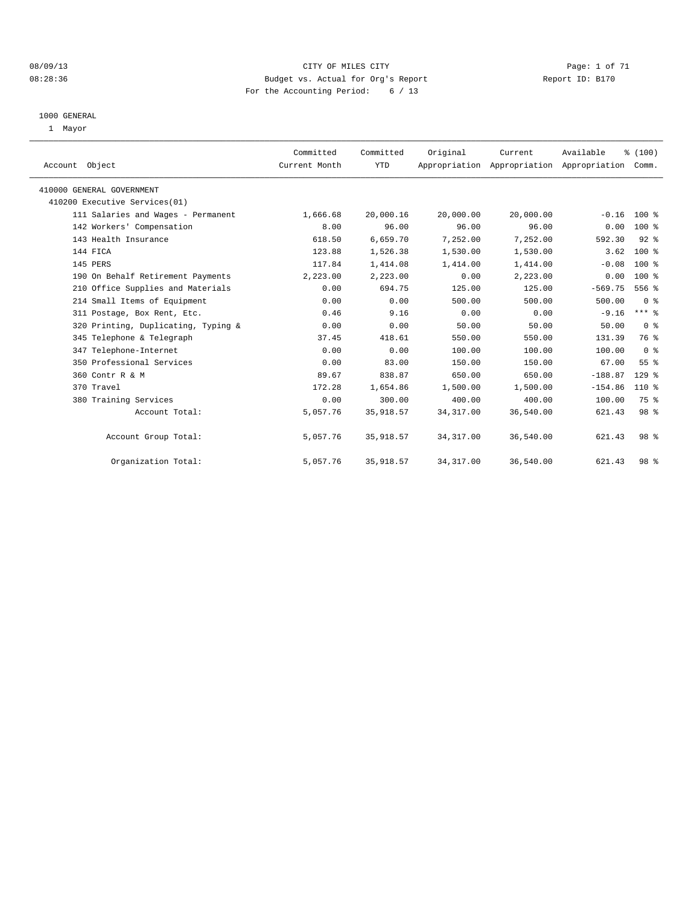#### 08/09/13 CITY OF MILES CITY Page: 1 of 71 08:28:36 Budget vs. Actual for Org's Report Changer Report ID: B170 For the Accounting Period: 6 / 13

#### 1000 GENERAL

1 Mayor

| Account Object                      | Committed<br>Current Month | Committed<br><b>YTD</b> | Original   | Current   | Available<br>Appropriation Appropriation Appropriation | % (100)<br>Comm. |  |
|-------------------------------------|----------------------------|-------------------------|------------|-----------|--------------------------------------------------------|------------------|--|
| 410000 GENERAL GOVERNMENT           |                            |                         |            |           |                                                        |                  |  |
| 410200 Executive Services(01)       |                            |                         |            |           |                                                        |                  |  |
| 111 Salaries and Wages - Permanent  | 1,666.68                   | 20,000.16               | 20,000.00  | 20,000.00 | $-0.16$                                                | $100*$           |  |
| 142 Workers' Compensation           | 8.00                       | 96.00                   | 96.00      | 96.00     | 0.00                                                   | 100 %            |  |
| 143 Health Insurance                | 618.50                     | 6,659.70                | 7,252.00   | 7,252.00  | 592.30                                                 | $92$ $%$         |  |
| 144 FICA                            | 123.88                     | 1,526.38                | 1,530.00   | 1,530.00  | 3.62                                                   | $100*$           |  |
| 145 PERS                            | 117.84                     | 1,414.08                | 1,414.00   | 1,414.00  | $-0.08$                                                | 100 %            |  |
| 190 On Behalf Retirement Payments   | 2,223.00                   | 2,223.00                | 0.00       | 2,223.00  | 0.00                                                   | $100*$           |  |
| 210 Office Supplies and Materials   | 0.00                       | 694.75                  | 125.00     | 125.00    | $-569.75$                                              | 556 %            |  |
| 214 Small Items of Equipment        | 0.00                       | 0.00                    | 500.00     | 500.00    | 500.00                                                 | 0 <sup>8</sup>   |  |
| 311 Postage, Box Rent, Etc.         | 0.46                       | 9.16                    | 0.00       | 0.00      | $-9.16$                                                | $***$ $-$        |  |
| 320 Printing, Duplicating, Typing & | 0.00                       | 0.00                    | 50.00      | 50.00     | 50.00                                                  | 0 <sup>8</sup>   |  |
| 345 Telephone & Telegraph           | 37.45                      | 418.61                  | 550.00     | 550.00    | 131.39                                                 | 76 %             |  |
| 347 Telephone-Internet              | 0.00                       | 0.00                    | 100.00     | 100.00    | 100.00                                                 | 0 <sup>8</sup>   |  |
| 350 Professional Services           | 0.00                       | 83.00                   | 150.00     | 150.00    | 67.00                                                  | 55 <sup>8</sup>  |  |
| 360 Contr R & M                     | 89.67                      | 838.87                  | 650.00     | 650.00    | $-188.87$                                              | $129$ $%$        |  |
| 370 Travel                          | 172.28                     | 1,654.86                | 1,500.00   | 1,500.00  | $-154.86$                                              | 110 %            |  |
| 380 Training Services               | 0.00                       | 300.00                  | 400.00     | 400.00    | 100.00                                                 | 75 %             |  |
| Account Total:                      | 5,057.76                   | 35,918.57               | 34, 317.00 | 36,540.00 | 621.43                                                 | 98 %             |  |
| Account Group Total:                | 5,057.76                   | 35,918.57               | 34, 317.00 | 36,540.00 | 621.43                                                 | 98 <sup>8</sup>  |  |
| Organization Total:                 | 5,057.76                   | 35, 918.57              | 34, 317.00 | 36,540.00 | 621.43                                                 | 98 %             |  |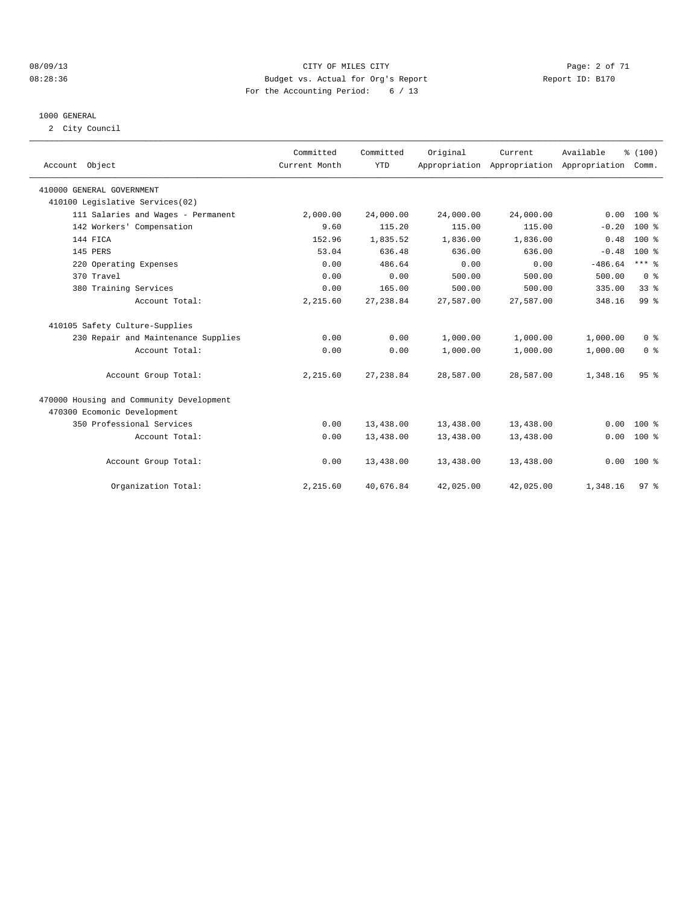#### 08/09/13 CITY OF MILES CITY Page: 2 of 71 08:28:36 Budget vs. Actual for Org's Report Changer Report ID: B170 For the Accounting Period: 6 / 13

#### 1000 GENERAL

2 City Council

| Account Object                           | Committed<br>Current Month | Committed<br><b>YTD</b> | Original  | Current<br>Appropriation Appropriation Appropriation | Available | % (100)<br>Comm. |  |
|------------------------------------------|----------------------------|-------------------------|-----------|------------------------------------------------------|-----------|------------------|--|
| 410000 GENERAL GOVERNMENT                |                            |                         |           |                                                      |           |                  |  |
| 410100 Legislative Services(02)          |                            |                         |           |                                                      |           |                  |  |
| 111 Salaries and Wages - Permanent       | 2,000.00                   | 24,000.00               | 24,000.00 | 24,000.00                                            | 0.00      | $100*$           |  |
| 142 Workers' Compensation                | 9.60                       | 115.20                  | 115.00    | 115.00                                               | $-0.20$   | 100 %            |  |
| 144 FICA                                 | 152.96                     | 1,835.52                | 1,836.00  | 1,836.00                                             | 0.48      | $100*$           |  |
| 145 PERS                                 | 53.04                      | 636.48                  | 636.00    | 636.00                                               | $-0.48$   | $100*$           |  |
| 220 Operating Expenses                   | 0.00                       | 486.64                  | 0.00      | 0.00                                                 | $-486.64$ | $***$ $-$        |  |
| 370 Travel                               | 0.00                       | 0.00                    | 500.00    | 500.00                                               | 500.00    | 0 <sup>8</sup>   |  |
| 380 Training Services                    | 0.00                       | 165.00                  | 500.00    | 500.00                                               | 335.00    | 33 <sup>8</sup>  |  |
| Account Total:                           | 2,215.60                   | 27, 238.84              | 27,587.00 | 27,587.00                                            | 348.16    | 99 %             |  |
| 410105 Safety Culture-Supplies           |                            |                         |           |                                                      |           |                  |  |
| 230 Repair and Maintenance Supplies      | 0.00                       | 0.00                    | 1,000.00  | 1,000.00                                             | 1,000.00  | 0 <sup>8</sup>   |  |
| Account Total:                           | 0.00                       | 0.00                    | 1,000.00  | 1,000.00                                             | 1,000.00  | 0 <sup>8</sup>   |  |
| Account Group Total:                     | 2,215.60                   | 27, 238.84              | 28,587.00 | 28,587.00                                            | 1,348.16  | 95%              |  |
| 470000 Housing and Community Development |                            |                         |           |                                                      |           |                  |  |
| 470300 Ecomonic Development              |                            |                         |           |                                                      |           |                  |  |
| 350 Professional Services                | 0.00                       | 13,438.00               | 13,438.00 | 13,438.00                                            | 0.00      | $100*$           |  |
| Account Total:                           | 0.00                       | 13,438.00               | 13,438.00 | 13,438.00                                            | 0.00      | 100 %            |  |
| Account Group Total:                     | 0.00                       | 13,438.00               | 13,438.00 | 13,438.00                                            | 0.00      | $100*$           |  |
| Organization Total:                      | 2,215.60                   | 40,676.84               | 42,025.00 | 42,025.00                                            | 1,348.16  | 97 <sub>8</sub>  |  |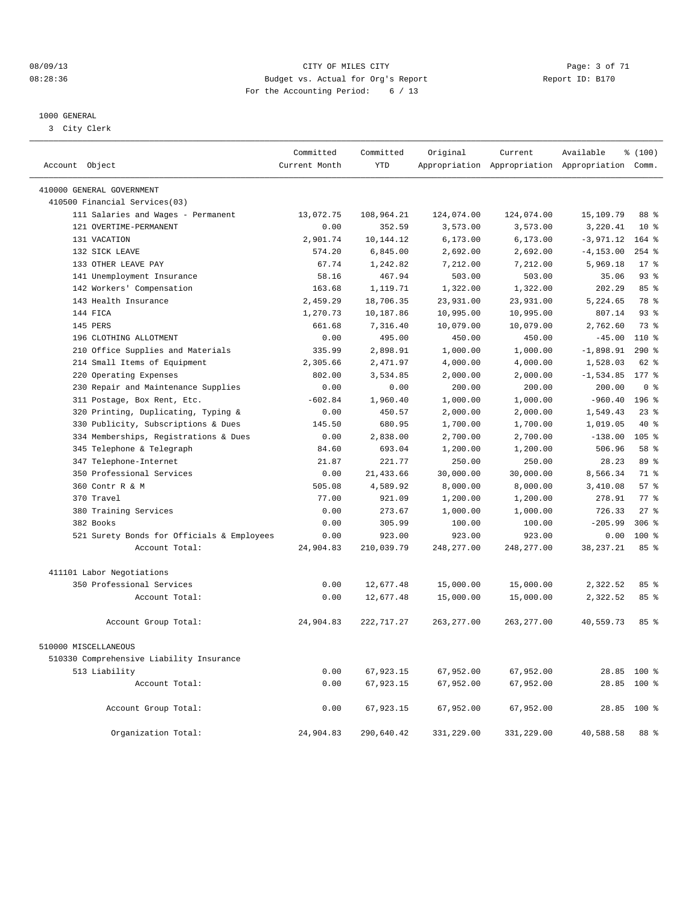#### 08/09/13 CITY OF MILES CITY Page: 3 of 71 08:28:36 Budget vs. Actual for Org's Report Changer Report ID: B170 For the Accounting Period: 6 / 13

#### 1000 GENERAL

3 City Clerk

| Account Object                             | Committed<br>Current Month | Committed<br><b>YTD</b> | Original    | Current     | Available<br>Appropriation Appropriation Appropriation Comm. | % (100)          |
|--------------------------------------------|----------------------------|-------------------------|-------------|-------------|--------------------------------------------------------------|------------------|
|                                            |                            |                         |             |             |                                                              |                  |
| 410000 GENERAL GOVERNMENT                  |                            |                         |             |             |                                                              |                  |
| 410500 Financial Services (03)             |                            |                         |             |             |                                                              |                  |
| 111 Salaries and Wages - Permanent         | 13,072.75                  | 108,964.21              | 124,074.00  | 124,074.00  | 15,109.79                                                    | 88 %             |
| 121 OVERTIME-PERMANENT                     | 0.00                       | 352.59                  | 3,573.00    | 3,573.00    | 3,220.41                                                     | $10*$            |
| 131 VACATION                               | 2,901.74                   | 10,144.12               | 6,173.00    | 6,173.00    | $-3,971.12$                                                  | 164 %            |
| 132 SICK LEAVE                             | 574.20                     | 6,845.00                | 2,692.00    | 2,692.00    | $-4, 153.00$                                                 | $254$ $%$        |
| 133 OTHER LEAVE PAY                        | 67.74                      | 1,242.82                | 7,212.00    | 7,212.00    | 5,969.18                                                     | $17*$            |
| 141 Unemployment Insurance                 | 58.16                      | 467.94                  | 503.00      | 503.00      | 35.06                                                        | 93 <sup>°</sup>  |
| 142 Workers' Compensation                  | 163.68                     | 1,119.71                | 1,322.00    | 1,322.00    | 202.29                                                       | 85%              |
| 143 Health Insurance                       | 2,459.29                   | 18,706.35               | 23,931.00   | 23,931.00   | 5,224.65                                                     | 78 %             |
| 144 FICA                                   | 1,270.73                   | 10,187.86               | 10,995.00   | 10,995.00   | 807.14                                                       | $93*$            |
| 145 PERS                                   | 661.68                     | 7,316.40                | 10,079.00   | 10,079.00   | 2,762.60                                                     | 73.8             |
| 196 CLOTHING ALLOTMENT                     | 0.00                       | 495.00                  | 450.00      | 450.00      | $-45.00$                                                     | $110*$           |
| 210 Office Supplies and Materials          | 335.99                     | 2,898.91                | 1,000.00    | 1,000.00    | $-1,898.91$                                                  | 290%             |
| 214 Small Items of Equipment               | 2,305.66                   | 2,471.97                | 4,000.00    | 4,000.00    | 1,528.03                                                     | 62 %             |
| Operating Expenses<br>220                  | 802.00                     | 3,534.85                | 2.000.00    | 2.000.00    | $-1,534.85$                                                  | $177$ $%$        |
| 230 Repair and Maintenance Supplies        | 0.00                       | 0.00                    | 200.00      | 200.00      | 200.00                                                       | 0 <sup>8</sup>   |
| 311 Postage, Box Rent, Etc.                | $-602.84$                  | 1,960.40                | 1,000.00    | 1,000.00    | $-960.40$                                                    | $196$ %          |
| 320 Printing, Duplicating, Typing &        | 0.00                       | 450.57                  | 2,000.00    | 2,000.00    | 1,549.43                                                     | 23%              |
| Publicity, Subscriptions & Dues<br>330     | 145.50                     | 680.95                  | 1,700.00    | 1,700.00    | 1,019.05                                                     | 40 %             |
| 334 Memberships, Registrations & Dues      | 0.00                       | 2,838.00                | 2,700.00    | 2,700.00    | $-138.00$                                                    | 105 <sub>8</sub> |
| 345 Telephone & Telegraph                  | 84.60                      | 693.04                  | 1,200.00    | 1,200.00    | 506.96                                                       | 58 %             |
| 347 Telephone-Internet                     | 21.87                      | 221.77                  | 250.00      | 250.00      | 28.23                                                        | 89 <sup>°</sup>  |
| 350 Professional Services                  | 0.00                       | 21, 433.66              | 30,000.00   | 30,000.00   | 8,566.34                                                     | 71.8             |
| 360 Contr R & M                            | 505.08                     | 4,589.92                | 8,000.00    | 8,000.00    | 3,410.08                                                     | 57%              |
| 370 Travel                                 | 77.00                      | 921.09                  | 1,200.00    | 1,200.00    | 278.91                                                       | 77.8             |
| 380 Training Services                      | 0.00                       | 273.67                  | 1,000.00    | 1,000.00    | 726.33                                                       | $27$ $%$         |
| 382 Books                                  | 0.00                       | 305.99                  | 100.00      | 100.00      | $-205.99$                                                    | $306$ $%$        |
| 521 Surety Bonds for Officials & Employees | 0.00                       | 923.00                  | 923.00      | 923.00      | 0.00                                                         | 100 %            |
| Account Total:                             | 24,904.83                  | 210,039.79              | 248, 277.00 | 248, 277.00 | 38, 237. 21                                                  | 85 %             |
|                                            |                            |                         |             |             |                                                              |                  |
| 411101 Labor Negotiations                  |                            |                         |             |             |                                                              |                  |
| 350 Professional Services                  | 0.00                       | 12,677.48               | 15,000.00   | 15,000.00   | 2,322.52                                                     | 85%              |
| Account Total:                             | 0.00                       | 12,677.48               | 15,000.00   | 15,000.00   | 2,322.52                                                     | 85%              |
|                                            |                            |                         |             |             |                                                              |                  |
| Account Group Total:                       | 24,904.83                  | 222, 717.27             | 263, 277.00 | 263, 277.00 | 40,559.73                                                    | $85*$            |
| 510000 MISCELLANEOUS                       |                            |                         |             |             |                                                              |                  |
| 510330 Comprehensive Liability Insurance   |                            |                         |             |             |                                                              |                  |
| 513 Liability                              | 0.00                       | 67,923.15               | 67,952.00   | 67,952.00   |                                                              | 28.85 100 %      |
| Account Total:                             | 0.00                       | 67,923.15               | 67,952.00   | 67,952.00   |                                                              | 28.85 100 %      |
| Account Group Total:                       | 0.00                       | 67,923.15               | 67,952.00   | 67,952.00   |                                                              | 28.85 100 %      |
| Organization Total:                        | 24,904.83                  | 290,640.42              | 331,229.00  | 331,229.00  | 40,588.58                                                    | 88 %             |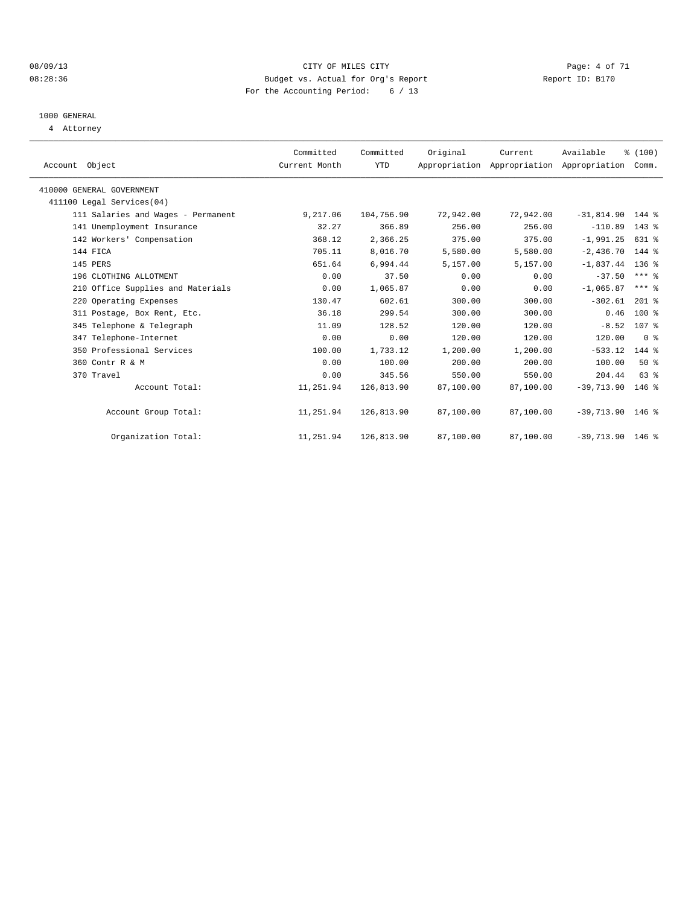#### 08/09/13 CITY OF MILES CITY Page: 4 of 71 08:28:36 Budget vs. Actual for Org's Report Changer Report ID: B170 For the Accounting Period: 6 / 13

## 1000 GENERAL

4 Attorney

| Account Object                     | Committed<br>Current Month | Committed<br><b>YTD</b> | Original  | Current<br>Appropriation Appropriation Appropriation | Available          | % (100)<br>Comm. |  |
|------------------------------------|----------------------------|-------------------------|-----------|------------------------------------------------------|--------------------|------------------|--|
| 410000 GENERAL GOVERNMENT          |                            |                         |           |                                                      |                    |                  |  |
| 411100 Legal Services(04)          |                            |                         |           |                                                      |                    |                  |  |
| 111 Salaries and Wages - Permanent | 9,217.06                   | 104,756.90              | 72,942.00 | 72,942.00                                            | $-31,814.90$ 144 % |                  |  |
| 141 Unemployment Insurance         | 32.27                      | 366.89                  | 256.00    | 256.00                                               | $-110.89$ 143 %    |                  |  |
| 142 Workers' Compensation          | 368.12                     | 2,366.25                | 375.00    | 375.00                                               | $-1,991.25$        | 631 %            |  |
| 144 FICA                           | 705.11                     | 8,016.70                | 5,580.00  | 5,580.00                                             | $-2,436.70$ 144 %  |                  |  |
| 145 PERS                           | 651.64                     | 6,994.44                | 5,157.00  | 5,157.00                                             | $-1,837.44$ 136 %  |                  |  |
| 196 CLOTHING ALLOTMENT             | 0.00                       | 37.50                   | 0.00      | 0.00                                                 | $-37.50$           | $***$ $%$        |  |
| 210 Office Supplies and Materials  | 0.00                       | 1,065.87                | 0.00      | 0.00                                                 | $-1,065.87$        | $***$ $%$        |  |
| 220 Operating Expenses             | 130.47                     | 602.61                  | 300.00    | 300.00                                               | $-302.61$          | $201$ %          |  |
| 311 Postage, Box Rent, Etc.        | 36.18                      | 299.54                  | 300.00    | 300.00                                               | 0.46               | $100*$           |  |
| 345 Telephone & Telegraph          | 11.09                      | 128.52                  | 120.00    | 120.00                                               | $-8.52$            | 107 %            |  |
| 347 Telephone-Internet             | 0.00                       | 0.00                    | 120.00    | 120.00                                               | 120.00             | 0 <sup>8</sup>   |  |
| 350 Professional Services          | 100.00                     | 1,733.12                | 1,200.00  | 1,200.00                                             | $-533.12$          | 144 %            |  |
| 360 Contr R & M                    | 0.00                       | 100.00                  | 200.00    | 200.00                                               | 100.00             | $50*$            |  |
| 370 Travel                         | 0.00                       | 345.56                  | 550.00    | 550.00                                               | 204.44             | 63%              |  |
| Account Total:                     | 11,251.94                  | 126,813.90              | 87,100.00 | 87,100.00                                            | $-39,713.90$       | $146$ %          |  |
| Account Group Total:               | 11,251.94                  | 126,813.90              | 87,100.00 | 87,100.00                                            | $-39,713.90$ 146 % |                  |  |
| Organization Total:                | 11,251.94                  | 126,813.90              | 87,100.00 | 87,100.00                                            | $-39,713.90$ 146 % |                  |  |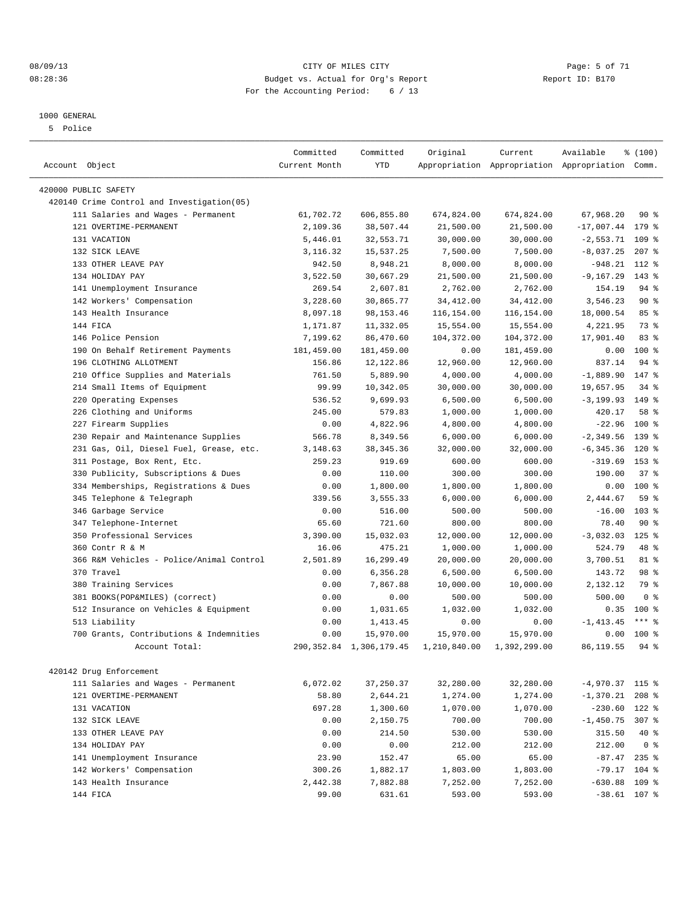#### 08/09/13 CITY OF MILES CITY Page: 5 of 71 08:28:36 Budget vs. Actual for Org's Report Changer Report ID: B170 For the Accounting Period: 6 / 13

————————————————————————————————————————————————————————————————————————————————————————————————————————————————————————————————————

#### 1000 GENERAL

5 Police

|                                            | Committed     | Committed                  | Original     | Current      | Available                                       | % (100)        |  |
|--------------------------------------------|---------------|----------------------------|--------------|--------------|-------------------------------------------------|----------------|--|
| Account Object                             | Current Month | <b>YTD</b>                 |              |              | Appropriation Appropriation Appropriation Comm. |                |  |
| 420000 PUBLIC SAFETY                       |               |                            |              |              |                                                 |                |  |
| 420140 Crime Control and Investigation(05) |               |                            |              |              |                                                 |                |  |
| 111 Salaries and Wages - Permanent         | 61,702.72     | 606,855.80                 | 674,824.00   | 674,824.00   | 67,968.20                                       | 90%            |  |
| 121 OVERTIME-PERMANENT                     | 2,109.36      | 38,507.44                  | 21,500.00    | 21,500.00    | $-17,007.44$                                    | 179 %          |  |
| 131 VACATION                               | 5,446.01      | 32,553.71                  | 30,000.00    | 30,000.00    | $-2,553.71$                                     | 109 %          |  |
| 132 SICK LEAVE                             | 3,116.32      | 15,537.25                  | 7,500.00     | 7,500.00     | $-8,037.25$                                     | $207$ %        |  |
| 133 OTHER LEAVE PAY                        | 942.50        | 8,948.21                   | 8,000.00     | 8,000.00     | $-948.21$                                       | 112 %          |  |
| 134 HOLIDAY PAY                            | 3,522.50      | 30,667.29                  | 21,500.00    | 21,500.00    | $-9, 167.29$                                    | 143 %          |  |
| 141 Unemployment Insurance                 | 269.54        | 2,607.81                   | 2,762.00     | 2,762.00     | 154.19                                          | 94 %           |  |
| 142 Workers' Compensation                  | 3,228.60      | 30,865.77                  | 34, 412.00   | 34, 412.00   | 3,546.23                                        | $90*$          |  |
| 143 Health Insurance                       | 8,097.18      | 98, 153. 46                | 116,154.00   | 116,154.00   |                                                 | 85%            |  |
| 144 FICA                                   | 1,171.87      | 11,332.05                  | 15,554.00    | 15,554.00    | 18,000.54<br>4,221.95                           | 73 %           |  |
| 146 Police Pension                         | 7,199.62      | 86,470.60                  | 104,372.00   | 104,372.00   | 17,901.40                                       | 83%            |  |
| 190 On Behalf Retirement Payments          | 181,459.00    | 181,459.00                 | 0.00         | 181,459.00   | 0.00                                            | $100*$         |  |
| 196 CLOTHING ALLOTMENT                     | 156.86        | 12, 122.86                 | 12,960.00    | 12,960.00    | 837.14                                          | $94$ %         |  |
| 210 Office Supplies and Materials          | 761.50        | 5,889.90                   | 4,000.00     | 4,000.00     | $-1,889.90$                                     | 147 %          |  |
| 214 Small Items of Equipment               | 99.99         | 10,342.05                  | 30,000.00    | 30,000.00    | 19,657.95                                       | $34$ $%$       |  |
| 220 Operating Expenses                     | 536.52        | 9,699.93                   | 6,500.00     | 6,500.00     | $-3, 199.93$ 149 %                              |                |  |
| 226 Clothing and Uniforms                  | 245.00        | 579.83                     | 1,000.00     | 1,000.00     | 420.17                                          | 58 %           |  |
| 227 Firearm Supplies                       |               |                            |              |              |                                                 | $100*$         |  |
| 230 Repair and Maintenance Supplies        | 0.00          | 4,822.96<br>8,349.56       | 4,800.00     | 4,800.00     | $-22.96$<br>$-2, 349.56$                        |                |  |
| 231 Gas, Oil, Diesel Fuel, Grease, etc.    | 566.78        |                            | 6,000.00     | 6,000.00     |                                                 | 139 %          |  |
|                                            | 3,148.63      | 38, 345.36                 | 32,000.00    | 32,000.00    | $-6, 345.36$                                    | 120 %          |  |
| 311 Postage, Box Rent, Etc.                | 259.23        | 919.69                     | 600.00       | 600.00       | $-319.69$                                       | 153 %          |  |
| 330 Publicity, Subscriptions & Dues        | 0.00          | 110.00                     | 300.00       | 300.00       | 190.00                                          | 37%            |  |
| 334 Memberships, Registrations & Dues      | 0.00          | 1,800.00                   | 1,800.00     | 1,800.00     | 0.00                                            | $100*$         |  |
| 345 Telephone & Telegraph                  | 339.56        | 3,555.33                   | 6,000.00     | 6,000.00     | 2,444.67                                        | 59 %           |  |
| 346 Garbage Service                        | 0.00          | 516.00                     | 500.00       | 500.00       | $-16.00$                                        | $103$ %        |  |
| 347 Telephone-Internet                     | 65.60         | 721.60                     | 800.00       | 800.00       | 78.40                                           | $90*$          |  |
| 350 Professional Services                  | 3,390.00      | 15,032.03                  | 12,000.00    | 12,000.00    | $-3,032.03$                                     | $125$ %        |  |
| 360 Contr R & M                            | 16.06         | 475.21                     | 1,000.00     | 1,000.00     | 524.79                                          | 48 %           |  |
| 366 R&M Vehicles - Police/Animal Control   | 2,501.89      | 16,299.49                  | 20,000.00    | 20,000.00    | 3,700.51                                        | 81 %           |  |
| 370 Travel                                 | 0.00          | 6,356.28                   | 6,500.00     | 6,500.00     | 143.72                                          | 98 %           |  |
| 380 Training Services                      | 0.00          | 7,867.88                   | 10,000.00    | 10,000.00    | 2,132.12                                        | 79 %           |  |
| 381 BOOKS(POP&MILES) (correct)             | 0.00          | 0.00                       | 500.00       | 500.00       | 500.00                                          | 0 <sup>8</sup> |  |
| 512 Insurance on Vehicles & Equipment      | 0.00          | 1,031.65                   | 1,032.00     | 1,032.00     | 0.35                                            | $100*$         |  |
| 513 Liability                              | 0.00          | 1,413.45                   | 0.00         | 0.00         | $-1, 413.45$                                    | $***$ $_{8}$   |  |
| 700 Grants, Contributions & Indemnities    | 0.00          | 15,970.00                  | 15,970.00    | 15,970.00    | 0.00                                            | $100*$         |  |
| Account Total:                             |               | 290, 352.84 1, 306, 179.45 | 1,210,840.00 | 1,392,299.00 | 86, 119.55                                      | $94$ %         |  |
| 420142 Drug Enforcement                    |               |                            |              |              |                                                 |                |  |
| 111 Salaries and Wages - Permanent         | 6,072.02      | 37, 250.37                 | 32,280.00    | 32,280.00    | $-4,970.37$ 115 %                               |                |  |
| 121 OVERTIME-PERMANENT                     | 58.80         | 2,644.21                   | 1,274.00     | 1,274.00     | $-1,370.21$                                     | $208$ %        |  |
| 131 VACATION                               | 697.28        | 1,300.60                   | 1,070.00     | 1,070.00     | $-230.60$ 122 %                                 |                |  |
| 132 SICK LEAVE                             | 0.00          | 2,150.75                   | 700.00       | 700.00       | $-1,450.75$                                     | $307$ $%$      |  |
| 133 OTHER LEAVE PAY                        | 0.00          | 214.50                     | 530.00       | 530.00       | 315.50                                          | 40 %           |  |
| 134 HOLIDAY PAY                            | 0.00          | 0.00                       | 212.00       | 212.00       | 212.00                                          | 0 <sup>8</sup> |  |
| 141 Unemployment Insurance                 | 23.90         | 152.47                     | 65.00        | 65.00        | $-87.47$ 235 %                                  |                |  |
| 142 Workers' Compensation                  | 300.26        | 1,882.17                   | 1,803.00     | 1,803.00     | $-79.17$                                        | 104 %          |  |
| 143 Health Insurance                       | 2,442.38      | 7,882.88                   | 7,252.00     | 7,252.00     | $-630.88$                                       | 109 %          |  |
| 144 FICA                                   | 99.00         | 631.61                     | 593.00       | 593.00       | $-38.61$ 107 %                                  |                |  |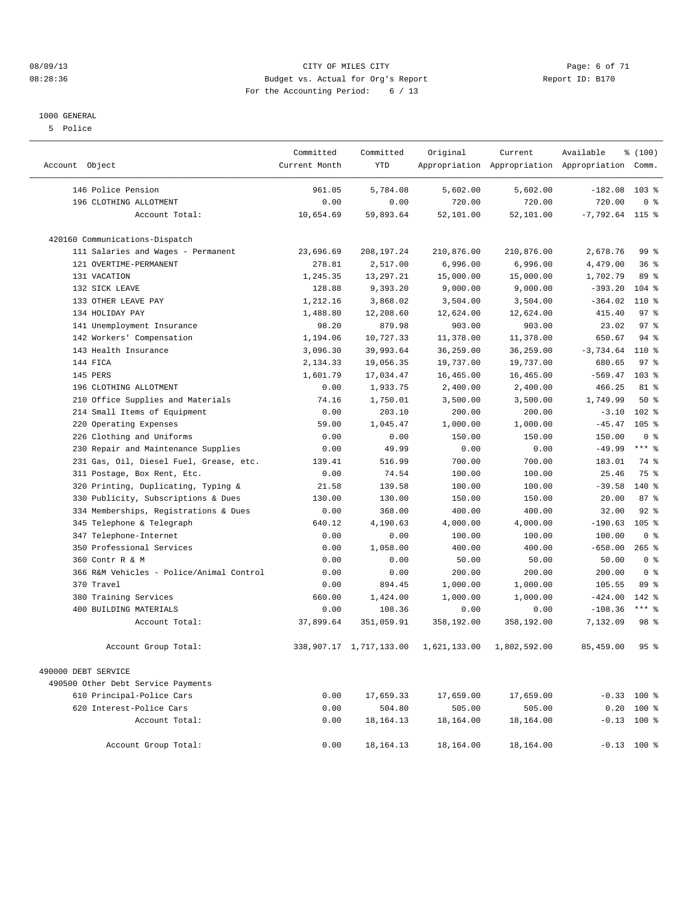#### 08/09/13 CITY OF MILES CITY Page: 6 of 71 08:28:36 Budget vs. Actual for Org's Report Changer Report ID: B170 For the Accounting Period: 6 / 13

#### 1000 GENERAL

5 Police

| Account Object                           | Committed<br>Current Month | Committed<br><b>YTD</b> | Original     | Current      | Available<br>Appropriation Appropriation Appropriation Comm. | % (100)          |  |
|------------------------------------------|----------------------------|-------------------------|--------------|--------------|--------------------------------------------------------------|------------------|--|
| 146 Police Pension                       | 961.05                     | 5,784.08                | 5,602.00     | 5,602.00     | $-182.08$ 103 %                                              |                  |  |
| 196 CLOTHING ALLOTMENT                   | 0.00                       | 0.00                    | 720.00       | 720.00       | 720.00                                                       | 0 <sup>8</sup>   |  |
| Account Total:                           | 10,654.69                  | 59,893.64               | 52,101.00    | 52,101.00    | $-7,792.64$ 115 %                                            |                  |  |
| 420160 Communications-Dispatch           |                            |                         |              |              |                                                              |                  |  |
| 111 Salaries and Wages - Permanent       | 23,696.69                  | 208, 197. 24            | 210,876.00   | 210,876.00   | 2,678.76                                                     | 99 <sub>8</sub>  |  |
| 121 OVERTIME-PERMANENT                   | 278.81                     | 2,517.00                | 6,996.00     | 6,996.00     | 4,479.00                                                     | 36%              |  |
| 131 VACATION                             | 1,245.35                   | 13,297.21               | 15,000.00    | 15,000.00    | 1,702.79                                                     | 89 %             |  |
| 132 SICK LEAVE                           | 128.88                     | 9,393.20                | 9,000.00     | 9,000.00     | $-393.20$                                                    | $104$ %          |  |
| 133 OTHER LEAVE PAY                      | 1,212.16                   | 3,868.02                | 3,504.00     | 3,504.00     | $-364.02$                                                    | 110 %            |  |
| 134 HOLIDAY PAY                          | 1,488.80                   | 12,208.60               | 12,624.00    | 12,624.00    | 415.40                                                       | 97%              |  |
| 141 Unemployment Insurance               | 98.20                      | 879.98                  | 903.00       | 903.00       | 23.02                                                        | 97 <sub>8</sub>  |  |
| 142 Workers' Compensation                | 1,194.06                   | 10,727.33               | 11,378.00    | 11,378.00    | 650.67                                                       | $94$ $%$         |  |
| 143 Health Insurance                     | 3,096.30                   | 39,993.64               | 36,259.00    | 36,259.00    | $-3,734.64$                                                  | 110 %            |  |
| 144 FICA                                 | 2,134.33                   | 19,056.35               | 19,737.00    | 19,737.00    | 680.65                                                       | 97%              |  |
| 145 PERS                                 | 1,601.79                   | 17,034.47               | 16,465.00    | 16,465.00    | $-569.47$                                                    | 103 <sub>8</sub> |  |
| 196 CLOTHING ALLOTMENT                   | 0.00                       | 1,933.75                | 2,400.00     | 2,400.00     | 466.25                                                       | $81*$            |  |
| 210 Office Supplies and Materials        | 74.16                      | 1,750.01                | 3,500.00     | 3,500.00     | 1,749.99                                                     | 50%              |  |
| 214 Small Items of Equipment             | 0.00                       | 203.10                  | 200.00       | 200.00       | $-3.10$                                                      | $102$ %          |  |
| Operating Expenses<br>220                | 59.00                      | 1,045.47                | 1,000.00     | 1,000.00     | $-45.47$                                                     | $105$ %          |  |
| Clothing and Uniforms<br>226             | 0.00                       | 0.00                    | 150.00       | 150.00       | 150.00                                                       | 0 <sup>8</sup>   |  |
| 230 Repair and Maintenance Supplies      | 0.00                       | 49.99                   | 0.00         | 0.00         | $-49.99$                                                     | $***$ $-$        |  |
| 231 Gas, Oil, Diesel Fuel, Grease, etc.  | 139.41                     | 516.99                  | 700.00       | 700.00       | 183.01                                                       | 74 %             |  |
| 311 Postage, Box Rent, Etc.              | 0.00                       | 74.54                   | 100.00       | 100.00       | 25.46                                                        | 75 %             |  |
| Printing, Duplicating, Typing &<br>320   | 21.58                      | 139.58                  | 100.00       | 100.00       | $-39.58$                                                     | 140 %            |  |
| Publicity, Subscriptions & Dues<br>330   | 130.00                     | 130.00                  | 150.00       | 150.00       | 20.00                                                        | 87%              |  |
| 334 Memberships, Registrations & Dues    | 0.00                       | 368.00                  | 400.00       | 400.00       | 32.00                                                        | $92$ $%$         |  |
| 345 Telephone & Telegraph                | 640.12                     | 4,190.63                | 4,000.00     | 4,000.00     | $-190.63$                                                    | $105$ %          |  |
| 347 Telephone-Internet                   | 0.00                       | 0.00                    | 100.00       | 100.00       | 100.00                                                       | 0 <sup>8</sup>   |  |
| 350<br>Professional Services             | 0.00                       | 1,058.00                | 400.00       | 400.00       | $-658.00$                                                    | $265$ %          |  |
| Contr R & M<br>360                       | 0.00                       | 0.00                    | 50.00        | 50.00        | 50.00                                                        | 0 <sup>8</sup>   |  |
| 366 R&M Vehicles - Police/Animal Control | 0.00                       | 0.00                    | 200.00       | 200.00       | 200.00                                                       | 0 <sup>8</sup>   |  |
| 370 Travel                               | 0.00                       | 894.45                  | 1,000.00     | 1,000.00     | 105.55                                                       | 89 %             |  |
| 380 Training Services                    | 660.00                     | 1,424.00                | 1,000.00     | 1,000.00     | $-424.00$                                                    | 142 %            |  |
| 400 BUILDING MATERIALS                   | 0.00                       | 108.36                  | 0.00         | 0.00         | $-108.36$                                                    | $***$ $_{8}$     |  |
| Account Total:                           | 37,899.64                  | 351,059.91              | 358,192.00   | 358,192.00   | 7,132.09                                                     | 98 %             |  |
| Account Group Total:                     |                            | 338,907.17 1,717,133.00 | 1,621,133.00 | 1,802,592.00 | 85,459.00                                                    | 95 <sub>8</sub>  |  |
| 490000 DEBT SERVICE                      |                            |                         |              |              |                                                              |                  |  |
| 490500 Other Debt Service Payments       |                            |                         |              |              |                                                              |                  |  |
| 610 Principal-Police Cars                | 0.00                       | 17,659.33               | 17,659.00    | 17,659.00    |                                                              | $-0.33$ 100 %    |  |
| 620 Interest-Police Cars                 | 0.00                       | 504.80                  | 505.00       | 505.00       | 0.20                                                         | $100$ %          |  |
| Account Total:                           | 0.00                       | 18, 164. 13             | 18,164.00    | 18,164.00    |                                                              | $-0.13$ 100 %    |  |
| Account Group Total:                     | 0.00                       | 18, 164. 13             | 18,164.00    | 18,164.00    |                                                              | $-0.13$ 100 %    |  |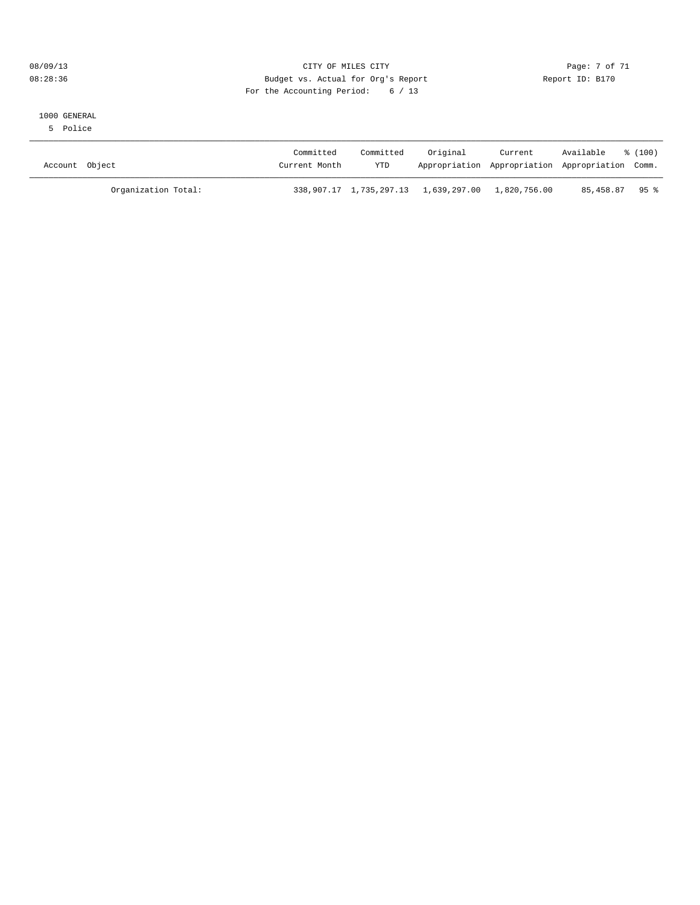#### 08/09/13 CITY OF MILES CITY Page: 7 of 71 08:28:36 Budget vs. Actual for Org's Report Changer Report ID: B170 For the Accounting Period: 6 / 13

#### 1000 GENERAL

5 Police

| Account Object      | Committed<br>Current Month | Committed<br><b>YTD</b> | Original                                          | Current<br>Appropriation Appropriation Appropriation Comm. | Available      | $\frac{100}{2}$ |
|---------------------|----------------------------|-------------------------|---------------------------------------------------|------------------------------------------------------------|----------------|-----------------|
| Organization Total: |                            |                         | 338,907.17 1,735,297.13 1,639,297.00 1,820,756.00 |                                                            | 85,458.87 95 % |                 |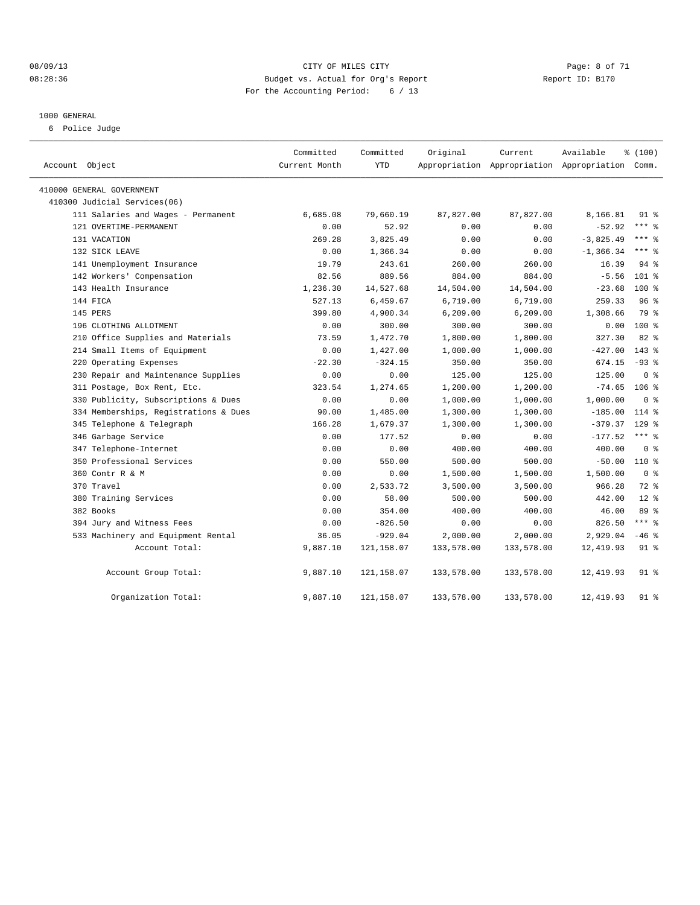#### 08/09/13 CITY OF MILES CITY Page: 8 of 71 08:28:36 Budget vs. Actual for Org's Report Changer Report ID: B170 For the Accounting Period: 6 / 13

#### 1000 GENERAL

6 Police Judge

| Account Object                        | Committed<br>Current Month | Committed<br><b>YTD</b> | Original   | Current    | Available<br>Appropriation Appropriation Appropriation Comm. | % (100)        |  |
|---------------------------------------|----------------------------|-------------------------|------------|------------|--------------------------------------------------------------|----------------|--|
| 410000 GENERAL GOVERNMENT             |                            |                         |            |            |                                                              |                |  |
| 410300 Judicial Services(06)          |                            |                         |            |            |                                                              |                |  |
| 111 Salaries and Wages - Permanent    | 6,685.08                   | 79,660.19               | 87,827.00  | 87,827.00  | 8,166.81                                                     | $91*$          |  |
| 121 OVERTIME-PERMANENT                | 0.00                       | 52.92                   | 0.00       | 0.00       | $-52.92$                                                     | $***$ 8        |  |
| 131 VACATION                          | 269.28                     | 3,825.49                | 0.00       | 0.00       | $-3,825.49$                                                  | $***$ $%$      |  |
| 132 SICK LEAVE                        | 0.00                       | 1,366.34                | 0.00       | 0.00       | $-1, 366.34$                                                 | $***$ $%$      |  |
| 141 Unemployment Insurance            | 19.79                      | 243.61                  | 260.00     | 260.00     | 16.39                                                        | $94$ $%$       |  |
| 142 Workers' Compensation             | 82.56                      | 889.56                  | 884.00     | 884.00     | $-5.56$                                                      | $101$ %        |  |
| 143 Health Insurance                  | 1,236.30                   | 14,527.68               | 14,504.00  | 14,504.00  | $-23.68$                                                     | $100*$         |  |
| 144 FICA                              | 527.13                     | 6,459.67                | 6,719.00   | 6,719.00   | 259.33                                                       | 96%            |  |
| 145 PERS                              | 399.80                     | 4,900.34                | 6, 209.00  | 6, 209.00  | 1,308.66                                                     | 79 %           |  |
| 196 CLOTHING ALLOTMENT                | 0.00                       | 300.00                  | 300.00     | 300.00     | 0.00                                                         | 100 %          |  |
| 210 Office Supplies and Materials     | 73.59                      | 1,472.70                | 1,800.00   | 1,800.00   | 327.30                                                       | 82 %           |  |
| 214 Small Items of Equipment          | 0.00                       | 1,427.00                | 1,000.00   | 1,000.00   | $-427.00$                                                    | $143*$         |  |
| 220 Operating Expenses                | $-22.30$                   | $-324.15$               | 350.00     | 350.00     | 674.15                                                       | $-93$ $%$      |  |
| 230 Repair and Maintenance Supplies   | 0.00                       | 0.00                    | 125.00     | 125.00     | 125.00                                                       | 0 <sup>8</sup> |  |
| 311 Postage, Box Rent, Etc.           | 323.54                     | 1,274.65                | 1,200.00   | 1,200.00   | $-74.65$ 106 %                                               |                |  |
| 330 Publicity, Subscriptions & Dues   | 0.00                       | 0.00                    | 1,000.00   | 1,000.00   | 1,000.00                                                     | 0 <sup>8</sup> |  |
| 334 Memberships, Registrations & Dues | 90.00                      | 1,485.00                | 1,300.00   | 1,300.00   | $-185.00$                                                    | $114$ %        |  |
| 345 Telephone & Telegraph             | 166.28                     | 1,679.37                | 1,300.00   | 1,300.00   | $-379.37$                                                    | $129$ $%$      |  |
| 346 Garbage Service                   | 0.00                       | 177.52                  | 0.00       | 0.00       | $-177.52$                                                    | $***$ $-$      |  |
| 347 Telephone-Internet                | 0.00                       | 0.00                    | 400.00     | 400.00     | 400.00                                                       | 0 <sup>8</sup> |  |
| 350 Professional Services             | 0.00                       | 550.00                  | 500.00     | 500.00     | $-50.00$                                                     | 110 %          |  |
| 360 Contr R & M                       | 0.00                       | 0.00                    | 1,500.00   | 1,500.00   | 1,500.00                                                     | 0 <sup>8</sup> |  |
| 370 Travel                            | 0.00                       | 2,533.72                | 3,500.00   | 3,500.00   | 966.28                                                       | 72 %           |  |
| 380 Training Services                 | 0.00                       | 58.00                   | 500.00     | 500.00     | 442.00                                                       | $12*$          |  |
| 382 Books                             | 0.00                       | 354.00                  | 400.00     | 400.00     | 46.00                                                        | 89%            |  |
| 394 Jury and Witness Fees             | 0.00                       | $-826.50$               | 0.00       | 0.00       | 826.50                                                       | $***$ 8        |  |
| 533 Machinery and Equipment Rental    | 36.05                      | $-929.04$               | 2,000.00   | 2,000.00   | 2,929.04                                                     | $-46$ %        |  |
| Account Total:                        | 9,887.10                   | 121, 158.07             | 133,578.00 | 133,578.00 | 12,419.93                                                    | 91 %           |  |
| Account Group Total:                  | 9,887.10                   | 121,158.07              | 133,578.00 | 133,578.00 | 12,419.93                                                    | 91 %           |  |
| Organization Total:                   | 9,887.10                   | 121,158.07              | 133,578.00 | 133,578.00 | 12,419.93                                                    | 91 %           |  |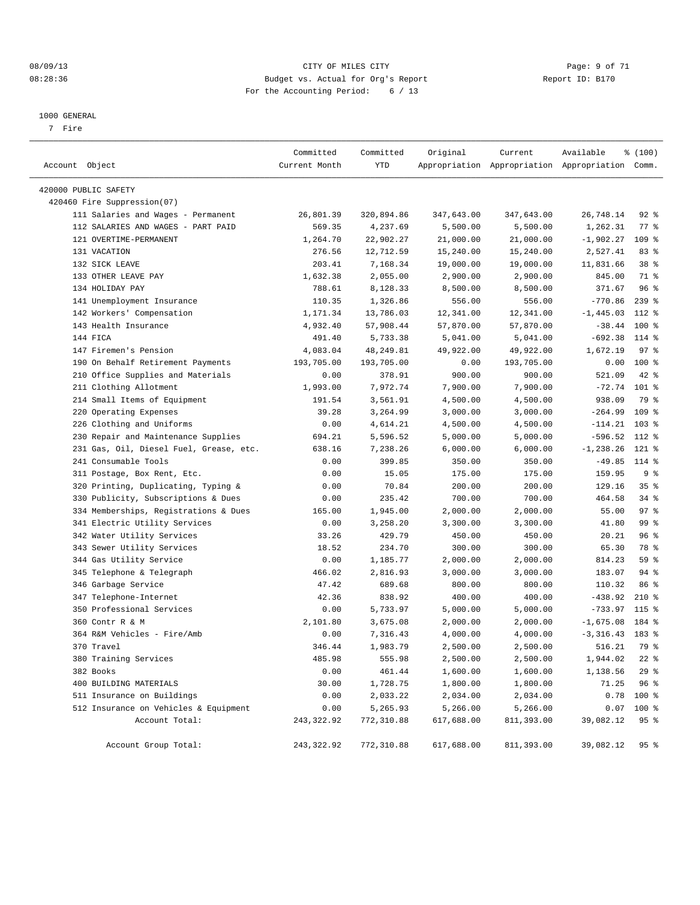#### 08/09/13 CITY OF MILES CITY Page: 9 of 71 08:28:36 Budget vs. Actual for Org's Report Changer Report ID: B170 For the Accounting Period: 6 / 13

————————————————————————————————————————————————————————————————————————————————————————————————————————————————————————————————————

#### 1000 GENERAL

7 Fire

|                                         | Committed     | Committed  | Original   | Current    | Available                                       | % (100)         |  |
|-----------------------------------------|---------------|------------|------------|------------|-------------------------------------------------|-----------------|--|
| Account Object                          | Current Month | YTD        |            |            | Appropriation Appropriation Appropriation Comm. |                 |  |
| 420000 PUBLIC SAFETY                    |               |            |            |            |                                                 |                 |  |
| 420460 Fire Suppression(07)             |               |            |            |            |                                                 |                 |  |
| 111 Salaries and Wages - Permanent      | 26,801.39     | 320,894.86 | 347,643.00 | 347,643.00 | 26,748.14                                       | $92$ $%$        |  |
| 112 SALARIES AND WAGES - PART PAID      | 569.35        | 4,237.69   | 5,500.00   | 5,500.00   | 1,262.31                                        | $77$ $%$        |  |
| 121 OVERTIME-PERMANENT                  | 1,264.70      | 22,902.27  | 21,000.00  | 21,000.00  | $-1,902.27$                                     | 109 %           |  |
| 131 VACATION                            | 276.56        | 12,712.59  | 15,240.00  | 15,240.00  | 2,527.41                                        | 83%             |  |
| 132 SICK LEAVE                          | 203.41        | 7,168.34   | 19,000.00  | 19,000.00  | 11,831.66                                       | 38 <sup>8</sup> |  |
| 133 OTHER LEAVE PAY                     | 1,632.38      | 2,055.00   | 2,900.00   | 2,900.00   | 845.00                                          | 71 %            |  |
| 134 HOLIDAY PAY                         | 788.61        | 8,128.33   | 8,500.00   | 8,500.00   | 371.67                                          | 96 <sup>8</sup> |  |
| 141 Unemployment Insurance              | 110.35        | 1,326.86   | 556.00     | 556.00     | $-770.86$                                       | $239$ $%$       |  |
| 142 Workers' Compensation               | 1,171.34      | 13,786.03  | 12,341.00  | 12,341.00  | $-1,445.03$                                     | 112 %           |  |
| 143 Health Insurance                    | 4,932.40      | 57,908.44  | 57,870.00  | 57,870.00  | $-38.44$                                        | 100 %           |  |
| 144 FICA                                | 491.40        | 5,733.38   | 5,041.00   | 5,041.00   | $-692.38$                                       | 114 %           |  |
| 147 Firemen's Pension                   | 4,083.04      | 48,249.81  | 49,922.00  | 49,922.00  | 1,672.19                                        | 97%             |  |
| 190 On Behalf Retirement Payments       | 193,705.00    | 193,705.00 | 0.00       | 193,705.00 | 0.00                                            | 100 %           |  |
| 210 Office Supplies and Materials       | 0.00          | 378.91     | 900.00     | 900.00     | 521.09                                          | $42*$           |  |
| 211 Clothing Allotment                  | 1,993.00      | 7,972.74   | 7,900.00   | 7,900.00   | $-72.74$ 101 %                                  |                 |  |
| 214 Small Items of Equipment            | 191.54        | 3,561.91   | 4,500.00   | 4,500.00   | 938.09                                          | 79 %            |  |
| 220 Operating Expenses                  | 39.28         | 3,264.99   | 3,000.00   | 3,000.00   | $-264.99$                                       | 109 %           |  |
| 226 Clothing and Uniforms               | 0.00          | 4,614.21   | 4,500.00   | 4,500.00   | $-114.21$                                       | $103$ %         |  |
| 230 Repair and Maintenance Supplies     | 694.21        | 5,596.52   | 5,000.00   | 5,000.00   | $-596.52$                                       | 112 %           |  |
| 231 Gas, Oil, Diesel Fuel, Grease, etc. | 638.16        | 7,238.26   | 6,000.00   | 6,000.00   | $-1, 238.26$                                    | 121 %           |  |
| 241 Consumable Tools                    | 0.00          | 399.85     | 350.00     | 350.00     | $-49.85$ 114 %                                  |                 |  |
| 311 Postage, Box Rent, Etc.             | 0.00          | 15.05      | 175.00     | 175.00     | 159.95                                          | 9%              |  |
| 320 Printing, Duplicating, Typing &     | 0.00          | 70.84      | 200.00     | 200.00     | 129.16                                          | 35 <sup>8</sup> |  |
| 330 Publicity, Subscriptions & Dues     | 0.00          | 235.42     | 700.00     | 700.00     | 464.58                                          | $34$ $%$        |  |
| 334 Memberships, Registrations & Dues   | 165.00        | 1,945.00   | 2,000.00   | 2,000.00   | 55.00                                           | 97%             |  |
| 341 Electric Utility Services           | 0.00          | 3,258.20   | 3,300.00   | 3,300.00   | 41.80                                           | 99 <sup>°</sup> |  |
| 342 Water Utility Services              | 33.26         | 429.79     | 450.00     | 450.00     | 20.21                                           | 96%             |  |
| 343 Sewer Utility Services              | 18.52         | 234.70     | 300.00     | 300.00     | 65.30                                           | 78 %            |  |
| 344 Gas Utility Service                 | 0.00          | 1,185.77   | 2,000.00   | 2,000.00   | 814.23                                          | 59 %            |  |
| 345 Telephone & Telegraph               | 466.02        | 2,816.93   | 3,000.00   | 3,000.00   | 183.07                                          | 94 %            |  |
| 346 Garbage Service                     | 47.42         | 689.68     | 800.00     | 800.00     | 110.32                                          | 86 %            |  |
| 347 Telephone-Internet                  | 42.36         | 838.92     | 400.00     | 400.00     | $-438.92$                                       | $210*$          |  |
| 350 Professional Services               | 0.00          | 5,733.97   | 5,000.00   | 5,000.00   | $-733.97$                                       | 115 %           |  |
| 360 Contr R & M                         | 2,101.80      | 3,675.08   | 2,000.00   | 2,000.00   | $-1,675.08$                                     | 184 %           |  |
| 364 R&M Vehicles - Fire/Amb             | 0.00          | 7,316.43   | 4,000.00   | 4,000.00   | $-3,316.43$ 183 %                               |                 |  |
| 370 Travel                              | 346.44        | 1,983.79   | 2,500.00   | 2,500.00   | 516.21                                          | 79 %            |  |
| 380 Training Services                   | 485.98        | 555.98     | 2,500.00   | 2,500.00   | 1,944.02 22 %                                   |                 |  |
| 382 Books                               | 0.00          | 461.44     | 1,600.00   | 1,600.00   | 1,138.56                                        | 29%             |  |
| 400 BUILDING MATERIALS                  | 30.00         | 1,728.75   | 1,800.00   | 1,800.00   | 71.25                                           | 96%             |  |
| 511 Insurance on Buildings              | 0.00          | 2,033.22   | 2,034.00   | 2,034.00   | 0.78                                            | 100 %           |  |
| 512 Insurance on Vehicles & Equipment   | 0.00          | 5,265.93   | 5,266.00   | 5,266.00   |                                                 | $0.07$ 100 %    |  |
| Account Total:                          | 243, 322.92   | 772,310.88 | 617,688.00 | 811,393.00 | 39,082.12                                       | 95%             |  |
| Account Group Total:                    | 243, 322.92   | 772,310.88 | 617,688.00 | 811,393.00 | 39,082.12                                       | 95%             |  |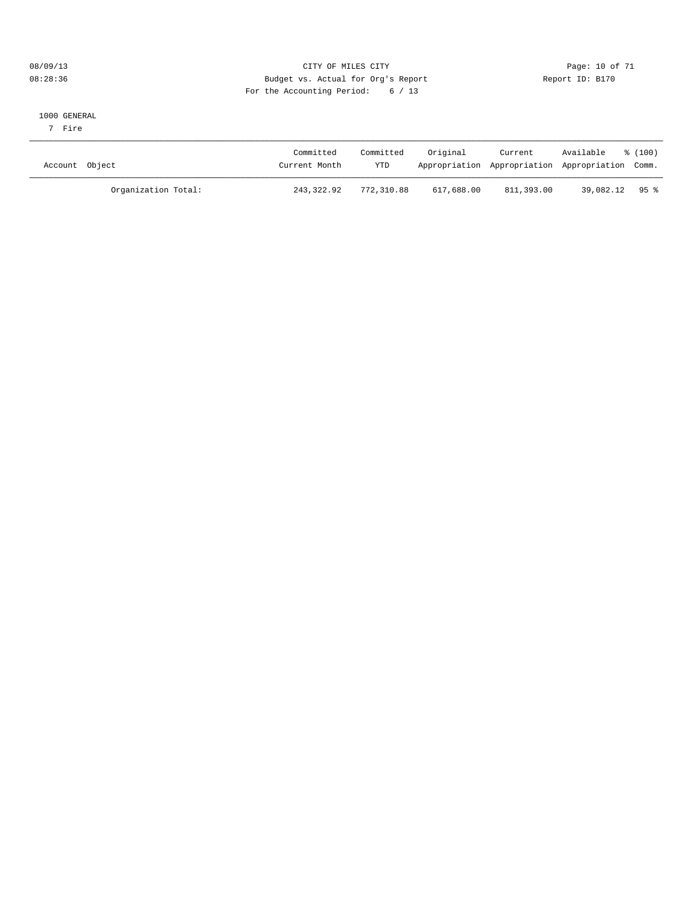#### 08/09/13 Page: 10 of 71 08:28:36 Budget vs. Actual for Org's Report Report ID: B170 For the Accounting Period: 6 / 13

#### 1000 GENERAL

7 Fire

| Account Object      | Committed<br>Current Month | Committed<br>YTD | Original   | Current    | Available<br>Appropriation Appropriation Appropriation Comm. | $\frac{100}{2}$ |
|---------------------|----------------------------|------------------|------------|------------|--------------------------------------------------------------|-----------------|
| Organization Total: | 243,322.92                 | 772,310.88       | 617,688.00 | 811,393.00 | 39,082.12 95 %                                               |                 |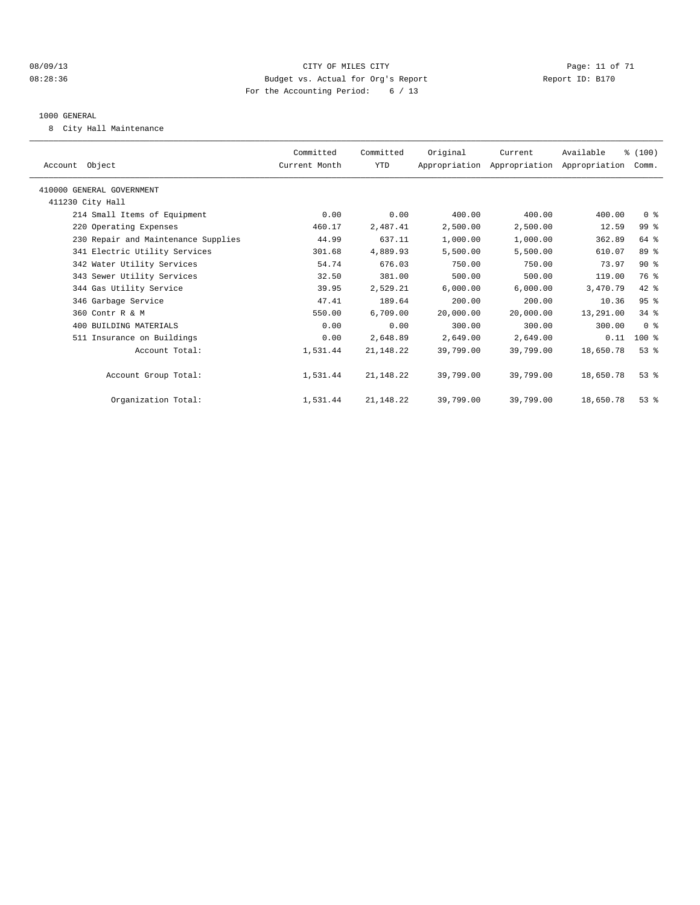#### 08/09/13 Page: 11 of 71 08:28:36 Budget vs. Actual for Org's Report Changer Report ID: B170 For the Accounting Period: 6 / 13

#### 1000 GENERAL

8 City Hall Maintenance

| Account Object                      | Committed<br>Current Month | Committed<br>YTD | Original  | Current<br>Appropriation Appropriation Appropriation Comm. | Available | % (100)        |  |
|-------------------------------------|----------------------------|------------------|-----------|------------------------------------------------------------|-----------|----------------|--|
| 410000 GENERAL GOVERNMENT           |                            |                  |           |                                                            |           |                |  |
| 411230 City Hall                    |                            |                  |           |                                                            |           |                |  |
| 214 Small Items of Equipment        | 0.00                       | 0.00             | 400.00    | 400.00                                                     | 400.00    | 0 <sup>8</sup> |  |
| 220 Operating Expenses              | 460.17                     | 2,487.41         | 2,500.00  | 2,500.00                                                   | 12.59     | 99 %           |  |
| 230 Repair and Maintenance Supplies | 44.99                      | 637.11           | 1,000.00  | 1,000.00                                                   | 362.89    | 64 %           |  |
| 341 Electric Utility Services       | 301.68                     | 4,889.93         | 5,500.00  | 5,500.00                                                   | 610.07    | 89 %           |  |
| 342 Water Utility Services          | 54.74                      | 676.03           | 750.00    | 750.00                                                     | 73.97     | $90*$          |  |
| 343 Sewer Utility Services          | 32.50                      | 381.00           | 500.00    | 500.00                                                     | 119.00    | 76 %           |  |
| 344 Gas Utility Service             | 39.95                      | 2,529.21         | 6,000.00  | 6,000.00                                                   | 3,470.79  | 42 %           |  |
| 346 Garbage Service                 | 47.41                      | 189.64           | 200.00    | 200.00                                                     | 10.36     | 95%            |  |
| 360 Contr R & M                     | 550.00                     | 6,709.00         | 20,000.00 | 20,000.00                                                  | 13,291.00 | 34.8           |  |
| 400 BUILDING MATERIALS              | 0.00                       | 0.00             | 300.00    | 300.00                                                     | 300.00    | 0 <sup>8</sup> |  |
| 511 Insurance on Buildings          | 0.00                       | 2,648.89         | 2,649.00  | 2,649.00                                                   | 0.11      | $100*$         |  |
| Account Total:                      | 1,531.44                   | 21, 148. 22      | 39,799.00 | 39,799.00                                                  | 18,650.78 | $53*$          |  |
| Account Group Total:                | 1,531.44                   | 21, 148. 22      | 39,799.00 | 39,799.00                                                  | 18,650.78 | $53$ $%$       |  |
| Organization Total:                 | 1,531.44                   | 21, 148. 22      | 39,799.00 | 39,799.00                                                  | 18,650.78 | 53%            |  |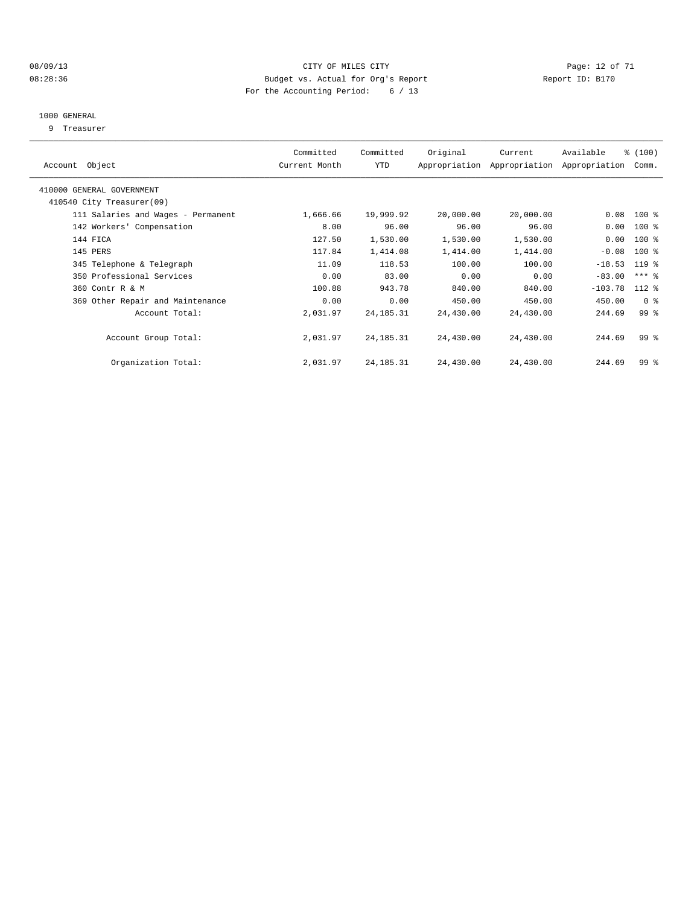#### 08/09/13 CITY OF MILES CITY Page: 12 of 71 08:28:36 Budget vs. Actual for Org's Report Changer Report ID: B170 For the Accounting Period: 6 / 13

#### 1000 GENERAL

9 Treasurer

| Account Object                     | Committed<br>Current Month | Committed<br>YTD | Original  | Current<br>Appropriation Appropriation | Available<br>Appropriation | % (100)<br>Comm.    |  |
|------------------------------------|----------------------------|------------------|-----------|----------------------------------------|----------------------------|---------------------|--|
|                                    |                            |                  |           |                                        |                            |                     |  |
| 410000 GENERAL GOVERNMENT          |                            |                  |           |                                        |                            |                     |  |
| 410540 City Treasurer(09)          |                            |                  |           |                                        |                            |                     |  |
| 111 Salaries and Wages - Permanent | 1,666.66                   | 19,999.92        | 20,000.00 | 20,000.00                              | 0.08                       | $100$ %             |  |
| 142 Workers' Compensation          | 8.00                       | 96.00            | 96.00     | 96.00                                  | 0.00                       | $100$ %             |  |
| 144 FICA                           | 127.50                     | 1,530.00         | 1,530.00  | 1,530.00                               | 0.00                       | $100$ %             |  |
| 145 PERS                           | 117.84                     | 1,414.08         | 1,414.00  | 1,414.00                               | $-0.08$                    | $100$ %             |  |
| 345 Telephone & Telegraph          | 11.09                      | 118.53           | 100.00    | 100.00                                 | $-18.53$                   | $119$ %             |  |
| 350 Professional Services          | 0.00                       | 83.00            | 0.00      | 0.00                                   | $-83.00$                   | $***$ $\frac{6}{5}$ |  |
| 360 Contr R & M                    | 100.88                     | 943.78           | 840.00    | 840.00                                 | $-103.78$                  | $112*$              |  |
| 369 Other Repair and Maintenance   | 0.00                       | 0.00             | 450.00    | 450.00                                 | 450.00                     | 0 <sup>8</sup>      |  |
| Account Total:                     | 2,031.97                   | 24, 185. 31      | 24,430.00 | 24,430.00                              | 244.69                     | 99 <sub>8</sub>     |  |
|                                    |                            |                  |           |                                        |                            |                     |  |
| Account Group Total:               | 2,031.97                   | 24, 185. 31      | 24,430.00 | 24,430.00                              | 244.69                     | 99 <sub>8</sub>     |  |
|                                    |                            |                  |           |                                        |                            |                     |  |
| Organization Total:                | 2,031.97                   | 24, 185. 31      | 24,430.00 | 24,430.00                              | 244.69                     | 99 <sub>8</sub>     |  |
|                                    |                            |                  |           |                                        |                            |                     |  |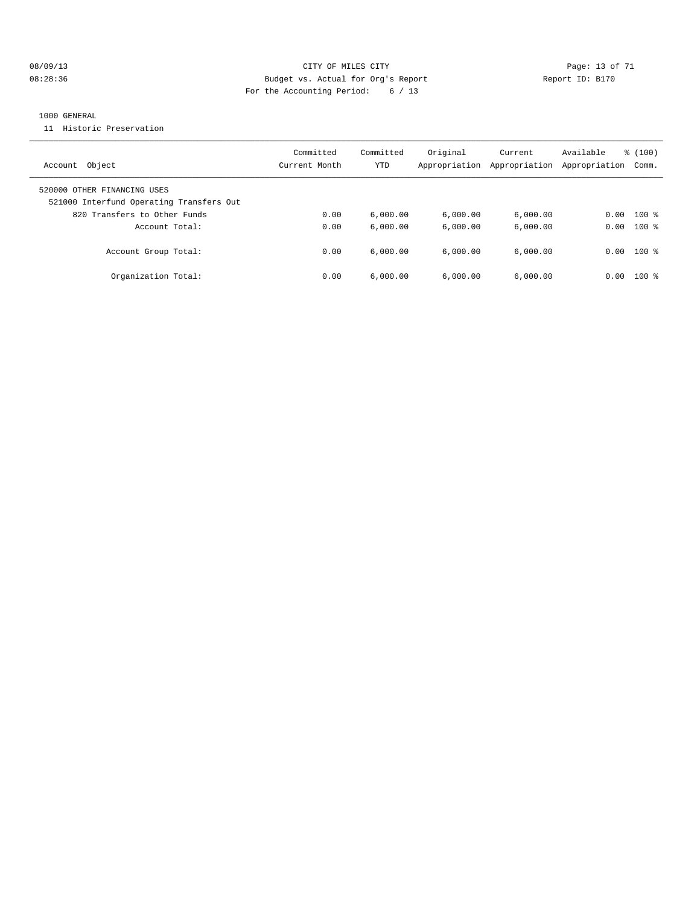#### 08/09/13 Page: 13 of 71 08:28:36 Budget vs. Actual for Org's Report Changer Report ID: B170 For the Accounting Period: 6 / 13

#### 1000 GENERAL

11 Historic Preservation

| Object<br>Account                                                                                       | Committed<br>Current Month | Committed<br>YTD | Original<br>Appropriation | Current<br>Appropriation | Available<br>Appropriation | % (100)<br>Comm. |
|---------------------------------------------------------------------------------------------------------|----------------------------|------------------|---------------------------|--------------------------|----------------------------|------------------|
| 520000 OTHER FINANCING USES<br>521000 Interfund Operating Transfers Out<br>820 Transfers to Other Funds | 0.00                       | 6.000.00         | 6,000.00                  | 6,000.00                 | 0.00                       | $100*$           |
| Account Total:                                                                                          | 0.00                       | 6.000.00         | 6.000.00                  | 6.000.00                 | 0.00                       | $100*$           |
| Account Group Total:                                                                                    | 0.00                       | 6.000.00         | 6.000.00                  | 6.000.00                 |                            | $0.00$ 100 %     |
| Organization Total:                                                                                     | 0.00                       | 6.000.00         | 6.000.00                  | 6.000.00                 | 0.00                       | $100*$           |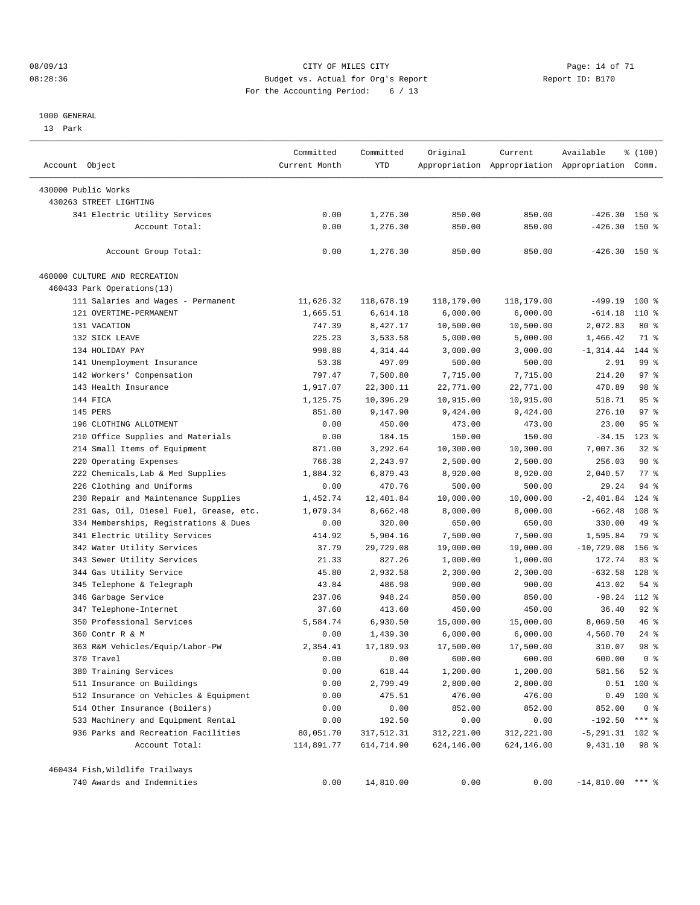#### 08/09/13 CITY OF MILES CITY Page: 14 of 71 08:28:36 Budget vs. Actual for Org's Report Changer Report ID: B170 For the Accounting Period: 6 / 13

#### 1000 GENERAL

13 Park

| Account Object                                | Committed<br>Current Month | Committed<br>YTD     | Original   | Current             | Available<br>Appropriation Appropriation Appropriation Comm. | \$(100)        |  |
|-----------------------------------------------|----------------------------|----------------------|------------|---------------------|--------------------------------------------------------------|----------------|--|
|                                               |                            |                      |            |                     |                                                              |                |  |
| 430000 Public Works<br>430263 STREET LIGHTING |                            |                      |            |                     |                                                              |                |  |
|                                               |                            |                      |            |                     |                                                              |                |  |
| 341 Electric Utility Services                 | 0.00                       | 1,276.30             | 850.00     | 850.00              | $-426.30$ 150 %                                              |                |  |
| Account Total:                                | 0.00                       | 1,276.30             | 850.00     | 850.00              | $-426.30$                                                    | 150 %          |  |
| Account Group Total:                          | 0.00                       | 1,276.30             | 850.00     | 850.00              | $-426.30$ 150 %                                              |                |  |
| 460000 CULTURE AND RECREATION                 |                            |                      |            |                     |                                                              |                |  |
| 460433 Park Operations(13)                    |                            |                      |            |                     |                                                              |                |  |
| 111 Salaries and Wages - Permanent            | 11,626.32                  | 118,678.19           | 118,179.00 | 118,179.00          | $-499.19$                                                    | $100*$         |  |
| 121 OVERTIME-PERMANENT                        | 1,665.51                   | 6,614.18             | 6,000.00   | 6,000.00            | $-614.18$                                                    | $110*$         |  |
| 131 VACATION                                  | 747.39                     | 8,427.17             | 10,500.00  | 10,500.00           | 2,072.83                                                     | $80*$          |  |
| 132 SICK LEAVE                                | 225.23                     | 3,533.58             | 5,000.00   | 5,000.00            | 1,466.42                                                     | 71 %           |  |
| 134 HOLIDAY PAY                               | 998.88                     | 4,314.44             | 3,000.00   | 3,000.00            | $-1, 314.44$                                                 | 144 %          |  |
| 141 Unemployment Insurance                    | 53.38                      | 497.09               | 500.00     | 500.00              | 2.91                                                         | 99 %           |  |
| 142 Workers' Compensation                     | 797.47                     | 7,500.80             | 7,715.00   | 7,715.00            | 214.20                                                       | 97%            |  |
| 143 Health Insurance                          | 1,917.07                   | 22,300.11            | 22,771.00  | 22,771.00           | 470.89                                                       | 98 %           |  |
| 144 FICA                                      | 1,125.75                   | 10,396.29            | 10,915.00  | 10,915.00           | 518.71                                                       | 95%            |  |
| 145 PERS                                      | 851.80                     | 9,147.90             | 9,424.00   | 9,424.00            | 276.10                                                       | 97%            |  |
| 196 CLOTHING ALLOTMENT                        | 0.00                       | 450.00               | 473.00     | 473.00              | 23.00                                                        | 95%            |  |
| 210 Office Supplies and Materials             | 0.00                       | 184.15               | 150.00     | 150.00              | $-34.15$                                                     | $123$ $%$      |  |
| 214 Small Items of Equipment                  | 871.00                     | 3,292.64             | 10,300.00  | 10,300.00           | 7,007.36                                                     | $32$ $%$       |  |
| 220 Operating Expenses                        | 766.38                     | 2,243.97             | 2,500.00   | 2,500.00            | 256.03                                                       | $90*$          |  |
| 222 Chemicals, Lab & Med Supplies             | 1,884.32                   | 6,879.43             | 8,920.00   | 8,920.00            | 2,040.57                                                     | $77*$          |  |
| 226 Clothing and Uniforms                     | 0.00                       | 470.76               | 500.00     | 500.00              | 29.24                                                        | 94 %           |  |
| 230 Repair and Maintenance Supplies           | 1,452.74                   | 12,401.84            | 10,000.00  | 10,000.00           | $-2,401.84$                                                  | $124$ %        |  |
| 231 Gas, Oil, Diesel Fuel, Grease, etc.       | 1,079.34                   | 8,662.48             | 8,000.00   | 8,000.00            | $-662.48$                                                    | 108 %          |  |
| 334 Memberships, Registrations & Dues         | 0.00                       | 320.00               | 650.00     | 650.00              | 330.00                                                       | 49 %           |  |
| 341 Electric Utility Services                 | 414.92                     | 5,904.16             | 7,500.00   | 7,500.00            | 1,595.84                                                     | 79 %           |  |
| 342 Water Utility Services                    | 37.79                      | 29,729.08            | 19,000.00  | 19,000.00           | $-10,729.08$                                                 | $156$ %        |  |
| 343 Sewer Utility Services                    | 21.33                      | 827.26               | 1,000.00   | 1,000.00            | 172.74                                                       | 83%            |  |
| 344 Gas Utility Service                       | 45.80                      | 2,932.58             | 2,300.00   | 2,300.00            | $-632.58$                                                    | $128$ %        |  |
| 345 Telephone & Telegraph                     | 43.84                      | 486.98               | 900.00     | 900.00              | 413.02                                                       | 54 %           |  |
| 346 Garbage Service                           | 237.06                     | 948.24               | 850.00     | 850.00              | $-98.24$ 112 %                                               |                |  |
| 347 Telephone-Internet                        | 37.60                      | 413.60               | 450.00     |                     | 36.40                                                        | $92$ $%$       |  |
|                                               |                            |                      |            | 450.00<br>15,000.00 |                                                              | 46 %           |  |
| 350 Professional Services<br>360 Contr R & M  | 5,584.74                   | 6,930.50<br>1,439.30 | 15,000.00  |                     | 8,069.50                                                     | $24$ %         |  |
| 363 R&M Vehicles/Equip/Labor-PW               | 0.00                       |                      | 6,000.00   | 6,000.00            | 4,560.70                                                     | 98 %           |  |
|                                               | 2,354.41                   | 17,189.93            | 17,500.00  | 17,500.00           | 310.07                                                       |                |  |
| 370 Travel                                    | 0.00                       | 0.00                 | 600.00     | 600.00              | 600.00                                                       | 0 <sup>8</sup> |  |
| 380 Training Services                         | 0.00                       | 618.44               | 1,200.00   | 1,200.00            | 581.56                                                       | $52$ $%$       |  |
| 511 Insurance on Buildings                    | 0.00                       | 2,799.49             | 2,800.00   | 2,800.00            | 0.51                                                         | 100 %          |  |
| 512 Insurance on Vehicles & Equipment         | 0.00                       | 475.51               | 476.00     | 476.00              | 0.49                                                         | $100$ %        |  |
| 514 Other Insurance (Boilers)                 | 0.00                       | 0.00                 | 852.00     | 852.00              | 852.00                                                       | 0 <sup>8</sup> |  |
| 533 Machinery and Equipment Rental            | 0.00                       | 192.50               | 0.00       | 0.00                | $-192.50$                                                    | $***$ $_{8}$   |  |
| 936 Parks and Recreation Facilities           | 80,051.70                  | 317,512.31           | 312,221.00 | 312,221.00          | $-5, 291.31$                                                 | $102$ %        |  |
| Account Total:                                | 114,891.77                 | 614,714.90           | 624,146.00 | 624,146.00          | 9,431.10                                                     | 98 %           |  |
| 460434 Fish, Wildlife Trailways               |                            |                      |            |                     |                                                              |                |  |
| 740 Awards and Indemnities                    | 0.00                       | 14,810.00            | 0.00       | 0.00                | $-14,810.00$ *** %                                           |                |  |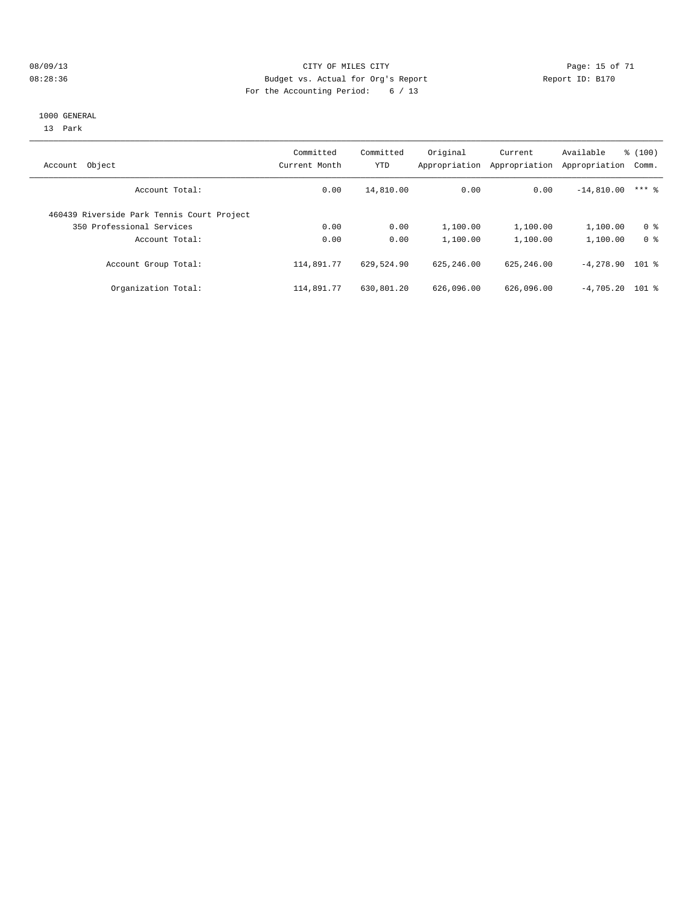#### 08/09/13 Page: 15 of 71 08:28:36 Budget vs. Actual for Org's Report Changer Report ID: B170 For the Accounting Period: 6 / 13

#### 1000 GENERAL

13 Park

| Object<br>Account                          | Committed<br>Current Month | Committed<br>YTD | Original<br>Appropriation | Current<br>Appropriation | Available<br>Appropriation | % (100)<br>Comm. |
|--------------------------------------------|----------------------------|------------------|---------------------------|--------------------------|----------------------------|------------------|
| Account Total:                             | 0.00                       | 14,810.00        | 0.00                      | 0.00                     | $-14,810.00$               | $***$ 2          |
| 460439 Riverside Park Tennis Court Project |                            |                  |                           |                          |                            |                  |
| 350 Professional Services                  | 0.00                       | 0.00             | 1,100.00                  | 1,100.00                 | 1,100.00                   | 0 <sup>8</sup>   |
| Account Total:                             | 0.00                       | 0.00             | 1,100.00                  | 1,100.00                 | 1,100.00                   | 0 <sup>8</sup>   |
| Account Group Total:                       | 114,891.77                 | 629,524.90       | 625, 246, 00              | 625, 246, 00             | $-4,278.90$ 101 %          |                  |
| Organization Total:                        | 114,891.77                 | 630,801.20       | 626,096.00                | 626,096.00               | $-4.705.20$ 101 %          |                  |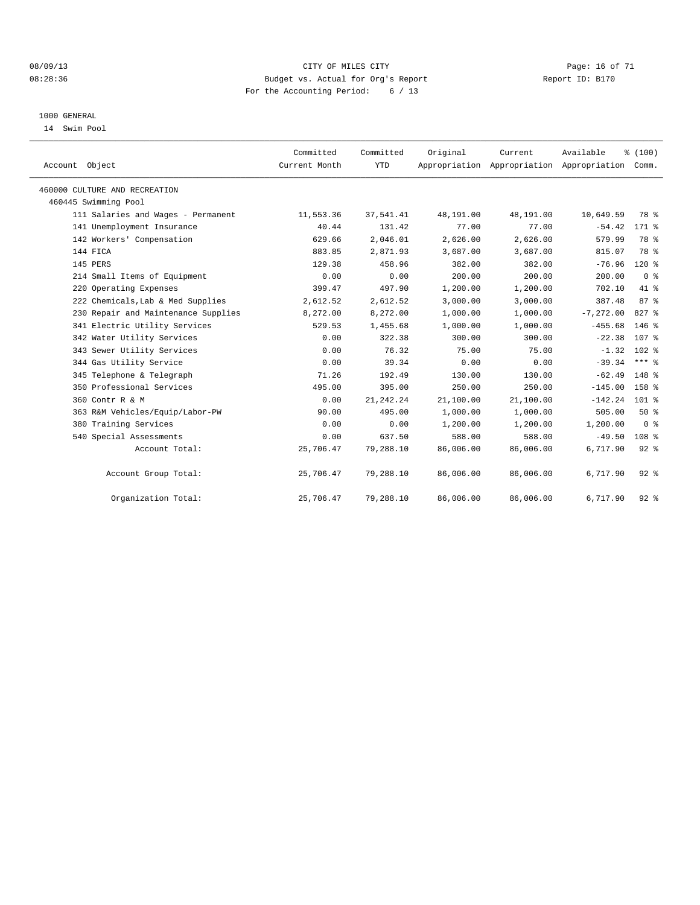#### 08/09/13 CITY OF MILES CITY Page: 16 of 71 08:28:36 Budget vs. Actual for Org's Report Changer Report ID: B170 For the Accounting Period: 6 / 13

#### 1000 GENERAL

14 Swim Pool

| Account Object                      | Committed<br>Current Month | Committed<br><b>YTD</b> | Original  | Current   | Available<br>Appropriation Appropriation Appropriation Comm. | % (100)          |  |
|-------------------------------------|----------------------------|-------------------------|-----------|-----------|--------------------------------------------------------------|------------------|--|
| 460000 CULTURE AND RECREATION       |                            |                         |           |           |                                                              |                  |  |
| 460445 Swimming Pool                |                            |                         |           |           |                                                              |                  |  |
| 111 Salaries and Wages - Permanent  | 11,553.36                  | 37,541.41               | 48,191.00 | 48,191.00 | 10,649.59                                                    | 78 %             |  |
| 141 Unemployment Insurance          | 40.44                      | 131.42                  | 77.00     | 77.00     | $-54.42$                                                     | 171 %            |  |
| 142 Workers' Compensation           | 629.66                     | 2,046.01                | 2,626.00  | 2,626.00  | 579.99                                                       | 78 %             |  |
| 144 FICA                            | 883.85                     | 2,871.93                | 3,687.00  | 3,687.00  | 815.07                                                       | 78 %             |  |
| 145 PERS                            | 129.38                     | 458.96                  | 382.00    | 382.00    | $-76.96$                                                     | $120*$           |  |
| 214 Small Items of Equipment        | 0.00                       | 0.00                    | 200.00    | 200.00    | 200.00                                                       | 0 <sup>8</sup>   |  |
| 220 Operating Expenses              | 399.47                     | 497.90                  | 1,200.00  | 1,200.00  | 702.10                                                       | $41*$            |  |
| 222 Chemicals, Lab & Med Supplies   | 2,612.52                   | 2,612.52                | 3,000.00  | 3,000.00  | 387.48                                                       | 87%              |  |
| 230 Repair and Maintenance Supplies | 8,272.00                   | 8,272.00                | 1,000.00  | 1,000.00  | $-7, 272, 00$                                                | 827 %            |  |
| 341 Electric Utility Services       | 529.53                     | 1,455.68                | 1,000.00  | 1,000.00  | $-455.68$                                                    | $146$ $%$        |  |
| 342 Water Utility Services          | 0.00                       | 322.38                  | 300.00    | 300.00    | $-22.38$                                                     | 107 %            |  |
| 343 Sewer Utility Services          | 0.00                       | 76.32                   | 75.00     | 75.00     | $-1.32$                                                      | $102$ %          |  |
| 344 Gas Utility Service             | 0.00                       | 39.34                   | 0.00      | 0.00      | $-39.34$                                                     | $***$ $_{8}$     |  |
| 345 Telephone & Telegraph           | 71.26                      | 192.49                  | 130.00    | 130.00    | $-62.49$                                                     | 148 %            |  |
| 350 Professional Services           | 495.00                     | 395.00                  | 250.00    | 250.00    | $-145.00$                                                    | 158 %            |  |
| 360 Contr R & M                     | 0.00                       | 21, 242. 24             | 21,100.00 | 21,100.00 | $-142.24$                                                    | $101$ %          |  |
| 363 R&M Vehicles/Equip/Labor-PW     | 90.00                      | 495.00                  | 1,000.00  | 1,000.00  | 505.00                                                       | 50%              |  |
| 380 Training Services               | 0.00                       | 0.00                    | 1,200.00  | 1,200.00  | 1,200.00                                                     | 0 <sup>8</sup>   |  |
| 540 Special Assessments             | 0.00                       | 637.50                  | 588.00    | 588.00    | $-49.50$                                                     | 108 <sup>8</sup> |  |
| Account Total:                      | 25,706.47                  | 79,288.10               | 86,006.00 | 86,006.00 | 6,717.90                                                     | $92$ $%$         |  |
| Account Group Total:                | 25,706.47                  | 79,288.10               | 86,006.00 | 86,006.00 | 6,717.90                                                     | $92$ $%$         |  |
| Organization Total:                 | 25,706.47                  | 79,288.10               | 86,006.00 | 86,006.00 | 6,717.90                                                     | $92$ $%$         |  |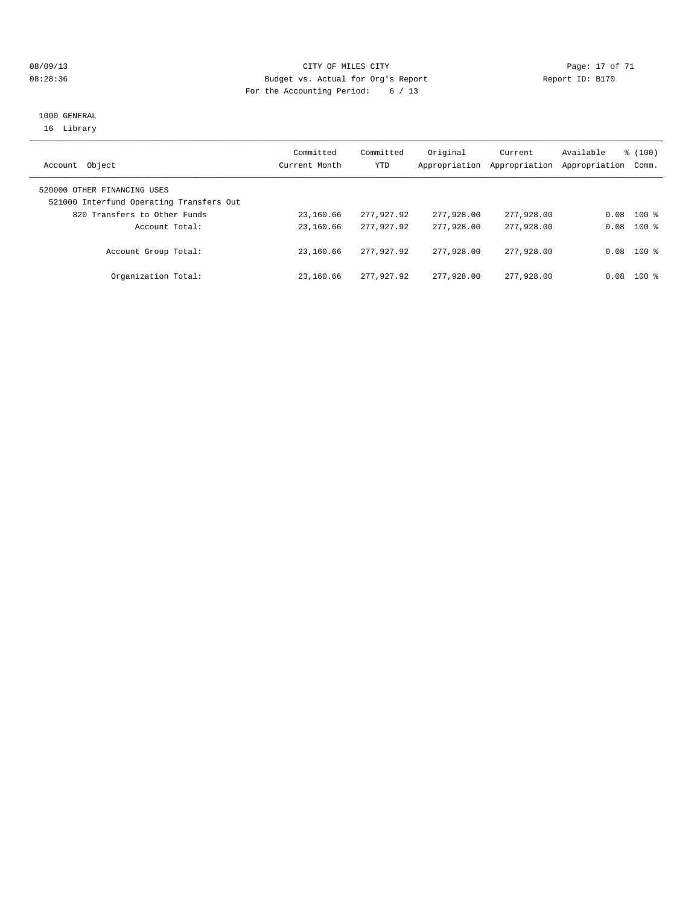#### 08/09/13 Page: 17 of 71 CHTY OF MILES CITY 08:28:36 Budget vs. Actual for Org's Report Report ID: B170 For the Accounting Period: 6 / 13

#### 1000 GENERAL 16 Library

| Object<br>Account                                                       | Committed<br>Current Month | Committed<br>YTD | Original<br>Appropriation | Current<br>Appropriation | Available<br>Appropriation | $\frac{100}{3}$<br>Comm. |
|-------------------------------------------------------------------------|----------------------------|------------------|---------------------------|--------------------------|----------------------------|--------------------------|
| 520000 OTHER FINANCING USES<br>521000 Interfund Operating Transfers Out |                            |                  |                           |                          |                            |                          |
| 820 Transfers to Other Funds                                            | 23,160.66                  | 277.927.92       | 277,928.00                | 277,928.00               | 0.08                       | $100*$                   |
| Account Total:                                                          | 23,160.66                  | 277,927,92       | 277,928,00                | 277,928,00               | 0.08                       | $100*$                   |
| Account Group Total:                                                    | 23,160.66                  | 277,927,92       | 277,928,00                | 277,928,00               | 0.08                       | $100*$                   |
| Organization Total:                                                     | 23,160.66                  | 277.927.92       | 277,928,00                | 277,928,00               | 0.08                       | $100*$                   |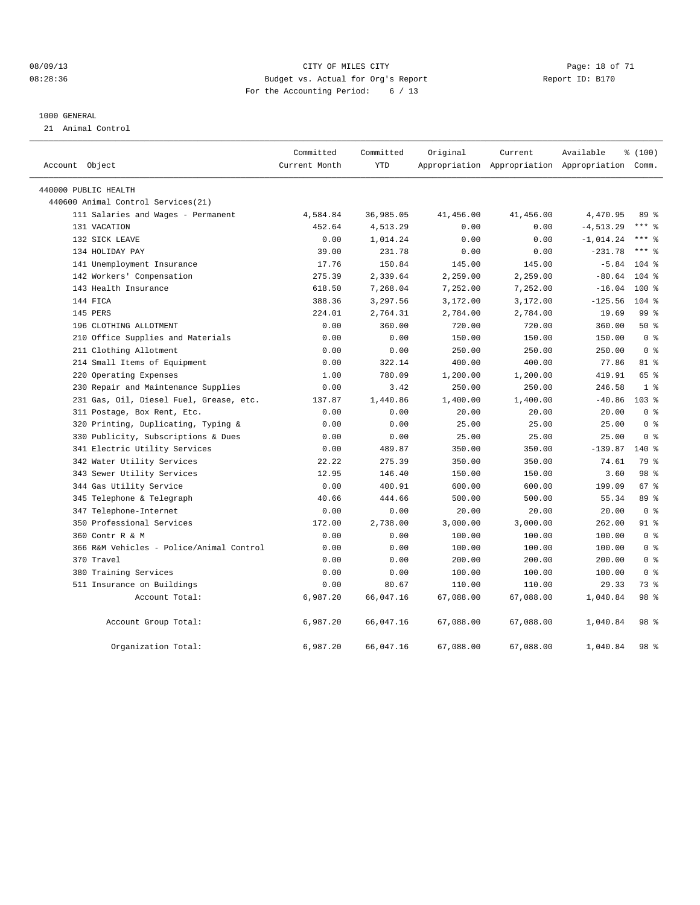#### 08/09/13 CITY OF MILES CITY Page: 18 of 71 08:28:36 Budget vs. Actual for Org's Report Changer Report ID: B170 For the Accounting Period: 6 / 13

#### 1000 GENERAL

21 Animal Control

| Account Object                           | Committed<br>Current Month | Committed<br><b>YTD</b> | Original  | Current   | Available<br>Appropriation Appropriation Appropriation Comm. | % (100)          |  |
|------------------------------------------|----------------------------|-------------------------|-----------|-----------|--------------------------------------------------------------|------------------|--|
| 440000 PUBLIC HEALTH                     |                            |                         |           |           |                                                              |                  |  |
| 440600 Animal Control Services (21)      |                            |                         |           |           |                                                              |                  |  |
| 111 Salaries and Wages - Permanent       | 4,584.84                   | 36,985.05               | 41,456.00 | 41,456.00 | 4,470.95                                                     | 89 %             |  |
| 131 VACATION                             | 452.64                     | 4,513.29                | 0.00      | 0.00      | $-4, 513.29$                                                 | $***$ 8          |  |
| 132 SICK LEAVE                           | 0.00                       | 1,014.24                | 0.00      | 0.00      | $-1,014.24$                                                  | $***$ $_{8}$     |  |
| 134 HOLIDAY PAY                          | 39.00                      | 231.78                  | 0.00      | 0.00      | $-231.78$                                                    | $***$ 8          |  |
| 141 Unemployment Insurance               | 17.76                      | 150.84                  | 145.00    | 145.00    | $-5.84$                                                      | $104$ %          |  |
| 142 Workers' Compensation                | 275.39                     | 2,339.64                | 2,259.00  | 2,259.00  | $-80.64$                                                     | $104$ %          |  |
| 143 Health Insurance                     | 618.50                     | 7,268.04                | 7,252.00  | 7,252.00  | $-16.04$                                                     | $100*$           |  |
| 144 FICA                                 | 388.36                     | 3,297.56                | 3,172.00  | 3,172.00  | $-125.56$                                                    | $104$ %          |  |
| 145 PERS                                 | 224.01                     | 2,764.31                | 2,784.00  | 2,784.00  | 19.69                                                        | 99 <sub>8</sub>  |  |
| 196 CLOTHING ALLOTMENT                   | 0.00                       | 360.00                  | 720.00    | 720.00    | 360.00                                                       | $50*$            |  |
| 210 Office Supplies and Materials        | 0.00                       | 0.00                    | 150.00    | 150.00    | 150.00                                                       | 0 <sup>8</sup>   |  |
| 211 Clothing Allotment                   | 0.00                       | 0.00                    | 250.00    | 250.00    | 250.00                                                       | 0 <sup>8</sup>   |  |
| 214 Small Items of Equipment             | 0.00                       | 322.14                  | 400.00    | 400.00    | 77.86                                                        | 81 %             |  |
| 220 Operating Expenses                   | 1.00                       | 780.09                  | 1,200.00  | 1,200.00  | 419.91                                                       | 65 %             |  |
| 230 Repair and Maintenance Supplies      | 0.00                       | 3.42                    | 250.00    | 250.00    | 246.58                                                       | 1 <sup>°</sup>   |  |
| 231 Gas, Oil, Diesel Fuel, Grease, etc.  | 137.87                     | 1,440.86                | 1,400.00  | 1,400.00  | $-40.86$                                                     | 103 <sub>8</sub> |  |
| 311 Postage, Box Rent, Etc.              | 0.00                       | 0.00                    | 20.00     | 20.00     | 20.00                                                        | 0 <sup>8</sup>   |  |
| Printing, Duplicating, Typing &<br>320   | 0.00                       | 0.00                    | 25.00     | 25.00     | 25.00                                                        | 0 <sup>8</sup>   |  |
| 330 Publicity, Subscriptions & Dues      | 0.00                       | 0.00                    | 25.00     | 25.00     | 25.00                                                        | 0 <sup>8</sup>   |  |
| 341 Electric Utility Services            | 0.00                       | 489.87                  | 350.00    | 350.00    | $-139.87$                                                    | 140 %            |  |
| 342 Water Utility Services               | 22.22                      | 275.39                  | 350.00    | 350.00    | 74.61                                                        | 79 %             |  |
| 343 Sewer Utility Services               | 12.95                      | 146.40                  | 150.00    | 150.00    | 3.60                                                         | 98 %             |  |
| 344 Gas Utility Service                  | 0.00                       | 400.91                  | 600.00    | 600.00    | 199.09                                                       | 67 %             |  |
| 345 Telephone & Telegraph                | 40.66                      | 444.66                  | 500.00    | 500.00    | 55.34                                                        | 89 %             |  |
| 347 Telephone-Internet                   | 0.00                       | 0.00                    | 20.00     | 20.00     | 20.00                                                        | 0 <sup>8</sup>   |  |
| 350 Professional Services                | 172.00                     | 2,738.00                | 3,000.00  | 3,000.00  | 262.00                                                       | 91 %             |  |
| 360 Contr R & M                          | 0.00                       | 0.00                    | 100.00    | 100.00    | 100.00                                                       | 0 <sup>8</sup>   |  |
| 366 R&M Vehicles - Police/Animal Control | 0.00                       | 0.00                    | 100.00    | 100.00    | 100.00                                                       | 0 <sup>8</sup>   |  |
| 370 Travel                               | 0.00                       | 0.00                    | 200.00    | 200.00    | 200.00                                                       | 0 <sup>8</sup>   |  |
| 380 Training Services                    | 0.00                       | 0.00                    | 100.00    | 100.00    | 100.00                                                       | 0 <sup>8</sup>   |  |
| 511 Insurance on Buildings               | 0.00                       | 80.67                   | 110.00    | 110.00    | 29.33                                                        | 73 %             |  |
| Account Total:                           | 6,987.20                   | 66,047.16               | 67,088.00 | 67,088.00 | 1,040.84                                                     | 98 %             |  |
| Account Group Total:                     | 6,987.20                   | 66,047.16               | 67,088.00 | 67,088.00 | 1,040.84                                                     | 98 %             |  |
| Organization Total:                      | 6,987.20                   | 66,047.16               | 67,088.00 | 67,088.00 | 1,040.84                                                     | 98 %             |  |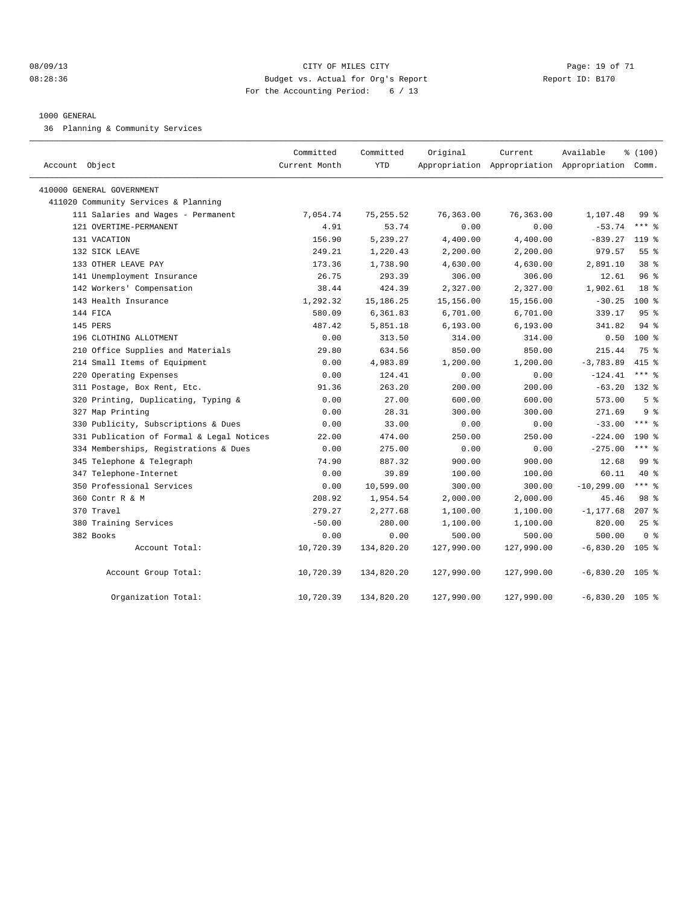#### 08/09/13 Page: 19 of 71 CITY OF MILES CITY CHEMIC CITY PAGE: 19 of 71 08:28:36 Budget vs. Actual for Org's Report Changer Report ID: B170 For the Accounting Period: 6 / 13

#### 1000 GENERAL

36 Planning & Community Services

| Account Object                            | Committed<br>Current Month | Committed<br><b>YTD</b> | Original   | Current    | Available<br>Appropriation Appropriation Appropriation Comm. | % (100)          |  |
|-------------------------------------------|----------------------------|-------------------------|------------|------------|--------------------------------------------------------------|------------------|--|
| 410000 GENERAL GOVERNMENT                 |                            |                         |            |            |                                                              |                  |  |
| 411020 Community Services & Planning      |                            |                         |            |            |                                                              |                  |  |
| 111 Salaries and Wages - Permanent        | 7,054.74                   | 75, 255.52              | 76,363.00  | 76,363.00  | 1,107.48                                                     | $99*$            |  |
| 121 OVERTIME-PERMANENT                    | 4.91                       | 53.74                   | 0.00       | 0.00       | $-53.74$                                                     | $***$ $%$        |  |
| 131 VACATION                              | 156.90                     | 5,239.27                | 4,400.00   | 4,400.00   | $-839.27$                                                    | $119*$           |  |
| 132 SICK LEAVE                            | 249.21                     | 1,220.43                | 2,200.00   | 2,200.00   | 979.57                                                       | 55 <sup>8</sup>  |  |
| 133 OTHER LEAVE PAY                       | 173.36                     | 1,738.90                | 4,630.00   | 4,630.00   | 2,891.10                                                     | 38 %             |  |
| 141 Unemployment Insurance                | 26.75                      | 293.39                  | 306.00     | 306.00     | 12.61                                                        | 96 <sup>8</sup>  |  |
| 142 Workers' Compensation                 | 38.44                      | 424.39                  | 2,327.00   | 2,327.00   | 1,902.61                                                     | 18 <sup>8</sup>  |  |
| 143 Health Insurance                      | 1,292.32                   | 15, 186. 25             | 15,156.00  | 15,156.00  | $-30.25$                                                     | $100*$           |  |
| 144 FICA                                  | 580.09                     | 6,361.83                | 6,701.00   | 6,701.00   | 339.17                                                       | 95 <sup>8</sup>  |  |
| 145 PERS                                  | 487.42                     | 5,851.18                | 6, 193.00  | 6, 193.00  | 341.82                                                       | 94 %             |  |
| 196 CLOTHING ALLOTMENT                    | 0.00                       | 313.50                  | 314.00     | 314.00     | 0.50                                                         | 100 %            |  |
| 210 Office Supplies and Materials         | 29.80                      | 634.56                  | 850.00     | 850.00     | 215.44                                                       | 75 %             |  |
| 214 Small Items of Equipment              | 0.00                       | 4,983.89                | 1,200.00   | 1,200.00   | $-3,783.89$                                                  | $415$ %          |  |
| 220 Operating Expenses                    | 0.00                       | 124.41                  | 0.00       | 0.00       | $-124.41$                                                    | $***$ $-$        |  |
| 311 Postage, Box Rent, Etc.               | 91.36                      | 263.20                  | 200.00     | 200.00     | $-63.20$                                                     | 132 %            |  |
| 320 Printing, Duplicating, Typing &       | 0.00                       | 27.00                   | 600.00     | 600.00     | 573.00                                                       | 5 <sup>8</sup>   |  |
| 327 Map Printing                          | 0.00                       | 28.31                   | 300.00     | 300.00     | 271.69                                                       | 9 <sup>8</sup>   |  |
| 330 Publicity, Subscriptions & Dues       | 0.00                       | 33.00                   | 0.00       | 0.00       | $-33.00$                                                     | $***$ $%$        |  |
| 331 Publication of Formal & Legal Notices | 22.00                      | 474.00                  | 250.00     | 250.00     | $-224.00$                                                    | $190*$           |  |
| 334 Memberships, Registrations & Dues     | 0.00                       | 275.00                  | 0.00       | 0.00       | $-275.00$                                                    | $***$ $%$        |  |
| 345 Telephone & Telegraph                 | 74.90                      | 887.32                  | 900.00     | 900.00     | 12.68                                                        | 99 <sup>8</sup>  |  |
| 347 Telephone-Internet                    | 0.00                       | 39.89                   | 100.00     | 100.00     | 60.11                                                        | $40*$            |  |
| 350 Professional Services                 | 0.00                       | 10,599.00               | 300.00     | 300.00     | $-10, 299.00$                                                | $***$ $%$        |  |
| 360 Contr R & M                           | 208.92                     | 1,954.54                | 2,000.00   | 2,000.00   | 45.46                                                        | 98 %             |  |
| 370 Travel                                | 279.27                     | 2,277.68                | 1,100.00   | 1,100.00   | $-1, 177.68$                                                 | $207$ %          |  |
| 380 Training Services                     | $-50.00$                   | 280.00                  | 1,100.00   | 1,100.00   | 820.00                                                       | 25%              |  |
| 382 Books                                 | 0.00                       | 0.00                    | 500.00     | 500.00     | 500.00                                                       | 0 <sup>8</sup>   |  |
| Account Total:                            | 10,720.39                  | 134,820.20              | 127,990.00 | 127,990.00 | $-6,830.20$                                                  | 105 <sub>8</sub> |  |
| Account Group Total:                      | 10,720.39                  | 134,820.20              | 127,990.00 | 127,990.00 | $-6,830.20$                                                  | $105$ %          |  |
| Organization Total:                       | 10,720.39                  | 134,820.20              | 127,990.00 | 127,990.00 | $-6,830.20$                                                  | $105$ %          |  |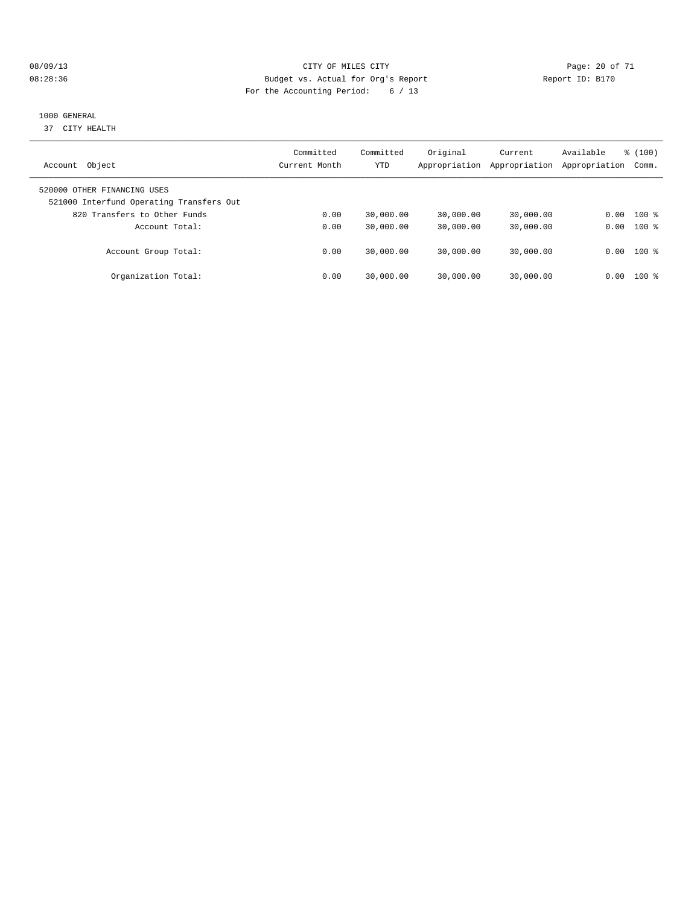#### 08/09/13 Page: 20 of 71 08:28:36 Budget vs. Actual for Org's Report Changer Report ID: B170 For the Accounting Period: 6 / 13

#### 1000 GENERAL

37 CITY HEALTH

| Object<br>Account                                                       | Committed<br>Current Month | Committed<br><b>YTD</b> | Original<br>Appropriation | Current<br>Appropriation | Available<br>Appropriation | % (100)<br>Comm. |
|-------------------------------------------------------------------------|----------------------------|-------------------------|---------------------------|--------------------------|----------------------------|------------------|
| 520000 OTHER FINANCING USES<br>521000 Interfund Operating Transfers Out |                            |                         |                           |                          |                            |                  |
| 820 Transfers to Other Funds                                            | 0.00                       | 30,000.00               | 30,000.00                 | 30,000.00                | 0.00                       | $100*$           |
| Account Total:                                                          | 0.00                       | 30,000.00               | 30,000.00                 | 30,000.00                | 0.00                       | $100*$           |
| Account Group Total:                                                    | 0.00                       | 30,000.00               | 30,000.00                 | 30,000.00                |                            | $0.00$ 100 %     |
| Organization Total:                                                     | 0.00                       | 30,000.00               | 30,000.00                 | 30,000.00                | 0.00                       | $100*$           |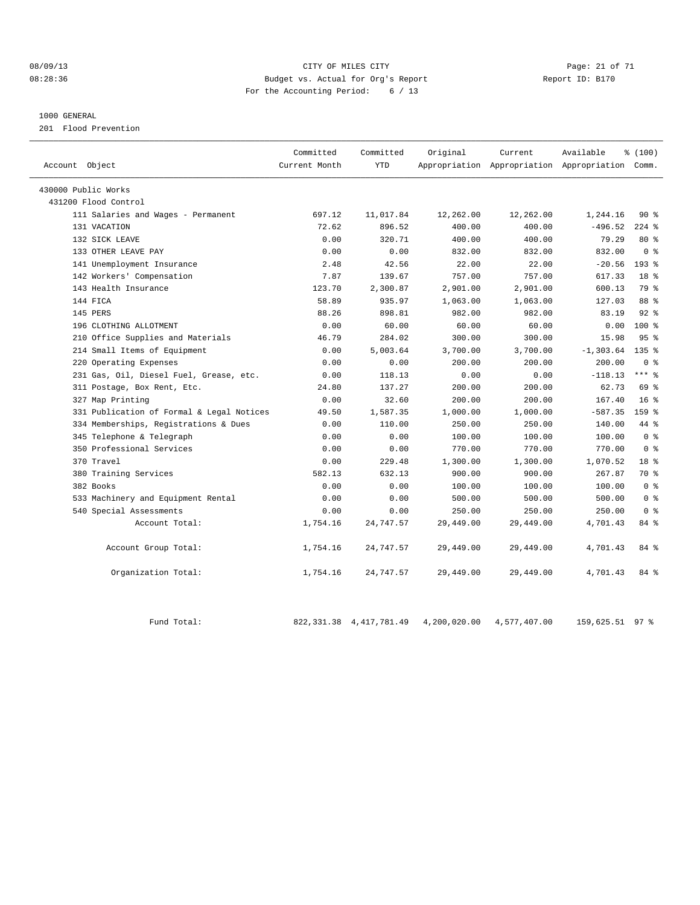#### 08/09/13 Page: 21 of 71 CITY OF MILES CITY CHANGES CONSTRUCTED And the Page: 21 of 71 08:28:36 Budget vs. Actual for Org's Report Report ID: B170 For the Accounting Period: 6 / 13

#### 1000 GENERAL

201 Flood Prevention

| Account Object                            | Committed<br>Current Month | Committed<br><b>YTD</b> | Original  | Current<br>Appropriation Appropriation Appropriation Comm. | Available    | % (100)          |  |
|-------------------------------------------|----------------------------|-------------------------|-----------|------------------------------------------------------------|--------------|------------------|--|
| 430000 Public Works                       |                            |                         |           |                                                            |              |                  |  |
| 431200 Flood Control                      |                            |                         |           |                                                            |              |                  |  |
| 111 Salaries and Wages - Permanent        | 697.12                     | 11,017.84               | 12,262.00 | 12,262.00                                                  | 1,244.16     | 90%              |  |
| 131 VACATION                              | 72.62                      | 896.52                  | 400.00    | 400.00                                                     | $-496.52$    | $224$ $%$        |  |
| 132 SICK LEAVE                            | 0.00                       | 320.71                  | 400.00    | 400.00                                                     | 79.29        | $80*$            |  |
| 133 OTHER LEAVE PAY                       | 0.00                       | 0.00                    | 832.00    | 832.00                                                     | 832.00       | 0 <sup>8</sup>   |  |
| 141 Unemployment Insurance                | 2.48                       | 42.56                   | 22.00     | 22.00                                                      | $-20.56$     | $193$ $%$        |  |
| 142 Workers' Compensation                 | 7.87                       | 139.67                  | 757.00    | 757.00                                                     | 617.33       | 18 <sup>8</sup>  |  |
| 143 Health Insurance                      | 123.70                     | 2,300.87                | 2,901.00  | 2,901.00                                                   | 600.13       | 79 %             |  |
| 144 FICA                                  | 58.89                      | 935.97                  | 1,063.00  | 1,063.00                                                   | 127.03       | 88 %             |  |
| 145 PERS                                  | 88.26                      | 898.81                  | 982.00    | 982.00                                                     | 83.19        | $92$ $%$         |  |
| 196 CLOTHING ALLOTMENT                    | 0.00                       | 60.00                   | 60.00     | 60.00                                                      | 0.00         | $100*$           |  |
| 210 Office Supplies and Materials         | 46.79                      | 284.02                  | 300.00    | 300.00                                                     | 15.98        | 95 <sup>8</sup>  |  |
| 214 Small Items of Equipment              | 0.00                       | 5,003.64                | 3,700.00  | 3,700.00                                                   | $-1, 303.64$ | $135$ %          |  |
| 220 Operating Expenses                    | 0.00                       | 0.00                    | 200.00    | 200.00                                                     | 200.00       | 0 <sup>8</sup>   |  |
| 231 Gas, Oil, Diesel Fuel, Grease, etc.   | 0.00                       | 118.13                  | 0.00      | 0.00                                                       | $-118.13$    | $***$ 8          |  |
| 311 Postage, Box Rent, Etc.               | 24.80                      | 137.27                  | 200.00    | 200.00                                                     | 62.73        | 69 %             |  |
| 327 Map Printing                          | 0.00                       | 32.60                   | 200.00    | 200.00                                                     | 167.40       | 16 <sup>8</sup>  |  |
| 331 Publication of Formal & Legal Notices | 49.50                      | 1,587.35                | 1,000.00  | 1,000.00                                                   | $-587.35$    | 159 <sub>8</sub> |  |
| 334 Memberships, Registrations & Dues     | 0.00                       | 110.00                  | 250.00    | 250.00                                                     | 140.00       | 44 %             |  |
| 345 Telephone & Telegraph                 | 0.00                       | 0.00                    | 100.00    | 100.00                                                     | 100.00       | 0 <sup>8</sup>   |  |
| 350 Professional Services                 | 0.00                       | 0.00                    | 770.00    | 770.00                                                     | 770.00       | 0 <sup>8</sup>   |  |
| 370 Travel                                | 0.00                       | 229.48                  | 1,300.00  | 1,300.00                                                   | 1,070.52     | 18 <sup>°</sup>  |  |
| 380 Training Services                     | 582.13                     | 632.13                  | 900.00    | 900.00                                                     | 267.87       | 70 %             |  |
| 382 Books                                 | 0.00                       | 0.00                    | 100.00    | 100.00                                                     | 100.00       | 0 <sup>8</sup>   |  |
| 533 Machinery and Equipment Rental        | 0.00                       | 0.00                    | 500.00    | 500.00                                                     | 500.00       | 0 <sup>8</sup>   |  |
| 540 Special Assessments                   | 0.00                       | 0.00                    | 250.00    | 250.00                                                     | 250.00       | 0 <sup>8</sup>   |  |
| Account Total:                            | 1,754.16                   | 24,747.57               | 29,449.00 | 29,449.00                                                  | 4,701.43     | 84 %             |  |
| Account Group Total:                      | 1,754.16                   | 24,747.57               | 29,449.00 | 29,449.00                                                  | 4,701.43     | 84 %             |  |
| Organization Total:                       | 1,754.16                   | 24,747.57               | 29,449.00 | 29,449.00                                                  | 4,701.43     | 84 %             |  |

Fund Total: 822,331.38 4,417,781.49 4,200,020.00 4,577,407.00 159,625.51 97 %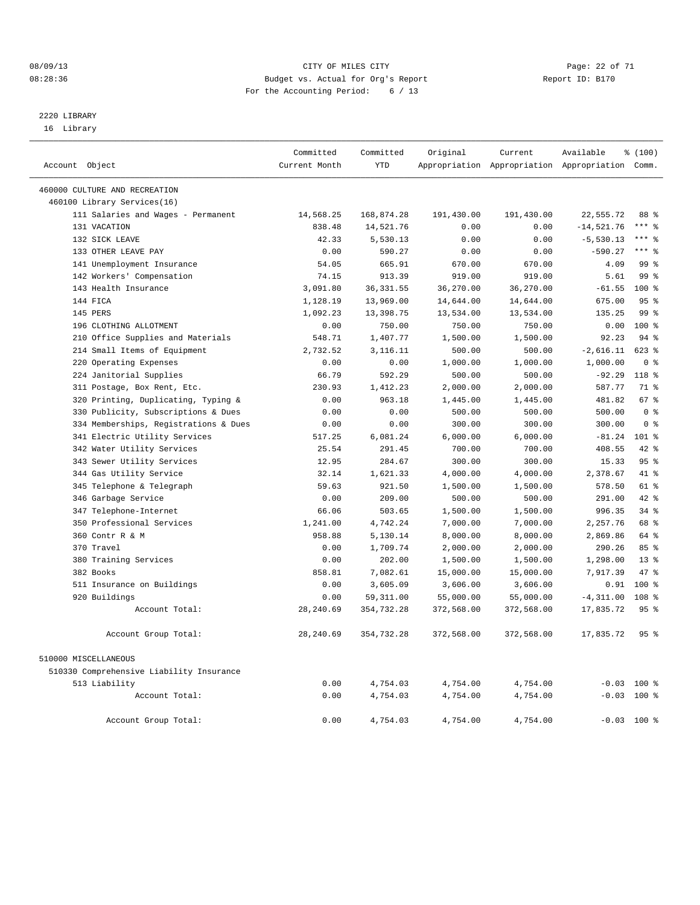#### 08/09/13 Page: 22 of 71 08:28:36 Budget vs. Actual for Org's Report Changer Report ID: B170 For the Accounting Period: 6 / 13

————————————————————————————————————————————————————————————————————————————————————————————————————————————————————————————————————

# 2220 LIBRARY

16 Library

|                                          | Committed     | Committed  | Original   | Current    | Available                                       | % (100)         |  |
|------------------------------------------|---------------|------------|------------|------------|-------------------------------------------------|-----------------|--|
| Account Object                           | Current Month | <b>YTD</b> |            |            | Appropriation Appropriation Appropriation Comm. |                 |  |
|                                          |               |            |            |            |                                                 |                 |  |
| 460000 CULTURE AND RECREATION            |               |            |            |            |                                                 |                 |  |
| 460100 Library Services(16)              |               |            |            |            |                                                 |                 |  |
| 111 Salaries and Wages - Permanent       | 14,568.25     | 168,874.28 | 191,430.00 | 191,430.00 | 22,555.72                                       | 88 %            |  |
| 131 VACATION                             | 838.48        | 14,521.76  | 0.00       | 0.00       | $-14,521.76$                                    | $***$ $=$       |  |
| 132 SICK LEAVE                           | 42.33         | 5,530.13   | 0.00       | 0.00       | $-5,530.13$                                     | $***$ 2         |  |
| 133 OTHER LEAVE PAY                      | 0.00          | 590.27     | 0.00       | 0.00       | $-590.27$                                       | $***$ $_{8}$    |  |
| 141 Unemployment Insurance               | 54.05         | 665.91     | 670.00     | 670.00     | 4.09                                            | 99 <sup>°</sup> |  |
| 142 Workers' Compensation                | 74.15         | 913.39     | 919.00     | 919.00     | 5.61                                            | 99 <sup>°</sup> |  |
| 143 Health Insurance                     | 3,091.80      | 36, 331.55 | 36,270.00  | 36,270.00  | $-61.55$                                        | 100 %           |  |
| 144 FICA                                 | 1,128.19      | 13,969.00  | 14,644.00  | 14,644.00  | 675.00                                          | 95%             |  |
| 145 PERS                                 | 1,092.23      | 13,398.75  | 13,534.00  | 13,534.00  | 135.25                                          | 99 <sub>8</sub> |  |
| 196 CLOTHING ALLOTMENT                   | 0.00          | 750.00     | 750.00     | 750.00     | 0.00                                            | $100*$          |  |
| 210 Office Supplies and Materials        | 548.71        | 1,407.77   | 1,500.00   | 1,500.00   | 92.23                                           | 94 %            |  |
| 214 Small Items of Equipment             | 2,732.52      | 3,116.11   | 500.00     | 500.00     | $-2,616.11$                                     | 623 %           |  |
| 220 Operating Expenses                   | 0.00          | 0.00       | 1,000.00   | 1,000.00   | 1,000.00                                        | 0 <sup>8</sup>  |  |
| 224 Janitorial Supplies                  | 66.79         | 592.29     | 500.00     | 500.00     | $-92.29$                                        | 118 %           |  |
| 311 Postage, Box Rent, Etc.              | 230.93        | 1,412.23   | 2,000.00   | 2,000.00   | 587.77                                          | 71 %            |  |
| 320 Printing, Duplicating, Typing &      | 0.00          | 963.18     | 1,445.00   | 1,445.00   | 481.82                                          | 67 %            |  |
| 330 Publicity, Subscriptions & Dues      | 0.00          | 0.00       | 500.00     | 500.00     | 500.00                                          | 0 <sup>8</sup>  |  |
| 334 Memberships, Registrations & Dues    | 0.00          | 0.00       | 300.00     | 300.00     | 300.00                                          | 0 <sup>8</sup>  |  |
| 341 Electric Utility Services            | 517.25        | 6,081.24   | 6,000.00   | 6,000.00   | $-81.24$                                        | $101$ %         |  |
| 342 Water Utility Services               | 25.54         | 291.45     | 700.00     | 700.00     | 408.55                                          | 42.8            |  |
| 343 Sewer Utility Services               | 12.95         | 284.67     | 300.00     | 300.00     | 15.33                                           | 95%             |  |
| 344 Gas Utility Service                  | 32.14         | 1,621.33   | 4,000.00   | 4,000.00   | 2,378.67                                        | 41 %            |  |
| 345 Telephone & Telegraph                | 59.63         | 921.50     | 1,500.00   | 1,500.00   | 578.50                                          | $61$ %          |  |
| 346 Garbage Service                      | 0.00          | 209.00     | 500.00     | 500.00     | 291.00                                          | 42.8            |  |
| 347 Telephone-Internet                   | 66.06         | 503.65     | 1,500.00   | 1,500.00   | 996.35                                          | $34$ $%$        |  |
| 350 Professional Services                | 1,241.00      | 4,742.24   | 7,000.00   | 7,000.00   | 2,257.76                                        | 68 %            |  |
| 360 Contr R & M                          | 958.88        | 5,130.14   | 8,000.00   | 8,000.00   | 2,869.86                                        | 64 %            |  |
| 370 Travel                               | 0.00          | 1,709.74   | 2,000.00   | 2,000.00   | 290.26                                          | 85%             |  |
| 380 Training Services                    | 0.00          | 202.00     | 1,500.00   | 1,500.00   | 1,298.00                                        | $13*$           |  |
| 382 Books                                | 858.81        | 7,082.61   | 15,000.00  | 15,000.00  | 7,917.39                                        | 47.8            |  |
| 511 Insurance on Buildings               | 0.00          | 3,605.09   | 3,606.00   | 3,606.00   | 0.91                                            | 100 %           |  |
| 920 Buildings                            | 0.00          | 59, 311.00 | 55,000.00  | 55,000.00  | $-4, 311.00$                                    | 108 %           |  |
| Account Total:                           | 28, 240.69    | 354,732.28 | 372,568.00 | 372,568.00 | 17,835.72                                       | 95 <sup>8</sup> |  |
| Account Group Total:                     | 28, 240.69    | 354,732.28 | 372,568.00 | 372,568.00 | 17,835.72                                       | 95 <sub>8</sub> |  |
| 510000 MISCELLANEOUS                     |               |            |            |            |                                                 |                 |  |
|                                          |               |            |            |            |                                                 |                 |  |
| 510330 Comprehensive Liability Insurance |               |            |            |            |                                                 |                 |  |
| 513 Liability<br>Account Total:          | 0.00          | 4,754.03   | 4,754.00   | 4,754.00   | $-0.03$ 100 %<br>$-0.03$ 100 %                  |                 |  |
|                                          | 0.00          | 4,754.03   | 4,754.00   | 4,754.00   |                                                 |                 |  |
| Account Group Total:                     | 0.00          | 4,754.03   | 4,754.00   | 4,754.00   |                                                 | $-0.03$ 100 %   |  |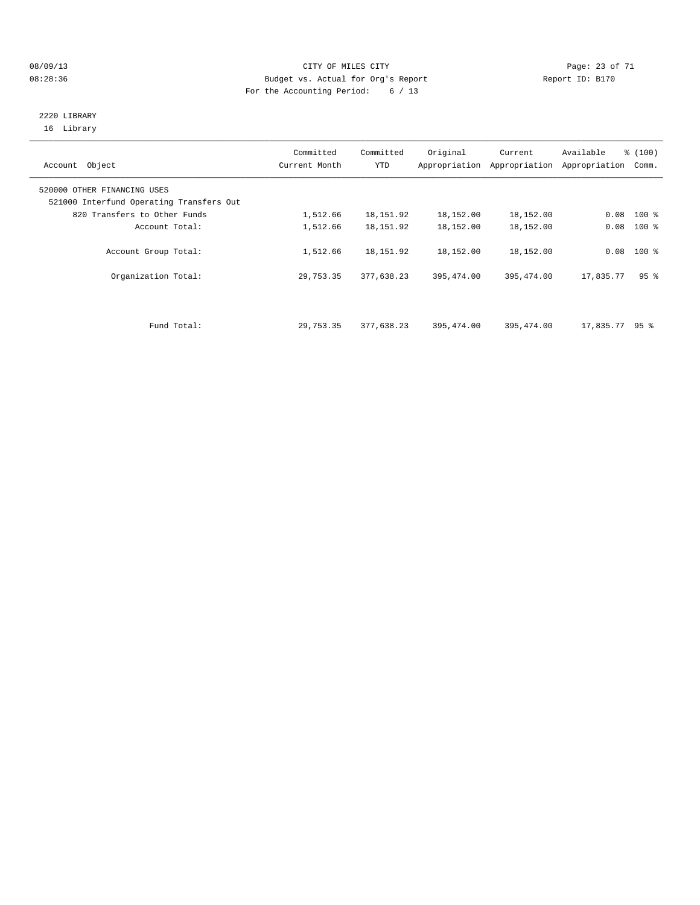#### 08/09/13 CITY OF MILES CITY Page: 23 of 71 08:28:36 Budget vs. Actual for Org's Report Changer Report ID: B170 For the Accounting Period: 6 / 13

#### 2220 LIBRARY 16 Library

| Account Object                                                          | Committed<br>Current Month | Committed<br>YTD | Original   | Current<br>Appropriation Appropriation | Available<br>Appropriation | % (100)<br>Comm. |
|-------------------------------------------------------------------------|----------------------------|------------------|------------|----------------------------------------|----------------------------|------------------|
| 520000 OTHER FINANCING USES<br>521000 Interfund Operating Transfers Out |                            |                  |            |                                        |                            |                  |
| 820 Transfers to Other Funds                                            | 1,512.66                   | 18,151.92        | 18,152.00  | 18,152.00                              |                            | $0.08$ 100 %     |
| Account Total:                                                          | 1,512.66                   | 18, 151.92       | 18,152.00  | 18,152.00                              | 0.08                       | $100*$           |
| Account Group Total:                                                    | 1,512.66                   | 18,151.92        | 18,152.00  | 18,152.00                              |                            | $0.08$ 100 %     |
| Organization Total:                                                     | 29,753.35                  | 377,638.23       | 395,474.00 | 395, 474.00                            | 17,835.77                  | 95 <sup>8</sup>  |
|                                                                         |                            |                  |            |                                        |                            |                  |
| Fund Total:                                                             | 29,753.35                  | 377,638.23       | 395,474.00 | 395,474.00                             | $17,835.77$ 95 %           |                  |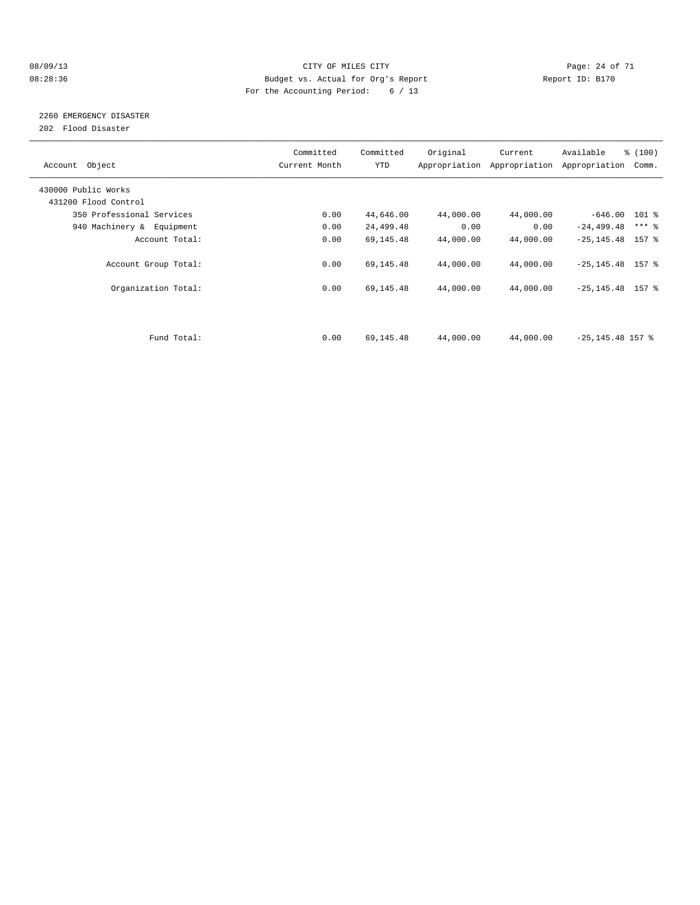#### 08/09/13 CITY OF MILES CITY Page: 24 of 71 08:28:36 Budget vs. Actual for Org's Report Changer Report ID: B170 For the Accounting Period: 6 / 13

# 2260 EMERGENCY DISASTER

202 Flood Disaster

| Account Object            | Committed<br>Current Month | Committed<br><b>YTD</b> | Original  | Current<br>Appropriation Appropriation | Available<br>Appropriation | % (100)<br>Comm. |
|---------------------------|----------------------------|-------------------------|-----------|----------------------------------------|----------------------------|------------------|
| 430000 Public Works       |                            |                         |           |                                        |                            |                  |
| 431200 Flood Control      |                            |                         |           |                                        |                            |                  |
| 350 Professional Services | 0.00                       | 44,646.00               | 44,000.00 | 44,000.00                              | $-646.00$ 101 %            |                  |
| 940 Machinery & Equipment | 0.00                       | 24,499.48               | 0.00      | 0.00                                   | $-24, 499.48$              | $***$ $-$        |
| Account Total:            | 0.00                       | 69,145.48               | 44,000.00 | 44,000.00                              | $-25, 145.48$ 157 %        |                  |
| Account Group Total:      | 0.00                       | 69,145.48               | 44,000.00 | 44,000.00                              | $-25, 145.48$ 157 %        |                  |
| Organization Total:       | 0.00                       | 69,145.48               | 44,000.00 | 44,000.00                              | $-25, 145.48$ 157 %        |                  |
|                           |                            |                         |           |                                        |                            |                  |
| Fund Total:               | 0.00                       | 69,145.48               | 44,000.00 | 44,000.00                              | $-25, 145.48$ 157 %        |                  |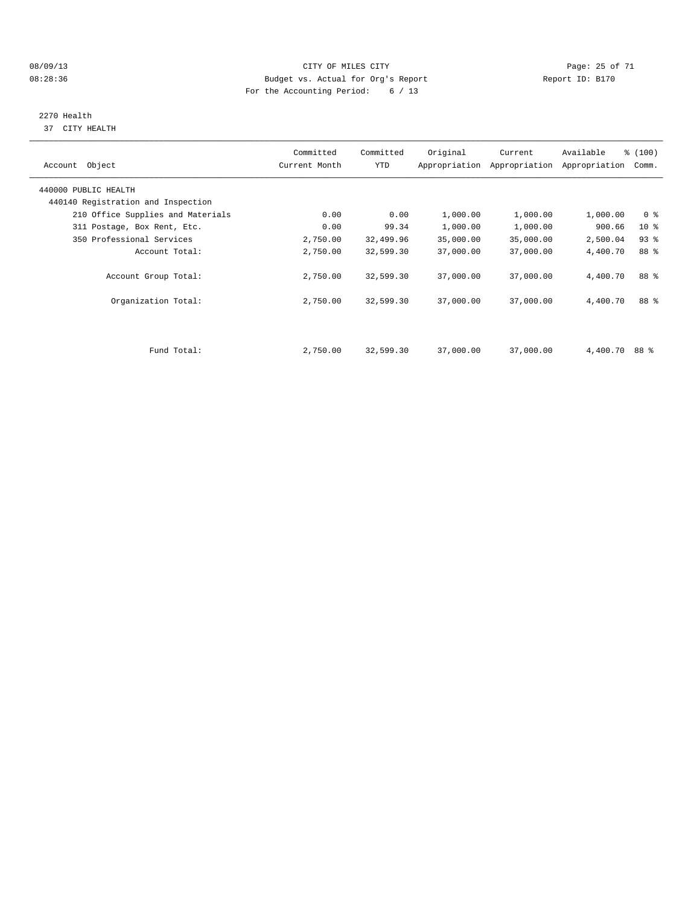#### 08/09/13 Page: 25 of 71 08:28:36 Budget vs. Actual for Org's Report Changer Report ID: B170 For the Accounting Period: 6 / 13

# 2270 Health

37 CITY HEALTH

| Account Object                                             | Committed<br>Current Month | Committed<br>YTD | Original  | Current<br>Appropriation Appropriation | Available<br>Appropriation | % (100)<br>Comm. |  |
|------------------------------------------------------------|----------------------------|------------------|-----------|----------------------------------------|----------------------------|------------------|--|
| 440000 PUBLIC HEALTH<br>440140 Registration and Inspection |                            |                  |           |                                        |                            |                  |  |
| 210 Office Supplies and Materials                          | 0.00                       | 0.00             | 1,000.00  | 1,000.00                               | 1,000.00                   | 0 <sup>8</sup>   |  |
| 311 Postage, Box Rent, Etc.                                | 0.00                       | 99.34            | 1,000.00  | 1,000.00                               | 900.66                     | 10 <sub>8</sub>  |  |
| 350 Professional Services                                  | 2,750.00                   | 32,499.96        | 35,000.00 | 35,000.00                              | 2,500.04                   | $93$ $%$         |  |
| Account Total:                                             | 2,750.00                   | 32,599.30        | 37,000.00 | 37,000.00                              | 4,400.70                   | 88 %             |  |
| Account Group Total:                                       | 2,750.00                   | 32,599.30        | 37,000.00 | 37,000.00                              | 4,400.70                   | 88 %             |  |
| Organization Total:                                        | 2,750.00                   | 32,599.30        | 37,000.00 | 37,000.00                              | 4,400.70                   | 88 %             |  |
|                                                            |                            |                  |           |                                        |                            |                  |  |
| Fund Total:                                                | 2,750.00                   | 32,599.30        | 37,000.00 | 37,000.00                              | 4,400.70 88 %              |                  |  |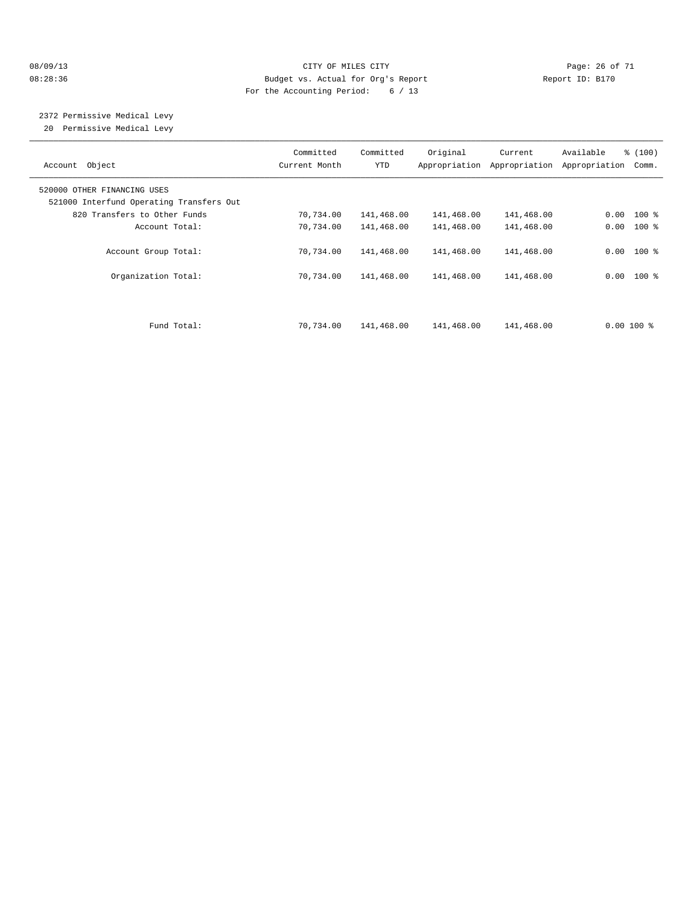#### 08/09/13 Page: 26 of 71 08:28:36 Budget vs. Actual for Org's Report Report ID: B170 For the Accounting Period: 6 / 13

 2372 Permissive Medical Levy 20 Permissive Medical Levy

———————————————————————————————————————————————————————————————————————————————————————————————————————————————————————————————————— Committed Committed Original Current Available % (100) Account Object Current Month YTD Appropriation Appropriation Appropriation Comm. ———————————————————————————————————————————————————————————————————————————————————————————————————————————————————————————————————— 520000 OTHER FINANCING USES 521000 Interfund Operating Transfers Out 820 Transfers to Other Funds 70,734.00 141,468.00 141,468.00 141,468.00 0.00 100 % Account Total:  $70,734.00 \t 141,468.00 \t 141,468.00 \t 141,468.00 \t 0.00 \t 100 \t$  Account Group Total: 70,734.00 141,468.00 141,468.00 141,468.00 0.00 100 % Organization Total: 70,734.00 141,468.00 141,468.00 141,468.00 0.00 100 % Fund Total: 70,734.00 141,468.00 141,468.00 141,468.00 0.00 100 %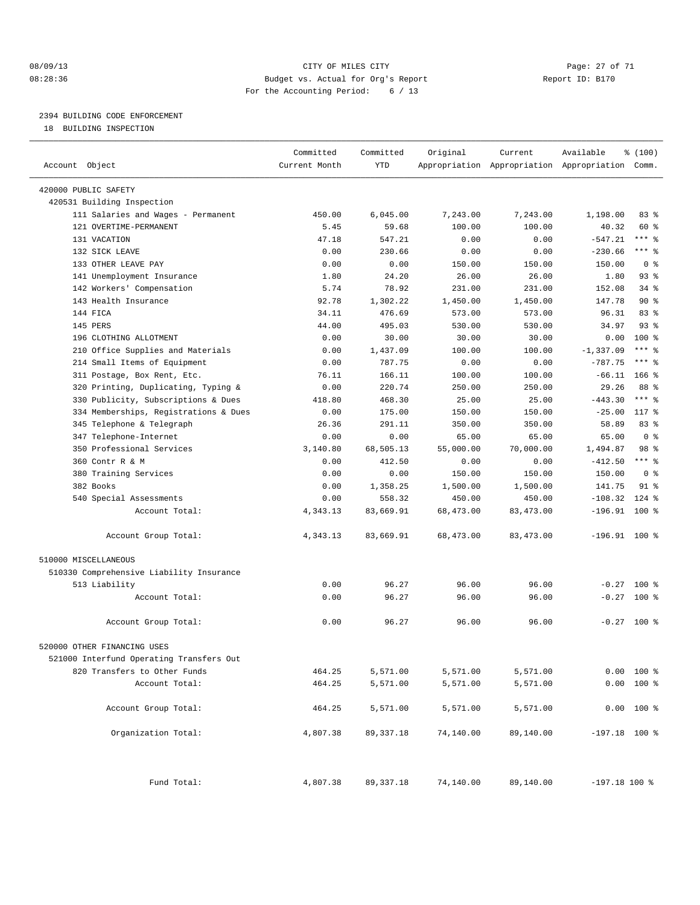#### 08/09/13 Page: 27 of 71 CHTY OF MILES CITY 08:28:36 Budget vs. Actual for Org's Report Report ID: B170 For the Accounting Period: 6 / 13

————————————————————————————————————————————————————————————————————————————————————————————————————————————————————————————————————

## 2394 BUILDING CODE ENFORCEMENT

18 BUILDING INSPECTION

| <b>YTD</b><br>Account Object<br>Current Month<br>Appropriation Appropriation Appropriation Comm.<br>420000 PUBLIC SAFETY<br>420531 Building Inspection<br>111 Salaries and Wages - Permanent<br>7,243.00<br>1,198.00<br>450.00<br>6,045.00<br>7,243.00<br>121 OVERTIME-PERMANENT<br>59.68<br>100.00<br>100.00<br>5.45<br>40.32<br>47.18<br>547.21<br>0.00<br>$-547.21$<br>131 VACATION<br>0.00<br>132 SICK LEAVE<br>0.00<br>230.66<br>0.00<br>0.00<br>$-230.66$<br>133 OTHER LEAVE PAY<br>0.00<br>0.00<br>150.00<br>150.00<br>150.00<br>141 Unemployment Insurance<br>1.80<br>24.20<br>26.00<br>26.00<br>1.80<br>142 Workers' Compensation<br>5.74<br>78.92<br>231.00<br>231.00<br>152.08<br>92.78<br>143 Health Insurance<br>1,302.22<br>1,450.00<br>1,450.00<br>147.78<br>144 FICA<br>34.11<br>476.69<br>573.00<br>573.00<br>96.31<br>44.00<br>145 PERS<br>495.03<br>530.00<br>530.00<br>34.97<br>196 CLOTHING ALLOTMENT<br>0.00<br>0.00<br>30.00<br>30.00<br>30.00<br>210 Office Supplies and Materials<br>1,437.09<br>100.00<br>100.00<br>$-1, 337.09$<br>0.00<br>$-787.75$<br>214 Small Items of Equipment<br>787.75<br>0.00<br>0.00<br>0.00<br>311 Postage, Box Rent, Etc.<br>76.11<br>166.11<br>100.00<br>100.00<br>$-66.11$ 166 %<br>320 Printing, Duplicating, Typing &<br>220.74<br>29.26<br>0.00<br>250.00<br>250.00<br>330 Publicity, Subscriptions & Dues<br>418.80<br>468.30<br>25.00<br>25.00<br>$-443.30$<br>334 Memberships, Registrations & Dues<br>0.00<br>175.00<br>150.00<br>$-25.00$<br>150.00<br>345 Telephone & Telegraph<br>26.36<br>291.11<br>350.00<br>350.00<br>58.89<br>347 Telephone-Internet<br>0.00<br>65.00<br>65.00<br>65.00<br>0.00 |                |
|------------------------------------------------------------------------------------------------------------------------------------------------------------------------------------------------------------------------------------------------------------------------------------------------------------------------------------------------------------------------------------------------------------------------------------------------------------------------------------------------------------------------------------------------------------------------------------------------------------------------------------------------------------------------------------------------------------------------------------------------------------------------------------------------------------------------------------------------------------------------------------------------------------------------------------------------------------------------------------------------------------------------------------------------------------------------------------------------------------------------------------------------------------------------------------------------------------------------------------------------------------------------------------------------------------------------------------------------------------------------------------------------------------------------------------------------------------------------------------------------------------------------------------------------------------------------------------------------------------------------------------------------------------------------|----------------|
|                                                                                                                                                                                                                                                                                                                                                                                                                                                                                                                                                                                                                                                                                                                                                                                                                                                                                                                                                                                                                                                                                                                                                                                                                                                                                                                                                                                                                                                                                                                                                                                                                                                                        |                |
|                                                                                                                                                                                                                                                                                                                                                                                                                                                                                                                                                                                                                                                                                                                                                                                                                                                                                                                                                                                                                                                                                                                                                                                                                                                                                                                                                                                                                                                                                                                                                                                                                                                                        |                |
|                                                                                                                                                                                                                                                                                                                                                                                                                                                                                                                                                                                                                                                                                                                                                                                                                                                                                                                                                                                                                                                                                                                                                                                                                                                                                                                                                                                                                                                                                                                                                                                                                                                                        |                |
|                                                                                                                                                                                                                                                                                                                                                                                                                                                                                                                                                                                                                                                                                                                                                                                                                                                                                                                                                                                                                                                                                                                                                                                                                                                                                                                                                                                                                                                                                                                                                                                                                                                                        | 83%            |
|                                                                                                                                                                                                                                                                                                                                                                                                                                                                                                                                                                                                                                                                                                                                                                                                                                                                                                                                                                                                                                                                                                                                                                                                                                                                                                                                                                                                                                                                                                                                                                                                                                                                        | 60 %           |
|                                                                                                                                                                                                                                                                                                                                                                                                                                                                                                                                                                                                                                                                                                                                                                                                                                                                                                                                                                                                                                                                                                                                                                                                                                                                                                                                                                                                                                                                                                                                                                                                                                                                        | $***$ $-$      |
|                                                                                                                                                                                                                                                                                                                                                                                                                                                                                                                                                                                                                                                                                                                                                                                                                                                                                                                                                                                                                                                                                                                                                                                                                                                                                                                                                                                                                                                                                                                                                                                                                                                                        | $***$ $-$      |
|                                                                                                                                                                                                                                                                                                                                                                                                                                                                                                                                                                                                                                                                                                                                                                                                                                                                                                                                                                                                                                                                                                                                                                                                                                                                                                                                                                                                                                                                                                                                                                                                                                                                        | 0 <sup>8</sup> |
|                                                                                                                                                                                                                                                                                                                                                                                                                                                                                                                                                                                                                                                                                                                                                                                                                                                                                                                                                                                                                                                                                                                                                                                                                                                                                                                                                                                                                                                                                                                                                                                                                                                                        | 93%            |
|                                                                                                                                                                                                                                                                                                                                                                                                                                                                                                                                                                                                                                                                                                                                                                                                                                                                                                                                                                                                                                                                                                                                                                                                                                                                                                                                                                                                                                                                                                                                                                                                                                                                        | 34 %           |
|                                                                                                                                                                                                                                                                                                                                                                                                                                                                                                                                                                                                                                                                                                                                                                                                                                                                                                                                                                                                                                                                                                                                                                                                                                                                                                                                                                                                                                                                                                                                                                                                                                                                        | 90%            |
|                                                                                                                                                                                                                                                                                                                                                                                                                                                                                                                                                                                                                                                                                                                                                                                                                                                                                                                                                                                                                                                                                                                                                                                                                                                                                                                                                                                                                                                                                                                                                                                                                                                                        | 83%            |
|                                                                                                                                                                                                                                                                                                                                                                                                                                                                                                                                                                                                                                                                                                                                                                                                                                                                                                                                                                                                                                                                                                                                                                                                                                                                                                                                                                                                                                                                                                                                                                                                                                                                        | $93$ $%$       |
|                                                                                                                                                                                                                                                                                                                                                                                                                                                                                                                                                                                                                                                                                                                                                                                                                                                                                                                                                                                                                                                                                                                                                                                                                                                                                                                                                                                                                                                                                                                                                                                                                                                                        | $100*$         |
|                                                                                                                                                                                                                                                                                                                                                                                                                                                                                                                                                                                                                                                                                                                                                                                                                                                                                                                                                                                                                                                                                                                                                                                                                                                                                                                                                                                                                                                                                                                                                                                                                                                                        | $***$ $-$      |
|                                                                                                                                                                                                                                                                                                                                                                                                                                                                                                                                                                                                                                                                                                                                                                                                                                                                                                                                                                                                                                                                                                                                                                                                                                                                                                                                                                                                                                                                                                                                                                                                                                                                        | $***$ $%$      |
|                                                                                                                                                                                                                                                                                                                                                                                                                                                                                                                                                                                                                                                                                                                                                                                                                                                                                                                                                                                                                                                                                                                                                                                                                                                                                                                                                                                                                                                                                                                                                                                                                                                                        |                |
|                                                                                                                                                                                                                                                                                                                                                                                                                                                                                                                                                                                                                                                                                                                                                                                                                                                                                                                                                                                                                                                                                                                                                                                                                                                                                                                                                                                                                                                                                                                                                                                                                                                                        | 88 %           |
|                                                                                                                                                                                                                                                                                                                                                                                                                                                                                                                                                                                                                                                                                                                                                                                                                                                                                                                                                                                                                                                                                                                                                                                                                                                                                                                                                                                                                                                                                                                                                                                                                                                                        | $***$ $_{8}$   |
|                                                                                                                                                                                                                                                                                                                                                                                                                                                                                                                                                                                                                                                                                                                                                                                                                                                                                                                                                                                                                                                                                                                                                                                                                                                                                                                                                                                                                                                                                                                                                                                                                                                                        | $117*$         |
|                                                                                                                                                                                                                                                                                                                                                                                                                                                                                                                                                                                                                                                                                                                                                                                                                                                                                                                                                                                                                                                                                                                                                                                                                                                                                                                                                                                                                                                                                                                                                                                                                                                                        | 83 %           |
|                                                                                                                                                                                                                                                                                                                                                                                                                                                                                                                                                                                                                                                                                                                                                                                                                                                                                                                                                                                                                                                                                                                                                                                                                                                                                                                                                                                                                                                                                                                                                                                                                                                                        | 0 <sup>8</sup> |
| 350 Professional Services<br>3,140.80<br>68,505.13<br>55,000.00<br>70,000.00<br>1,494.87                                                                                                                                                                                                                                                                                                                                                                                                                                                                                                                                                                                                                                                                                                                                                                                                                                                                                                                                                                                                                                                                                                                                                                                                                                                                                                                                                                                                                                                                                                                                                                               | 98 %           |
| 360 Contr R & M<br>0.00<br>412.50<br>0.00<br>$-412.50$<br>0.00                                                                                                                                                                                                                                                                                                                                                                                                                                                                                                                                                                                                                                                                                                                                                                                                                                                                                                                                                                                                                                                                                                                                                                                                                                                                                                                                                                                                                                                                                                                                                                                                         | $***$ $%$      |
| 380 Training Services<br>0.00<br>150.00<br>150.00<br>150.00<br>0.00                                                                                                                                                                                                                                                                                                                                                                                                                                                                                                                                                                                                                                                                                                                                                                                                                                                                                                                                                                                                                                                                                                                                                                                                                                                                                                                                                                                                                                                                                                                                                                                                    | 0 <sup>8</sup> |
| 382 Books<br>0.00<br>1,358.25<br>1,500.00<br>1,500.00<br>141.75                                                                                                                                                                                                                                                                                                                                                                                                                                                                                                                                                                                                                                                                                                                                                                                                                                                                                                                                                                                                                                                                                                                                                                                                                                                                                                                                                                                                                                                                                                                                                                                                        | $91$ %         |
| 558.32<br>450.00<br>$-108.32$<br>540 Special Assessments<br>0.00<br>450.00                                                                                                                                                                                                                                                                                                                                                                                                                                                                                                                                                                                                                                                                                                                                                                                                                                                                                                                                                                                                                                                                                                                                                                                                                                                                                                                                                                                                                                                                                                                                                                                             | $124$ %        |
| $-196.91$ 100 %<br>Account Total:<br>4,343.13<br>83,669.91<br>68,473.00<br>83,473.00                                                                                                                                                                                                                                                                                                                                                                                                                                                                                                                                                                                                                                                                                                                                                                                                                                                                                                                                                                                                                                                                                                                                                                                                                                                                                                                                                                                                                                                                                                                                                                                   |                |
| Account Group Total:<br>4,343.13<br>83,669.91<br>68,473.00<br>83, 473.00<br>$-196.91$ 100 %                                                                                                                                                                                                                                                                                                                                                                                                                                                                                                                                                                                                                                                                                                                                                                                                                                                                                                                                                                                                                                                                                                                                                                                                                                                                                                                                                                                                                                                                                                                                                                            |                |
|                                                                                                                                                                                                                                                                                                                                                                                                                                                                                                                                                                                                                                                                                                                                                                                                                                                                                                                                                                                                                                                                                                                                                                                                                                                                                                                                                                                                                                                                                                                                                                                                                                                                        |                |
| 510000 MISCELLANEOUS                                                                                                                                                                                                                                                                                                                                                                                                                                                                                                                                                                                                                                                                                                                                                                                                                                                                                                                                                                                                                                                                                                                                                                                                                                                                                                                                                                                                                                                                                                                                                                                                                                                   |                |
| 510330 Comprehensive Liability Insurance                                                                                                                                                                                                                                                                                                                                                                                                                                                                                                                                                                                                                                                                                                                                                                                                                                                                                                                                                                                                                                                                                                                                                                                                                                                                                                                                                                                                                                                                                                                                                                                                                               |                |
| 513 Liability<br>0.00<br>96.27<br>96.00<br>96.00                                                                                                                                                                                                                                                                                                                                                                                                                                                                                                                                                                                                                                                                                                                                                                                                                                                                                                                                                                                                                                                                                                                                                                                                                                                                                                                                                                                                                                                                                                                                                                                                                       | $-0.27$ 100 %  |
| Account Total:<br>0.00<br>96.27<br>96.00<br>96.00                                                                                                                                                                                                                                                                                                                                                                                                                                                                                                                                                                                                                                                                                                                                                                                                                                                                                                                                                                                                                                                                                                                                                                                                                                                                                                                                                                                                                                                                                                                                                                                                                      | $-0.27$ 100 %  |
| 0.00<br>96.27<br>96.00<br>Account Group Total:<br>96.00                                                                                                                                                                                                                                                                                                                                                                                                                                                                                                                                                                                                                                                                                                                                                                                                                                                                                                                                                                                                                                                                                                                                                                                                                                                                                                                                                                                                                                                                                                                                                                                                                | $-0.27$ 100 %  |
| 520000 OTHER FINANCING USES                                                                                                                                                                                                                                                                                                                                                                                                                                                                                                                                                                                                                                                                                                                                                                                                                                                                                                                                                                                                                                                                                                                                                                                                                                                                                                                                                                                                                                                                                                                                                                                                                                            |                |
| 521000 Interfund Operating Transfers Out                                                                                                                                                                                                                                                                                                                                                                                                                                                                                                                                                                                                                                                                                                                                                                                                                                                                                                                                                                                                                                                                                                                                                                                                                                                                                                                                                                                                                                                                                                                                                                                                                               |                |
| 820 Transfers to Other Funds<br>464.25<br>5,571.00<br>5,571.00<br>5,571.00                                                                                                                                                                                                                                                                                                                                                                                                                                                                                                                                                                                                                                                                                                                                                                                                                                                                                                                                                                                                                                                                                                                                                                                                                                                                                                                                                                                                                                                                                                                                                                                             | $0.00 100$ %   |
| 5,571.00<br>5,571.00<br>Account Total:<br>464.25<br>5,571.00                                                                                                                                                                                                                                                                                                                                                                                                                                                                                                                                                                                                                                                                                                                                                                                                                                                                                                                                                                                                                                                                                                                                                                                                                                                                                                                                                                                                                                                                                                                                                                                                           | $0.00 100$ %   |
| Account Group Total:<br>464.25<br>5,571.00<br>5,571.00<br>5,571.00                                                                                                                                                                                                                                                                                                                                                                                                                                                                                                                                                                                                                                                                                                                                                                                                                                                                                                                                                                                                                                                                                                                                                                                                                                                                                                                                                                                                                                                                                                                                                                                                     | $0.00$ 100 %   |
| Organization Total:<br>74,140.00<br>4,807.38<br>89,337.18<br>89,140.00<br>$-197.18$ 100 %                                                                                                                                                                                                                                                                                                                                                                                                                                                                                                                                                                                                                                                                                                                                                                                                                                                                                                                                                                                                                                                                                                                                                                                                                                                                                                                                                                                                                                                                                                                                                                              |                |
| Fund Total:<br>4,807.38<br>89,140.00<br>89, 337. 18<br>74,140.00<br>$-197.18 100$ %                                                                                                                                                                                                                                                                                                                                                                                                                                                                                                                                                                                                                                                                                                                                                                                                                                                                                                                                                                                                                                                                                                                                                                                                                                                                                                                                                                                                                                                                                                                                                                                    |                |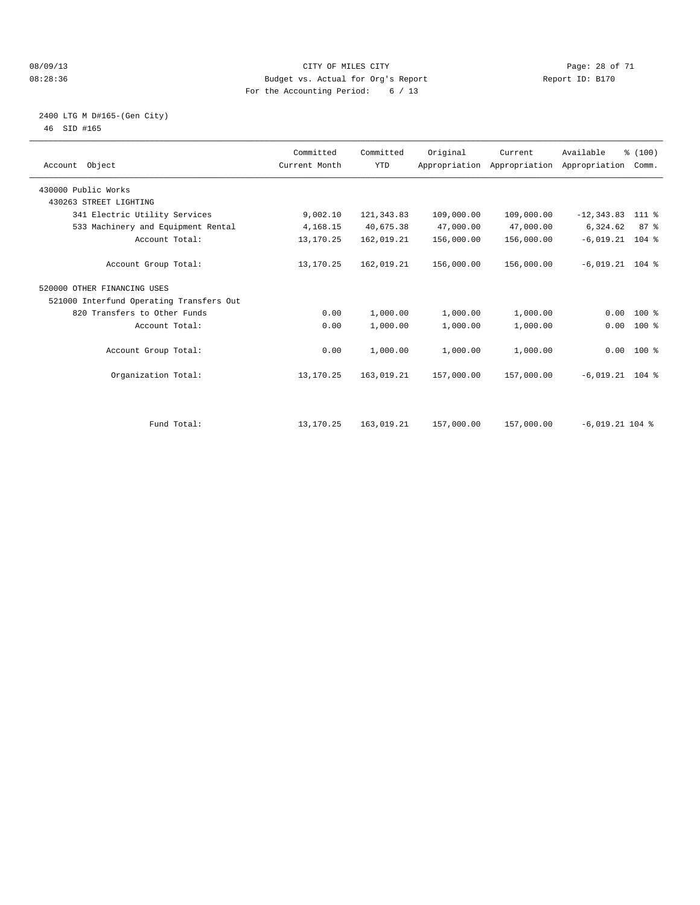#### 08/09/13 CITY OF MILES CITY Page: 28 of 71 08:28:36 Budget vs. Actual for Org's Report Changer Report ID: B170 For the Accounting Period: 6 / 13

#### 2400 LTG M D#165-(Gen City) 46 SID #165

| Account Object                           | Committed<br>Current Month | Committed<br><b>YTD</b> | Original   | Current<br>Appropriation Appropriation Appropriation | Available         | % (100)<br>Comm. |  |
|------------------------------------------|----------------------------|-------------------------|------------|------------------------------------------------------|-------------------|------------------|--|
| 430000 Public Works                      |                            |                         |            |                                                      |                   |                  |  |
| 430263 STREET LIGHTING                   |                            |                         |            |                                                      |                   |                  |  |
| 341 Electric Utility Services            | 9,002.10                   | 121, 343.83             | 109,000.00 | 109,000.00                                           | $-12, 343.83$     | 111 %            |  |
| 533 Machinery and Equipment Rental       | 4,168.15                   | 40,675.38               | 47,000.00  | 47,000.00                                            | 6,324.62          | 87%              |  |
| Account Total:                           | 13, 170. 25                | 162,019.21              | 156,000.00 | 156,000.00                                           | $-6,019.21$ 104 % |                  |  |
| Account Group Total:                     | 13,170.25                  | 162,019.21              | 156,000.00 | 156,000.00                                           | $-6,019.21$ 104 % |                  |  |
| 520000 OTHER FINANCING USES              |                            |                         |            |                                                      |                   |                  |  |
| 521000 Interfund Operating Transfers Out |                            |                         |            |                                                      |                   |                  |  |
| 820 Transfers to Other Funds             | 0.00                       | 1,000.00                | 1,000.00   | 1,000.00                                             | 0.00              | $100*$           |  |
| Account Total:                           | 0.00                       | 1,000.00                | 1,000.00   | 1,000.00                                             | 0.00              | 100 %            |  |
| Account Group Total:                     | 0.00                       | 1,000.00                | 1,000.00   | 1,000.00                                             |                   | $0.00$ 100 %     |  |
| Organization Total:                      | 13,170.25                  | 163,019.21              | 157,000.00 | 157,000.00                                           | $-6,019.21$ 104 % |                  |  |
|                                          |                            |                         |            |                                                      |                   |                  |  |
| Fund Total:                              | 13, 170. 25                | 163,019.21              | 157,000.00 | 157,000.00                                           | $-6,019.21$ 104 % |                  |  |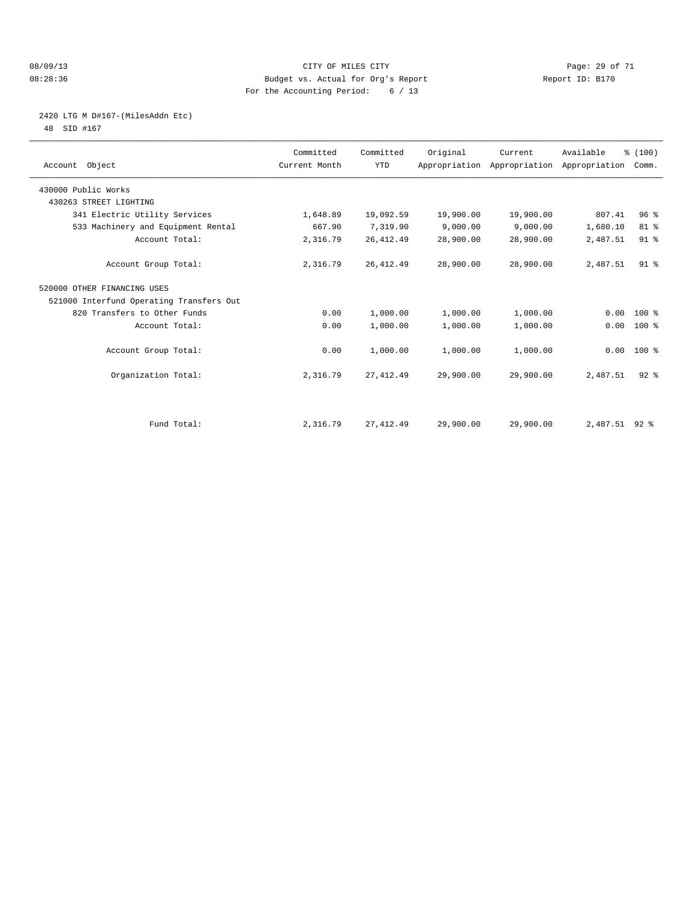#### 08/09/13 Page: 29 of 71 08:28:36 Budget vs. Actual for Org's Report Report ID: B170 For the Accounting Period: 6 / 13

## 2420 LTG M D#167-(MilesAddn Etc)

48 SID #167

| Account Object                           | Committed<br>Current Month | Committed<br><b>YTD</b> | Original  | Current   | Available<br>Appropriation Appropriation Appropriation | % (100)<br>Comm. |  |
|------------------------------------------|----------------------------|-------------------------|-----------|-----------|--------------------------------------------------------|------------------|--|
| 430000 Public Works                      |                            |                         |           |           |                                                        |                  |  |
| 430263 STREET LIGHTING                   |                            |                         |           |           |                                                        |                  |  |
| 341 Electric Utility Services            | 1,648.89                   | 19,092.59               | 19,900.00 | 19,900.00 | 807.41                                                 | 96 <sup>8</sup>  |  |
| 533 Machinery and Equipment Rental       | 667.90                     | 7,319.90                | 9,000.00  | 9,000.00  | 1,680.10                                               | 81 %             |  |
| Account Total:                           | 2,316.79                   | 26, 412.49              | 28,900.00 | 28,900.00 | 2,487.51                                               | 91 <sup>°</sup>  |  |
| Account Group Total:                     | 2,316.79                   | 26, 412.49              | 28,900.00 | 28,900.00 | 2,487.51                                               | 91 <sup>°</sup>  |  |
| 520000 OTHER FINANCING USES              |                            |                         |           |           |                                                        |                  |  |
| 521000 Interfund Operating Transfers Out |                            |                         |           |           |                                                        |                  |  |
| 820 Transfers to Other Funds             | 0.00                       | 1,000.00                | 1,000.00  | 1,000.00  | 0.00                                                   | $100*$           |  |
| Account Total:                           | 0.00                       | 1,000.00                | 1,000.00  | 1,000.00  | 0.00                                                   | 100 %            |  |
| Account Group Total:                     | 0.00                       | 1,000.00                | 1,000.00  | 1,000.00  |                                                        | $0.00$ 100 %     |  |
| Organization Total:                      | 2,316.79                   | 27, 412.49              | 29,900.00 | 29,900.00 | 2,487.51                                               | $92$ $%$         |  |
|                                          |                            |                         |           |           |                                                        |                  |  |
| Fund Total:                              | 2,316.79                   | 27, 412.49              | 29,900.00 | 29,900.00 | 2,487.51 92 %                                          |                  |  |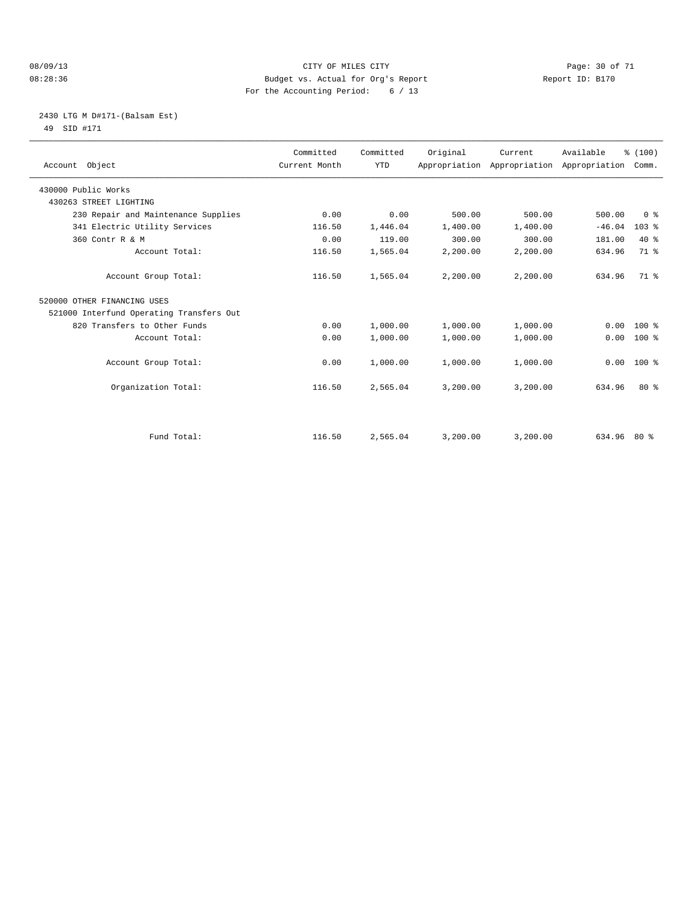#### 08/09/13 CITY OF MILES CITY Page: 30 of 71 08:28:36 Budget vs. Actual for Org's Report Changer Report ID: B170 For the Accounting Period: 6 / 13

#### 2430 LTG M D#171-(Balsam Est) 49 SID #171

| Account Object                           | Committed<br>Current Month | Committed<br><b>YTD</b> | Original | Current  | Available<br>Appropriation Appropriation Appropriation | % (100)<br>Comm. |
|------------------------------------------|----------------------------|-------------------------|----------|----------|--------------------------------------------------------|------------------|
| 430000 Public Works                      |                            |                         |          |          |                                                        |                  |
| 430263 STREET LIGHTING                   |                            |                         |          |          |                                                        |                  |
| 230 Repair and Maintenance Supplies      | 0.00                       | 0.00                    | 500.00   | 500.00   | 500.00                                                 | 0 <sup>8</sup>   |
| 341 Electric Utility Services            | 116.50                     | 1,446.04                | 1,400.00 | 1,400.00 | $-46.04$                                               | 103%             |
| 360 Contr R & M                          | 0.00                       | 119.00                  | 300.00   | 300.00   | 181.00                                                 | $40*$            |
| Account Total:                           | 116.50                     | 1,565.04                | 2,200.00 | 2,200.00 | 634.96                                                 | 71 %             |
| Account Group Total:                     | 116.50                     | 1,565.04                | 2,200.00 | 2,200.00 | 634.96                                                 | $71*$            |
| 520000 OTHER FINANCING USES              |                            |                         |          |          |                                                        |                  |
| 521000 Interfund Operating Transfers Out |                            |                         |          |          |                                                        |                  |
| 820 Transfers to Other Funds             | 0.00                       | 1,000.00                | 1,000.00 | 1,000.00 | 0.00                                                   | $100*$           |
| Account Total:                           | 0.00                       | 1,000.00                | 1,000.00 | 1,000.00 | 0.00                                                   | $100*$           |
| Account Group Total:                     | 0.00                       | 1,000.00                | 1,000.00 | 1,000.00 | 0.00                                                   | $100*$           |
| Organization Total:                      | 116.50                     | 2,565.04                | 3,200.00 | 3,200.00 | 634.96                                                 | $80*$            |
|                                          |                            |                         |          |          |                                                        |                  |
| Fund Total:                              | 116.50                     | 2,565.04                | 3,200.00 | 3,200.00 | $634.96$ 80 %                                          |                  |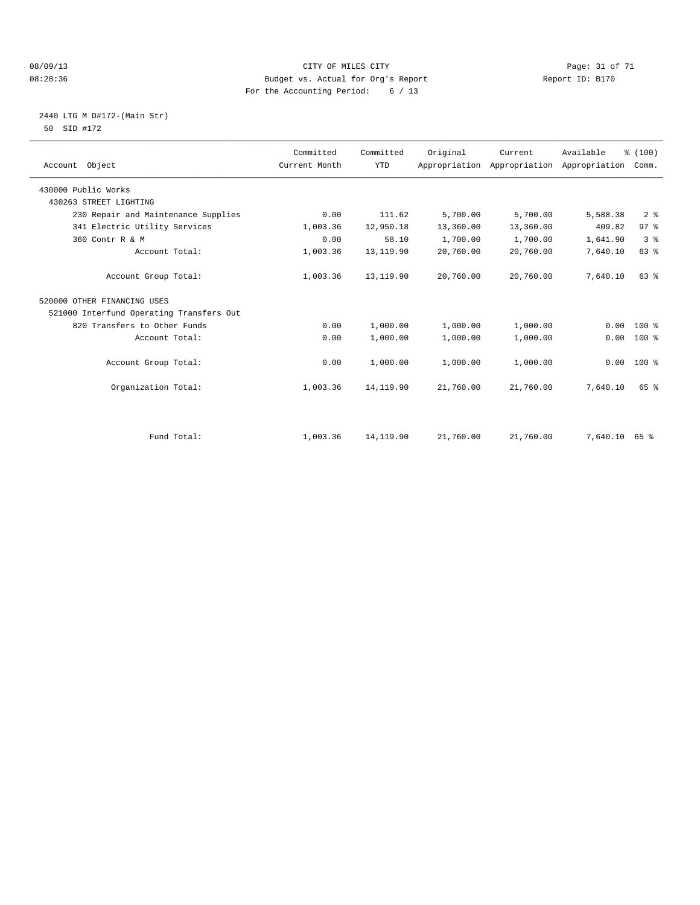#### 08/09/13 Page: 31 of 71 CITY OF MILES CITY CONTROL PAGE: 31 of 71 08:28:36 Budget vs. Actual for Org's Report Changer Report ID: B170 For the Accounting Period: 6 / 13

#### 2440 LTG M D#172-(Main Str) 50 SID #172

| Account Object                           | Committed<br>Current Month | Committed<br><b>YTD</b> | Original  | Current<br>Appropriation Appropriation | Available<br>Appropriation | % (100)<br>Comm. |
|------------------------------------------|----------------------------|-------------------------|-----------|----------------------------------------|----------------------------|------------------|
| 430000 Public Works                      |                            |                         |           |                                        |                            |                  |
| 430263 STREET LIGHTING                   |                            |                         |           |                                        |                            |                  |
| 230 Repair and Maintenance Supplies      | 0.00                       | 111.62                  | 5,700.00  | 5,700.00                               | 5,588.38                   | 2 <sup>8</sup>   |
| 341 Electric Utility Services            | 1,003.36                   | 12,950.18               | 13,360.00 | 13,360.00                              | 409.82                     | 97%              |
| 360 Contr R & M                          | 0.00                       | 58.10                   | 1,700.00  | 1,700.00                               | 1,641.90                   | 3 <sup>8</sup>   |
| Account Total:                           | 1,003.36                   | 13,119.90               | 20,760.00 | 20,760.00                              | 7,640.10                   | 63 %             |
| Account Group Total:                     | 1,003.36                   | 13,119.90               | 20,760.00 | 20,760.00                              | 7,640.10                   | 63 %             |
| 520000 OTHER FINANCING USES              |                            |                         |           |                                        |                            |                  |
| 521000 Interfund Operating Transfers Out |                            |                         |           |                                        |                            |                  |
| 820 Transfers to Other Funds             | 0.00                       | 1,000.00                | 1,000.00  | 1,000.00                               | 0.00                       | $100*$           |
| Account Total:                           | 0.00                       | 1,000.00                | 1,000.00  | 1,000.00                               | 0.00                       | $100*$           |
| Account Group Total:                     | 0.00                       | 1,000.00                | 1,000.00  | 1,000.00                               | 0.00                       | $100*$           |
| Organization Total:                      | 1,003.36                   | 14, 119.90              | 21,760.00 | 21,760.00                              | 7,640.10                   | 65 %             |
|                                          |                            |                         |           |                                        |                            |                  |
| Fund Total:                              | 1,003.36                   | 14, 119.90              | 21,760.00 | 21,760.00                              | 7,640.10                   | 65 %             |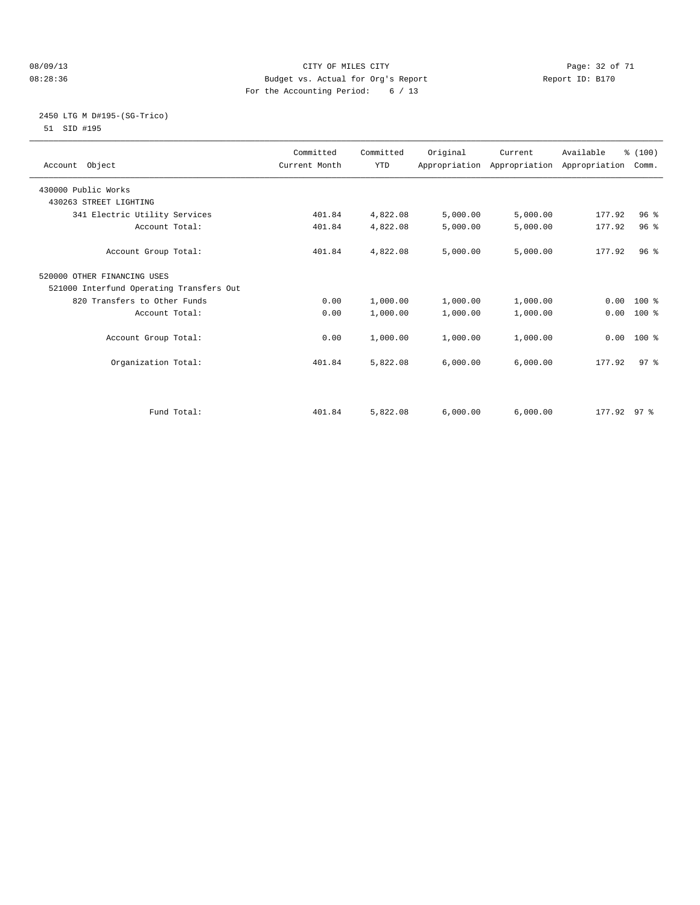#### 08/09/13 CITY OF MILES CITY Page: 32 of 71 08:28:36 Budget vs. Actual for Org's Report Changer Report ID: B170 For the Accounting Period: 6 / 13

#### 2450 LTG M D#195-(SG-Trico) 51 SID #195

|                                          | Committed     | Committed  | Original | Current  | Available                                 | % (100)         |  |
|------------------------------------------|---------------|------------|----------|----------|-------------------------------------------|-----------------|--|
| Account Object                           | Current Month | <b>YTD</b> |          |          | Appropriation Appropriation Appropriation | Comm.           |  |
|                                          |               |            |          |          |                                           |                 |  |
| 430000 Public Works                      |               |            |          |          |                                           |                 |  |
| 430263 STREET LIGHTING                   |               |            |          |          |                                           |                 |  |
| 341 Electric Utility Services            | 401.84        | 4,822.08   | 5,000.00 | 5,000.00 | 177.92                                    | 96 <sup>8</sup> |  |
| Account Total:                           | 401.84        | 4,822.08   | 5,000.00 | 5,000.00 | 177.92                                    | 96%             |  |
| Account Group Total:                     | 401.84        | 4,822.08   | 5,000.00 | 5,000.00 | 177.92                                    | 96 <sup>8</sup> |  |
| 520000 OTHER FINANCING USES              |               |            |          |          |                                           |                 |  |
| 521000 Interfund Operating Transfers Out |               |            |          |          |                                           |                 |  |
| 820 Transfers to Other Funds             | 0.00          | 1,000.00   | 1,000.00 | 1,000.00 |                                           | $0.00$ 100 %    |  |
| Account Total:                           | 0.00          | 1,000.00   | 1,000.00 | 1,000.00 | 0.00                                      | 100 %           |  |
| Account Group Total:                     | 0.00          | 1,000.00   | 1,000.00 | 1,000.00 | 0.00                                      | $100*$          |  |
| Organization Total:                      | 401.84        | 5,822.08   | 6,000.00 | 6,000.00 | 177.92                                    | 97 <sup>°</sup> |  |
|                                          |               |            |          |          |                                           |                 |  |
| Fund Total:                              | 401.84        | 5,822.08   | 6.000.00 | 6,000.00 | $177.92$ 97 %                             |                 |  |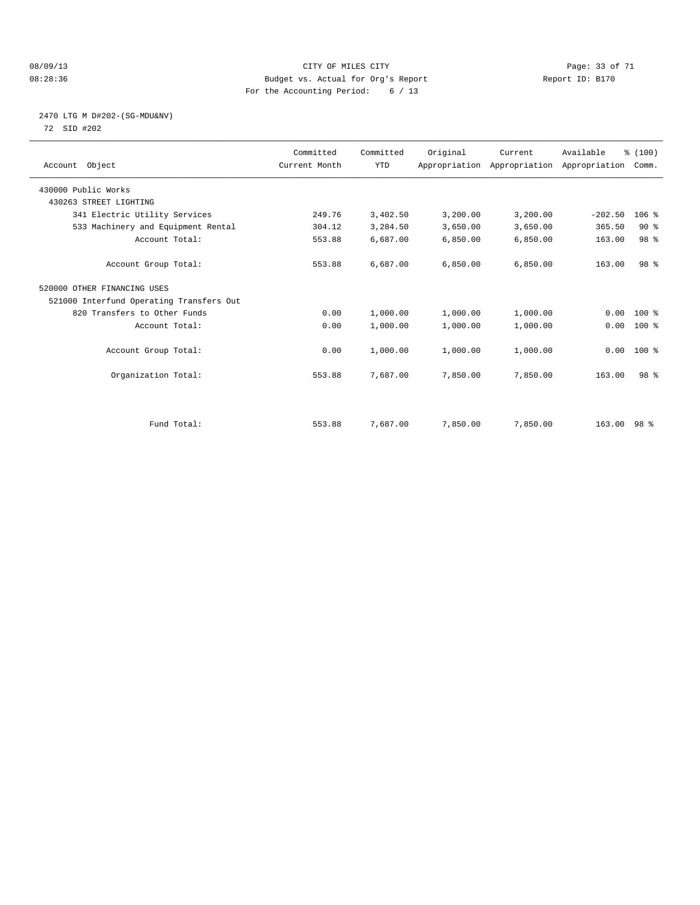#### 08/09/13 Page: 33 of 71 08:28:36 Budget vs. Actual for Org's Report Changer Report ID: B170 For the Accounting Period: 6 / 13

#### 2470 LTG M D#202-(SG-MDU&NV) 72 SID #202

| Account Object                           | Committed<br>Current Month | Committed<br><b>YTD</b> | Original | Current<br>Appropriation Appropriation Appropriation | Available   | % (100)<br>Comm. |  |
|------------------------------------------|----------------------------|-------------------------|----------|------------------------------------------------------|-------------|------------------|--|
| 430000 Public Works                      |                            |                         |          |                                                      |             |                  |  |
| 430263 STREET LIGHTING                   |                            |                         |          |                                                      |             |                  |  |
| 341 Electric Utility Services            | 249.76                     | 3,402.50                | 3,200.00 | 3,200.00                                             | $-202.50$   | $106$ %          |  |
| 533 Machinery and Equipment Rental       | 304.12                     | 3,284.50                | 3,650.00 | 3,650.00                                             | 365.50      | 90%              |  |
| Account Total:                           | 553.88                     | 6,687.00                | 6,850.00 | 6,850.00                                             | 163.00      | 98 <sup>8</sup>  |  |
| Account Group Total:                     | 553.88                     | 6,687.00                | 6.850.00 | 6,850.00                                             | 163.00      | 98 <sup>8</sup>  |  |
| 520000 OTHER FINANCING USES              |                            |                         |          |                                                      |             |                  |  |
| 521000 Interfund Operating Transfers Out |                            |                         |          |                                                      |             |                  |  |
| 820 Transfers to Other Funds             | 0.00                       | 1,000.00                | 1,000.00 | 1,000.00                                             | 0.00        | 100 %            |  |
| Account Total:                           | 0.00                       | 1,000.00                | 1,000.00 | 1,000.00                                             | 0.00        | 100 %            |  |
| Account Group Total:                     | 0.00                       | 1,000.00                | 1,000.00 | 1,000.00                                             |             | $0.00$ 100 %     |  |
| Organization Total:                      | 553.88                     | 7,687.00                | 7,850.00 | 7,850.00                                             | 163.00      | 98 <sup>8</sup>  |  |
|                                          |                            |                         |          |                                                      |             |                  |  |
| Fund Total:                              | 553.88                     | 7,687.00                | 7,850.00 | 7,850.00                                             | 163.00 98 % |                  |  |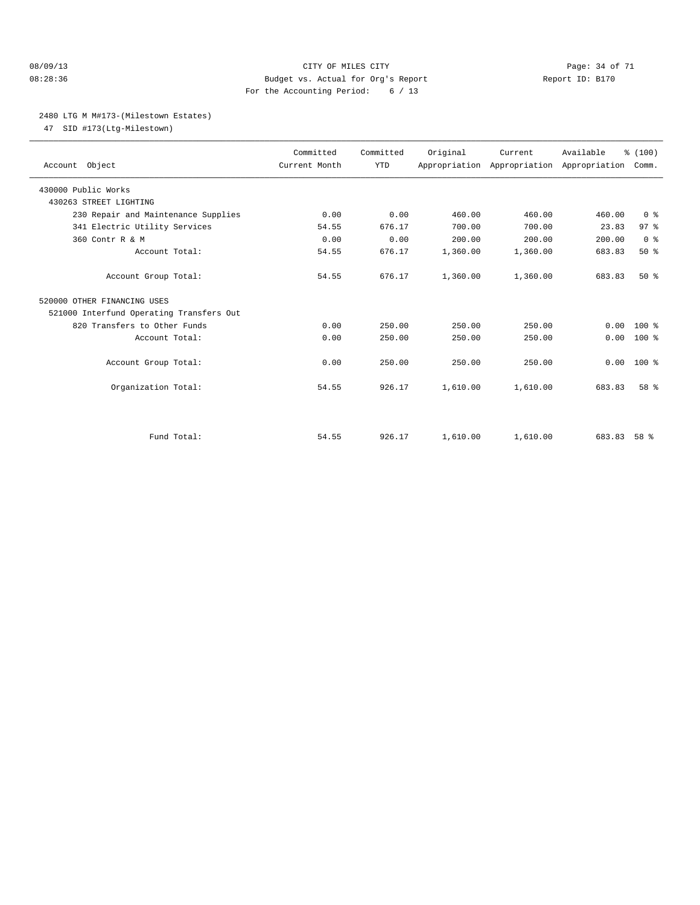#### 08/09/13 Page: 34 of 71 08:28:36 Budget vs. Actual for Org's Report Report ID: B170 For the Accounting Period: 6 / 13

#### 2480 LTG M M#173-(Milestown Estates)

47 SID #173(Ltg-Milestown)

| Account Object                           | Committed<br>Current Month | Committed<br><b>YTD</b> | Original | Current<br>Appropriation Appropriation Appropriation | Available | % (100)<br>Comm. |  |
|------------------------------------------|----------------------------|-------------------------|----------|------------------------------------------------------|-----------|------------------|--|
| 430000 Public Works                      |                            |                         |          |                                                      |           |                  |  |
| 430263 STREET LIGHTING                   |                            |                         |          |                                                      |           |                  |  |
| 230 Repair and Maintenance Supplies      | 0.00                       | 0.00                    | 460.00   | 460.00                                               | 460.00    | 0 <sup>8</sup>   |  |
| 341 Electric Utility Services            | 54.55                      | 676.17                  | 700.00   | 700.00                                               | 23.83     | 97 <sub>8</sub>  |  |
| 360 Contr R & M                          | 0.00                       | 0.00                    | 200.00   | 200.00                                               | 200.00    | 0 <sup>8</sup>   |  |
| Account Total:                           | 54.55                      | 676.17                  | 1,360.00 | 1,360.00                                             | 683.83    | $50*$            |  |
| Account Group Total:                     | 54.55                      | 676.17                  | 1,360.00 | 1,360.00                                             | 683.83    | $50*$            |  |
| 520000 OTHER FINANCING USES              |                            |                         |          |                                                      |           |                  |  |
| 521000 Interfund Operating Transfers Out |                            |                         |          |                                                      |           |                  |  |
| 820 Transfers to Other Funds             | 0.00                       | 250.00                  | 250.00   | 250.00                                               | 0.00      | $100*$           |  |
| Account Total:                           | 0.00                       | 250.00                  | 250.00   | 250.00                                               | 0.00      | $100*$           |  |
| Account Group Total:                     | 0.00                       | 250.00                  | 250.00   | 250.00                                               | 0.00      | $100*$           |  |
| Organization Total:                      | 54.55                      | 926.17                  | 1,610.00 | 1,610.00                                             | 683.83    | 58 %             |  |
|                                          |                            |                         |          |                                                      |           |                  |  |
| Fund Total:                              | 54.55                      | 926.17                  | 1,610.00 | 1,610.00                                             | 683.83    | 58 %             |  |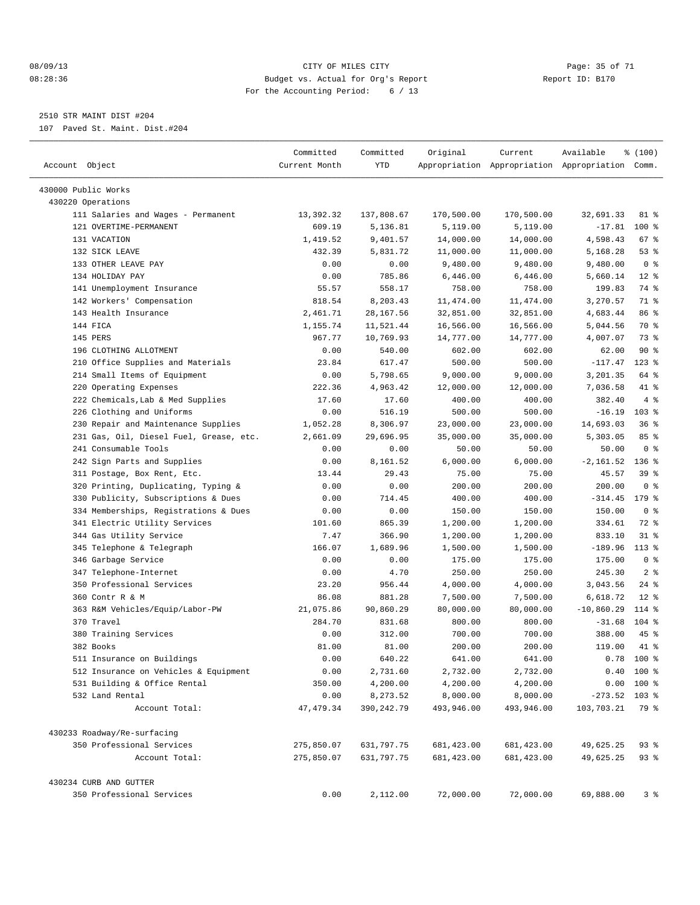#### 08/09/13 Page: 35 of 71 08:28:36 Budget vs. Actual for Org's Report Changer Report ID: B170 For the Accounting Period: 6 / 13

————————————————————————————————————————————————————————————————————————————————————————————————————————————————————————————————————

2510 STR MAINT DIST #204

107 Paved St. Maint. Dist.#204

| Account Object                          | Committed<br>Current Month | Committed<br>YTD | Original    | Current     | Available<br>Appropriation Appropriation Appropriation Comm. | % (100)        |  |
|-----------------------------------------|----------------------------|------------------|-------------|-------------|--------------------------------------------------------------|----------------|--|
| 430000 Public Works                     |                            |                  |             |             |                                                              |                |  |
| 430220 Operations                       |                            |                  |             |             |                                                              |                |  |
| 111 Salaries and Wages - Permanent      | 13,392.32                  | 137,808.67       | 170,500.00  | 170,500.00  | 32,691.33                                                    | 81 %           |  |
| 121 OVERTIME-PERMANENT                  | 609.19                     | 5,136.81         | 5,119.00    | 5,119.00    | $-17.81$                                                     | $100$ %        |  |
| 131 VACATION                            | 1,419.52                   | 9,401.57         | 14,000.00   | 14,000.00   | 4,598.43                                                     | 67%            |  |
| 132 SICK LEAVE                          | 432.39                     | 5,831.72         | 11,000.00   | 11,000.00   | 5,168.28                                                     | 53%            |  |
| 133 OTHER LEAVE PAY                     | 0.00                       | 0.00             | 9,480.00    | 9,480.00    | 9,480.00                                                     | 0 <sup>8</sup> |  |
| 134 HOLIDAY PAY                         | 0.00                       | 785.86           | 6,446.00    | 6,446.00    | 5,660.14                                                     | $12*$          |  |
| 141 Unemployment Insurance              | 55.57                      | 558.17           | 758.00      | 758.00      | 199.83                                                       | 74 %           |  |
| 142 Workers' Compensation               | 818.54                     | 8,203.43         | 11,474.00   | 11, 474.00  | 3,270.57                                                     | 71 %           |  |
| 143 Health Insurance                    | 2,461.71                   | 28, 167.56       | 32,851.00   | 32,851.00   | 4,683.44                                                     | 86 %           |  |
| 144 FICA                                | 1,155.74                   | 11,521.44        | 16,566.00   | 16,566.00   | 5,044.56                                                     | 70 %           |  |
| 145 PERS                                | 967.77                     | 10,769.93        | 14,777.00   | 14,777.00   | 4,007.07                                                     | 73 %           |  |
| 196 CLOTHING ALLOTMENT                  | 0.00                       | 540.00           | 602.00      | 602.00      | 62.00                                                        | 90%            |  |
| 210 Office Supplies and Materials       | 23.84                      | 617.47           | 500.00      | 500.00      | $-117.47$                                                    | $123$ %        |  |
| 214 Small Items of Equipment            | 0.00                       | 5,798.65         | 9,000.00    | 9,000.00    | 3,201.35                                                     | 64 %           |  |
| 220 Operating Expenses                  | 222.36                     | 4,963.42         | 12,000.00   | 12,000.00   | 7,036.58                                                     | 41 %           |  |
| 222 Chemicals, Lab & Med Supplies       | 17.60                      | 17.60            | 400.00      | 400.00      | 382.40                                                       | 4%             |  |
| 226 Clothing and Uniforms               | 0.00                       | 516.19           | 500.00      | 500.00      | $-16.19$                                                     | $103$ %        |  |
| 230 Repair and Maintenance Supplies     | 1,052.28                   | 8,306.97         | 23,000.00   | 23,000.00   | 14,693.03                                                    | 36%            |  |
| 231 Gas, Oil, Diesel Fuel, Grease, etc. | 2,661.09                   | 29,696.95        | 35,000.00   | 35,000.00   | 5,303.05                                                     | 85%            |  |
| 241 Consumable Tools                    | 0.00                       | 0.00             | 50.00       | 50.00       | 50.00                                                        | 0 <sup>8</sup> |  |
| 242 Sign Parts and Supplies             | 0.00                       | 8,161.52         | 6,000.00    | 6,000.00    | $-2,161.52$                                                  | $136$ %        |  |
| 311 Postage, Box Rent, Etc.             | 13.44                      | 29.43            | 75.00       | 75.00       | 45.57                                                        | 39 %           |  |
| 320 Printing, Duplicating, Typing &     | 0.00                       | 0.00             | 200.00      | 200.00      | 200.00                                                       | 0 <sup>8</sup> |  |
| 330 Publicity, Subscriptions & Dues     | 0.00                       | 714.45           | 400.00      | 400.00      | $-314.45$ 179 %                                              |                |  |
| 334 Memberships, Registrations & Dues   | 0.00                       | 0.00             | 150.00      | 150.00      | 150.00                                                       | 0 <sup>8</sup> |  |
| 341 Electric Utility Services           | 101.60                     | 865.39           | 1,200.00    | 1,200.00    | 334.61                                                       | 72 %           |  |
| 344 Gas Utility Service                 | 7.47                       | 366.90           | 1,200.00    | 1,200.00    | 833.10                                                       | $31$ %         |  |
| 345 Telephone & Telegraph               | 166.07                     | 1,689.96         | 1,500.00    | 1,500.00    | $-189.96$                                                    | $113*$         |  |
| 346 Garbage Service                     | 0.00                       | 0.00             | 175.00      | 175.00      | 175.00                                                       | 0 <sup>8</sup> |  |
| 347 Telephone-Internet                  | 0.00                       | 4.70             | 250.00      | 250.00      | 245.30                                                       | 2 <sup>°</sup> |  |
| 350 Professional Services               | 23.20                      | 956.44           | 4,000.00    | 4,000.00    | 3,043.56                                                     | $24$ %         |  |
| 360 Contr R & M                         | 86.08                      | 881.28           | 7,500.00    | 7,500.00    | 6,618.72                                                     | $12$ %         |  |
| 363 R&M Vehicles/Equip/Labor-PW         | 21,075.86                  | 90,860.29        | 80,000.00   | 80,000.00   | $-10,860.29$                                                 | 114 %          |  |
| 370 Travel                              | 284.70                     | 831.68           | 800.00      | 800.00      | $-31.68$                                                     | $104$ %        |  |
| 380 Training Services                   | 0.00                       | 312.00           | 700.00      | 700.00      | 388.00                                                       | 45 %           |  |
| 382 Books                               | 81.00                      | 81.00            | 200.00      | 200.00      | 119.00                                                       | 41 %           |  |
| 511 Insurance on Buildings              | 0.00                       | 640.22           | 641.00      | 641.00      | 0.78                                                         | 100 %          |  |
| 512 Insurance on Vehicles & Equipment   | 0.00                       | 2,731.60         | 2,732.00    | 2,732.00    |                                                              | $0.40$ 100 %   |  |
| 531 Building & Office Rental            | 350.00                     | 4,200.00         | 4,200.00    | 4,200.00    |                                                              | $0.00 100$ %   |  |
| 532 Land Rental                         | 0.00                       | 8,273.52         | 8,000.00    | 8,000.00    | $-273.52$ 103 %                                              |                |  |
| Account Total:                          | 47, 479.34                 | 390,242.79       | 493,946.00  | 493,946.00  | 103,703.21                                                   | 79 %           |  |
| 430233 Roadway/Re-surfacing             |                            |                  |             |             |                                                              |                |  |
| 350 Professional Services               | 275,850.07                 | 631,797.75       | 681, 423.00 | 681, 423.00 | 49,625.25                                                    | 93 %           |  |
| Account Total:                          | 275,850.07                 | 631,797.75       | 681, 423.00 | 681,423.00  | 49,625.25                                                    | 93%            |  |
| 430234 CURB AND GUTTER                  |                            |                  |             |             |                                                              |                |  |
| 350 Professional Services               | 0.00                       | 2,112.00         | 72,000.00   | 72,000.00   | 69,888.00                                                    | 3%             |  |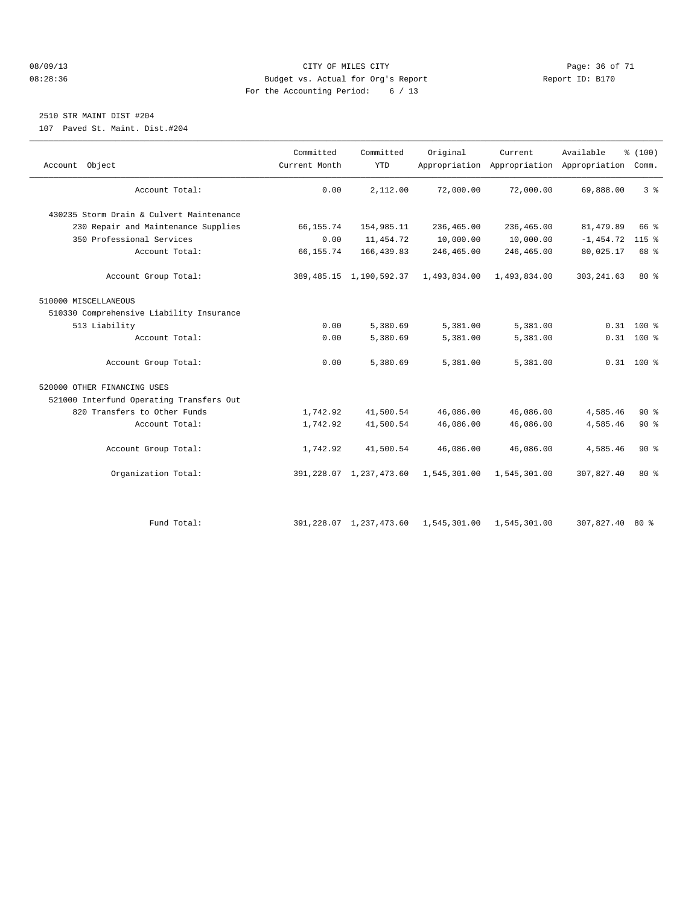#### 08/09/13 Page: 36 of 71 08:28:36 Budget vs. Actual for Org's Report Report ID: B170 For the Accounting Period: 6 / 13

## 2510 STR MAINT DIST #204

107 Paved St. Maint. Dist.#204

| Account Object                           | Committed<br>Current Month | Committed<br><b>YTD</b>    | Original     | Current      | Available<br>Appropriation Appropriation Appropriation Comm. | % (100)      |  |
|------------------------------------------|----------------------------|----------------------------|--------------|--------------|--------------------------------------------------------------|--------------|--|
| Account Total:                           | 0.00                       | 2,112.00                   | 72,000.00    | 72,000.00    | 69,888.00                                                    | 3%           |  |
| 430235 Storm Drain & Culvert Maintenance |                            |                            |              |              |                                                              |              |  |
| 230 Repair and Maintenance Supplies      | 66,155.74                  | 154,985.11                 | 236,465.00   | 236,465.00   | 81,479.89                                                    | 66 %         |  |
| 350 Professional Services                | 0.00                       | 11, 454.72                 | 10,000.00    | 10,000.00    | $-1,454.72$                                                  | $115$ %      |  |
| Account Total:                           | 66,155.74                  | 166, 439.83                | 246,465.00   | 246,465.00   | 80,025.17                                                    | 68 %         |  |
| Account Group Total:                     |                            | 389, 485.15 1, 190, 592.37 | 1,493,834.00 | 1,493,834.00 | 303, 241.63                                                  | 80%          |  |
| 510000 MISCELLANEOUS                     |                            |                            |              |              |                                                              |              |  |
| 510330 Comprehensive Liability Insurance |                            |                            |              |              |                                                              |              |  |
| 513 Liability                            | 0.00                       | 5,380.69                   | 5,381.00     | 5,381.00     |                                                              | $0.31$ 100 % |  |
| Account Total:                           | 0.00                       | 5,380.69                   | 5,381.00     | 5,381.00     |                                                              | $0.31$ 100 % |  |
| Account Group Total:                     | 0.00                       | 5,380.69                   | 5,381.00     | 5,381.00     |                                                              | $0.31$ 100 % |  |
| 520000 OTHER FINANCING USES              |                            |                            |              |              |                                                              |              |  |
| 521000 Interfund Operating Transfers Out |                            |                            |              |              |                                                              |              |  |
| 820 Transfers to Other Funds             | 1,742.92                   | 41,500.54                  | 46,086.00    | 46,086.00    | 4,585.46                                                     | 90%          |  |
| Account Total:                           | 1,742.92                   | 41,500.54                  | 46,086.00    | 46,086.00    | 4,585.46                                                     | $90*$        |  |
| Account Group Total:                     | 1,742.92                   | 41,500.54                  | 46,086.00    | 46,086.00    | 4,585.46                                                     | $90*$        |  |
| Organization Total:                      |                            | 391, 228.07 1, 237, 473.60 | 1,545,301.00 | 1,545,301.00 | 307,827.40                                                   | $80*$        |  |
| Fund Total:                              |                            | 391, 228.07 1, 237, 473.60 | 1,545,301.00 | 1,545,301.00 | 307,827.40                                                   | $80*$        |  |
|                                          |                            |                            |              |              |                                                              |              |  |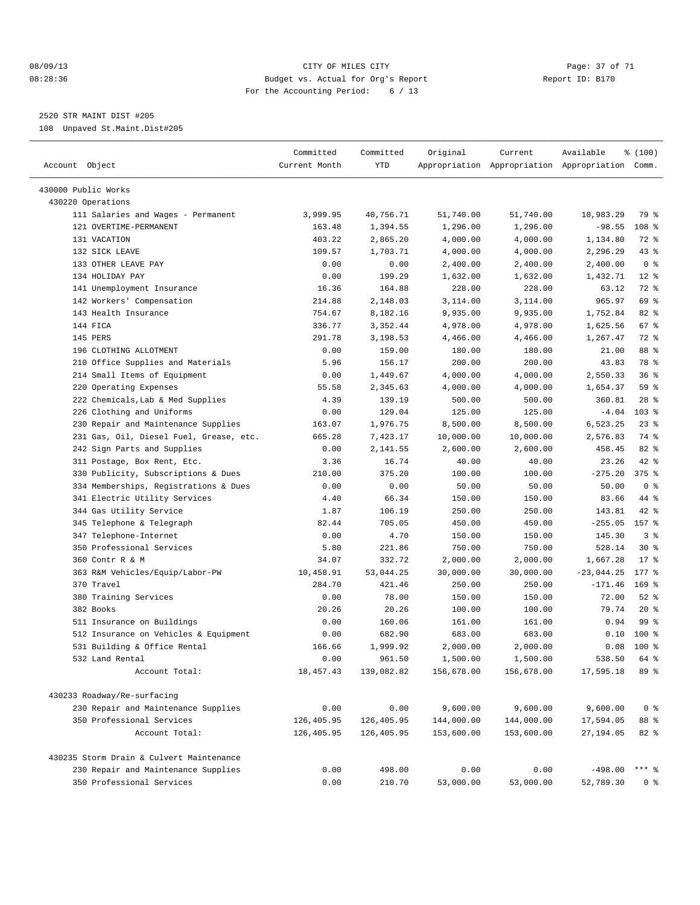#### 08/09/13 Page: 37 of 71 CHTY OF MILES CITY CONTROLLERY PAGE: 37 of 71 08:28:36 Budget vs. Actual for Org's Report Report ID: B170 For the Accounting Period: 6 / 13

————————————————————————————————————————————————————————————————————————————————————————————————————————————————————————————————————

2520 STR MAINT DIST #205

108 Unpaved St.Maint.Dist#205

|                                          | Committed     | Committed  | Original                 | Current    | Available                                       | % (100)         |
|------------------------------------------|---------------|------------|--------------------------|------------|-------------------------------------------------|-----------------|
| Account Object                           | Current Month | YTD        |                          |            | Appropriation Appropriation Appropriation Comm. |                 |
| 430000 Public Works                      |               |            |                          |            |                                                 |                 |
| 430220 Operations                        |               |            |                          |            |                                                 |                 |
| 111 Salaries and Wages - Permanent       | 3,999.95      | 40,756.71  | 51,740.00                | 51,740.00  | 10,983.29                                       | 79 %            |
| 121 OVERTIME-PERMANENT                   | 163.48        | 1,394.55   | 1,296.00                 | 1,296.00   | $-98.55$                                        | 108 %           |
| 131 VACATION                             | 403.22        | 2,865.20   | 4,000.00                 | 4,000.00   | 1,134.80                                        | 72 %            |
| 132 SICK LEAVE                           | 109.57        | 1,703.71   | 4,000.00                 | 4,000.00   | 2,296.29                                        | $43$ %          |
| 133 OTHER LEAVE PAY                      | 0.00          | 0.00       | 2,400.00                 | 2,400.00   | 2,400.00                                        | 0 <sup>8</sup>  |
| 134 HOLIDAY PAY                          | 0.00          | 199.29     | 1,632.00                 | 1,632.00   | 1,432.71                                        | $12*$           |
| 141 Unemployment Insurance               | 16.36         | 164.88     | 228.00                   | 228.00     | 63.12                                           | 72 %            |
| 142 Workers' Compensation                | 214.88        | 2,148.03   | 3,114.00                 | 3,114.00   | 965.97                                          | 69 %            |
| 143 Health Insurance                     | 754.67        | 8,182.16   | 9,935.00                 | 9,935.00   | 1,752.84                                        | 82%             |
| 144 FICA                                 | 336.77        | 3,352.44   | 4,978.00                 | 4,978.00   | 1,625.56                                        | 67 %            |
| 145 PERS                                 | 291.78        | 3,198.53   | 4,466.00                 | 4,466.00   | 1,267.47                                        | 72 %            |
| 196 CLOTHING ALLOTMENT                   | 0.00          | 159.00     | 180.00                   | 180.00     | 21.00                                           | 88 %            |
| 210 Office Supplies and Materials        | 5.96          | 156.17     | 200.00                   | 200.00     | 43.83                                           | 78 %            |
| 214 Small Items of Equipment             | 0.00          | 1,449.67   | 4,000.00                 | 4,000.00   | 2,550.33                                        | 36%             |
| 220 Operating Expenses                   | 55.58         | 2,345.63   | 4,000.00                 | 4,000.00   | 1,654.37                                        | 59 %            |
| 222 Chemicals, Lab & Med Supplies        | 4.39          | 139.19     | 500.00                   | 500.00     | 360.81                                          | $28$ %          |
| 226 Clothing and Uniforms                | 0.00          | 129.04     | 125.00                   | 125.00     | $-4.04$                                         | 103 %           |
| 230 Repair and Maintenance Supplies      | 163.07        | 1,976.75   | 8,500.00                 | 8,500.00   | 6,523.25                                        | $23$ $%$        |
| 231 Gas, Oil, Diesel Fuel, Grease, etc.  | 665.28        | 7,423.17   | 10,000.00                | 10,000.00  | 2,576.83                                        | 74 %            |
| 242 Sign Parts and Supplies              | 0.00          | 2,141.55   | 2,600.00                 | 2,600.00   | 458.45                                          | $82$ $%$        |
| 311 Postage, Box Rent, Etc.              | 3.36          | 16.74      | 40.00                    | 40.00      | 23.26                                           | 42 %            |
| 330 Publicity, Subscriptions & Dues      | 210.00        | 375.20     | 100.00                   | 100.00     | $-275.20$                                       | $375$ $%$       |
| 334 Memberships, Registrations & Dues    | 0.00          | 0.00       | 50.00                    | 50.00      | 50.00                                           | 0 <sup>8</sup>  |
| 341 Electric Utility Services            | 4.40          | 66.34      | 150.00                   | 150.00     | 83.66                                           | 44 %            |
| 344 Gas Utility Service                  | 1.87          | 106.19     | 250.00                   | 250.00     | 143.81                                          | $42$ %          |
| 345 Telephone & Telegraph                | 82.44         | 705.05     | 450.00                   | 450.00     | $-255.05$ 157 %                                 |                 |
| 347 Telephone-Internet                   | 0.00          | 4.70       | 150.00                   | 150.00     | 145.30                                          | 3 <sup>8</sup>  |
| 350 Professional Services                | 5.80          | 221.86     | 750.00                   | 750.00     | 528.14                                          | $30*$           |
| 360 Contr R & M                          | 34.07         | 332.72     | 2,000.00                 | 2,000.00   | 1,667.28                                        | $17*$           |
| 363 R&M Vehicles/Equip/Labor-PW          | 10,458.91     | 53,044.25  | 30,000.00                | 30,000.00  | $-23,044.25$                                    | 177 %           |
| 370 Travel                               | 284.70        | 421.46     | 250.00                   | 250.00     | $-171.46$                                       | $169$ %         |
| 380 Training Services                    | 0.00          | 78.00      | 150.00                   | 150.00     | 72.00                                           | $52$ $%$        |
| 382 Books                                | 20.26         | 20.26      | 100.00                   | 100.00     | 79.74                                           | $20*$           |
| 511 Insurance on Buildings               | 0.00          | 160.06     | 161.00                   | 161.00     | 0.94                                            | 99 <sub>8</sub> |
| 512 Insurance on Vehicles & Equipment    | 0.00          | 682.90     | 683.00                   | 683.00     |                                                 | $0.10$ 100 %    |
| 531 Building & Office Rental             | 166.66        | 1,999.92   | 2,000.00                 | 2,000.00   |                                                 | $0.08$ 100 %    |
| 532 Land Rental                          | 0.00          | 961.50     | 1,500.00                 | 1,500.00   | 538.50 64 %                                     |                 |
| Account Total:                           | 18,457.43     | 139,082.82 | 156,678.00               | 156,678.00 | 17,595.18                                       | 89 %            |
|                                          |               |            |                          |            |                                                 |                 |
| 430233 Roadway/Re-surfacing              |               |            |                          |            |                                                 |                 |
| 230 Repair and Maintenance Supplies      | 0.00          | 0.00       | 9,600.00                 | 9,600.00   | 9,600.00                                        | 0 <sup>8</sup>  |
| 350 Professional Services                | 126,405.95    | 126,405.95 | 144,000.00<br>153,600.00 | 144,000.00 | 17,594.05                                       | 88 %            |
| Account Total:                           | 126,405.95    | 126,405.95 |                          | 153,600.00 | 27,194.05                                       | 82 %            |
| 430235 Storm Drain & Culvert Maintenance |               |            |                          |            |                                                 |                 |
| 230 Repair and Maintenance Supplies      | 0.00          | 498.00     | 0.00                     | 0.00       | $-498.00$                                       | *** 응           |
| 350 Professional Services                | 0.00          | 210.70     | 53,000.00                | 53,000.00  | 52,789.30                                       | 0 %             |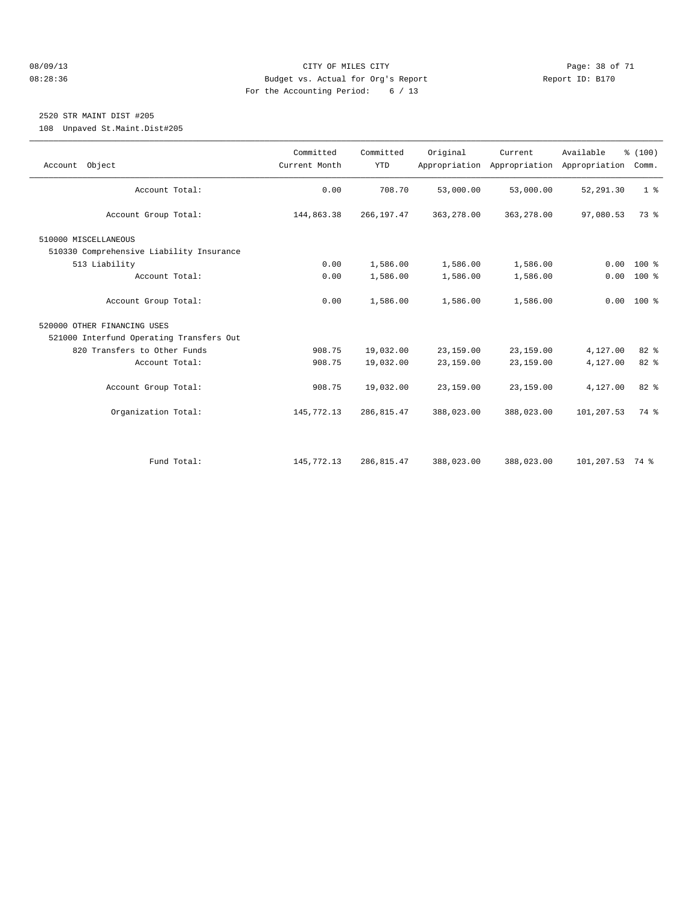#### 08/09/13 Page: 38 of 71 08:28:36 Budget vs. Actual for Org's Report Report ID: B170 For the Accounting Period: 6 / 13

## 2520 STR MAINT DIST #205

108 Unpaved St.Maint.Dist#205

| Account Object                           | Committed<br>Current Month | Committed<br><b>YTD</b> | Original   | Current<br>Appropriation Appropriation | Available<br>Appropriation | % (100)<br>Comm. |
|------------------------------------------|----------------------------|-------------------------|------------|----------------------------------------|----------------------------|------------------|
| Account Total:                           | 0.00                       | 708.70                  | 53,000.00  | 53,000.00                              | 52, 291.30                 | 1 <sup>8</sup>   |
| Account Group Total:                     | 144,863.38                 | 266, 197.47             | 363,278.00 | 363, 278.00                            | 97,080.53                  | 73 %             |
| 510000 MISCELLANEOUS                     |                            |                         |            |                                        |                            |                  |
| 510330 Comprehensive Liability Insurance |                            |                         |            |                                        |                            |                  |
| 513 Liability                            | 0.00                       | 1,586.00                | 1,586.00   | 1,586.00                               | 0.00                       | 100 %            |
| Account Total:                           | 0.00                       | 1,586.00                | 1,586.00   | 1,586.00                               | 0.00                       | $100*$           |
| Account Group Total:                     | 0.00                       | 1,586.00                | 1,586.00   | 1,586.00                               |                            | $0.00$ 100 %     |
| 520000 OTHER FINANCING USES              |                            |                         |            |                                        |                            |                  |
| 521000 Interfund Operating Transfers Out |                            |                         |            |                                        |                            |                  |
| 820 Transfers to Other Funds             | 908.75                     | 19,032.00               | 23,159.00  | 23,159.00                              | 4,127.00                   | 82 %             |
| Account Total:                           | 908.75                     | 19,032.00               | 23,159.00  | 23,159.00                              | 4,127.00                   | 82%              |
| Account Group Total:                     | 908.75                     | 19,032.00               | 23,159.00  | 23,159.00                              | 4,127.00                   | 82 %             |
| Organization Total:                      | 145,772.13                 | 286, 815.47             | 388,023.00 | 388,023.00                             | 101,207.53                 | 74 %             |
|                                          |                            |                         |            |                                        |                            |                  |
| Fund Total:                              | 145,772.13                 | 286,815.47              | 388,023.00 | 388,023.00                             | 101,207.53 74 %            |                  |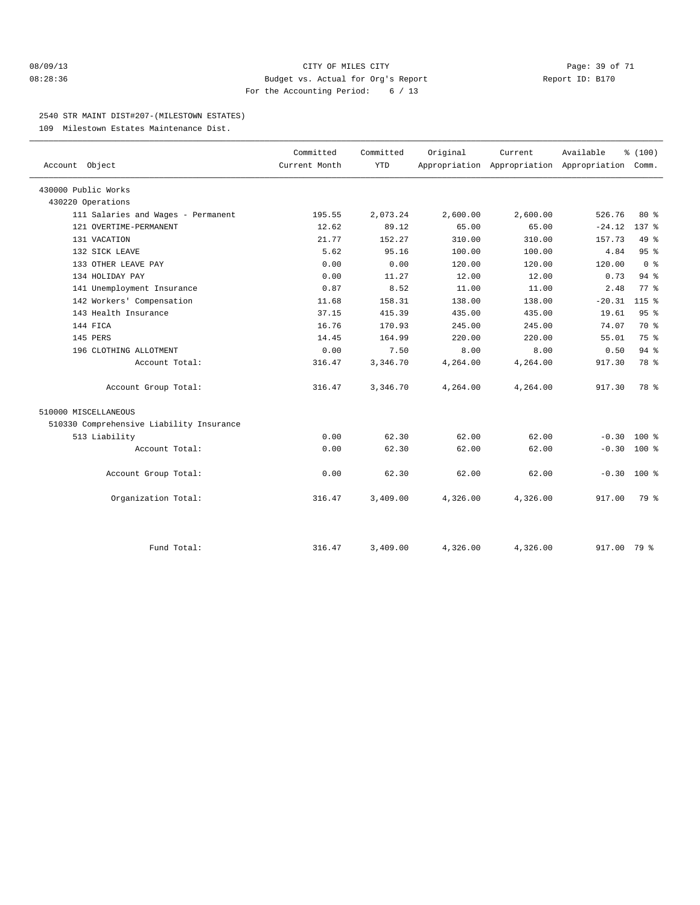#### 08/09/13 Page: 39 of 71 08:28:36 Budget vs. Actual for Org's Report Report ID: B170 For the Accounting Period: 6 / 13

#### 2540 STR MAINT DIST#207-(MILESTOWN ESTATES)

109 Milestown Estates Maintenance Dist.

| Account Object                           | Committed<br>Current Month | Committed<br><b>YTD</b> | Original | Current  | Available<br>Appropriation Appropriation Appropriation | % (100)<br>Comm. |  |
|------------------------------------------|----------------------------|-------------------------|----------|----------|--------------------------------------------------------|------------------|--|
| 430000 Public Works                      |                            |                         |          |          |                                                        |                  |  |
| 430220 Operations                        |                            |                         |          |          |                                                        |                  |  |
| 111 Salaries and Wages - Permanent       | 195.55                     | 2,073.24                | 2,600.00 | 2,600.00 | 526.76                                                 | $80*$            |  |
| 121 OVERTIME-PERMANENT                   | 12.62                      | 89.12                   | 65.00    | 65.00    | $-24.12$                                               | $137$ $%$        |  |
| 131 VACATION                             | 21.77                      | 152.27                  | 310.00   | 310.00   | 157.73                                                 | 49 %             |  |
| 132 SICK LEAVE                           | 5.62                       | 95.16                   | 100.00   | 100.00   | 4.84                                                   | 95%              |  |
| 133 OTHER LEAVE PAY                      | 0.00                       | 0.00                    | 120.00   | 120.00   | 120.00                                                 | 0 <sup>8</sup>   |  |
| 134 HOLIDAY PAY                          | 0.00                       | 11.27                   | 12.00    | 12.00    | 0.73                                                   | $94$ $%$         |  |
| 141 Unemployment Insurance               | 0.87                       | 8.52                    | 11.00    | 11.00    | 2.48                                                   | 77.8             |  |
| 142 Workers' Compensation                | 11.68                      | 158.31                  | 138.00   | 138.00   | $-20.31$                                               | $115$ $%$        |  |
| 143 Health Insurance                     | 37.15                      | 415.39                  | 435.00   | 435.00   | 19.61                                                  | 95%              |  |
| 144 FICA                                 | 16.76                      | 170.93                  | 245.00   | 245.00   | 74.07                                                  | 70 %             |  |
| 145 PERS                                 | 14.45                      | 164.99                  | 220.00   | 220.00   | 55.01                                                  | 75 %             |  |
| 196 CLOTHING ALLOTMENT                   | 0.00                       | 7.50                    | 8.00     | 8.00     | 0.50                                                   | $94$ %           |  |
| Account Total:                           | 316.47                     | 3,346.70                | 4,264.00 | 4,264.00 | 917.30                                                 | 78 %             |  |
| Account Group Total:                     | 316.47                     | 3,346.70                | 4,264.00 | 4,264.00 | 917.30                                                 | 78 %             |  |
| 510000 MISCELLANEOUS                     |                            |                         |          |          |                                                        |                  |  |
| 510330 Comprehensive Liability Insurance |                            |                         |          |          |                                                        |                  |  |
| 513 Liability                            | 0.00                       | 62.30                   | 62.00    | 62.00    | $-0.30$                                                | $100*$           |  |
| Account Total:                           | 0.00                       | 62.30                   | 62.00    | 62.00    | $-0.30$                                                | $100*$           |  |
| Account Group Total:                     | 0.00                       | 62.30                   | 62.00    | 62.00    | $-0.30$ 100 %                                          |                  |  |
| Organization Total:                      | 316.47                     | 3,409.00                | 4,326.00 | 4,326.00 | 917.00                                                 | 79 %             |  |
| Fund Total:                              | 316.47                     | 3,409.00                | 4,326.00 | 4,326.00 | 917.00 79 %                                            |                  |  |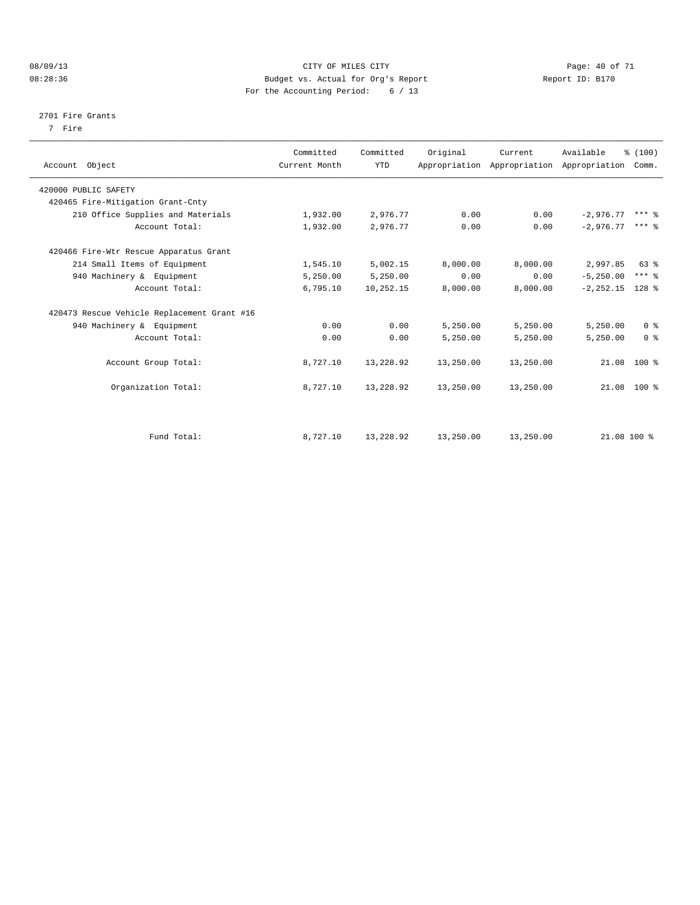#### 08/09/13 CITY OF MILES CITY Page: 40 of 71 08:28:36 Budget vs. Actual for Org's Report Changer Report ID: B170 For the Accounting Period: 6 / 13

#### 2701 Fire Grants

7 Fire

| Account Object                              | Committed<br>Current Month | Committed<br><b>YTD</b> | Original  | Current   | Available<br>Appropriation Appropriation Appropriation Comm. | % (100)        |  |
|---------------------------------------------|----------------------------|-------------------------|-----------|-----------|--------------------------------------------------------------|----------------|--|
| 420000 PUBLIC SAFETY                        |                            |                         |           |           |                                                              |                |  |
| 420465 Fire-Mitigation Grant-Cnty           |                            |                         |           |           |                                                              |                |  |
| 210 Office Supplies and Materials           | 1,932.00                   | 2,976.77                | 0.00      | 0.00      | $-2,976.77$                                                  | $***$ $%$      |  |
| Account Total:                              | 1,932.00                   | 2,976.77                | 0.00      | 0.00      | $-2.976.77$                                                  | $***$ $%$      |  |
| 420466 Fire-Wtr Rescue Apparatus Grant      |                            |                         |           |           |                                                              |                |  |
| 214 Small Items of Equipment                | 1,545.10                   | 5,002.15                | 8,000.00  | 8,000.00  | 2,997.85                                                     | 63 %           |  |
| 940 Machinery & Equipment                   | 5,250.00                   | 5,250.00                | 0.00      | 0.00      | $-5, 250.00$                                                 | $***$ $%$      |  |
| Account Total:                              | 6,795.10                   | 10,252.15               | 8,000.00  | 8,000.00  | $-2, 252.15$ 128 %                                           |                |  |
| 420473 Rescue Vehicle Replacement Grant #16 |                            |                         |           |           |                                                              |                |  |
| 940 Machinery & Equipment                   | 0.00                       | 0.00                    | 5,250.00  | 5,250.00  | 5,250.00                                                     | 0 <sup>8</sup> |  |
| Account Total:                              | 0.00                       | 0.00                    | 5,250.00  | 5,250.00  | 5,250.00                                                     | 0 <sup>8</sup> |  |
| Account Group Total:                        | 8,727.10                   | 13,228.92               | 13,250.00 | 13,250.00 |                                                              | $21.08$ 100 %  |  |
| Organization Total:                         | 8,727.10                   | 13,228.92               | 13,250.00 | 13,250.00 |                                                              | 21.08 100 %    |  |
|                                             |                            |                         |           |           |                                                              |                |  |
| Fund Total:                                 | 8,727.10                   | 13,228.92               | 13,250.00 | 13,250.00 | 21.08 100 %                                                  |                |  |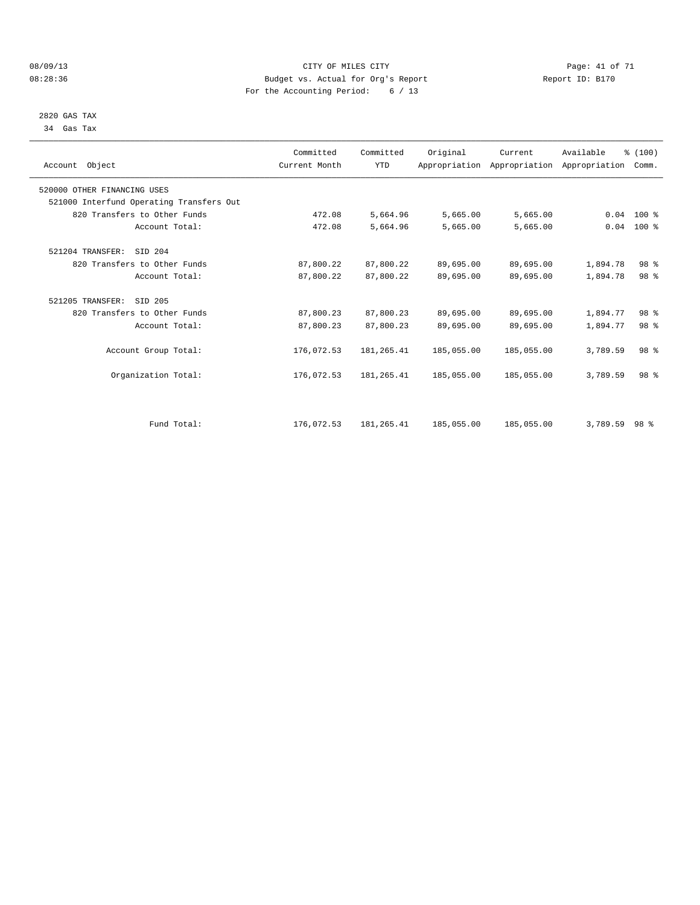#### 08/09/13 CITY OF MILES CITY Page: 41 of 71 08:28:36 Budget vs. Actual for Org's Report Changer Report ID: B170 For the Accounting Period: 6 / 13

 2820 GAS TAX 34 Gas Tax

| Account Object                           | Committed<br>Current Month | Committed<br><b>YTD</b> | Original   | Current    | Available<br>Appropriation Appropriation Appropriation | % (100)<br>Comm. |  |
|------------------------------------------|----------------------------|-------------------------|------------|------------|--------------------------------------------------------|------------------|--|
| 520000 OTHER FINANCING USES              |                            |                         |            |            |                                                        |                  |  |
| 521000 Interfund Operating Transfers Out |                            |                         |            |            |                                                        |                  |  |
| 820 Transfers to Other Funds             | 472.08                     | 5,664.96                | 5,665.00   | 5,665.00   |                                                        | $0.04$ 100 %     |  |
| Account Total:                           | 472.08                     | 5,664.96                | 5,665.00   | 5,665.00   | 0.04                                                   | $100*$           |  |
| 521204 TRANSFER:<br>SID 204              |                            |                         |            |            |                                                        |                  |  |
| 820 Transfers to Other Funds             | 87,800.22                  | 87,800.22               | 89,695.00  | 89,695.00  | 1,894.78                                               | 98 %             |  |
| Account Total:                           | 87,800.22                  | 87,800.22               | 89,695.00  | 89,695.00  | 1,894.78                                               | 98 <sup>8</sup>  |  |
| 521205 TRANSFER:<br>SID 205              |                            |                         |            |            |                                                        |                  |  |
| 820 Transfers to Other Funds             | 87,800.23                  | 87,800.23               | 89,695.00  | 89,695.00  | 1,894.77                                               | 98 %             |  |
| Account Total:                           | 87,800.23                  | 87,800.23               | 89,695.00  | 89,695.00  | 1,894.77                                               | 98 <sup>8</sup>  |  |
| Account Group Total:                     | 176,072.53                 | 181,265.41              | 185,055.00 | 185,055.00 | 3,789.59                                               | 98 <sup>8</sup>  |  |
| Organization Total:                      | 176,072.53                 | 181, 265.41             | 185,055.00 | 185,055.00 | 3,789.59                                               | 98 <sup>8</sup>  |  |
|                                          |                            |                         |            |            |                                                        |                  |  |
| Fund Total:                              | 176,072.53                 | 181, 265.41             | 185,055.00 | 185,055.00 | 3,789.59                                               | 98 %             |  |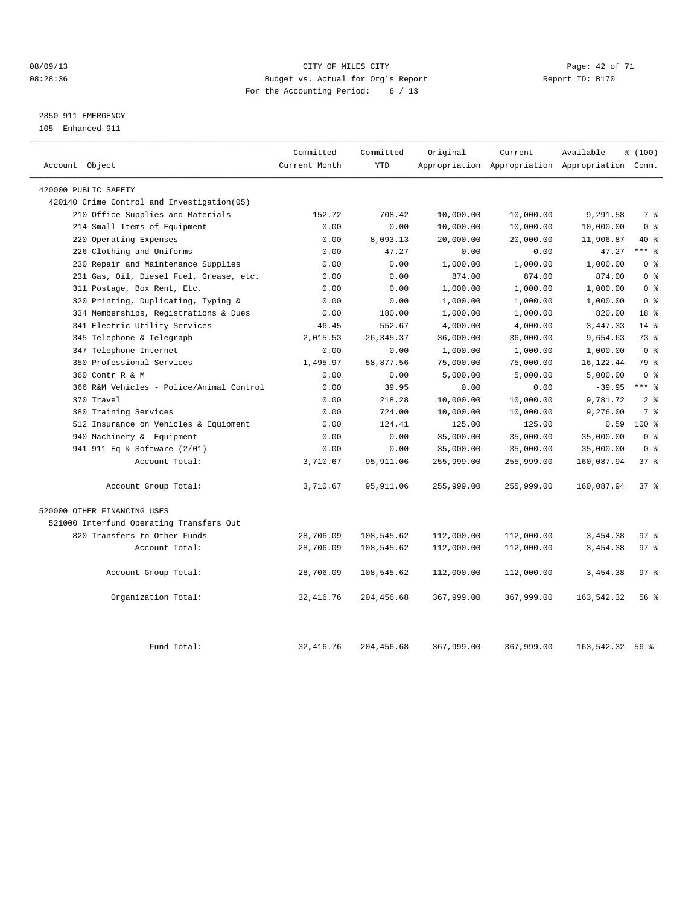#### 08/09/13 Page: 42 of 71 08:28:36 Budget vs. Actual for Org's Report Changer Report ID: B170 For the Accounting Period: 6 / 13

## 2850 911 EMERGENCY

105 Enhanced 911

| Account Object                             | Committed<br>Current Month | Committed<br><b>YTD</b> | Original   | Current    | Available<br>Appropriation Appropriation Appropriation Comm. | % (100)         |
|--------------------------------------------|----------------------------|-------------------------|------------|------------|--------------------------------------------------------------|-----------------|
|                                            |                            |                         |            |            |                                                              |                 |
| 420000 PUBLIC SAFETY                       |                            |                         |            |            |                                                              |                 |
| 420140 Crime Control and Investigation(05) |                            |                         |            |            |                                                              |                 |
| 210 Office Supplies and Materials          | 152.72                     | 708.42                  | 10,000.00  | 10,000.00  | 9,291.58                                                     | 7 %             |
| 214 Small Items of Equipment               | 0.00                       | 0.00                    | 10,000.00  | 10,000.00  | 10,000.00                                                    | 0 <sup>8</sup>  |
| Operating Expenses<br>220                  | 0.00                       | 8,093.13                | 20,000.00  | 20,000.00  | 11,906.87                                                    | 40 %            |
| 226 Clothing and Uniforms                  | 0.00                       | 47.27                   | 0.00       | 0.00       | $-47.27$                                                     | $***$ $-$       |
| 230 Repair and Maintenance Supplies        | 0.00                       | 0.00                    | 1,000.00   | 1,000.00   | 1,000.00                                                     | 0 <sup>8</sup>  |
| 231 Gas, Oil, Diesel Fuel, Grease, etc.    | 0.00                       | 0.00                    | 874.00     | 874.00     | 874.00                                                       | 0 <sup>8</sup>  |
| 311 Postage, Box Rent, Etc.                | 0.00                       | 0.00                    | 1,000.00   | 1,000.00   | 1,000.00                                                     | 0 <sup>8</sup>  |
| Printing, Duplicating, Typing &<br>320     | 0.00                       | 0.00                    | 1,000.00   | 1,000.00   | 1,000.00                                                     | 0 <sup>8</sup>  |
| 334 Memberships, Registrations & Dues      | 0.00                       | 180.00                  | 1,000.00   | 1,000.00   | 820.00                                                       | 18 <sup>8</sup> |
| 341 Electric Utility Services              | 46.45                      | 552.67                  | 4,000.00   | 4,000.00   | 3,447.33                                                     | $14*$           |
| 345 Telephone & Telegraph                  | 2,015.53                   | 26, 345.37              | 36,000.00  | 36,000.00  | 9,654.63                                                     | 73 %            |
| 347 Telephone-Internet                     | 0.00                       | 0.00                    | 1,000.00   | 1,000.00   | 1,000.00                                                     | 0 <sup>8</sup>  |
| 350 Professional Services                  | 1,495.97                   | 58,877.56               | 75,000.00  | 75,000.00  | 16, 122.44                                                   | 79 %            |
| 360 Contr R & M                            | 0.00                       | 0.00                    | 5,000.00   | 5,000.00   | 5,000.00                                                     | 0 <sup>8</sup>  |
| 366 R&M Vehicles - Police/Animal Control   | 0.00                       | 39.95                   | 0.00       | 0.00       | $-39.95$                                                     | $***$ $-$       |
| 370 Travel                                 | 0.00                       | 218.28                  | 10,000.00  | 10,000.00  | 9,781.72                                                     | 2 <sub>8</sub>  |
| 380 Training Services                      | 0.00                       | 724.00                  | 10,000.00  | 10,000.00  | 9,276.00                                                     | 7 <sup>8</sup>  |
| 512 Insurance on Vehicles & Equipment      | 0.00                       | 124.41                  | 125.00     | 125.00     | 0.59                                                         | $100$ %         |
| 940 Machinery & Equipment                  | 0.00                       | 0.00                    | 35,000.00  | 35,000.00  | 35,000.00                                                    | 0 <sup>8</sup>  |
| 941 911 Eq & Software (2/01)               | 0.00                       | 0.00                    | 35,000.00  | 35,000.00  | 35,000.00                                                    | 0 <sup>8</sup>  |
| Account Total:                             | 3,710.67                   | 95,911.06               | 255,999.00 | 255,999.00 | 160,087.94                                                   | 37%             |
| Account Group Total:                       | 3,710.67                   | 95,911.06               | 255,999.00 | 255,999.00 | 160,087.94                                                   | 37%             |
| 520000 OTHER FINANCING USES                |                            |                         |            |            |                                                              |                 |
| 521000 Interfund Operating Transfers Out   |                            |                         |            |            |                                                              |                 |
| 820 Transfers to Other Funds               | 28,706.09                  | 108,545.62              | 112,000.00 | 112,000.00 | 3,454.38                                                     | 97%             |
| Account Total:                             | 28,706.09                  | 108,545.62              | 112,000.00 | 112,000.00 | 3,454.38                                                     | 97%             |
| Account Group Total:                       | 28,706.09                  | 108,545.62              | 112,000.00 | 112,000.00 | 3,454.38                                                     | 97%             |
| Organization Total:                        | 32, 416.76                 | 204,456.68              | 367,999.00 | 367,999.00 | 163,542.32                                                   | 56 %            |
| Fund Total:                                | 32, 416.76                 | 204, 456.68             | 367,999.00 | 367,999.00 | 163,542.32                                                   | 56%             |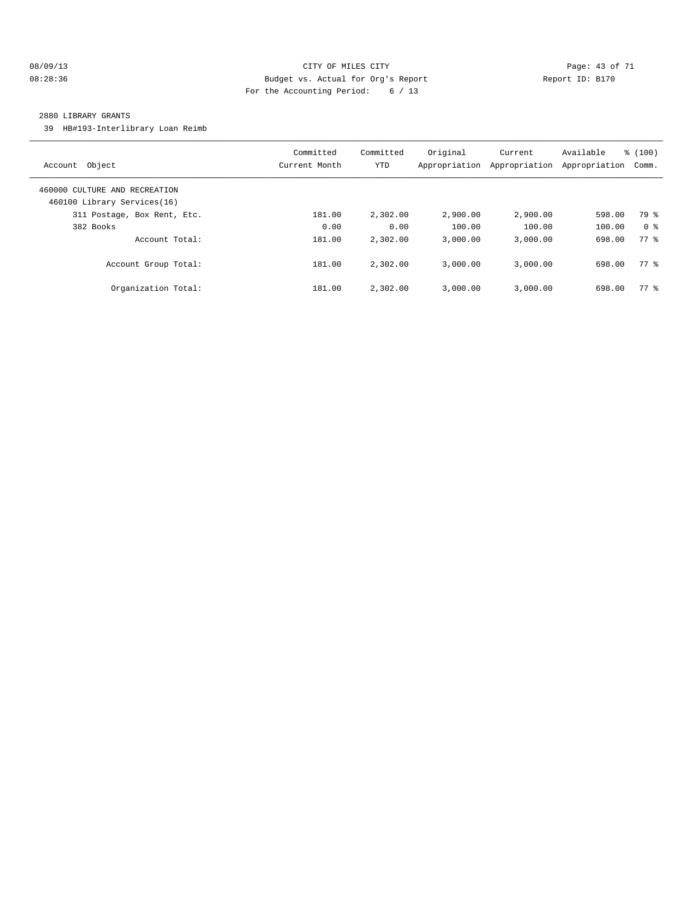#### 08/09/13 Page: 43 of 71 08:28:36 Budget vs. Actual for Org's Report Changer Report ID: B170 For the Accounting Period: 6 / 13

#### 2880 LIBRARY GRANTS

39 HB#193-Interlibrary Loan Reimb

| Account Object                                               | Committed<br>Current Month | Committed<br>YTD | Original<br>Appropriation | Current<br>Appropriation | Available<br>Appropriation | % (100)<br>Comm. |
|--------------------------------------------------------------|----------------------------|------------------|---------------------------|--------------------------|----------------------------|------------------|
| 460000 CULTURE AND RECREATION<br>460100 Library Services(16) |                            |                  |                           |                          |                            |                  |
| 311 Postage, Box Rent, Etc.                                  | 181.00                     | 2,302.00         | 2,900.00                  | 2,900.00                 | 598.00                     | 79 %             |
| 382 Books                                                    | 0.00                       | 0.00             | 100.00                    | 100.00                   | 100.00                     | 0 <sup>8</sup>   |
| Account Total:                                               | 181.00                     | 2,302.00         | 3.000.00                  | 3.000.00                 | 698.00                     | 77 %             |
| Account Group Total:                                         | 181.00                     | 2,302.00         | 3.000.00                  | 3.000.00                 | 698.00                     | 77 %             |
| Organization Total:                                          | 181.00                     | 2,302.00         | 3,000.00                  | 3,000.00                 | 698.00                     | 77.8             |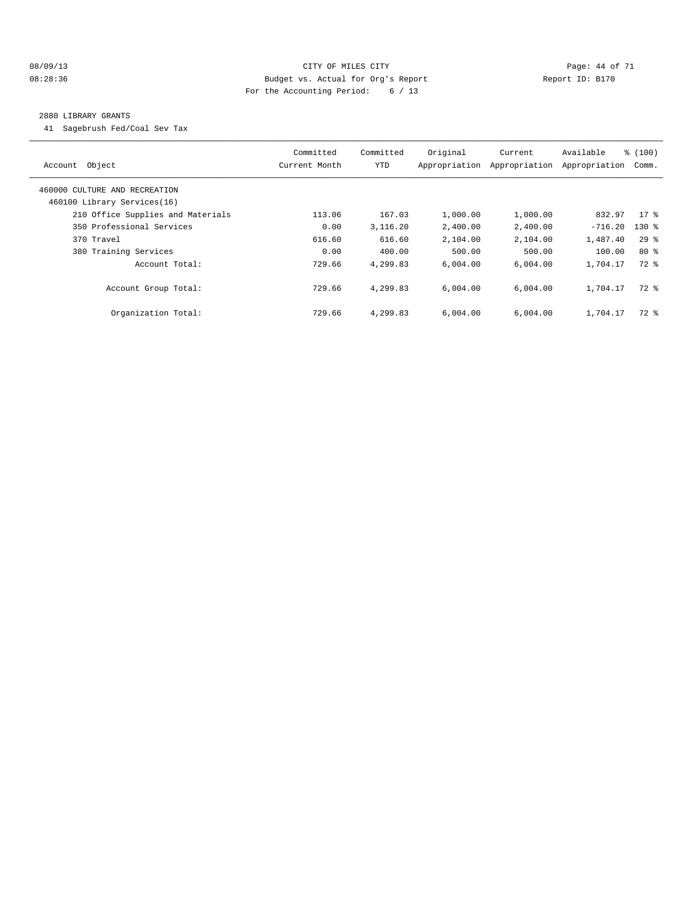#### 08/09/13 Page: 44 of 71 08:28:36 Budget vs. Actual for Org's Report Changer Report ID: B170 For the Accounting Period: 6 / 13

#### 2880 LIBRARY GRANTS

41 Sagebrush Fed/Coal Sev Tax

| Account Object                                               | Committed<br>Current Month | Committed<br><b>YTD</b> | Original<br>Appropriation | Current<br>Appropriation | Available<br>Appropriation | % (100)<br>Comm. |
|--------------------------------------------------------------|----------------------------|-------------------------|---------------------------|--------------------------|----------------------------|------------------|
| 460000 CULTURE AND RECREATION<br>460100 Library Services(16) |                            |                         |                           |                          |                            |                  |
| 210 Office Supplies and Materials                            | 113.06                     | 167.03                  | 1,000.00                  | 1,000.00                 | 832.97                     | $17*$            |
| 350 Professional Services                                    | 0.00                       | 3,116.20                | 2,400.00                  | 2,400.00                 | $-716.20$                  | $130*$           |
| 370 Travel                                                   | 616.60                     | 616.60                  | 2,104.00                  | 2,104.00                 | 1,487.40                   | $29*$            |
| 380 Training Services                                        | 0.00                       | 400.00                  | 500.00                    | 500.00                   | 100.00                     | $80*$            |
| Account Total:                                               | 729.66                     | 4,299.83                | 6.004.00                  | 6,004.00                 | 1,704.17                   | 72 %             |
| Account Group Total:                                         | 729.66                     | 4,299.83                | 6,004.00                  | 6,004.00                 | 1,704.17                   | 72 %             |
| Organization Total:                                          | 729.66                     | 4,299.83                | 6,004.00                  | 6,004.00                 | 1,704.17                   | $72$ $%$         |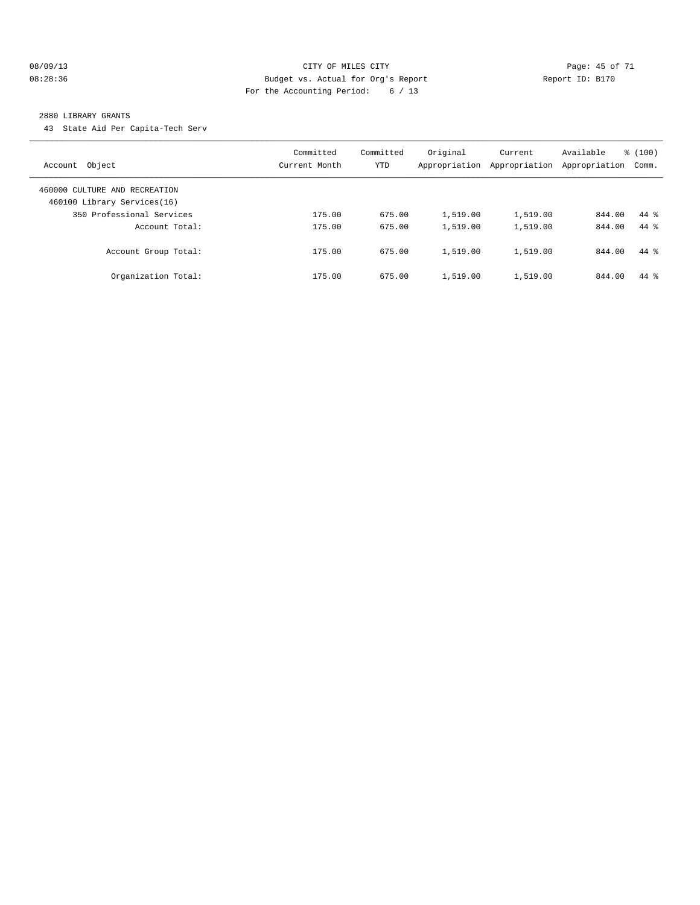#### 08/09/13 Page: 45 of 71 08:28:36 Budget vs. Actual for Org's Report Changer Report ID: B170 For the Accounting Period: 6 / 13

#### 2880 LIBRARY GRANTS

43 State Aid Per Capita-Tech Serv

| Object<br>Account                                            | Committed<br>Current Month | Committed<br>YTD | Original<br>Appropriation | Current<br>Appropriation | Available<br>Appropriation | % (100)<br>Comm. |
|--------------------------------------------------------------|----------------------------|------------------|---------------------------|--------------------------|----------------------------|------------------|
| 460000 CULTURE AND RECREATION<br>460100 Library Services(16) |                            |                  |                           |                          |                            |                  |
| 350 Professional Services                                    | 175.00                     | 675.00           | 1,519.00                  | 1,519.00                 | 844.00                     | $44*$            |
| Account Total:                                               | 175.00                     | 675.00           | 1,519.00                  | 1,519.00                 | 844.00                     | $44*$            |
| Account Group Total:                                         | 175.00                     | 675.00           | 1,519.00                  | 1,519.00                 | 844.00                     | $44*$            |
| Organization Total:                                          | 175.00                     | 675.00           | 1,519.00                  | 1,519.00                 | 844.00                     | $44*$            |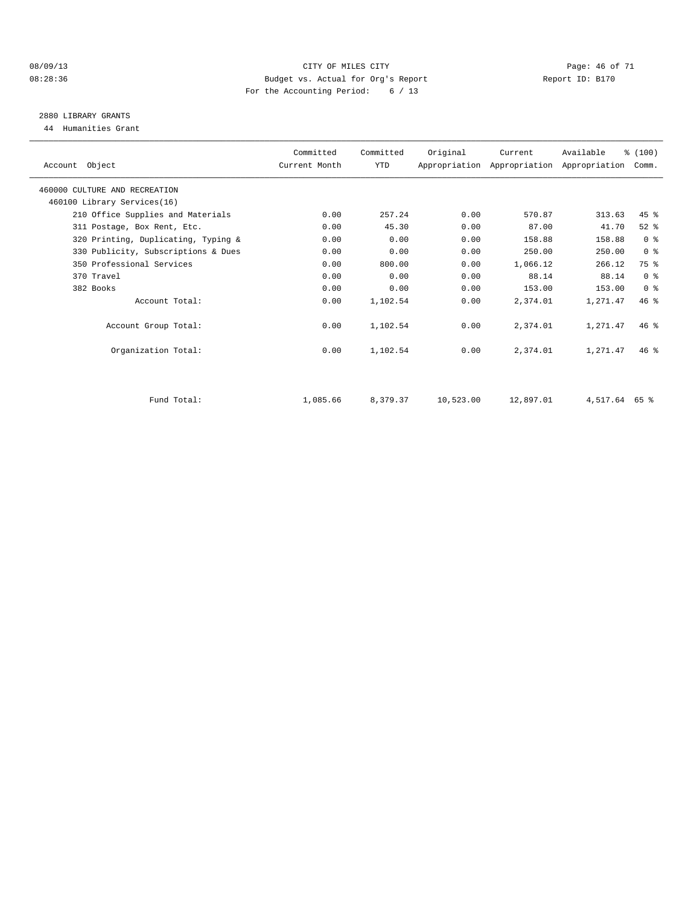#### 08/09/13 Page: 46 of 71 08:28:36 Budget vs. Actual for Org's Report Changer Report ID: B170 For the Accounting Period: 6 / 13

## 2880 LIBRARY GRANTS

44 Humanities Grant

| Account Object                      | Committed<br>Current Month | Committed<br>YTD | Original  | Current<br>Appropriation Appropriation Appropriation | Available     | % (100)<br>Comm. |  |
|-------------------------------------|----------------------------|------------------|-----------|------------------------------------------------------|---------------|------------------|--|
| 460000 CULTURE AND RECREATION       |                            |                  |           |                                                      |               |                  |  |
| 460100 Library Services(16)         |                            |                  |           |                                                      |               |                  |  |
| 210 Office Supplies and Materials   | 0.00                       | 257.24           | 0.00      | 570.87                                               | 313.63        | $45$ $%$         |  |
| 311 Postage, Box Rent, Etc.         | 0.00                       | 45.30            | 0.00      | 87.00                                                | 41.70         | $52$ $%$         |  |
| 320 Printing, Duplicating, Typing & | 0.00                       | 0.00             | 0.00      | 158.88                                               | 158.88        | 0 <sup>8</sup>   |  |
| 330 Publicity, Subscriptions & Dues | 0.00                       | 0.00             | 0.00      | 250.00                                               | 250.00        | 0 <sup>8</sup>   |  |
| 350 Professional Services           | 0.00                       | 800.00           | 0.00      | 1,066.12                                             | 266.12        | 75 %             |  |
| 370 Travel                          | 0.00                       | 0.00             | 0.00      | 88.14                                                | 88.14         | 0 <sup>8</sup>   |  |
| 382 Books                           | 0.00                       | 0.00             | 0.00      | 153.00                                               | 153.00        | 0 <sup>8</sup>   |  |
| Account Total:                      | 0.00                       | 1,102.54         | 0.00      | 2,374.01                                             | 1,271.47      | 46.8             |  |
| Account Group Total:                | 0.00                       | 1,102.54         | 0.00      | 2,374.01                                             | 1,271.47      | 46%              |  |
| Organization Total:                 | 0.00                       | 1,102.54         | 0.00      | 2,374.01                                             | 1,271.47      | $46*$            |  |
| Fund Total:                         | 1,085.66                   | 8,379.37         | 10,523.00 | 12,897.01                                            | 4,517.64 65 % |                  |  |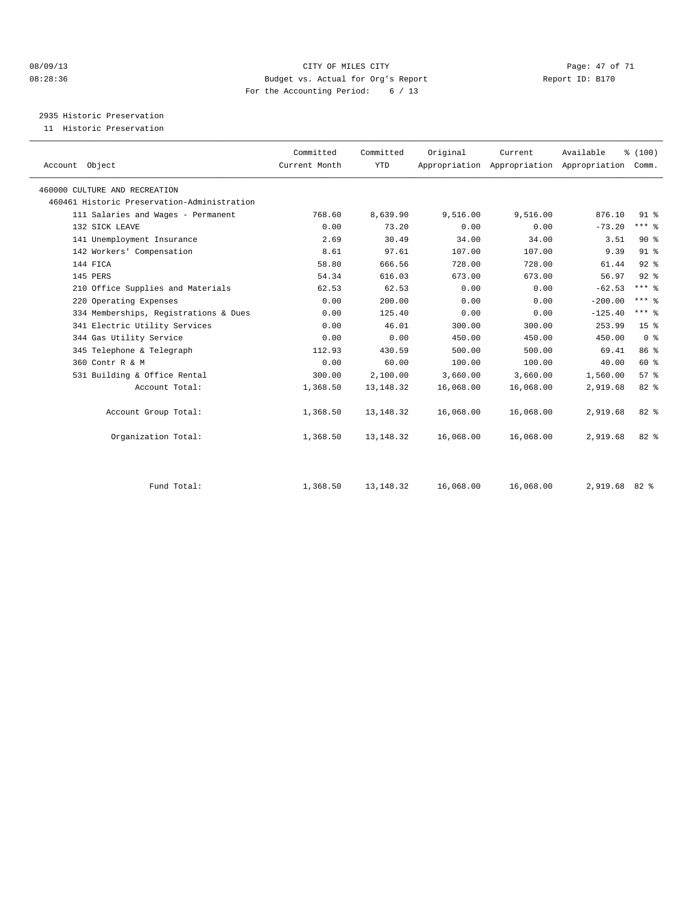#### 08/09/13 CITY OF MILES CITY Page: 47 of 71 08:28:36 Budget vs. Actual for Org's Report Changer Report ID: B170 For the Accounting Period: 6 / 13

2935 Historic Preservation

11 Historic Preservation

| Account Object                              | Committed<br>Current Month | Committed<br><b>YTD</b> | Original  | Current<br>Appropriation Appropriation Appropriation Comm. | Available | % (100)         |  |
|---------------------------------------------|----------------------------|-------------------------|-----------|------------------------------------------------------------|-----------|-----------------|--|
| 460000 CULTURE AND RECREATION               |                            |                         |           |                                                            |           |                 |  |
| 460461 Historic Preservation-Administration |                            |                         |           |                                                            |           |                 |  |
| 111 Salaries and Wages - Permanent          | 768.60                     | 8,639.90                | 9,516.00  | 9,516.00                                                   | 876.10    | 91.8            |  |
| 132 SICK LEAVE                              | 0.00                       | 73.20                   | 0.00      | 0.00                                                       | $-73.20$  | $***$ $%$       |  |
| 141 Unemployment Insurance                  | 2.69                       | 30.49                   | 34.00     | 34.00                                                      | 3.51      | $90*$           |  |
| 142 Workers' Compensation                   | 8.61                       | 97.61                   | 107.00    | 107.00                                                     | 9.39      | 91.8            |  |
| 144 FICA                                    | 58.80                      | 666.56                  | 728.00    | 728.00                                                     | 61.44     | $92$ $%$        |  |
| 145 PERS                                    | 54.34                      | 616.03                  | 673.00    | 673.00                                                     | 56.97     | $92$ $%$        |  |
| 210 Office Supplies and Materials           | 62.53                      | 62.53                   | 0.00      | 0.00                                                       | $-62.53$  | $***$ $%$       |  |
| 220 Operating Expenses                      | 0.00                       | 200.00                  | 0.00      | 0.00                                                       | $-200.00$ | $***$ $%$       |  |
| 334 Memberships, Registrations & Dues       | 0.00                       | 125.40                  | 0.00      | 0.00                                                       | $-125.40$ | $***$ $%$       |  |
| 341 Electric Utility Services               | 0.00                       | 46.01                   | 300.00    | 300.00                                                     | 253.99    | 15 <sup>°</sup> |  |
| 344 Gas Utility Service                     | 0.00                       | 0.00                    | 450.00    | 450.00                                                     | 450.00    | 0 <sup>8</sup>  |  |
| 345 Telephone & Telegraph                   | 112.93                     | 430.59                  | 500.00    | 500.00                                                     | 69.41     | 86 %            |  |
| 360 Contr R & M                             | 0.00                       | 60.00                   | 100.00    | 100.00                                                     | 40.00     | 60 %            |  |
| 531 Building & Office Rental                | 300.00                     | 2,100.00                | 3,660.00  | 3,660.00                                                   | 1,560.00  | 57 <sup>8</sup> |  |
| Account Total:                              | 1,368.50                   | 13, 148. 32             | 16,068.00 | 16,068.00                                                  | 2,919.68  | 82 %            |  |
| Account Group Total:                        | 1,368.50                   | 13, 148. 32             | 16,068.00 | 16,068.00                                                  | 2,919.68  | 82 %            |  |
| Organization Total:                         | 1,368.50                   | 13, 148. 32             | 16,068.00 | 16,068.00                                                  | 2,919.68  | 82%             |  |
| Fund Total:                                 | 1,368.50                   | 13, 148. 32             | 16,068.00 | 16,068.00                                                  | 2,919.68  | $82*$           |  |
|                                             |                            |                         |           |                                                            |           |                 |  |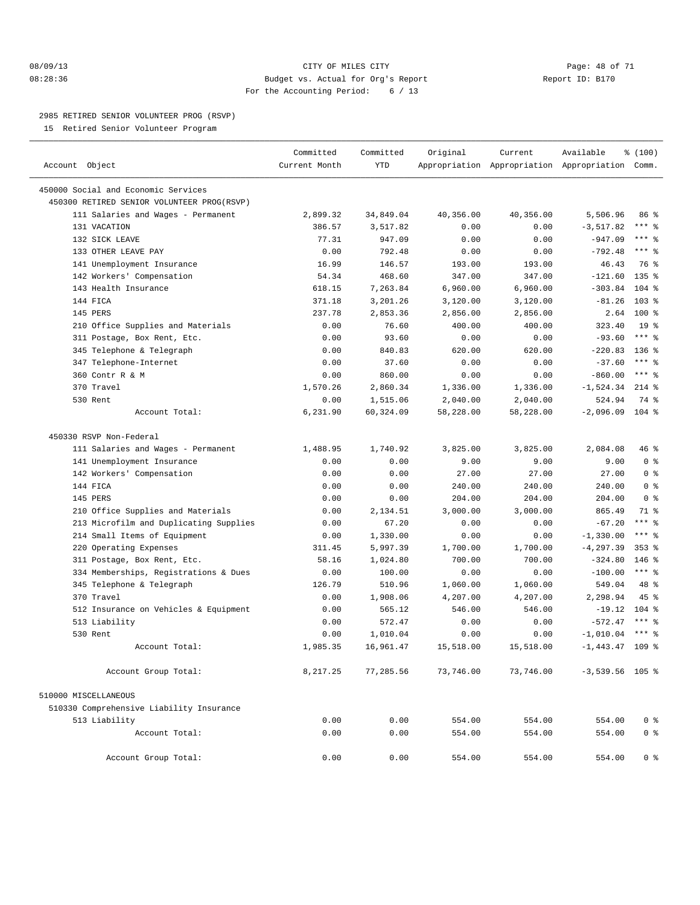#### 08/09/13 Page: 48 of 71 08:28:36 Budget vs. Actual for Org's Report Report ID: B170 For the Accounting Period: 6 / 13

————————————————————————————————————————————————————————————————————————————————————————————————————————————————————————————————————

#### 2985 RETIRED SENIOR VOLUNTEER PROG (RSVP)

15 Retired Senior Volunteer Program

|                                            | Committed     | Committed  | Original  | Current   | Available                                       | % (100)         |  |
|--------------------------------------------|---------------|------------|-----------|-----------|-------------------------------------------------|-----------------|--|
| Account Object                             | Current Month | <b>YTD</b> |           |           | Appropriation Appropriation Appropriation Comm. |                 |  |
| 450000 Social and Economic Services        |               |            |           |           |                                                 |                 |  |
| 450300 RETIRED SENIOR VOLUNTEER PROG(RSVP) |               |            |           |           |                                                 |                 |  |
| 111 Salaries and Wages - Permanent         | 2,899.32      | 34,849.04  | 40,356.00 | 40,356.00 | 5,506.96                                        | 86 %            |  |
| 131 VACATION                               | 386.57        | 3,517.82   | 0.00      | 0.00      | $-3, 517.82$                                    | $***$ $-$       |  |
| 132 SICK LEAVE                             | 77.31         | 947.09     | 0.00      | 0.00      | $-947.09$                                       | $***$ $-$       |  |
| 133 OTHER LEAVE PAY                        | 0.00          | 792.48     | 0.00      | 0.00      | $-792.48$                                       | $***$ 8         |  |
| 141 Unemployment Insurance                 | 16.99         | 146.57     | 193.00    | 193.00    | 46.43                                           | 76 %            |  |
| 142 Workers' Compensation                  | 54.34         | 468.60     | 347.00    | 347.00    | $-121.60$                                       | $135$ $%$       |  |
| 143 Health Insurance                       | 618.15        | 7,263.84   | 6,960.00  | 6,960.00  | $-303.84$                                       | $104$ %         |  |
| 144 FICA                                   | 371.18        | 3,201.26   | 3,120.00  | 3,120.00  | $-81.26$                                        | 103 %           |  |
| 145 PERS                                   | 237.78        | 2,853.36   | 2,856.00  | 2,856.00  | 2.64                                            | $100*$          |  |
| 210 Office Supplies and Materials          | 0.00          | 76.60      | 400.00    | 400.00    | 323.40                                          | 19 <sup>°</sup> |  |
| 311 Postage, Box Rent, Etc.                | 0.00          | 93.60      | 0.00      | 0.00      | $-93.60$                                        | $***$ $-$       |  |
| 345 Telephone & Telegraph                  | 0.00          | 840.83     | 620.00    | 620.00    | $-220.83$                                       | $136$ %         |  |
| 347 Telephone-Internet                     | 0.00          | 37.60      | 0.00      | 0.00      | $-37.60$                                        | $***$ $%$       |  |
| 360 Contr R & M                            | 0.00          | 860.00     | 0.00      | 0.00      | $-860.00$                                       | $***$ $_{8}$    |  |
| 370 Travel                                 | 1,570.26      | 2,860.34   | 1,336.00  | 1,336.00  | $-1,524.34$                                     | $214$ %         |  |
| 530 Rent                                   | 0.00          | 1,515.06   | 2,040.00  | 2,040.00  | 524.94                                          | 74 %            |  |
| Account Total:                             | 6,231.90      | 60,324.09  | 58,228.00 | 58,228.00 | $-2,096.09$                                     | $104$ %         |  |
| 450330 RSVP Non-Federal                    |               |            |           |           |                                                 |                 |  |
| 111 Salaries and Wages - Permanent         | 1,488.95      | 1,740.92   | 3,825.00  | 3,825.00  | 2,084.08                                        | 46 %            |  |
| 141 Unemployment Insurance                 | 0.00          | 0.00       | 9.00      | 9.00      | 9.00                                            | 0 <sup>8</sup>  |  |
| 142 Workers' Compensation                  | 0.00          | 0.00       | 27.00     | 27.00     | 27.00                                           | 0 <sup>8</sup>  |  |
| 144 FICA                                   | 0.00          | 0.00       | 240.00    | 240.00    | 240.00                                          | 0 <sup>8</sup>  |  |
| 145 PERS                                   | 0.00          | 0.00       | 204.00    | 204.00    | 204.00                                          | 0 <sup>8</sup>  |  |
| 210 Office Supplies and Materials          | 0.00          | 2,134.51   | 3,000.00  | 3,000.00  | 865.49                                          | 71 %            |  |
| 213 Microfilm and Duplicating Supplies     | 0.00          | 67.20      | 0.00      | 0.00      | $-67.20$                                        | *** %           |  |
| 214 Small Items of Equipment               | 0.00          | 1,330.00   | 0.00      | 0.00      | $-1, 330.00$                                    | $***$ $=$       |  |
| 220 Operating Expenses                     | 311.45        | 5,997.39   | 1,700.00  | 1,700.00  | $-4, 297.39$                                    | $353*$          |  |
| 311 Postage, Box Rent, Etc.                | 58.16         | 1,024.80   | 700.00    | 700.00    | $-324.80$                                       | $146$ %         |  |
| 334 Memberships, Registrations & Dues      | 0.00          | 100.00     | 0.00      | 0.00      | $-100.00$                                       | $***$ $-$       |  |
| 345 Telephone & Telegraph                  | 126.79        | 510.96     | 1,060.00  | 1,060.00  | 549.04                                          | 48 %            |  |
| 370 Travel                                 | 0.00          | 1,908.06   | 4,207.00  | 4,207.00  | 2,298.94                                        | 45 %            |  |
| 512 Insurance on Vehicles & Equipment      | 0.00          | 565.12     | 546.00    | 546.00    | $-19.12$                                        | $104$ %         |  |
| 513 Liability                              | 0.00          | 572.47     | 0.00      | 0.00      | $-572.47$                                       | $***$ 8         |  |
| 530 Rent                                   | 0.00          | 1,010.04   | 0.00      | 0.00      | $-1,010.04$                                     | $***$ $%$       |  |
| Account Total:                             | 1,985.35      | 16,961.47  | 15,518.00 | 15,518.00 | $-1,443.47$ 109 %                               |                 |  |
| Account Group Total:                       | 8,217.25      | 77,285.56  | 73,746.00 | 73,746.00 | $-3,539.56$ 105 %                               |                 |  |
| 510000 MISCELLANEOUS                       |               |            |           |           |                                                 |                 |  |
| 510330 Comprehensive Liability Insurance   |               |            |           |           |                                                 |                 |  |
| 513 Liability                              | 0.00          | 0.00       | 554.00    | 554.00    | 554.00                                          | 0 <sup>8</sup>  |  |
| Account Total:                             | 0.00          | 0.00       | 554.00    | 554.00    | 554.00                                          | 0 <sup>8</sup>  |  |
| Account Group Total:                       | 0.00          | 0.00       | 554.00    | 554.00    | 554.00                                          | 0 %             |  |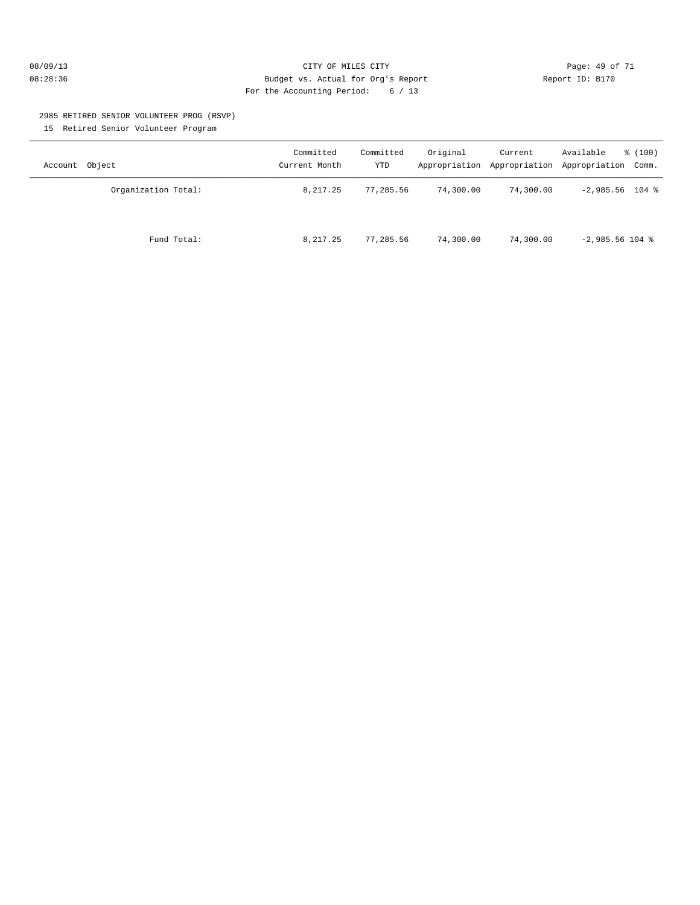#### 08/09/13 Page: 49 of 71 08:28:36 Budget vs. Actual for Org's Report Report ID: B170 For the Accounting Period: 6 / 13

#### 2985 RETIRED SENIOR VOLUNTEER PROG (RSVP) 15 Retired Senior Volunteer Program

| Account Object      | Committed<br>Current Month | Committed<br>YTD | Original  | Current   | Available<br>$\frac{100}{3}$<br>Appropriation Appropriation Appropriation Comm. |
|---------------------|----------------------------|------------------|-----------|-----------|---------------------------------------------------------------------------------|
| Organization Total: | 8,217.25                   | 77,285.56        | 74,300.00 | 74,300.00 | $-2,985.56$ 104 %                                                               |
| Fund Total:         | 8,217.25                   | 77,285.56        | 74,300.00 | 74,300.00 | $-2,985.56$ 104 %                                                               |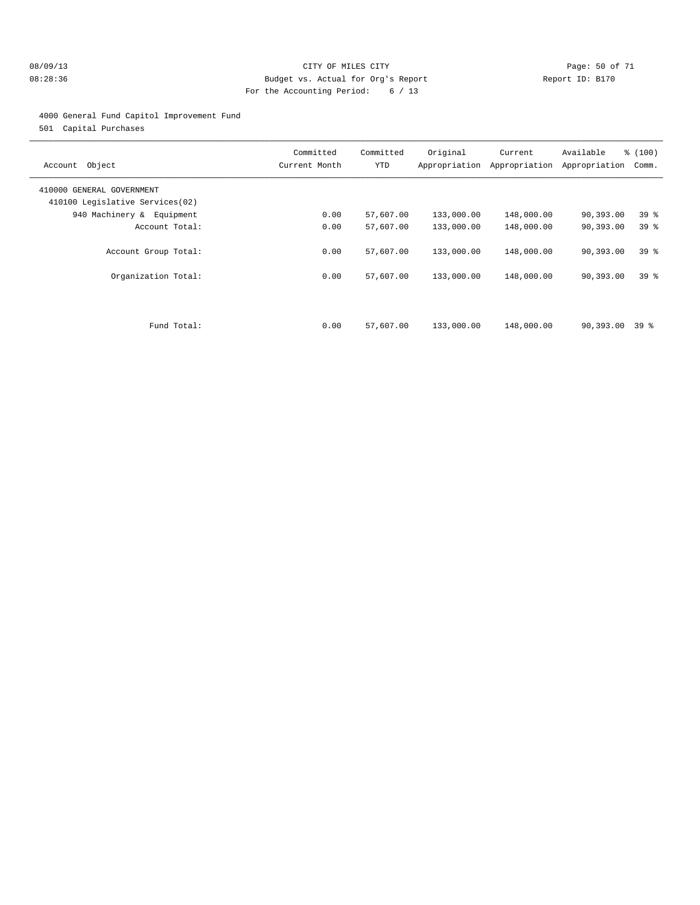#### 08/09/13 CITY OF MILES CITY Page: 50 of 71 08:28:36 Budget vs. Actual for Org's Report Changer Report ID: B170 For the Accounting Period: 6 / 13

#### 4000 General Fund Capitol Improvement Fund

501 Capital Purchases

| Object<br>Account                                            | Committed<br>Current Month | Committed<br>YTD       | Original<br>Appropriation | Current<br>Appropriation | Available<br>Appropriation | % (100)<br>Comm.                   |
|--------------------------------------------------------------|----------------------------|------------------------|---------------------------|--------------------------|----------------------------|------------------------------------|
| 410000 GENERAL GOVERNMENT<br>410100 Legislative Services(02) |                            |                        |                           |                          |                            |                                    |
| 940 Machinery & Equipment                                    | 0.00                       | 57,607.00              | 133,000.00                | 148,000.00               | 90,393.00                  | 39 <sub>8</sub>                    |
| Account Total:                                               | 0.00                       | 57,607.00              | 133,000.00                | 148,000.00               | 90,393.00                  | 39 %                               |
| Account Group Total:<br>Organization Total:                  | 0.00<br>0.00               | 57,607.00<br>57,607.00 | 133,000.00<br>133,000.00  | 148,000.00<br>148,000.00 | 90,393.00<br>90,393.00     | 39 <sup>8</sup><br>39 <sup>8</sup> |
| Fund Total:                                                  | 0.00                       | 57,607.00              | 133,000.00                | 148,000.00               | $90,393.00$ 39 %           |                                    |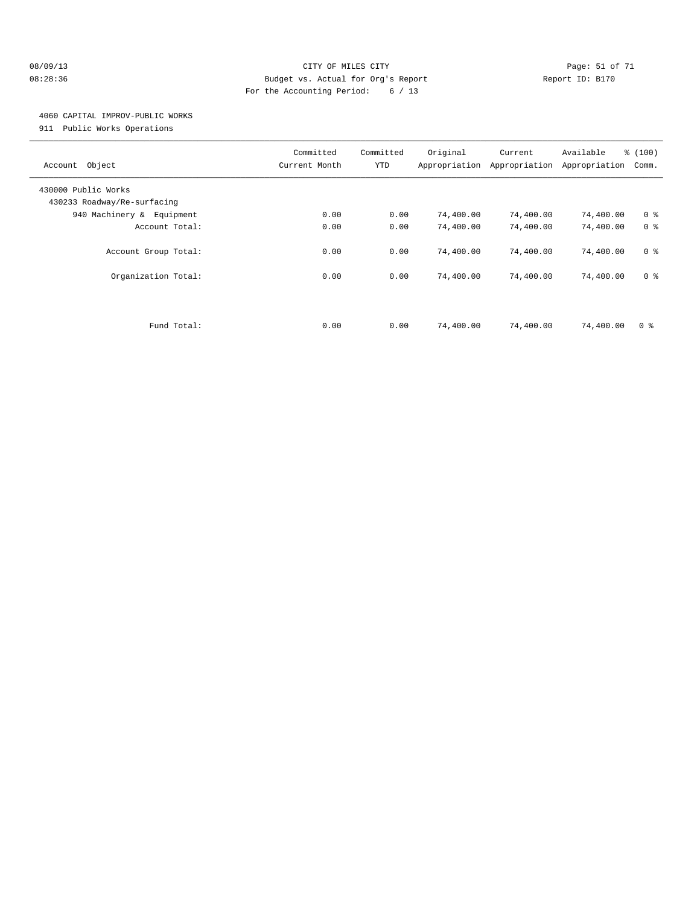#### 08/09/13 Page: 51 of 71 CITY OF MILES CITY CONTROL PAGE: 51 of 71 08:28:36 Budget vs. Actual for Org's Report Changer Report ID: B170 For the Accounting Period: 6 / 13

### 4060 CAPITAL IMPROV-PUBLIC WORKS

911 Public Works Operations

| Object<br>Account                                  | Committed<br>Current Month | Committed<br>YTD | Original<br>Appropriation | Current<br>Appropriation | Available<br>Appropriation | % (100)<br>Comm. |
|----------------------------------------------------|----------------------------|------------------|---------------------------|--------------------------|----------------------------|------------------|
| 430000 Public Works<br>430233 Roadway/Re-surfacing |                            |                  |                           |                          |                            |                  |
| 940 Machinery & Equipment                          | 0.00                       | 0.00             | 74,400.00                 | 74,400.00                | 74,400.00                  | 0 <sup>8</sup>   |
| Account Total:                                     | 0.00                       | 0.00             | 74,400.00                 | 74,400.00                | 74,400.00                  | 0 <sup>8</sup>   |
| Account Group Total:                               | 0.00                       | 0.00             | 74,400.00                 | 74,400.00                | 74,400.00                  | 0 <sup>8</sup>   |
| Organization Total:                                | 0.00                       | 0.00             | 74,400.00                 | 74,400.00                | 74,400.00                  | 0 <sup>8</sup>   |
| Fund Total:                                        | 0.00                       | 0.00             | 74,400.00                 | 74,400.00                | 74,400.00                  | 0 <sup>8</sup>   |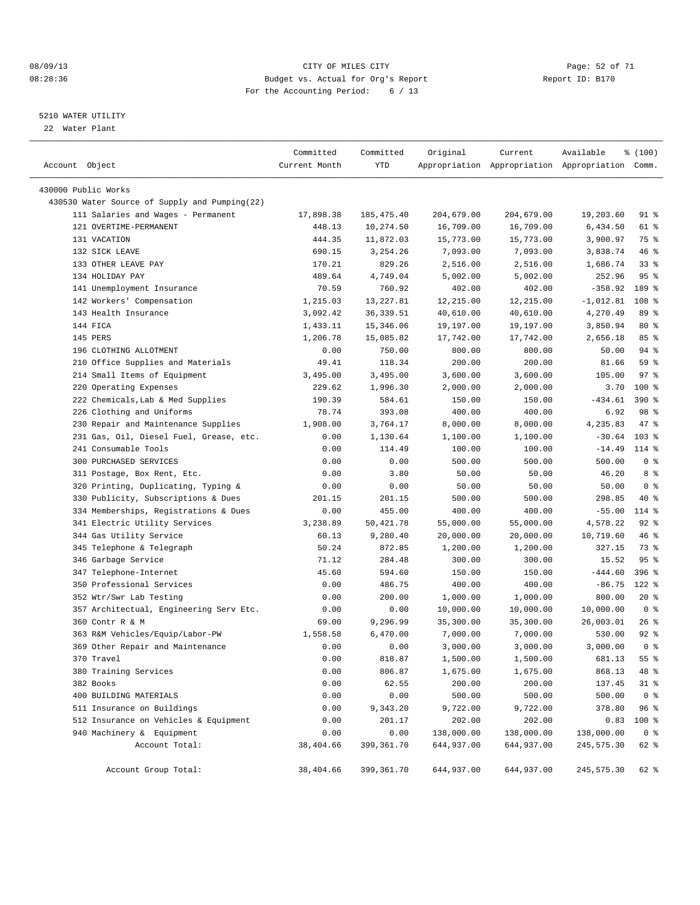#### 08/09/13 CITY OF MILES CITY Page: 52 of 71 08:28:36 Budget vs. Actual for Org's Report Changer Report ID: B170 For the Accounting Period: 6 / 13

————————————————————————————————————————————————————————————————————————————————————————————————————————————————————————————————————

#### 5210 WATER UTILITY

22 Water Plant

|                                                                      | Committed     | Committed  | Original   | Current                                         | Available   | % (100)        |
|----------------------------------------------------------------------|---------------|------------|------------|-------------------------------------------------|-------------|----------------|
| Account Object                                                       | Current Month | YTD        |            | Appropriation Appropriation Appropriation Comm. |             |                |
|                                                                      |               |            |            |                                                 |             |                |
| 430000 Public Works<br>430530 Water Source of Supply and Pumping(22) |               |            |            |                                                 |             |                |
| 111 Salaries and Wages - Permanent                                   | 17,898.38     |            |            |                                                 |             | 91 %           |
| 121 OVERTIME-PERMANENT                                               |               | 185,475.40 | 204,679.00 | 204,679.00<br>16,709.00                         | 19,203.60   | 61 %           |
|                                                                      | 448.13        | 10,274.50  | 16,709.00  |                                                 | 6,434.50    |                |
| 131 VACATION                                                         | 444.35        | 11,872.03  | 15,773.00  | 15,773.00                                       | 3,900.97    | 75 %           |
| 132 SICK LEAVE                                                       | 690.15        | 3,254.26   | 7,093.00   | 7,093.00                                        | 3,838.74    | 46 %           |
| 133 OTHER LEAVE PAY                                                  | 170.21        | 829.26     | 2,516.00   | 2,516.00                                        | 1,686.74    | 33%            |
| 134 HOLIDAY PAY                                                      | 489.64        | 4,749.04   | 5,002.00   | 5,002.00                                        | 252.96      | 95%            |
| 141 Unemployment Insurance                                           | 70.59         | 760.92     | 402.00     | 402.00                                          | $-358.92$   | 189 %          |
| 142 Workers' Compensation                                            | 1,215.03      | 13, 227.81 | 12,215.00  | 12,215.00                                       | $-1,012.81$ | 108 %          |
| 143 Health Insurance                                                 | 3,092.42      | 36, 339.51 | 40,610.00  | 40,610.00                                       | 4,270.49    | 89 %           |
| 144 FICA                                                             | 1,433.11      | 15,346.06  | 19,197.00  | 19,197.00                                       | 3,850.94    | $80*$          |
| 145 PERS                                                             | 1,206.78      | 15,085.82  | 17,742.00  | 17,742.00                                       | 2,656.18    | 85%            |
| 196 CLOTHING ALLOTMENT                                               | 0.00          | 750.00     | 800.00     | 800.00                                          | 50.00       | 94 %           |
| 210 Office Supplies and Materials                                    | 49.41         | 118.34     | 200.00     | 200.00                                          | 81.66       | 59 %           |
| 214 Small Items of Equipment                                         | 3,495.00      | 3,495.00   | 3,600.00   | 3,600.00                                        | 105.00      | 97%            |
| 220 Operating Expenses                                               | 229.62        | 1,996.30   | 2,000.00   | 2,000.00                                        | 3.70        | 100 %          |
| 222 Chemicals, Lab & Med Supplies                                    | 190.39        | 584.61     | 150.00     | 150.00                                          | $-434.61$   | $390*$         |
| 226 Clothing and Uniforms                                            | 78.74         | 393.08     | 400.00     | 400.00                                          | 6.92        | 98 %           |
| 230 Repair and Maintenance Supplies                                  | 1,908.00      | 3,764.17   | 8,000.00   | 8,000.00                                        | 4,235.83    | 47 %           |
| 231 Gas, Oil, Diesel Fuel, Grease, etc.                              | 0.00          | 1,130.64   | 1,100.00   | 1,100.00                                        | $-30.64$    | $103$ %        |
| 241 Consumable Tools                                                 | 0.00          | 114.49     | 100.00     | 100.00                                          | $-14.49$    | 114 %          |
| 300 PURCHASED SERVICES                                               | 0.00          | 0.00       | 500.00     | 500.00                                          | 500.00      | 0 <sup>8</sup> |
| 311 Postage, Box Rent, Etc.                                          | 0.00          | 3.80       | 50.00      | 50.00                                           | 46.20       | 8 %            |
| 320 Printing, Duplicating, Typing &                                  | 0.00          | 0.00       | 50.00      | 50.00                                           | 50.00       | 0 <sup>8</sup> |
| 330 Publicity, Subscriptions & Dues                                  | 201.15        | 201.15     | 500.00     | 500.00                                          | 298.85      | 40 %           |
| 334 Memberships, Registrations & Dues                                | 0.00          | 455.00     | 400.00     | 400.00                                          | $-55.00$    | 114 %          |
| 341 Electric Utility Services                                        | 3,238.89      | 50,421.78  | 55,000.00  | 55,000.00                                       | 4,578.22    | $92$ $%$       |
| 344 Gas Utility Service                                              | 60.13         | 9,280.40   | 20,000.00  | 20,000.00                                       | 10,719.60   | 46 %           |
| 345 Telephone & Telegraph                                            | 50.24         | 872.85     | 1,200.00   | 1,200.00                                        | 327.15      | 73 %           |
| 346 Garbage Service                                                  | 71.12         | 284.48     | 300.00     | 300.00                                          | 15.52       | 95%            |
| 347 Telephone-Internet                                               | 45.60         | 594.60     | 150.00     | 150.00                                          | $-444.60$   | 396 %          |
| 350 Professional Services                                            | 0.00          | 486.75     | 400.00     | 400.00                                          | $-86.75$    | $122$ %        |
| 352 Wtr/Swr Lab Testing                                              | 0.00          | 200.00     | 1,000.00   | 1,000.00                                        | 800.00      | $20*$          |
| 357 Architectual, Engineering Serv Etc.                              | 0.00          | 0.00       | 10,000.00  | 10,000.00                                       | 10,000.00   | 0 <sup>8</sup> |
| 360 Contr R & M                                                      | 69.00         | 9,296.99   | 35,300.00  | 35,300.00                                       | 26,003.01   | $26$ %         |
| 363 R&M Vehicles/Equip/Labor-PW                                      | 1,558.58      | 6,470.00   | 7,000.00   | 7,000.00                                        | 530.00      | $92$ $%$       |
| 369 Other Repair and Maintenance                                     | 0.00          | 0.00       | 3,000.00   | 3,000.00                                        | 3,000.00    | 0 <sup>8</sup> |
| 370 Travel                                                           | 0.00          | 818.87     | 1,500.00   | 1,500.00                                        | 681.13      | 55 %           |
| 380 Training Services                                                | 0.00          | 806.87     | 1,675.00   | 1,675.00                                        | 868.13      | 48 %           |
| 382 Books                                                            | 0.00          | 62.55      | 200.00     | 200.00                                          | 137.45      | $31$ %         |
| 400 BUILDING MATERIALS                                               | 0.00          | 0.00       | 500.00     | 500.00                                          | 500.00      | 0 <sup>8</sup> |
| 511 Insurance on Buildings                                           | 0.00          | 9,343.20   | 9,722.00   | 9,722.00                                        | 378.80      | 96%            |
| 512 Insurance on Vehicles & Equipment                                | 0.00          | 201.17     | 202.00     | 202.00                                          | 0.83        | 100 %          |
| 940 Machinery & Equipment                                            | 0.00          | 0.00       | 138,000.00 | 138,000.00                                      | 138,000.00  | 0 <sup>8</sup> |
| Account Total:                                                       | 38,404.66     | 399,361.70 | 644,937.00 | 644,937.00                                      | 245,575.30  | 62 %           |
|                                                                      |               |            |            |                                                 |             |                |
| Account Group Total:                                                 | 38,404.66     | 399,361.70 | 644,937.00 | 644,937.00                                      | 245,575.30  | 62 %           |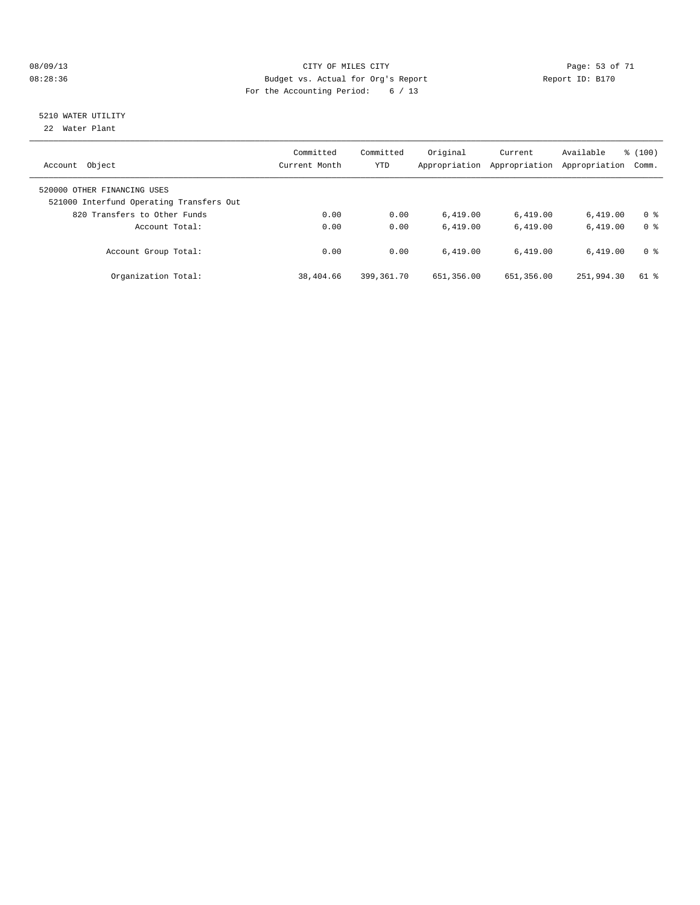#### 08/09/13 Page: 53 of 71 08:28:36 Budget vs. Actual for Org's Report Changer Report ID: B170 For the Accounting Period: 6 / 13

# 5210 WATER UTILITY

22 Water Plant

| Object<br>Account                                                                                       | Committed<br>Current Month | Committed<br><b>YTD</b> | Original<br>Appropriation | Current<br>Appropriation | Available<br>Appropriation | % (100)<br>Comm. |
|---------------------------------------------------------------------------------------------------------|----------------------------|-------------------------|---------------------------|--------------------------|----------------------------|------------------|
| 520000 OTHER FINANCING USES<br>521000 Interfund Operating Transfers Out<br>820 Transfers to Other Funds | 0.00                       | 0.00                    | 6.419.00                  | 6,419.00                 | 6.419.00                   | 0 <sup>8</sup>   |
| Account Total:                                                                                          | 0.00                       | 0.00                    | 6.419.00                  | 6.419.00                 | 6.419.00                   | 0 <sup>8</sup>   |
| Account Group Total:                                                                                    | 0.00                       | 0.00                    | 6.419.00                  | 6.419.00                 | 6.419.00                   | 0 <sup>8</sup>   |
| Organization Total:                                                                                     | 38,404.66                  | 399,361.70              | 651,356.00                | 651,356.00               | 251,994.30                 | 61 %             |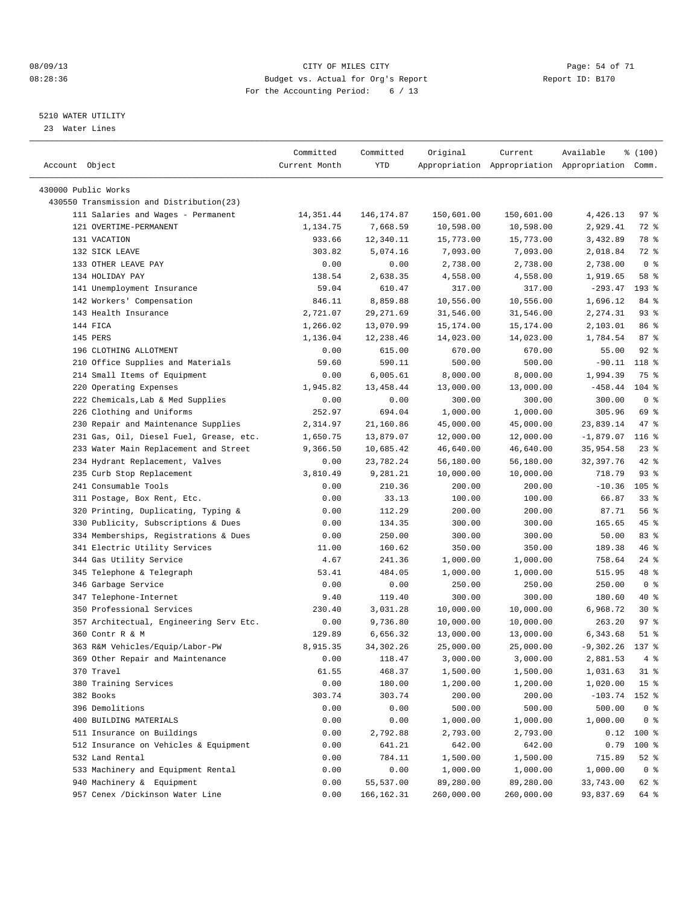#### 08/09/13 CITY OF MILES CITY Page: 54 of 71 08:28:36 Budget vs. Actual for Org's Report Changer Report ID: B170 For the Accounting Period: 6 / 13

————————————————————————————————————————————————————————————————————————————————————————————————————————————————————————————————————

#### 5210 WATER UTILITY

23 Water Lines

| Account Object                           | Committed<br>Current Month | Committed<br>YTD       | Original   | Current    | Available<br>Appropriation Appropriation Appropriation Comm. | ៖ (100)          |
|------------------------------------------|----------------------------|------------------------|------------|------------|--------------------------------------------------------------|------------------|
| 430000 Public Works                      |                            |                        |            |            |                                                              |                  |
|                                          |                            |                        |            |            |                                                              |                  |
| 430550 Transmission and Distribution(23) |                            |                        |            |            |                                                              |                  |
| 111 Salaries and Wages - Permanent       | 14,351.44                  | 146,174.87<br>7,668.59 | 150,601.00 | 150,601.00 | 4,426.13                                                     | 97 %             |
| 121 OVERTIME-PERMANENT                   | 1,134.75                   |                        | 10,598.00  | 10,598.00  | 2,929.41                                                     | 72 %             |
| 131 VACATION                             | 933.66                     | 12,340.11              | 15,773.00  | 15,773.00  | 3,432.89                                                     | 78 %             |
| 132 SICK LEAVE                           | 303.82                     | 5,074.16               | 7,093.00   | 7,093.00   | 2,018.84                                                     | 72 %             |
| 133 OTHER LEAVE PAY                      | 0.00                       | 0.00                   | 2,738.00   | 2,738.00   | 2,738.00                                                     | 0 <sup>8</sup>   |
| 134 HOLIDAY PAY                          | 138.54                     | 2,638.35               | 4,558.00   | 4,558.00   | 1,919.65                                                     | 58 %             |
| 141 Unemployment Insurance               | 59.04                      | 610.47                 | 317.00     | 317.00     | $-293.47$                                                    | 193 %            |
| 142 Workers' Compensation                | 846.11                     | 8,859.88               | 10,556.00  | 10,556.00  | 1,696.12                                                     | 84 %             |
| 143 Health Insurance                     | 2,721.07                   | 29, 271.69             | 31,546.00  | 31,546.00  | 2,274.31                                                     | $93$ $%$         |
| 144 FICA                                 | 1,266.02                   | 13,070.99              | 15,174.00  | 15,174.00  | 2,103.01                                                     | 86 %             |
| 145 PERS                                 | 1,136.04                   | 12,238.46              | 14,023.00  | 14,023.00  | 1,784.54                                                     | 87%              |
| 196 CLOTHING ALLOTMENT                   | 0.00                       | 615.00                 | 670.00     | 670.00     | 55.00                                                        | $92$ $%$         |
| 210 Office Supplies and Materials        | 59.60                      | 590.11                 | 500.00     | 500.00     | $-90.11$                                                     | 118 %            |
| 214 Small Items of Equipment             | 0.00                       | 6,005.61               | 8,000.00   | 8,000.00   | 1,994.39                                                     | 75 %             |
| 220 Operating Expenses                   | 1,945.82                   | 13, 458. 44            | 13,000.00  | 13,000.00  | $-458.44$                                                    | $104$ %          |
| 222 Chemicals, Lab & Med Supplies        | 0.00                       | 0.00                   | 300.00     | 300.00     | 300.00                                                       | 0 <sup>8</sup>   |
| 226 Clothing and Uniforms                | 252.97                     | 694.04                 | 1,000.00   | 1,000.00   | 305.96                                                       | 69 %             |
| 230 Repair and Maintenance Supplies      | 2,314.97                   | 21,160.86              | 45,000.00  | 45,000.00  | 23,839.14                                                    | 47 %             |
| 231 Gas, Oil, Diesel Fuel, Grease, etc.  | 1,650.75                   | 13,879.07              | 12,000.00  | 12,000.00  | $-1,879.07$                                                  | 116 <sup>8</sup> |
| 233 Water Main Replacement and Street    | 9,366.50                   | 10,685.42              | 46,640.00  | 46,640.00  | 35,954.58                                                    | $23$ $%$         |
| 234 Hydrant Replacement, Valves          | 0.00                       | 23,782.24              | 56,180.00  | 56,180.00  | 32,397.76                                                    | 42 %             |
| 235 Curb Stop Replacement                | 3,810.49                   | 9,281.21               | 10,000.00  | 10,000.00  | 718.79                                                       | $93$ $%$         |
| 241 Consumable Tools                     | 0.00                       | 210.36                 | 200.00     | 200.00     | $-10.36$                                                     | $105$ %          |
| 311 Postage, Box Rent, Etc.              | 0.00                       | 33.13                  | 100.00     | 100.00     | 66.87                                                        | $33$ $%$         |
| 320 Printing, Duplicating, Typing &      | 0.00                       | 112.29                 | 200.00     | 200.00     | 87.71                                                        | 56%              |
| 330 Publicity, Subscriptions & Dues      | 0.00                       | 134.35                 | 300.00     | 300.00     | 165.65                                                       | 45 %             |
| 334 Memberships, Registrations & Dues    | 0.00                       | 250.00                 | 300.00     | 300.00     | 50.00                                                        | 83%              |
| 341 Electric Utility Services            | 11.00                      | 160.62                 | 350.00     | 350.00     | 189.38                                                       | 46 %             |
| 344 Gas Utility Service                  | 4.67                       | 241.36                 | 1,000.00   | 1,000.00   | 758.64                                                       | $24$ %           |
| 345 Telephone & Telegraph                | 53.41                      | 484.05                 | 1,000.00   | 1,000.00   | 515.95                                                       | 48 %             |
| 346 Garbage Service                      | 0.00                       | 0.00                   | 250.00     | 250.00     | 250.00                                                       | 0 <sup>8</sup>   |
| 347 Telephone-Internet                   | 9.40                       | 119.40                 | 300.00     | 300.00     | 180.60                                                       | 40 %             |
| 350 Professional Services                | 230.40                     | 3,031.28               | 10,000.00  | 10,000.00  | 6,968.72                                                     | $30*$            |
| 357 Architectual, Engineering Serv Etc.  | 0.00                       | 9,736.80               | 10,000.00  | 10,000.00  | 263.20                                                       | 97%              |
| 360 Contr R & M                          | 129.89                     | 6,656.32               | 13,000.00  | 13,000.00  | 6,343.68                                                     | $51$ %           |
| 363 R&M Vehicles/Equip/Labor-PW          | 8,915.35                   | 34, 302. 26            | 25,000.00  | 25,000.00  | $-9,302.26$                                                  | 137 %            |
| 369 Other Repair and Maintenance         | 0.00                       | 118.47                 | 3,000.00   | 3,000.00   | 2,881.53                                                     | 4%               |
| 370 Travel                               | 61.55                      | 468.37                 | 1,500.00   | 1,500.00   | 1,031.63                                                     | $31$ %           |
| 380 Training Services                    | 0.00                       | 180.00                 | 1,200.00   | 1,200.00   | 1,020.00                                                     | 15 <sup>°</sup>  |
| 382 Books                                | 303.74                     | 303.74                 | 200.00     | 200.00     | $-103.74$                                                    | 152 %            |
| 396 Demolitions                          | 0.00                       | 0.00                   | 500.00     | 500.00     | 500.00                                                       | 0 <sup>8</sup>   |
| 400 BUILDING MATERIALS                   | 0.00                       | 0.00                   | 1,000.00   | 1,000.00   | 1,000.00                                                     | 0 <sup>8</sup>   |
| 511 Insurance on Buildings               | 0.00                       | 2,792.88               | 2,793.00   | 2,793.00   | 0.12                                                         | 100 %            |
| 512 Insurance on Vehicles & Equipment    | 0.00                       | 641.21                 | 642.00     | 642.00     | 0.79                                                         | 100 %            |
| 532 Land Rental                          | 0.00                       | 784.11                 | 1,500.00   | 1,500.00   | 715.89                                                       | 52 %             |
| 533 Machinery and Equipment Rental       | 0.00                       | 0.00                   | 1,000.00   | 1,000.00   | 1,000.00                                                     | 0 <sup>8</sup>   |
| 940 Machinery & Equipment                | 0.00                       | 55,537.00              | 89,280.00  | 89,280.00  | 33,743.00                                                    | 62 %             |
| 957 Cenex /Dickinson Water Line          | 0.00                       | 166, 162.31            | 260,000.00 | 260,000.00 | 93,837.69                                                    | 64 %             |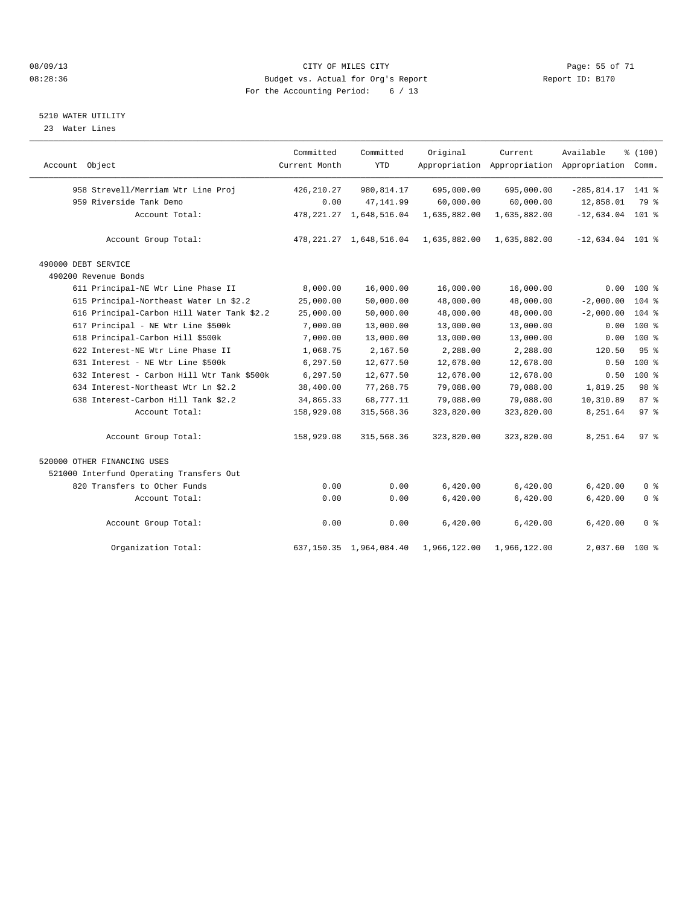#### 08/09/13 Page: 55 of 71 08:28:36 Budget vs. Actual for Org's Report Changer Report ID: B170 For the Accounting Period: 6 / 13

#### 5210 WATER UTILITY

23 Water Lines

|                                            | Committed     | Committed                    | Original     | Current      | Available                                       | % (100)        |  |
|--------------------------------------------|---------------|------------------------------|--------------|--------------|-------------------------------------------------|----------------|--|
| Account Object                             | Current Month | <b>YTD</b>                   |              |              | Appropriation Appropriation Appropriation Comm. |                |  |
| 958 Strevell/Merriam Wtr Line Proj         | 426, 210.27   | 980, 814.17                  | 695,000.00   | 695,000.00   | $-285,814.17$ 141 %                             |                |  |
| 959 Riverside Tank Demo                    | 0.00          | 47, 141.99                   | 60,000.00    | 60,000.00    | 12,858.01                                       | 79 %           |  |
| Account Total:                             |               | 478, 221. 27 1, 648, 516. 04 | 1,635,882.00 | 1,635,882.00 | $-12,634.04$ 101 %                              |                |  |
| Account Group Total:                       |               | 478, 221. 27 1, 648, 516. 04 | 1,635,882.00 | 1,635,882.00 | $-12,634.04$ 101 %                              |                |  |
| 490000 DEBT SERVICE                        |               |                              |              |              |                                                 |                |  |
| 490200 Revenue Bonds                       |               |                              |              |              |                                                 |                |  |
| 611 Principal-NE Wtr Line Phase II         | 8,000.00      | 16,000.00                    | 16,000.00    | 16,000.00    |                                                 | $0.00$ 100 %   |  |
| 615 Principal-Northeast Water Ln \$2.2     | 25,000.00     | 50,000.00                    | 48,000.00    | 48,000.00    | $-2,000.00$                                     | $104$ %        |  |
| 616 Principal-Carbon Hill Water Tank \$2.2 | 25,000.00     | 50,000.00                    | 48,000.00    | 48,000.00    | $-2,000.00$                                     | $104$ %        |  |
| 617 Principal - NE Wtr Line \$500k         | 7,000.00      | 13,000.00                    | 13,000.00    | 13,000.00    | 0.00                                            | 100 %          |  |
| 618 Principal-Carbon Hill \$500k           | 7,000.00      | 13,000.00                    | 13,000.00    | 13,000.00    | 0.00                                            | 100 %          |  |
| 622 Interest-NE Wtr Line Phase II          | 1,068.75      | 2,167.50                     | 2,288.00     | 2,288.00     | 120.50                                          | 95%            |  |
| 631 Interest - NE Wtr Line \$500k          | 6,297.50      | 12,677.50                    | 12,678.00    | 12,678.00    | 0.50                                            | $100$ %        |  |
| 632 Interest - Carbon Hill Wtr Tank \$500k | 6,297.50      | 12,677.50                    | 12,678.00    | 12,678.00    | 0.50                                            | 100 %          |  |
| 634 Interest-Northeast Wtr Ln \$2.2        | 38,400.00     | 77,268.75                    | 79,088.00    | 79,088.00    | 1,819.25                                        | 98 %           |  |
| 638 Interest-Carbon Hill Tank \$2.2        | 34,865.33     | 68,777.11                    | 79,088.00    | 79,088.00    | 10,310.89                                       | 87%            |  |
| Account Total:                             | 158,929.08    | 315,568.36                   | 323,820.00   | 323,820.00   | 8,251.64                                        | 97%            |  |
| Account Group Total:                       | 158,929.08    | 315,568.36                   | 323,820.00   | 323,820.00   | 8,251.64                                        | 97%            |  |
| 520000 OTHER FINANCING USES                |               |                              |              |              |                                                 |                |  |
| 521000 Interfund Operating Transfers Out   |               |                              |              |              |                                                 |                |  |
| 820 Transfers to Other Funds               | 0.00          | 0.00                         | 6,420.00     | 6,420.00     | 6,420.00                                        | 0 <sup>8</sup> |  |
| Account Total:                             | 0.00          | 0.00                         | 6,420.00     | 6,420.00     | 6,420.00                                        | 0 <sup>8</sup> |  |
| Account Group Total:                       | 0.00          | 0.00                         | 6,420.00     | 6,420.00     | 6,420.00                                        | 0 <sup>8</sup> |  |
| Organization Total:                        |               | 637, 150.35 1, 964, 084.40   | 1,966,122.00 | 1,966,122.00 | 2,037.60                                        | $100*$         |  |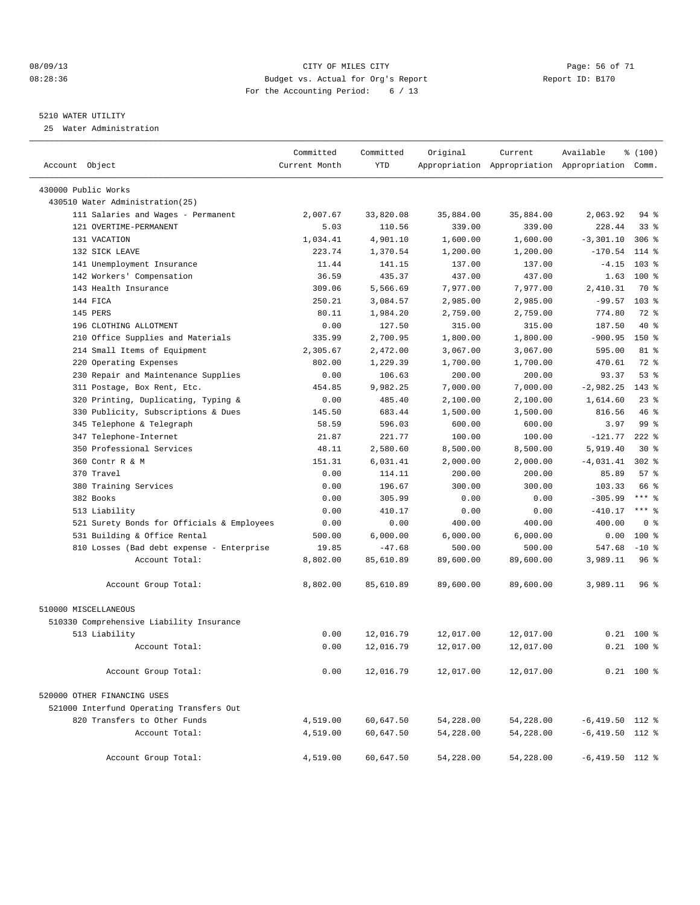#### 08/09/13 Page: 56 of 71 08:28:36 Budget vs. Actual for Org's Report Changer Report ID: B170 For the Accounting Period: 6 / 13

#### 5210 WATER UTILITY

25 Water Administration

| Account Object                             | Committed<br>Current Month | Committed<br><b>YTD</b> | Original  | Current   | Available<br>Appropriation Appropriation Appropriation Comm. | % (100)        |  |
|--------------------------------------------|----------------------------|-------------------------|-----------|-----------|--------------------------------------------------------------|----------------|--|
| 430000 Public Works                        |                            |                         |           |           |                                                              |                |  |
| 430510 Water Administration(25)            |                            |                         |           |           |                                                              |                |  |
| 111 Salaries and Wages - Permanent         | 2,007.67                   | 33,820.08               | 35,884.00 | 35,884.00 | 2,063.92                                                     | 94 %           |  |
| 121 OVERTIME-PERMANENT                     | 5.03                       | 110.56                  | 339.00    | 339.00    | 228.44                                                       | $33$ $%$       |  |
| 131 VACATION                               | 1,034.41                   | 4,901.10                | 1,600.00  | 1,600.00  | $-3, 301.10$                                                 | $306$ %        |  |
| 132 STCK LEAVE                             | 223.74                     | 1,370.54                | 1,200.00  | 1,200.00  | $-170.54$                                                    | $114$ %        |  |
| 141 Unemployment Insurance                 | 11.44                      | 141.15                  | 137.00    | 137.00    | $-4.15$                                                      | $103$ %        |  |
| 142 Workers' Compensation                  | 36.59                      | 435.37                  | 437.00    | 437.00    | 1.63                                                         | $100*$         |  |
| 143 Health Insurance                       | 309.06                     | 5,566.69                | 7,977.00  | 7,977.00  | 2,410.31                                                     | 70 %           |  |
| 144 FICA                                   | 250.21                     | 3,084.57                | 2,985.00  | 2,985.00  | $-99.57$                                                     | 103 %          |  |
| 145 PERS                                   | 80.11                      | 1,984.20                | 2,759.00  | 2,759.00  | 774.80                                                       | 72 %           |  |
| 196 CLOTHING ALLOTMENT                     | 0.00                       | 127.50                  | 315.00    | 315.00    | 187.50                                                       | $40*$          |  |
| 210 Office Supplies and Materials          | 335.99                     | 2,700.95                | 1,800.00  | 1,800.00  | $-900.95$                                                    | $150*$         |  |
| 214 Small Items of Equipment               | 2,305.67                   | 2,472.00                | 3,067.00  | 3,067.00  | 595.00                                                       | 81 %           |  |
| Operating Expenses<br>220                  | 802.00                     | 1,229.39                | 1,700.00  | 1,700.00  | 470.61                                                       | 72 %           |  |
| 230 Repair and Maintenance Supplies        | 0.00                       | 106.63                  | 200.00    | 200.00    | 93.37                                                        | 53%            |  |
| 311 Postage, Box Rent, Etc.                | 454.85                     | 9,982.25                | 7,000.00  | 7,000.00  | $-2,982.25$                                                  | $143*$         |  |
| 320 Printing, Duplicating, Typing &        | 0.00                       | 485.40                  | 2,100.00  | 2,100.00  | 1,614.60                                                     | $23$ $%$       |  |
| 330 Publicity, Subscriptions & Dues        | 145.50                     | 683.44                  | 1,500.00  | 1,500.00  | 816.56                                                       | 46 %           |  |
| Telephone & Telegraph<br>345               | 58.59                      | 596.03                  | 600.00    | 600.00    | 3.97                                                         | 99 %           |  |
| 347 Telephone-Internet                     | 21.87                      | 221.77                  | 100.00    | 100.00    | $-121.77$                                                    | $2.2.2$ $%$    |  |
| 350 Professional Services                  | 48.11                      | 2,580.60                | 8,500.00  | 8,500.00  | 5,919.40                                                     | $30*$          |  |
| 360 Contr R & M                            | 151.31                     | 6,031.41                | 2,000.00  | 2,000.00  | $-4,031.41$                                                  | $302*$         |  |
| 370 Travel                                 | 0.00                       | 114.11                  | 200.00    | 200.00    | 85.89                                                        | 57%            |  |
| 380 Training Services                      | 0.00                       | 196.67                  | 300.00    | 300.00    | 103.33                                                       | 66 %           |  |
| 382 Books                                  | 0.00                       | 305.99                  | 0.00      | 0.00      | $-305.99$                                                    | $***$ $-$      |  |
| 513 Liability                              | 0.00                       | 410.17                  | 0.00      | 0.00      | $-410.17$                                                    | $***$ $%$      |  |
| 521 Surety Bonds for Officials & Employees | 0.00                       | 0.00                    | 400.00    | 400.00    | 400.00                                                       | 0 <sup>8</sup> |  |
| 531 Building & Office Rental               | 500.00                     | 6,000.00                | 6,000.00  | 6,000.00  | 0.00                                                         | 100 %          |  |
| 810 Losses (Bad debt expense - Enterprise  | 19.85                      | $-47.68$                | 500.00    | 500.00    | 547.68                                                       | $-10$ %        |  |
| Account Total:                             |                            | 85,610.89               | 89,600.00 | 89,600.00 |                                                              | 96%            |  |
|                                            | 8,802.00                   |                         |           |           | 3,989.11                                                     |                |  |
| Account Group Total:                       | 8,802.00                   | 85,610.89               | 89,600.00 | 89,600.00 | 3,989.11                                                     | 96 %           |  |
| 510000 MISCELLANEOUS                       |                            |                         |           |           |                                                              |                |  |
| 510330 Comprehensive Liability Insurance   |                            |                         |           |           |                                                              |                |  |
| 513 Liability                              | 0.00                       | 12,016.79               | 12,017.00 | 12,017.00 |                                                              | $0.21$ 100 %   |  |
| Account Total:                             | 0.00                       | 12,016.79               | 12,017.00 | 12,017.00 | 0.21                                                         | $100$ %        |  |
|                                            |                            |                         |           |           |                                                              |                |  |
| Account Group Total:                       | 0.00                       | 12,016.79               | 12,017.00 | 12,017.00 |                                                              | $0.21$ 100 %   |  |
| 520000 OTHER FINANCING USES                |                            |                         |           |           |                                                              |                |  |
| 521000 Interfund Operating Transfers Out   |                            |                         |           |           |                                                              |                |  |
| 820 Transfers to Other Funds               | 4,519.00                   | 60,647.50               | 54,228.00 | 54,228.00 | $-6,419.50$ 112 %                                            |                |  |
| Account Total:                             | 4,519.00                   | 60,647.50               | 54,228.00 | 54,228.00 | $-6,419.50$ 112 %                                            |                |  |
| Account Group Total:                       | 4,519.00                   | 60,647.50               | 54,228.00 | 54,228.00 | $-6,419.50$ 112 %                                            |                |  |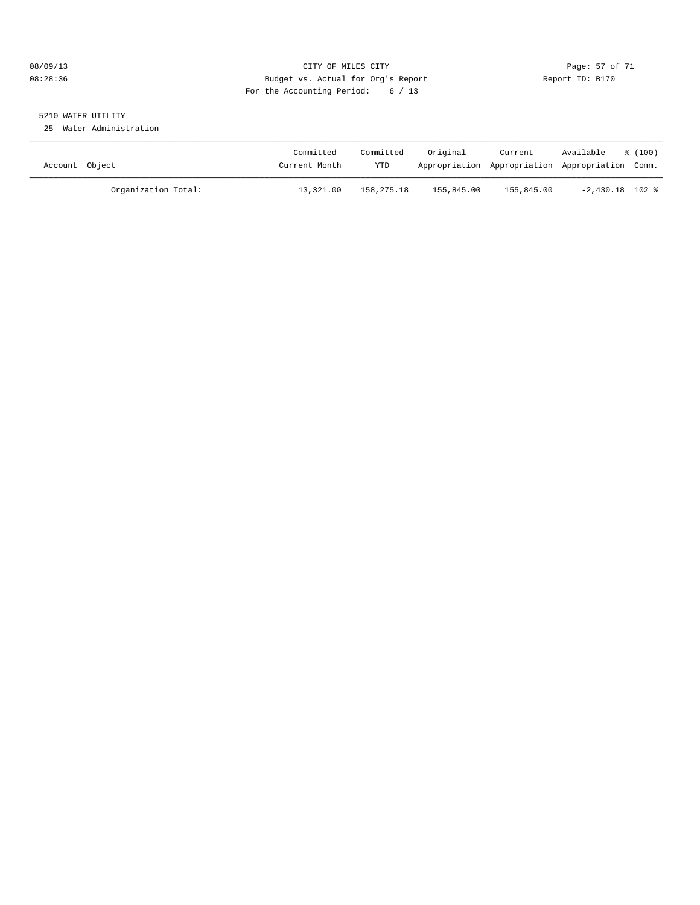#### 08/09/13 Page: 57 of 71 CHTY OF MILES CITY CONTROL PAGE: 57 of 71 08:28:36 Budget vs. Actual for Org's Report Changer Report ID: B170 For the Accounting Period: 6 / 13

# 5210 WATER UTILITY

25 Water Administration

| Account Object |                     | Committed<br>Current Month | Committed<br>YTD | Original   | Current<br>Appropriation Appropriation Appropriation Comm. | Available         | $\frac{100}{2}$ |
|----------------|---------------------|----------------------------|------------------|------------|------------------------------------------------------------|-------------------|-----------------|
|                | Organization Total: | 13,321.00                  | 158,275.18       | 155,845.00 | 155,845.00                                                 | $-2,430.18$ 102 % |                 |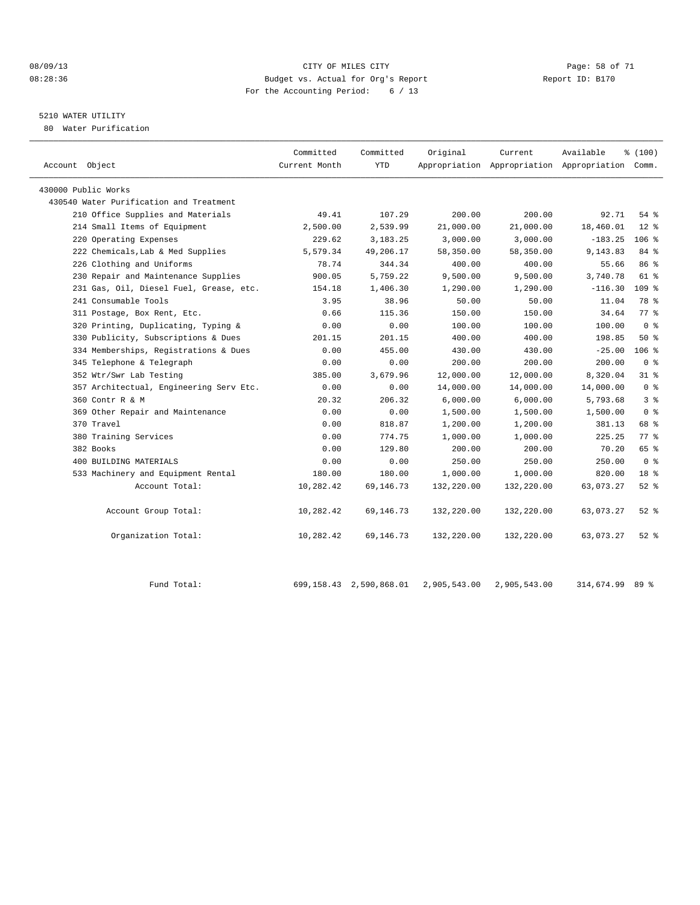#### 08/09/13 CITY OF MILES CITY CHEREN CITY OF MILES COMPOSED Page: 58 of 71<br>
Budget vs. Actual for Org's Report Alleger State Page: 58 of 71 08:28:36 Budget vs. Actual for Org's Report Report ID: B170 For the Accounting Period: 6 / 13

## 5210 WATER UTILITY

80 Water Purification

| Account Object                          | Committed<br>Current Month | Committed<br><b>YTD</b> | Original   | Current    | Available<br>Appropriation Appropriation Appropriation Comm. | % (100)         |  |
|-----------------------------------------|----------------------------|-------------------------|------------|------------|--------------------------------------------------------------|-----------------|--|
|                                         |                            |                         |            |            |                                                              |                 |  |
| 430000 Public Works                     |                            |                         |            |            |                                                              |                 |  |
| 430540 Water Purification and Treatment |                            |                         |            |            |                                                              |                 |  |
| 210 Office Supplies and Materials       | 49.41                      | 107.29                  | 200.00     | 200.00     | 92.71                                                        | $54$ $%$        |  |
| 214 Small Items of Equipment            | 2,500.00                   | 2,539.99                | 21,000.00  | 21,000.00  | 18,460.01                                                    | $12*$           |  |
| 220 Operating Expenses                  | 229.62                     | 3,183.25                | 3,000.00   | 3,000.00   | $-183.25$                                                    | $106$ %         |  |
| 222 Chemicals, Lab & Med Supplies       | 5,579.34                   | 49,206.17               | 58,350.00  | 58,350.00  | 9,143.83                                                     | 84 %            |  |
| 226 Clothing and Uniforms               | 78.74                      | 344.34                  | 400.00     | 400.00     | 55.66                                                        | 86 %            |  |
| 230 Repair and Maintenance Supplies     | 900.05                     | 5,759.22                | 9,500.00   | 9,500.00   | 3,740.78                                                     | 61 %            |  |
| 231 Gas, Oil, Diesel Fuel, Grease, etc. | 154.18                     | 1,406.30                | 1,290.00   | 1,290.00   | $-116.30$                                                    | $109$ %         |  |
| 241 Consumable Tools                    | 3.95                       | 38.96                   | 50.00      | 50.00      | 11.04                                                        | 78 %            |  |
| 311 Postage, Box Rent, Etc.             | 0.66                       | 115.36                  | 150.00     | 150.00     | 34.64                                                        | 77.8            |  |
| 320 Printing, Duplicating, Typing &     | 0.00                       | 0.00                    | 100.00     | 100.00     | 100.00                                                       | 0 <sup>8</sup>  |  |
| 330 Publicity, Subscriptions & Dues     | 201.15                     | 201.15                  | 400.00     | 400.00     | 198.85                                                       | $50*$           |  |
| 334 Memberships, Registrations & Dues   | 0.00                       | 455.00                  | 430.00     | 430.00     | $-25.00$                                                     | $106$ %         |  |
| 345 Telephone & Telegraph               | 0.00                       | 0.00                    | 200.00     | 200.00     | 200.00                                                       | 0 <sup>8</sup>  |  |
| 352 Wtr/Swr Lab Testing                 | 385.00                     | 3,679.96                | 12,000.00  | 12,000.00  | 8,320.04                                                     | $31*$           |  |
| 357 Architectual, Engineering Serv Etc. | 0.00                       | 0.00                    | 14,000.00  | 14,000.00  | 14,000.00                                                    | 0 <sup>8</sup>  |  |
| 360 Contr R & M                         | 20.32                      | 206.32                  | 6,000.00   | 6,000.00   | 5,793.68                                                     | 3%              |  |
| 369 Other Repair and Maintenance        | 0.00                       | 0.00                    | 1,500.00   | 1,500.00   | 1,500.00                                                     | 0 <sup>8</sup>  |  |
| 370 Travel                              | 0.00                       | 818.87                  | 1,200.00   | 1,200.00   | 381.13                                                       | 68 %            |  |
| 380 Training Services                   | 0.00                       | 774.75                  | 1,000.00   | 1,000.00   | 225.25                                                       | 77.8            |  |
| 382 Books                               | 0.00                       | 129.80                  | 200.00     | 200.00     | 70.20                                                        | 65 %            |  |
| 400 BUILDING MATERIALS                  | 0.00                       | 0.00                    | 250.00     | 250.00     | 250.00                                                       | 0 <sup>8</sup>  |  |
| 533 Machinery and Equipment Rental      | 180.00                     | 180.00                  | 1,000.00   | 1,000.00   | 820.00                                                       | 18 <sup>8</sup> |  |
| Account Total:                          | 10,282.42                  | 69,146.73               | 132,220.00 | 132,220.00 | 63,073.27                                                    | $52$ $%$        |  |
| Account Group Total:                    | 10,282.42                  | 69,146.73               | 132,220.00 | 132,220.00 | 63,073.27                                                    | $52$ $%$        |  |
| Organization Total:                     | 10,282.42                  | 69,146.73               | 132,220.00 | 132,220.00 | 63,073.27                                                    | $52$ $%$        |  |
|                                         |                            |                         |            |            |                                                              |                 |  |

Fund Total: 699,158.43 2,590,868.01 2,905,543.00 2,905,543.00 314,674.99 89 %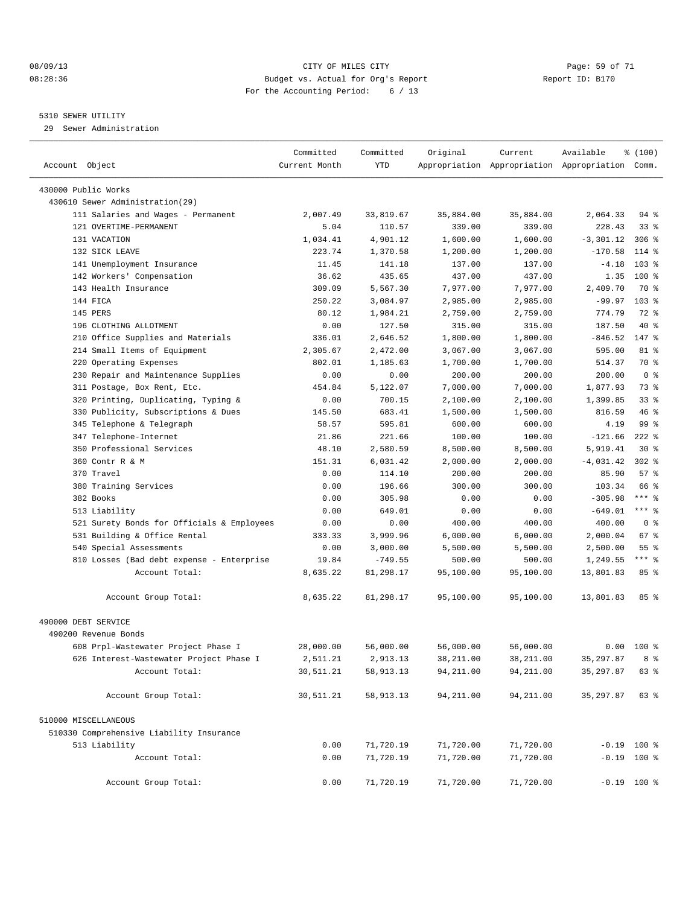#### 08/09/13 Page: 59 of 71 08:28:36 Budget vs. Actual for Org's Report Changer Report ID: B170 For the Accounting Period: 6 / 13

#### 5310 SEWER UTILITY

29 Sewer Administration

| Account Object                             | Committed<br>Current Month | Committed<br>YTD | Original   | Current    | Available<br>Appropriation Appropriation Appropriation Comm. | % (100)         |  |
|--------------------------------------------|----------------------------|------------------|------------|------------|--------------------------------------------------------------|-----------------|--|
| 430000 Public Works                        |                            |                  |            |            |                                                              |                 |  |
| 430610 Sewer Administration(29)            |                            |                  |            |            |                                                              |                 |  |
| 111 Salaries and Wages - Permanent         | 2,007.49                   | 33,819.67        | 35,884.00  | 35,884.00  | 2,064.33                                                     | 94 %            |  |
| 121 OVERTIME-PERMANENT                     | 5.04                       | 110.57           | 339.00     | 339.00     | 228.43                                                       | $33$ $%$        |  |
| 131 VACATION                               | 1,034.41                   | 4,901.12         | 1,600.00   | 1,600.00   | $-3, 301.12$                                                 | $306$ %         |  |
| 132 SICK LEAVE                             | 223.74                     | 1,370.58         | 1,200.00   | 1,200.00   | $-170.58$                                                    | 114 %           |  |
| 141 Unemployment Insurance                 | 11.45                      | 141.18           | 137.00     | 137.00     | $-4.18$                                                      | $103$ %         |  |
| 142 Workers' Compensation                  | 36.62                      | 435.65           | 437.00     | 437.00     | 1.35                                                         | $100*$          |  |
| 143 Health Insurance                       | 309.09                     | 5,567.30         | 7,977.00   | 7,977.00   | 2,409.70                                                     | 70 %            |  |
| 144 FICA                                   | 250.22                     | 3,084.97         | 2,985.00   | 2,985.00   | $-99.97$                                                     | $103$ %         |  |
| 145 PERS                                   | 80.12                      | 1,984.21         | 2,759.00   | 2,759.00   | 774.79                                                       | 72 %            |  |
| 196 CLOTHING ALLOTMENT                     | 0.00                       | 127.50           | 315.00     | 315.00     | 187.50                                                       | $40*$           |  |
| 210 Office Supplies and Materials          | 336.01                     | 2,646.52         | 1,800.00   | 1,800.00   | $-846.52$                                                    | 147 %           |  |
| 214 Small Items of Equipment               | 2,305.67                   | 2,472.00         | 3,067.00   | 3,067.00   | 595.00                                                       | 81 %            |  |
| Operating Expenses<br>220                  | 802.01                     | 1,185.63         | 1,700.00   | 1,700.00   | 514.37                                                       | 70 %            |  |
| 230 Repair and Maintenance Supplies        | 0.00                       | 0.00             | 200.00     | 200.00     | 200.00                                                       | 0 <sup>8</sup>  |  |
| 311 Postage, Box Rent, Etc.                | 454.84                     | 5,122.07         | 7,000.00   | 7,000.00   | 1,877.93                                                     | 73 %            |  |
| 320 Printing, Duplicating, Typing &        | 0.00                       | 700.15           | 2,100.00   | 2,100.00   | 1,399.85                                                     | 33 <sup>8</sup> |  |
| Publicity, Subscriptions & Dues<br>330     | 145.50                     | 683.41           | 1,500.00   | 1,500.00   | 816.59                                                       | 46%             |  |
| Telephone & Telegraph<br>345               | 58.57                      | 595.81           | 600.00     | 600.00     | 4.19                                                         | 99 %            |  |
| 347 Telephone-Internet                     | 21.86                      | 221.66           | 100.00     | 100.00     | $-121.66$                                                    | $222$ $%$       |  |
| 350 Professional Services                  | 48.10                      | 2,580.59         | 8,500.00   | 8,500.00   | 5,919.41                                                     | $30*$           |  |
| 360 Contr R & M                            | 151.31                     | 6,031.42         | 2,000.00   | 2,000.00   | $-4,031.42$                                                  | $302$ $%$       |  |
| 370 Travel                                 | 0.00                       | 114.10           | 200.00     | 200.00     | 85.90                                                        | 57%             |  |
| 380 Training Services                      | 0.00                       | 196.66           | 300.00     | 300.00     | 103.34                                                       | 66 %            |  |
| 382 Books                                  | 0.00                       | 305.98           | 0.00       | 0.00       | $-305.98$                                                    | $***$ $-$       |  |
| 513 Liability                              | 0.00                       | 649.01           | 0.00       | 0.00       | $-649.01$                                                    | $***$ $-$       |  |
| 521 Surety Bonds for Officials & Employees | 0.00                       | 0.00             | 400.00     | 400.00     | 400.00                                                       | 0 <sup>8</sup>  |  |
| 531 Building & Office Rental               | 333.33                     | 3,999.96         | 6,000.00   | 6,000.00   | 2,000.04                                                     | 67 %            |  |
| 540 Special Assessments                    | 0.00                       | 3,000.00         | 5,500.00   | 5,500.00   | 2,500.00                                                     | 55 <sup>8</sup> |  |
| 810 Losses (Bad debt expense - Enterprise  | 19.84                      | $-749.55$        | 500.00     | 500.00     | 1,249.55                                                     | $***$ $%$       |  |
| Account Total:                             | 8,635.22                   | 81,298.17        | 95,100.00  | 95,100.00  | 13,801.83                                                    | 85%             |  |
| Account Group Total:                       | 8,635.22                   | 81,298.17        | 95,100.00  | 95,100.00  | 13,801.83                                                    | 85 <sup>8</sup> |  |
| 490000 DEBT SERVICE                        |                            |                  |            |            |                                                              |                 |  |
| 490200 Revenue Bonds                       |                            |                  |            |            |                                                              |                 |  |
| 608 Prpl-Wastewater Project Phase I        | 28,000.00                  | 56,000.00        | 56,000.00  | 56,000.00  | 0.00                                                         | $100*$          |  |
| 626 Interest-Wastewater Project Phase I    | 2,511.21                   | 2,913.13         | 38,211.00  | 38,211.00  | 35, 297.87                                                   | 8 %             |  |
| Account Total:                             | 30,511.21                  | 58,913.13        | 94, 211.00 | 94, 211.00 | 35, 297.87                                                   | 63 %            |  |
| Account Group Total:                       | 30,511.21                  | 58,913.13        | 94,211.00  | 94,211.00  | 35,297.87                                                    | 63 %            |  |
| 510000 MISCELLANEOUS                       |                            |                  |            |            |                                                              |                 |  |
| 510330 Comprehensive Liability Insurance   |                            |                  |            |            |                                                              |                 |  |
| 513 Liability                              | 0.00                       | 71,720.19        | 71,720.00  | 71,720.00  | $-0.19$ 100 %                                                |                 |  |
| Account Total:                             | 0.00                       | 71,720.19        | 71,720.00  | 71,720.00  | $-0.19$ 100 %                                                |                 |  |
| Account Group Total:                       | 0.00                       | 71,720.19        | 71,720.00  | 71,720.00  | $-0.19$ 100 %                                                |                 |  |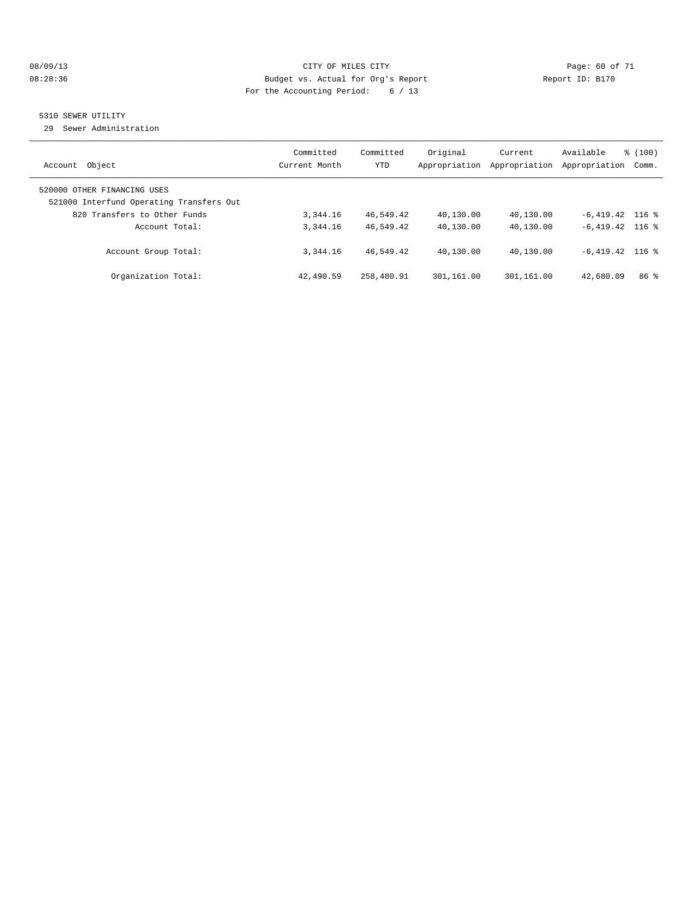#### 08/09/13 Page: 60 of 71 08:28:36 Budget vs. Actual for Org's Report Changer Report ID: B170 For the Accounting Period: 6 / 13

#### 5310 SEWER UTILITY

29 Sewer Administration

| Object<br>Account                                                                                       | Committed<br>Current Month | Committed<br><b>YTD</b> | Original<br>Appropriation | Current<br>Appropriation | Available<br>Appropriation | % (100)<br>Comm. |
|---------------------------------------------------------------------------------------------------------|----------------------------|-------------------------|---------------------------|--------------------------|----------------------------|------------------|
| 520000 OTHER FINANCING USES<br>521000 Interfund Operating Transfers Out<br>820 Transfers to Other Funds | 3,344.16                   | 46,549.42               | 40,130.00                 | 40,130.00                | $-6,419.42$ 116 %          |                  |
| Account Total:                                                                                          | 3, 344, 16                 | 46,549.42               | 40,130.00                 | 40,130.00                | $-6.419.42$ 116 %          |                  |
| Account Group Total:                                                                                    | 3, 344, 16                 | 46,549.42               | 40,130.00                 | 40,130.00                | $-6.419.42$ 116 %          |                  |
| Organization Total:                                                                                     | 42,490.59                  | 258,480.91              | 301,161.00                | 301,161.00               | 42,680.09                  | 86 <sup>8</sup>  |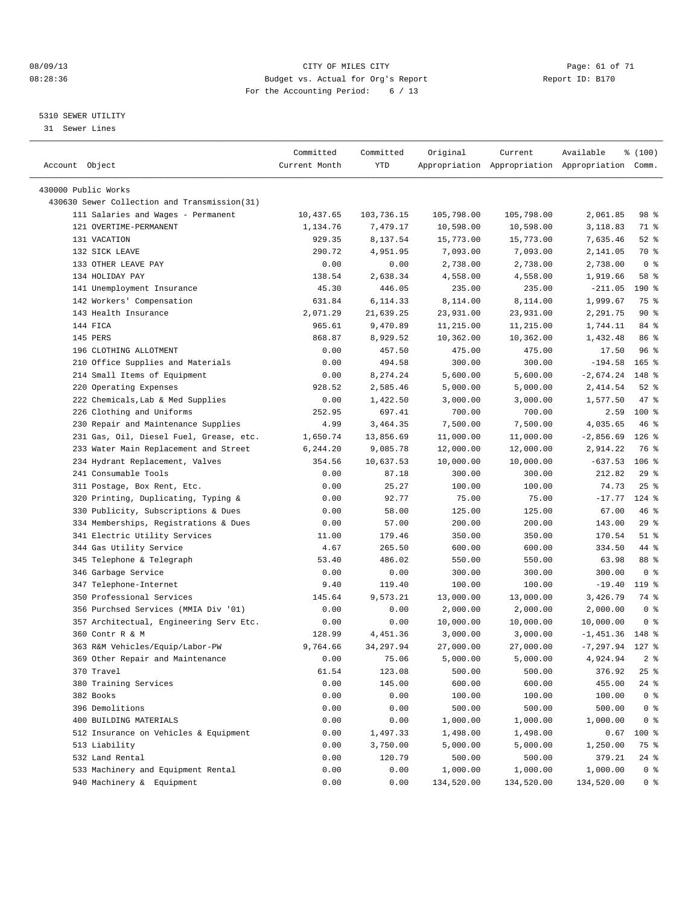#### 08/09/13 CITY OF MILES CITY Page: 61 of 71 08:28:36 Budget vs. Actual for Org's Report Changer Report ID: B170 For the Accounting Period: 6 / 13

————————————————————————————————————————————————————————————————————————————————————————————————————————————————————————————————————

#### 5310 SEWER UTILITY

31 Sewer Lines

|                                                                     | Committed      | Committed        | Original           | Current    | Available                                       | ៖ (100)          |
|---------------------------------------------------------------------|----------------|------------------|--------------------|------------|-------------------------------------------------|------------------|
| Account Object                                                      | Current Month  | YTD              |                    |            | Appropriation Appropriation Appropriation Comm. |                  |
|                                                                     |                |                  |                    |            |                                                 |                  |
| 430000 Public Works<br>430630 Sewer Collection and Transmission(31) |                |                  |                    |            |                                                 |                  |
| 111 Salaries and Wages - Permanent                                  | 10,437.65      | 103,736.15       | 105,798.00         | 105,798.00 | 2,061.85                                        | 98 %             |
| 121 OVERTIME-PERMANENT                                              | 1,134.76       | 7,479.17         | 10,598.00          |            |                                                 | 71 %             |
| 131 VACATION                                                        |                |                  |                    | 10,598.00  | 3,118.83                                        |                  |
|                                                                     | 929.35         | 8,137.54         | 15,773.00          | 15,773.00  | 7,635.46                                        | $52$ $%$<br>70 % |
| 132 SICK LEAVE<br>133 OTHER LEAVE PAY                               | 290.72<br>0.00 | 4,951.95<br>0.00 | 7,093.00           | 7,093.00   | 2,141.05                                        | 0 <sup>8</sup>   |
| 134 HOLIDAY PAY                                                     | 138.54         |                  | 2,738.00           | 2,738.00   | 2,738.00                                        | 58 %             |
| 141 Unemployment Insurance                                          |                | 2,638.34         | 4,558.00           | 4,558.00   | 1,919.66                                        |                  |
|                                                                     | 45.30          | 446.05           | 235.00<br>8,114.00 | 235.00     | $-211.05$                                       | 190 %<br>75 %    |
| 142 Workers' Compensation                                           | 631.84         | 6,114.33         |                    | 8,114.00   | 1,999.67                                        |                  |
| 143 Health Insurance                                                | 2,071.29       | 21,639.25        | 23,931.00          | 23,931.00  | 2,291.75                                        | 90%<br>84 %      |
| 144 FICA                                                            | 965.61         | 9,470.89         | 11,215.00          | 11,215.00  | 1,744.11                                        |                  |
| 145 PERS                                                            | 868.87         | 8,929.52         | 10,362.00          | 10,362.00  | 1,432.48                                        | 86 %             |
| 196 CLOTHING ALLOTMENT                                              | 0.00           | 457.50           | 475.00             | 475.00     | 17.50                                           | 96%              |
| 210 Office Supplies and Materials                                   | 0.00           | 494.58           | 300.00             | 300.00     | $-194.58$                                       | $165$ %          |
| 214 Small Items of Equipment                                        | 0.00           | 8,274.24         | 5,600.00           | 5,600.00   | $-2,674.24$                                     | 148 %            |
| 220 Operating Expenses                                              | 928.52         | 2,585.46         | 5,000.00           | 5,000.00   | 2,414.54                                        | $52$ $%$         |
| 222 Chemicals, Lab & Med Supplies                                   | 0.00           | 1,422.50         | 3,000.00           | 3,000.00   | 1,577.50                                        | 47 %             |
| 226 Clothing and Uniforms                                           | 252.95         | 697.41           | 700.00             | 700.00     | 2.59                                            | $100$ %          |
| 230 Repair and Maintenance Supplies                                 | 4.99           | 3,464.35         | 7,500.00           | 7,500.00   | 4,035.65                                        | 46 %             |
| 231 Gas, Oil, Diesel Fuel, Grease, etc.                             | 1,650.74       | 13,856.69        | 11,000.00          | 11,000.00  | $-2,856.69$                                     | $126$ %          |
| 233 Water Main Replacement and Street                               | 6,244.20       | 9,085.78         | 12,000.00          | 12,000.00  | 2,914.22                                        | 76 %             |
| 234 Hydrant Replacement, Valves                                     | 354.56         | 10,637.53        | 10,000.00          | 10,000.00  | $-637.53$                                       | $106$ %          |
| 241 Consumable Tools                                                | 0.00           | 87.18            | 300.00             | 300.00     | 212.82                                          | 29%              |
| 311 Postage, Box Rent, Etc.                                         | 0.00           | 25.27            | 100.00             | 100.00     | 74.73                                           | $25$ %           |
| 320 Printing, Duplicating, Typing &                                 | 0.00           | 92.77            | 75.00              | 75.00      | $-17.77$                                        | $124$ %          |
| 330 Publicity, Subscriptions & Dues                                 | 0.00           | 58.00            | 125.00             | 125.00     | 67.00                                           | 46 %             |
| 334 Memberships, Registrations & Dues                               | 0.00           | 57.00            | 200.00             | 200.00     | 143.00                                          | 29%              |
| 341 Electric Utility Services                                       | 11.00          | 179.46           | 350.00             | 350.00     | 170.54                                          | $51$ %           |
| 344 Gas Utility Service                                             | 4.67           | 265.50           | 600.00             | 600.00     | 334.50                                          | 44 %             |
| 345 Telephone & Telegraph                                           | 53.40          | 486.02           | 550.00             | 550.00     | 63.98                                           | 88 %             |
| 346 Garbage Service                                                 | 0.00           | 0.00             | 300.00             | 300.00     | 300.00                                          | 0 <sup>8</sup>   |
| 347 Telephone-Internet                                              | 9.40           | 119.40           | 100.00             | 100.00     | $-19.40$                                        | 119 %            |
| 350 Professional Services                                           | 145.64         | 9,573.21         | 13,000.00          | 13,000.00  | 3,426.79                                        | 74 %             |
| 356 Purchsed Services (MMIA Div '01)                                | 0.00           | 0.00             | 2,000.00           | 2,000.00   | 2,000.00                                        | 0 <sup>8</sup>   |
| 357 Architectual, Engineering Serv Etc.                             | 0.00           | 0.00             | 10,000.00          | 10,000.00  | 10,000.00                                       | 0 %              |
| 360 Contr R & M                                                     | 128.99         | 4,451.36         | 3,000.00           | 3,000.00   | $-1,451.36$                                     | 148 %            |
| 363 R&M Vehicles/Equip/Labor-PW                                     | 9,764.66       | 34, 297.94       | 27,000.00          | 27,000.00  | $-7, 297.94$ 127 %                              |                  |
| 369 Other Repair and Maintenance                                    | 0.00           | 75.06            | 5,000.00           | 5,000.00   | 4,924.94                                        | 2 <sup>8</sup>   |
| 370 Travel                                                          | 61.54          | 123.08           | 500.00             | 500.00     | 376.92                                          | 25 %             |
| 380 Training Services                                               | 0.00           | 145.00           | 600.00             | 600.00     | 455.00                                          | 24 %             |
| 382 Books                                                           | 0.00           | 0.00             | 100.00             | 100.00     | 100.00                                          | 0 <sup>8</sup>   |
| 396 Demolitions                                                     | 0.00           | 0.00             | 500.00             | 500.00     | 500.00                                          | 0 <sup>8</sup>   |
| 400 BUILDING MATERIALS                                              | 0.00           | 0.00             | 1,000.00           | 1,000.00   | 1,000.00                                        | 0 <sup>8</sup>   |
| 512 Insurance on Vehicles & Equipment                               | 0.00           | 1,497.33         | 1,498.00           | 1,498.00   | 0.67                                            | 100 %            |
| 513 Liability                                                       | 0.00           | 3,750.00         | 5,000.00           | 5,000.00   | 1,250.00                                        | 75 %             |
| 532 Land Rental                                                     | 0.00           | 120.79           | 500.00             | 500.00     | 379.21                                          | 24 %             |
| 533 Machinery and Equipment Rental                                  | 0.00           | 0.00             | 1,000.00           | 1,000.00   | 1,000.00                                        | 0 <sup>8</sup>   |
| 940 Machinery & Equipment                                           | 0.00           | 0.00             | 134,520.00         | 134,520.00 | 134,520.00                                      | 0 <sup>8</sup>   |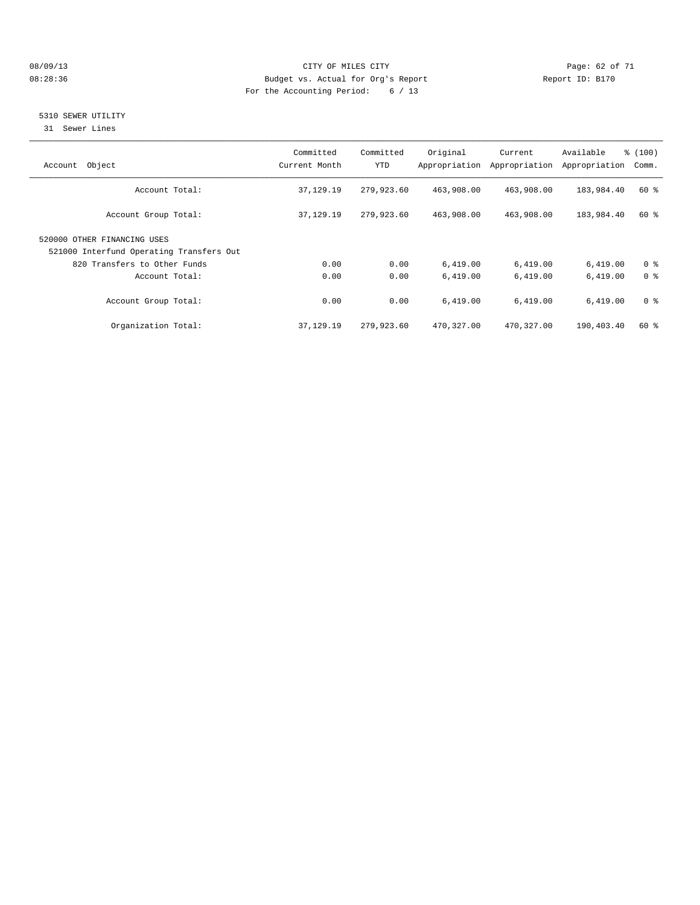#### 08/09/13 Page: 62 of 71 08:28:36 Budget vs. Actual for Org's Report Changer Report ID: B170 For the Accounting Period: 6 / 13

#### 5310 SEWER UTILITY

31 Sewer Lines

| Object<br>Account                        | Committed<br>Current Month | Committed<br><b>YTD</b> | Original   | Current<br>Appropriation Appropriation | Available<br>Appropriation | % (100)<br>Comm. |
|------------------------------------------|----------------------------|-------------------------|------------|----------------------------------------|----------------------------|------------------|
|                                          |                            |                         |            |                                        |                            |                  |
| Account Total:                           | 37,129.19                  | 279,923.60              | 463,908.00 | 463,908.00                             | 183,984.40                 | 60 %             |
| Account Group Total:                     | 37,129.19                  | 279,923.60              | 463,908.00 | 463,908.00                             | 183,984.40                 | 60 %             |
| 520000 OTHER FINANCING USES              |                            |                         |            |                                        |                            |                  |
| 521000 Interfund Operating Transfers Out |                            |                         |            |                                        |                            |                  |
| 820 Transfers to Other Funds             | 0.00                       | 0.00                    | 6,419.00   | 6,419.00                               | 6,419.00                   | 0 <sup>8</sup>   |
| Account Total:                           | 0.00                       | 0.00                    | 6.419.00   | 6,419.00                               | 6,419.00                   | 0 <sup>8</sup>   |
| Account Group Total:                     | 0.00                       | 0.00                    | 6,419.00   | 6,419.00                               | 6,419.00                   | 0 <sup>8</sup>   |
| Organization Total:                      | 37,129.19                  | 279,923.60              | 470,327.00 | 470,327.00                             | 190,403.40                 | $60*$            |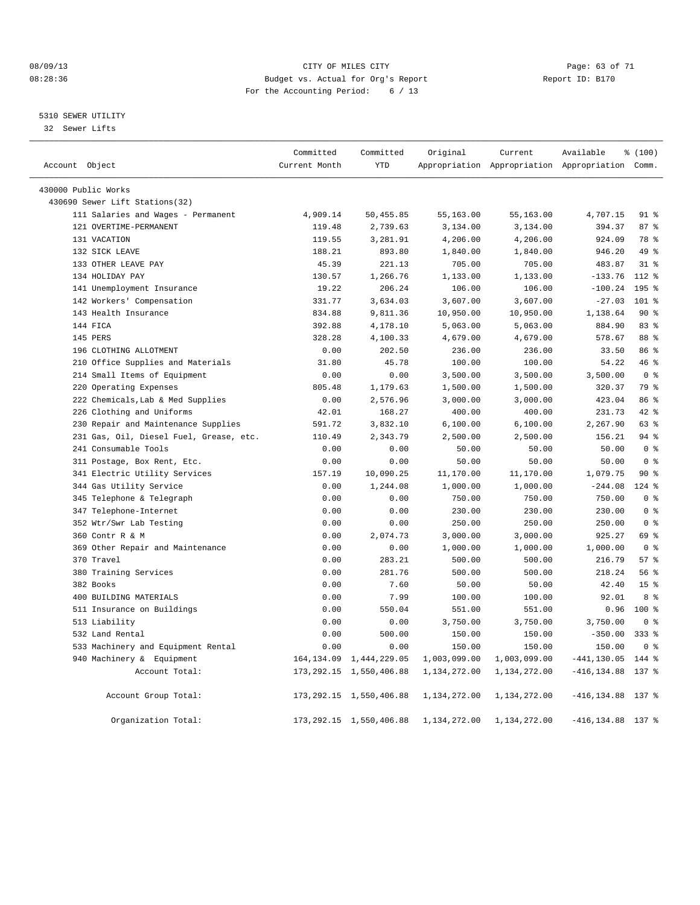#### 08/09/13 CITY OF MILES CITY Page: 63 of 71 08:28:36 Budget vs. Actual for Org's Report Changer Report ID: B170 For the Accounting Period: 6 / 13

#### 5310 SEWER UTILITY

32 Sewer Lifts

|                                         | Committed     | Committed                  | Original     | Current      | Available                                       | % (100)          |  |
|-----------------------------------------|---------------|----------------------------|--------------|--------------|-------------------------------------------------|------------------|--|
| Account Object                          | Current Month | <b>YTD</b>                 |              |              | Appropriation Appropriation Appropriation Comm. |                  |  |
| 430000 Public Works                     |               |                            |              |              |                                                 |                  |  |
| 430690 Sewer Lift Stations(32)          |               |                            |              |              |                                                 |                  |  |
| 111 Salaries and Wages - Permanent      | 4,909.14      | 50,455.85                  | 55,163.00    | 55,163.00    | 4,707.15                                        | $91*$            |  |
| 121 OVERTIME-PERMANENT                  | 119.48        | 2,739.63                   | 3,134.00     | 3,134.00     | 394.37                                          | 87 <sup>8</sup>  |  |
| 131 VACATION                            | 119.55        | 3,281.91                   | 4,206.00     | 4,206.00     | 924.09                                          | 78 %             |  |
| 132 SICK LEAVE                          | 188.21        | 893.80                     | 1,840.00     | 1,840.00     | 946.20                                          | 49 %             |  |
| 133 OTHER LEAVE PAY                     | 45.39         | 221.13                     | 705.00       | 705.00       | 483.87                                          | $31$ %           |  |
| 134 HOLIDAY PAY                         | 130.57        | 1,266.76                   | 1,133.00     | 1,133.00     | $-133.76$                                       | 112 %            |  |
| 141 Unemployment Insurance              | 19.22         | 206.24                     | 106.00       | 106.00       | $-100.24$                                       | 195 <sub>8</sub> |  |
| 142 Workers' Compensation               | 331.77        | 3,634.03                   | 3,607.00     | 3,607.00     | $-27.03$                                        | 101 %            |  |
| 143 Health Insurance                    | 834.88        | 9,811.36                   | 10,950.00    | 10,950.00    | 1,138.64                                        | $90*$            |  |
| 144 FICA                                | 392.88        | 4,178.10                   | 5,063.00     | 5,063.00     | 884.90                                          | 83%              |  |
| 145 PERS                                | 328.28        | 4,100.33                   | 4,679.00     | 4,679.00     | 578.67                                          | 88 %             |  |
| 196 CLOTHING ALLOTMENT                  | 0.00          | 202.50                     | 236.00       | 236.00       | 33.50                                           | 86 %             |  |
| 210 Office Supplies and Materials       | 31.80         | 45.78                      | 100.00       | 100.00       | 54.22                                           | 46%              |  |
| 214 Small Items of Equipment            | 0.00          | 0.00                       | 3,500.00     | 3,500.00     | 3,500.00                                        | 0 <sup>8</sup>   |  |
| 220 Operating Expenses                  | 805.48        | 1,179.63                   | 1,500.00     | 1,500.00     | 320.37                                          | 79 %             |  |
| 222 Chemicals, Lab & Med Supplies       | 0.00          | 2,576.96                   | 3,000.00     | 3,000.00     | 423.04                                          | 86 %             |  |
| 226 Clothing and Uniforms               | 42.01         | 168.27                     | 400.00       | 400.00       | 231.73                                          | 42.8             |  |
| 230 Repair and Maintenance Supplies     | 591.72        | 3,832.10                   | 6,100.00     | 6,100.00     | 2,267.90                                        | 63 %             |  |
| 231 Gas, Oil, Diesel Fuel, Grease, etc. | 110.49        | 2,343.79                   | 2,500.00     | 2,500.00     | 156.21                                          | $94$ $%$         |  |
| 241 Consumable Tools                    | 0.00          | 0.00                       | 50.00        | 50.00        | 50.00                                           | 0 <sup>8</sup>   |  |
| 311 Postage, Box Rent, Etc.             | 0.00          | 0.00                       | 50.00        | 50.00        | 50.00                                           | 0 <sup>8</sup>   |  |
| 341 Electric Utility Services           | 157.19        | 10,090.25                  | 11,170.00    | 11,170.00    | 1,079.75                                        | $90*$            |  |
| 344 Gas Utility Service                 | 0.00          | 1,244.08                   | 1,000.00     | 1,000.00     | $-244.08$                                       | 124 %            |  |
| 345 Telephone & Telegraph               | 0.00          | 0.00                       | 750.00       | 750.00       | 750.00                                          | 0 <sup>8</sup>   |  |
| 347 Telephone-Internet                  | 0.00          | 0.00                       | 230.00       | 230.00       | 230.00                                          | 0 <sup>8</sup>   |  |
| 352 Wtr/Swr Lab Testing                 | 0.00          | 0.00                       | 250.00       | 250.00       | 250.00                                          | 0 <sup>8</sup>   |  |
| 360 Contr R & M                         | 0.00          | 2,074.73                   | 3,000.00     | 3,000.00     | 925.27                                          | 69 %             |  |
| 369 Other Repair and Maintenance        | 0.00          | 0.00                       | 1,000.00     | 1,000.00     | 1,000.00                                        | 0 <sup>8</sup>   |  |
| 370 Travel                              | 0.00          | 283.21                     | 500.00       | 500.00       | 216.79                                          | 57 <sub>8</sub>  |  |
| 380 Training Services                   | 0.00          | 281.76                     | 500.00       | 500.00       | 218.24                                          | 56 %             |  |
| 382 Books                               | 0.00          | 7.60                       | 50.00        | 50.00        | 42.40                                           | 15 <sup>8</sup>  |  |
| 400 BUILDING MATERIALS                  | 0.00          | 7.99                       | 100.00       | 100.00       | 92.01                                           | $8 \div$         |  |
| 511 Insurance on Buildings              | 0.00          | 550.04                     | 551.00       | 551.00       | 0.96                                            | $100*$           |  |
| 513 Liability                           | 0.00          | 0.00                       | 3,750.00     | 3,750.00     | 3,750.00                                        | 0 <sup>8</sup>   |  |
| 532 Land Rental                         | 0.00          | 500.00                     | 150.00       | 150.00       | $-350.00$                                       | $333$ $%$        |  |
| 533 Machinery and Equipment Rental      | 0.00          | 0.00                       | 150.00       | 150.00       | 150.00                                          | 0 <sup>8</sup>   |  |
| 940 Machinery & Equipment               | 164, 134.09   | 1,444,229.05               | 1,003,099.00 | 1,003,099.00 | $-441, 130.05$                                  | 144 %            |  |
| Account Total:                          |               | 173, 292.15 1, 550, 406.88 | 1,134,272.00 | 1,134,272.00 | $-416, 134.88$                                  | 137 %            |  |
| Account Group Total:                    |               | 173, 292.15 1, 550, 406.88 | 1,134,272.00 | 1,134,272.00 | $-416, 134.88$                                  | 137 %            |  |
| Organization Total:                     |               | 173, 292.15 1, 550, 406.88 | 1,134,272.00 | 1,134,272.00 | $-416, 134.88$                                  | 137 %            |  |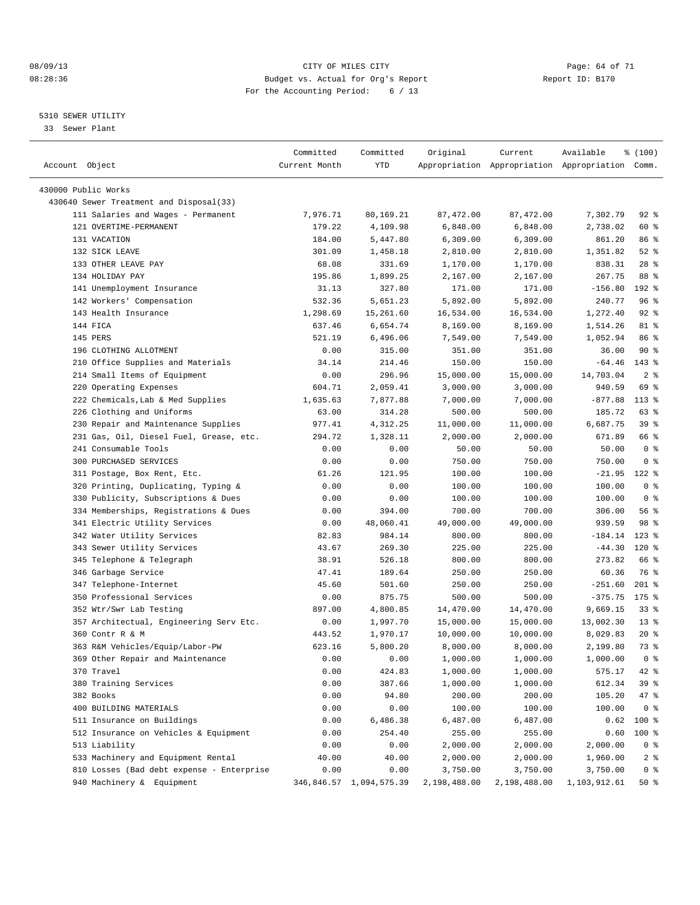#### 08/09/13 CITY OF MILES CITY Page: 64 of 71 08:28:36 Budget vs. Actual for Org's Report Changer Report ID: B170 For the Accounting Period: 6 / 13

————————————————————————————————————————————————————————————————————————————————————————————————————————————————————————————————————

#### 5310 SEWER UTILITY

33 Sewer Plant

|                                                                               | Committed       | Committed               | Original             | Current      | Available                                       | % (100)           |
|-------------------------------------------------------------------------------|-----------------|-------------------------|----------------------|--------------|-------------------------------------------------|-------------------|
| Account Object                                                                | Current Month   | YTD                     |                      |              | Appropriation Appropriation Appropriation Comm. |                   |
|                                                                               |                 |                         |                      |              |                                                 |                   |
| 430000 Public Works                                                           |                 |                         |                      |              |                                                 |                   |
| 430640 Sewer Treatment and Disposal(33)<br>111 Salaries and Wages - Permanent |                 |                         |                      |              |                                                 |                   |
|                                                                               | 7,976.71        | 80,169.21               | 87, 472.00           | 87,472.00    | 7,302.79                                        | $92$ $%$          |
| 121 OVERTIME-PERMANENT                                                        | 179.22          | 4,109.98                | 6,848.00             | 6,848.00     | 2,738.02                                        | 60 %              |
| 131 VACATION                                                                  | 184.00          | 5,447.80                | 6,309.00             | 6,309.00     | 861.20                                          | 86 %<br>$52$ $%$  |
| 132 SICK LEAVE<br>133 OTHER LEAVE PAY                                         | 301.09          | 1,458.18                | 2,810.00<br>1,170.00 | 2,810.00     | 1,351.82<br>838.31                              | $28$ %            |
| 134 HOLIDAY PAY                                                               | 68.08<br>195.86 | 331.69                  |                      | 1,170.00     | 267.75                                          | 88 %              |
| 141 Unemployment Insurance                                                    |                 | 1,899.25<br>327.80      | 2,167.00             | 2,167.00     | $-156.80$                                       |                   |
|                                                                               | 31.13           |                         | 171.00               | 171.00       |                                                 | 192 %             |
| 142 Workers' Compensation<br>143 Health Insurance                             | 532.36          | 5,651.23                | 5,892.00             | 5,892.00     | 240.77                                          | 96%               |
|                                                                               | 1,298.69        | 15,261.60               | 16,534.00            | 16,534.00    | 1,272.40                                        | $92$ $%$          |
| 144 FICA                                                                      | 637.46          | 6,654.74                | 8,169.00             | 8,169.00     | 1,514.26                                        | 81 %              |
| 145 PERS                                                                      | 521.19          | 6,496.06                | 7,549.00             | 7,549.00     | 1,052.94                                        | 86 %              |
| 196 CLOTHING ALLOTMENT                                                        | 0.00            | 315.00                  | 351.00               | 351.00       | 36.00                                           | $90*$             |
| 210 Office Supplies and Materials                                             | 34.14           | 214.46                  | 150.00               | 150.00       | $-64.46$                                        | $143*$            |
| 214 Small Items of Equipment                                                  | 0.00            | 296.96                  | 15,000.00            | 15,000.00    | 14,703.04                                       | 2 <sub>8</sub>    |
| 220 Operating Expenses                                                        | 604.71          | 2,059.41                | 3,000.00             | 3,000.00     | 940.59                                          | 69 %              |
| 222 Chemicals, Lab & Med Supplies                                             | 1,635.63        | 7,877.88                | 7,000.00             | 7,000.00     | $-877.88$                                       | $113$ %           |
| 226 Clothing and Uniforms                                                     | 63.00           | 314.28                  | 500.00               | 500.00       | 185.72                                          | 63 %              |
| 230 Repair and Maintenance Supplies                                           | 977.41          | 4,312.25                | 11,000.00            | 11,000.00    | 6,687.75                                        | 39 %              |
| 231 Gas, Oil, Diesel Fuel, Grease, etc.                                       | 294.72          | 1,328.11                | 2,000.00             | 2,000.00     | 671.89                                          | 66 %              |
| 241 Consumable Tools                                                          | 0.00            | 0.00                    | 50.00                | 50.00        | 50.00                                           | 0 <sup>8</sup>    |
| 300 PURCHASED SERVICES                                                        | 0.00            | 0.00                    | 750.00               | 750.00       | 750.00                                          | 0 <sup>8</sup>    |
| 311 Postage, Box Rent, Etc.                                                   | 61.26           | 121.95                  | 100.00               | 100.00       | $-21.95$                                        | $122$ %           |
| 320 Printing, Duplicating, Typing &                                           | 0.00            | 0.00                    | 100.00               | 100.00       | 100.00                                          | 0 <sup>8</sup>    |
| 330 Publicity, Subscriptions & Dues                                           | 0.00            | 0.00                    | 100.00               | 100.00       | 100.00                                          | 0 <sup>8</sup>    |
| 334 Memberships, Registrations & Dues                                         | 0.00            | 394.00                  | 700.00               | 700.00       | 306.00                                          | 56%               |
| 341 Electric Utility Services                                                 | 0.00            | 48,060.41               | 49,000.00            | 49,000.00    | 939.59                                          | 98 %              |
| 342 Water Utility Services                                                    | 82.83           | 984.14                  | 800.00               | 800.00       | $-184.14$                                       | $123$ %           |
| 343 Sewer Utility Services                                                    | 43.67           | 269.30                  | 225.00               | 225.00       | $-44.30$                                        | $120*$            |
| 345 Telephone & Telegraph                                                     | 38.91           | 526.18                  | 800.00               | 800.00       | 273.82                                          | 66 %              |
| 346 Garbage Service                                                           | 47.41           | 189.64                  | 250.00               | 250.00       | 60.36                                           | 76 %              |
| 347 Telephone-Internet                                                        | 45.60           | 501.60                  | 250.00               | 250.00       | $-251.60$                                       | $201$ %           |
| 350 Professional Services                                                     | 0.00            | 875.75                  | 500.00               | 500.00       | $-375.75$                                       | $175$ %           |
| 352 Wtr/Swr Lab Testing                                                       | 897.00          | 4,800.85                | 14,470.00            | 14,470.00    | 9,669.15                                        | 338               |
| 357 Architectual, Engineering Serv Etc.                                       | 0.00            | 1,997.70                | 15,000.00            | 15,000.00    | 13,002.30                                       | $13*$             |
| 360 Contr R & M                                                               | 443.52          | 1,970.17                | 10,000.00            | 10,000.00    | 8,029.83                                        | $20*$             |
| 363 R&M Vehicles/Equip/Labor-PW                                               | 623.16          | 5,800.20                | 8,000.00             | 8,000.00     | 2,199.80                                        | 73 %              |
| 369 Other Repair and Maintenance                                              | 0.00            | 0.00                    | 1,000.00             | 1,000.00     | 1,000.00                                        | 0 <sup>8</sup>    |
| 370 Travel                                                                    | 0.00            | 424.83                  | 1,000.00             | 1,000.00     | 575.17                                          | 42 %              |
| 380 Training Services                                                         | 0.00            | 387.66                  | 1,000.00             | 1,000.00     | 612.34                                          | 39 %              |
| 382 Books                                                                     | 0.00            | 94.80                   | 200.00               | 200.00       | 105.20                                          | 47 %              |
| 400 BUILDING MATERIALS                                                        | 0.00            | 0.00                    | 100.00               | 100.00       | 100.00                                          | 0 <sup>8</sup>    |
| 511 Insurance on Buildings                                                    | 0.00            | 6,486.38                | 6,487.00             | 6,487.00     | 0.62                                            | 100 %             |
| 512 Insurance on Vehicles & Equipment                                         | 0.00            | 254.40                  | 255.00               | 255.00       | 0.60                                            | $100$ %           |
| 513 Liability                                                                 | 0.00            | 0.00                    | 2,000.00             | 2,000.00     | 2,000.00                                        | 0 <sup>8</sup>    |
| 533 Machinery and Equipment Rental                                            | 40.00           | 40.00                   | 2,000.00             | 2,000.00     | 1,960.00                                        | $2$ $\frac{6}{9}$ |
| 810 Losses (Bad debt expense - Enterprise                                     | 0.00            | 0.00                    | 3,750.00             | 3,750.00     | 3,750.00                                        | 0 <sup>8</sup>    |
| 940 Machinery & Equipment                                                     |                 | 346,846.57 1,094,575.39 | 2,198,488.00         | 2,198,488.00 | 1,103,912.61                                    | 50%               |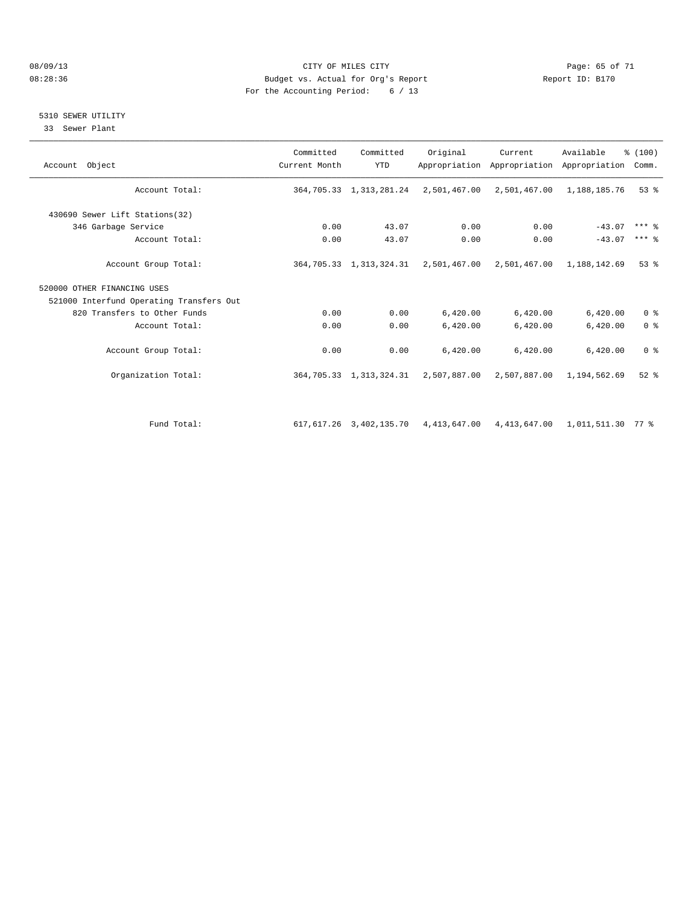#### 08/09/13 CITY OF MILES CITY Page: 65 of 71 08:28:36 Budget vs. Actual for Org's Report Report ID: B170 For the Accounting Period: 6 / 13

#### 5310 SEWER UTILITY

33 Sewer Plant

| Account Object                           | Committed<br>Current Month | Committed<br><b>YTD</b> | Original                                                       | Current      | Available<br>Appropriation Appropriation Appropriation | % (100)<br>Comm.    |
|------------------------------------------|----------------------------|-------------------------|----------------------------------------------------------------|--------------|--------------------------------------------------------|---------------------|
| Account Total:                           |                            |                         | 364,705.33 1,313,281.24 2,501,467.00 2,501,467.00 1,188,185.76 |              |                                                        | $53$ $%$            |
| 430690 Sewer Lift Stations(32)           |                            |                         |                                                                |              |                                                        |                     |
| 346 Garbage Service                      | 0.00                       | 43.07                   | 0.00                                                           | 0.00         | $-43.07$                                               | $***$ $\frac{6}{5}$ |
| Account Total:                           | 0.00                       | 43.07                   | 0.00                                                           | 0.00         | $-43.07$                                               | $***$ 8             |
| Account Group Total:                     |                            |                         | 364,705.33 1,313,324.31 2,501,467.00 2,501,467.00 1,188,142.69 |              |                                                        | $53$ $%$            |
| 520000 OTHER FINANCING USES              |                            |                         |                                                                |              |                                                        |                     |
| 521000 Interfund Operating Transfers Out |                            |                         |                                                                |              |                                                        |                     |
| 820 Transfers to Other Funds             | 0.00                       | 0.00                    | 6,420.00                                                       | 6,420.00     | 6,420.00                                               | 0 <sup>8</sup>      |
| Account Total:                           | 0.00                       | 0.00                    | 6,420.00                                                       | 6,420.00     | 6,420.00                                               | 0 <sup>8</sup>      |
| Account Group Total:                     | 0.00                       | 0.00                    | 6,420.00                                                       | 6,420.00     | 6,420.00                                               | 0 <sup>8</sup>      |
| Organization Total:                      |                            | 364,705.33 1,313,324.31 | 2,507,887.00                                                   |              | 2,507,887.00 1,194,562.69                              | $52$ $%$            |
| Fund Total:                              |                            | 617,617.26 3,402,135.70 | 4,413,647.00                                                   | 4,413,647.00 | 1,011,511.30 77 %                                      |                     |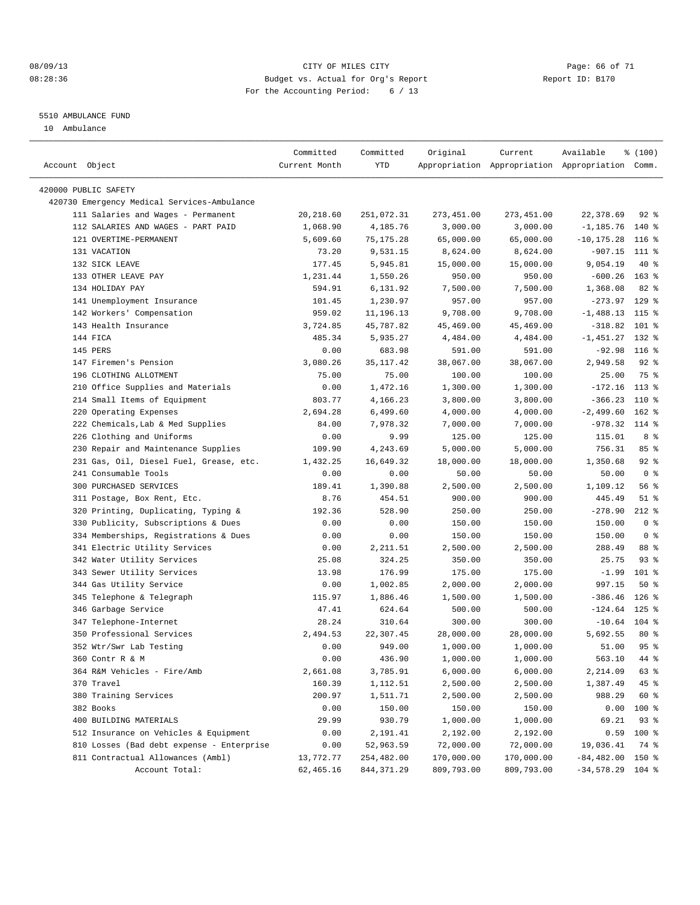#### 08/09/13 CITY OF MILES CITY Page: 66 of 71 08:28:36 Budget vs. Actual for Org's Report Changer Report ID: B170 For the Accounting Period: 6 / 13

————————————————————————————————————————————————————————————————————————————————————————————————————————————————————————————————————

#### 5510 AMBULANCE FUND

10 Ambulance

|                                             | Committed     | Committed   | Original   | Current    | Available                                       | % (100)        |
|---------------------------------------------|---------------|-------------|------------|------------|-------------------------------------------------|----------------|
| Account Object                              | Current Month | YTD         |            |            | Appropriation Appropriation Appropriation Comm. |                |
|                                             |               |             |            |            |                                                 |                |
| 420000 PUBLIC SAFETY                        |               |             |            |            |                                                 |                |
| 420730 Emergency Medical Services-Ambulance |               |             |            |            |                                                 |                |
| 111 Salaries and Wages - Permanent          | 20,218.60     | 251,072.31  | 273,451.00 | 273,451.00 | 22,378.69                                       | $92$ $%$       |
| 112 SALARIES AND WAGES - PART PAID          | 1,068.90      | 4,185.76    | 3,000.00   | 3,000.00   | $-1,185.76$                                     | 140 %          |
| 121 OVERTIME-PERMANENT                      | 5,609.60      | 75, 175. 28 | 65,000.00  | 65,000.00  | $-10, 175.28$                                   | $116$ %        |
| 131 VACATION                                | 73.20         | 9,531.15    | 8,624.00   | 8,624.00   | $-907.15$ 111 %                                 |                |
| 132 SICK LEAVE                              | 177.45        | 5,945.81    | 15,000.00  | 15,000.00  | 9,054.19                                        | 40 %           |
| 133 OTHER LEAVE PAY                         | 1,231.44      | 1,550.26    | 950.00     | 950.00     | $-600.26$ 163 %                                 |                |
| 134 HOLIDAY PAY                             | 594.91        | 6,131.92    | 7,500.00   | 7,500.00   | 1,368.08                                        | 82%            |
| 141 Unemployment Insurance                  | 101.45        | 1,230.97    | 957.00     | 957.00     | $-273.97$ 129 %                                 |                |
| 142 Workers' Compensation                   | 959.02        | 11,196.13   | 9,708.00   | 9,708.00   | $-1,488.13$                                     | 115 %          |
| 143 Health Insurance                        | 3,724.85      | 45,787.82   | 45,469.00  | 45,469.00  | $-318.82$                                       | 101 %          |
| 144 FICA                                    | 485.34        | 5,935.27    | 4,484.00   | 4,484.00   | $-1,451.27$ 132 %                               |                |
| 145 PERS                                    | 0.00          | 683.98      | 591.00     | 591.00     | $-92.98$                                        | $116$ %        |
| 147 Firemen's Pension                       | 3,080.26      | 35, 117. 42 | 38,067.00  | 38,067.00  | 2,949.58                                        | $92$ $%$       |
| 196 CLOTHING ALLOTMENT                      | 75.00         | 75.00       | 100.00     | 100.00     | 25.00                                           | 75 %           |
| 210 Office Supplies and Materials           | 0.00          | 1,472.16    | 1,300.00   | 1,300.00   | $-172.16$                                       | 113 %          |
| 214 Small Items of Equipment                | 803.77        | 4,166.23    | 3,800.00   | 3,800.00   | $-366.23$                                       | 110 %          |
| 220 Operating Expenses                      | 2,694.28      | 6,499.60    | 4,000.00   | 4,000.00   | $-2,499.60$                                     | $162$ %        |
| 222 Chemicals, Lab & Med Supplies           | 84.00         | 7,978.32    | 7,000.00   | 7,000.00   | $-978.32$ 114 %                                 |                |
| 226 Clothing and Uniforms                   | 0.00          | 9.99        | 125.00     | 125.00     | 115.01                                          | 8 %            |
| 230 Repair and Maintenance Supplies         | 109.90        | 4,243.69    | 5,000.00   | 5,000.00   | 756.31                                          | 85%            |
| 231 Gas, Oil, Diesel Fuel, Grease, etc.     | 1,432.25      | 16,649.32   | 18,000.00  | 18,000.00  | 1,350.68                                        | $92$ $%$       |
| 241 Consumable Tools                        | 0.00          | 0.00        | 50.00      | 50.00      | 50.00                                           | 0 <sup>8</sup> |
| 300 PURCHASED SERVICES                      | 189.41        | 1,390.88    | 2,500.00   | 2,500.00   | 1,109.12                                        | 56%            |
| 311 Postage, Box Rent, Etc.                 | 8.76          | 454.51      | 900.00     | 900.00     | 445.49                                          | 51 %           |
| 320 Printing, Duplicating, Typing &         | 192.36        | 528.90      | 250.00     | 250.00     | $-278.90$                                       | $212$ %        |
| 330 Publicity, Subscriptions & Dues         | 0.00          | 0.00        | 150.00     | 150.00     | 150.00                                          | 0 <sup>8</sup> |
| 334 Memberships, Registrations & Dues       | 0.00          | 0.00        | 150.00     | 150.00     | 150.00                                          | 0 <sup>8</sup> |
| 341 Electric Utility Services               | 0.00          | 2,211.51    | 2,500.00   | 2,500.00   | 288.49                                          | 88 %           |
| 342 Water Utility Services                  | 25.08         | 324.25      | 350.00     | 350.00     | 25.75                                           | $93$ $%$       |
| 343 Sewer Utility Services                  | 13.98         | 176.99      | 175.00     | 175.00     | $-1.99$                                         | 101 %          |
| 344 Gas Utility Service                     | 0.00          | 1,002.85    | 2,000.00   | 2,000.00   | 997.15                                          | 50%            |
| 345 Telephone & Telegraph                   | 115.97        | 1,886.46    | 1,500.00   | 1,500.00   | $-386.46$                                       | $126$ %        |
| 346 Garbage Service                         | 47.41         | 624.64      | 500.00     | 500.00     | $-124.64$ 125 %                                 |                |
| 347 Telephone-Internet                      | 28.24         | 310.64      | 300.00     | 300.00     | $-10.64$ 104 %                                  |                |
| 350 Professional Services                   | 2,494.53      | 22,307.45   | 28,000.00  | 28,000.00  | 5,692.55                                        | $80*$          |
| 352 Wtr/Swr Lab Testing                     | 0.00          | 949.00      | 1,000.00   | 1,000.00   | 51.00                                           | 95%            |
| 360 Contr R & M                             |               | 436.90      |            | 1,000.00   | 563.10 44 %                                     |                |
|                                             | 0.00          |             | 1,000.00   |            |                                                 |                |
| 364 R&M Vehicles - Fire/Amb                 | 2,661.08      | 3,785.91    | 6,000.00   | 6,000.00   | 2,214.09                                        | 63 %           |
| 370 Travel                                  | 160.39        | 1,112.51    | 2,500.00   | 2,500.00   | 1,387.49                                        | 45 %           |
| 380 Training Services                       | 200.97        | 1,511.71    | 2,500.00   | 2,500.00   | 988.29                                          | 60 %           |
| 382 Books                                   | 0.00          | 150.00      | 150.00     | 150.00     | 0.00                                            | 100 %          |
| 400 BUILDING MATERIALS                      | 29.99         | 930.79      | 1,000.00   | 1,000.00   | 69.21                                           | 93%            |
| 512 Insurance on Vehicles & Equipment       | 0.00          | 2,191.41    | 2,192.00   | 2,192.00   | 0.59                                            | 100 %          |
| 810 Losses (Bad debt expense - Enterprise   | 0.00          | 52,963.59   | 72,000.00  | 72,000.00  | 19,036.41                                       | 74 %           |
| 811 Contractual Allowances (Ambl)           | 13,772.77     | 254,482.00  | 170,000.00 | 170,000.00 | $-84,482.00$ 150 %                              |                |
| Account Total:                              | 62,465.16     | 844, 371.29 | 809,793.00 | 809,793.00 | $-34,578.29$ 104 %                              |                |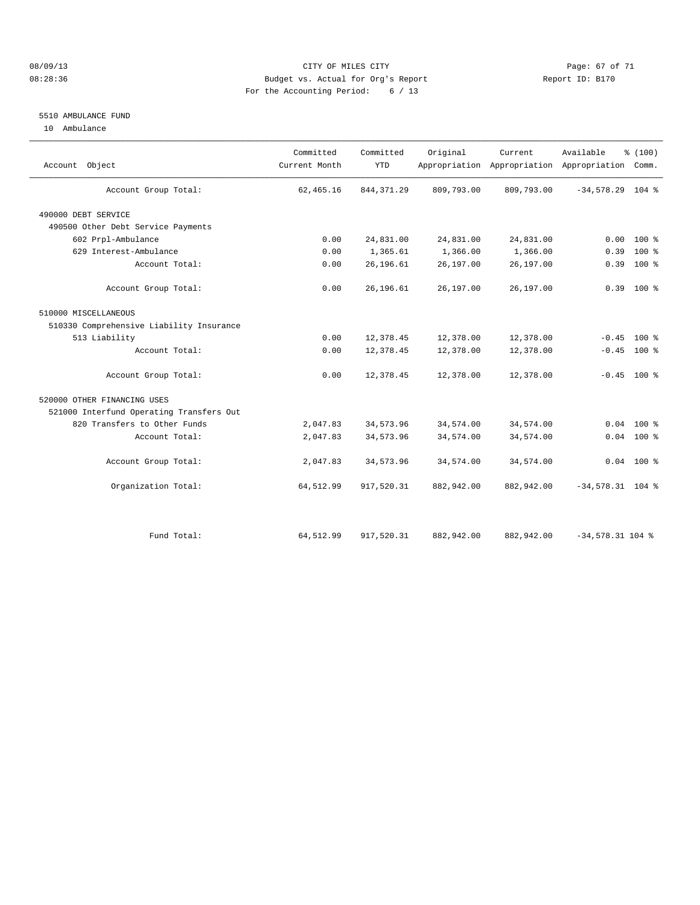#### 08/09/13 CITY OF MILES CITY Page: 67 of 71 08:28:36 Budget vs. Actual for Org's Report Changer Report ID: B170 For the Accounting Period: 6 / 13

#### 5510 AMBULANCE FUND

10 Ambulance

| Account Object                           | Committed<br>Current Month | Committed<br><b>YTD</b> | Original   | Current    | Available<br>Appropriation Appropriation Appropriation | % (100)<br>Comm. |  |
|------------------------------------------|----------------------------|-------------------------|------------|------------|--------------------------------------------------------|------------------|--|
| Account Group Total:                     | 62, 465.16                 | 844, 371.29             | 809,793.00 | 809,793.00 | $-34,578.29$ 104 %                                     |                  |  |
| 490000 DEBT SERVICE                      |                            |                         |            |            |                                                        |                  |  |
| 490500 Other Debt Service Payments       |                            |                         |            |            |                                                        |                  |  |
| 602 Prpl-Ambulance                       | 0.00                       | 24,831.00               | 24,831.00  | 24,831.00  | 0.00                                                   | $100*$           |  |
| 629 Interest-Ambulance                   | 0.00                       | 1,365.61                | 1,366.00   | 1,366.00   | 0.39                                                   | $100*$           |  |
| Account Total:                           | 0.00                       | 26,196.61               | 26,197.00  | 26,197.00  | 0.39                                                   | 100 %            |  |
| Account Group Total:                     | 0.00                       | 26,196.61               | 26,197.00  | 26,197.00  |                                                        | $0.39$ 100 %     |  |
| 510000 MISCELLANEOUS                     |                            |                         |            |            |                                                        |                  |  |
| 510330 Comprehensive Liability Insurance |                            |                         |            |            |                                                        |                  |  |
| 513 Liability                            | 0.00                       | 12,378.45               | 12,378.00  | 12,378.00  | $-0.45$                                                | $100*$           |  |
| Account Total:                           | 0.00                       | 12,378.45               | 12,378.00  | 12,378.00  | $-0.45$ 100 %                                          |                  |  |
| Account Group Total:                     | 0.00                       | 12,378.45               | 12,378.00  | 12,378.00  | $-0.45$ 100 %                                          |                  |  |
| 520000 OTHER FINANCING USES              |                            |                         |            |            |                                                        |                  |  |
| 521000 Interfund Operating Transfers Out |                            |                         |            |            |                                                        |                  |  |
| 820 Transfers to Other Funds             | 2,047.83                   | 34,573.96               | 34,574.00  | 34,574.00  |                                                        | $0.04$ 100 %     |  |
| Account Total:                           | 2,047.83                   | 34,573.96               | 34,574.00  | 34,574.00  |                                                        | $0.04$ 100 %     |  |
| Account Group Total:                     | 2,047.83                   | 34,573.96               | 34,574.00  | 34,574.00  |                                                        | $0.04$ 100 %     |  |
| Organization Total:                      | 64,512.99                  | 917,520.31              | 882,942.00 | 882,942.00 | $-34,578.31$ 104 %                                     |                  |  |
|                                          |                            |                         |            |            |                                                        |                  |  |
| Fund Total:                              | 64,512.99                  | 917,520.31              | 882,942.00 | 882,942.00 | $-34,578.31$ 104 %                                     |                  |  |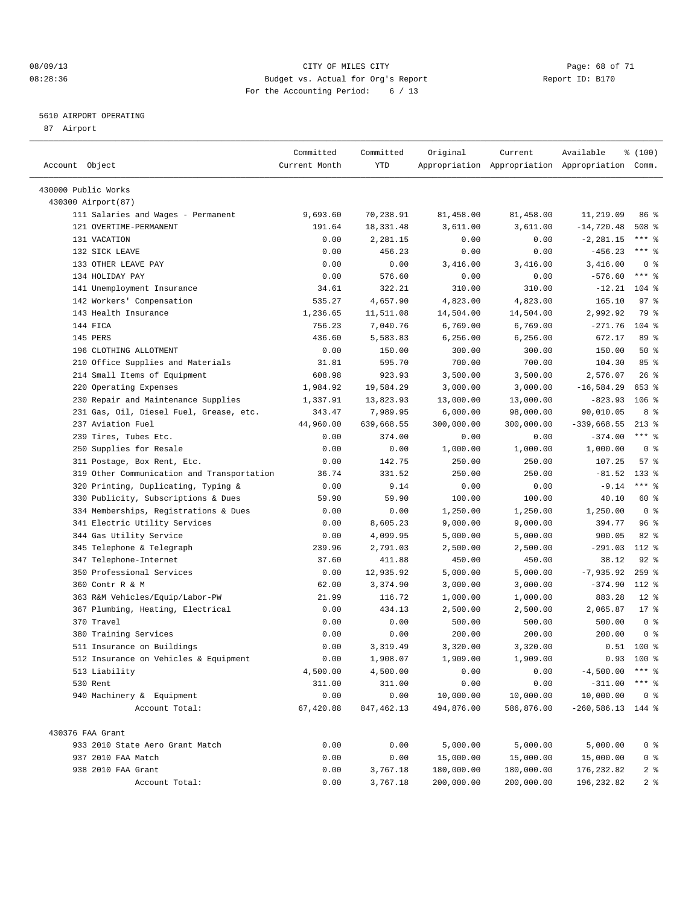#### 08/09/13 CITY OF MILES CITY Page: 68 of 71 08:28:36 Budget vs. Actual for Org's Report Report ID: B170 For the Accounting Period: 6 / 13

————————————————————————————————————————————————————————————————————————————————————————————————————————————————————————————————————

#### 5610 AIRPORT OPERATING

87 Airport

| Account Object         |                                            | Committed<br>Current Month | Committed<br>YTD | Original   | Current    | Available<br>Appropriation Appropriation Appropriation Comm. | % (100)          |  |
|------------------------|--------------------------------------------|----------------------------|------------------|------------|------------|--------------------------------------------------------------|------------------|--|
|                        |                                            |                            |                  |            |            |                                                              |                  |  |
| 430000 Public Works    |                                            |                            |                  |            |            |                                                              |                  |  |
| 430300 Airport (87)    |                                            |                            |                  |            |            |                                                              |                  |  |
|                        | 111 Salaries and Wages - Permanent         | 9,693.60                   | 70,238.91        | 81,458.00  | 81,458.00  | 11,219.09                                                    | 86 %             |  |
| 121 OVERTIME-PERMANENT |                                            | 191.64                     | 18,331.48        | 3,611.00   | 3,611.00   | $-14,720.48$                                                 | 508 <sup>8</sup> |  |
| 131 VACATION           |                                            | 0.00                       | 2,281.15         | 0.00       | 0.00       | $-2, 281.15$                                                 | *** 응            |  |
| 132 SICK LEAVE         |                                            | 0.00                       | 456.23           | 0.00       | 0.00       | $-456.23$                                                    | $***$ $%$        |  |
| 133 OTHER LEAVE PAY    |                                            | 0.00                       | 0.00             | 3,416.00   | 3,416.00   | 3,416.00                                                     | 0 <sup>8</sup>   |  |
| 134 HOLIDAY PAY        |                                            | 0.00                       | 576.60           | 0.00       | 0.00       | $-576.60$                                                    | $***$ $%$        |  |
|                        | 141 Unemployment Insurance                 | 34.61                      | 322.21           | 310.00     | 310.00     | $-12.21$                                                     | $104$ %          |  |
|                        | 142 Workers' Compensation                  | 535.27                     | 4,657.90         | 4,823.00   | 4,823.00   | 165.10                                                       | 97%              |  |
| 143 Health Insurance   |                                            | 1,236.65                   | 11,511.08        | 14,504.00  | 14,504.00  | 2,992.92                                                     | 79 %             |  |
| 144 FICA               |                                            | 756.23                     | 7,040.76         | 6,769.00   | 6,769.00   | $-271.76$                                                    | 104 %            |  |
| 145 PERS               |                                            | 436.60                     | 5,583.83         | 6,256.00   | 6,256.00   | 672.17                                                       | 89 %             |  |
| 196 CLOTHING ALLOTMENT |                                            | 0.00                       | 150.00           | 300.00     | 300.00     | 150.00                                                       | 50%              |  |
|                        | 210 Office Supplies and Materials          | 31.81                      | 595.70           | 700.00     | 700.00     | 104.30                                                       | 85%              |  |
|                        | 214 Small Items of Equipment               | 608.98                     | 923.93           | 3,500.00   | 3,500.00   | 2,576.07                                                     | $26$ %           |  |
| 220 Operating Expenses |                                            | 1,984.92                   | 19,584.29        | 3,000.00   | 3,000.00   | $-16, 584.29$                                                | 653 %            |  |
|                        | 230 Repair and Maintenance Supplies        | 1,337.91                   | 13,823.93        | 13,000.00  | 13,000.00  | $-823.93$                                                    | $106$ %          |  |
|                        | 231 Gas, Oil, Diesel Fuel, Grease, etc.    | 343.47                     | 7,989.95         | 6,000.00   | 98,000.00  | 90,010.05                                                    | 8 %              |  |
| 237 Aviation Fuel      |                                            | 44,960.00                  | 639,668.55       | 300,000.00 | 300,000.00 | $-339,668.55$                                                | $213*$           |  |
| 239 Tires, Tubes Etc.  |                                            | 0.00                       | 374.00           | 0.00       | 0.00       | $-374.00$                                                    | $***$ $-$        |  |
|                        | 250 Supplies for Resale                    | 0.00                       | 0.00             | 1,000.00   | 1,000.00   | 1,000.00                                                     | 0 <sup>8</sup>   |  |
|                        | 311 Postage, Box Rent, Etc.                | 0.00                       | 142.75           | 250.00     | 250.00     | 107.25                                                       | 57%              |  |
|                        | 319 Other Communication and Transportation | 36.74                      | 331.52           | 250.00     | 250.00     | $-81.52$                                                     | $133*$           |  |
|                        | 320 Printing, Duplicating, Typing &        | 0.00                       | 9.14             | 0.00       | 0.00       | $-9.14$                                                      | $***$ $-$        |  |
|                        | 330 Publicity, Subscriptions & Dues        | 59.90                      | 59.90            | 100.00     | 100.00     | 40.10                                                        | 60 %             |  |
|                        | 334 Memberships, Registrations & Dues      | 0.00                       | 0.00             | 1,250.00   | 1,250.00   | 1,250.00                                                     | 0 <sup>8</sup>   |  |
|                        | 341 Electric Utility Services              | 0.00                       | 8,605.23         | 9,000.00   | 9,000.00   | 394.77                                                       | 96%              |  |
|                        | 344 Gas Utility Service                    | 0.00                       | 4,099.95         | 5,000.00   | 5,000.00   | 900.05                                                       | $82$ $%$         |  |
|                        | 345 Telephone & Telegraph                  | 239.96                     | 2,791.03         | 2,500.00   | 2,500.00   | $-291.03$                                                    | 112 %            |  |
| 347 Telephone-Internet |                                            | 37.60                      | 411.88           | 450.00     | 450.00     | 38.12                                                        | $92$ $%$         |  |
|                        | 350 Professional Services                  | 0.00                       | 12,935.92        | 5,000.00   | 5,000.00   | $-7,935.92$                                                  | $259$ $%$        |  |
| 360 Contr R & M        |                                            | 62.00                      | 3,374.90         | 3,000.00   | 3,000.00   | $-374.90$                                                    | 112 %            |  |
|                        | 363 R&M Vehicles/Equip/Labor-PW            | 21.99                      | 116.72           | 1,000.00   | 1,000.00   | 883.28                                                       | $12$ %           |  |
|                        | 367 Plumbing, Heating, Electrical          | 0.00                       | 434.13           | 2,500.00   | 2,500.00   | 2,065.87                                                     | $17*$            |  |
| 370 Travel             |                                            | 0.00                       | 0.00             | 500.00     | 500.00     | 500.00                                                       | 0 <sup>8</sup>   |  |
| 380 Training Services  |                                            | 0.00                       | 0.00             | 200.00     | 200.00     | 200.00                                                       | 0 <sup>8</sup>   |  |
|                        | 511 Insurance on Buildings                 | 0.00                       | 3,319.49         | 3,320.00   | 3,320.00   |                                                              | $0.51$ 100 %     |  |
|                        | 512 Insurance on Vehicles & Equipment      | 0.00                       | 1,908.07         | 1,909.00   | 1,909.00   |                                                              | $0.93$ 100 %     |  |
| 513 Liability          |                                            | 4,500.00                   | 4,500.00         | 0.00       | 0.00       | $-4,500.00$                                                  | $***$ %          |  |
| 530 Rent               |                                            | 311.00                     | 311.00           | 0.00       | 0.00       | $-311.00$                                                    | $***$ $%$        |  |
|                        | 940 Machinery & Equipment                  | 0.00                       | 0.00             | 10,000.00  | 10,000.00  | 10,000.00                                                    | 0 <sup>8</sup>   |  |
|                        | Account Total:                             | 67,420.88                  | 847,462.13       | 494,876.00 | 586,876.00 | $-260,586.13$ 144 %                                          |                  |  |
| 430376 FAA Grant       |                                            |                            |                  |            |            |                                                              |                  |  |
|                        | 933 2010 State Aero Grant Match            | 0.00                       | 0.00             | 5,000.00   | 5,000.00   | 5,000.00                                                     | 0 <sup>8</sup>   |  |
| 937 2010 FAA Match     |                                            | 0.00                       | 0.00             | 15,000.00  | 15,000.00  | 15,000.00                                                    | $0$ %            |  |
| 938 2010 FAA Grant     |                                            | 0.00                       | 3,767.18         | 180,000.00 | 180,000.00 | 176,232.82                                                   | 2 <sub>8</sub>   |  |
|                        | Account Total:                             | 0.00                       | 3,767.18         | 200,000.00 | 200,000.00 | 196, 232.82                                                  | 2 <sub>8</sub>   |  |
|                        |                                            |                            |                  |            |            |                                                              |                  |  |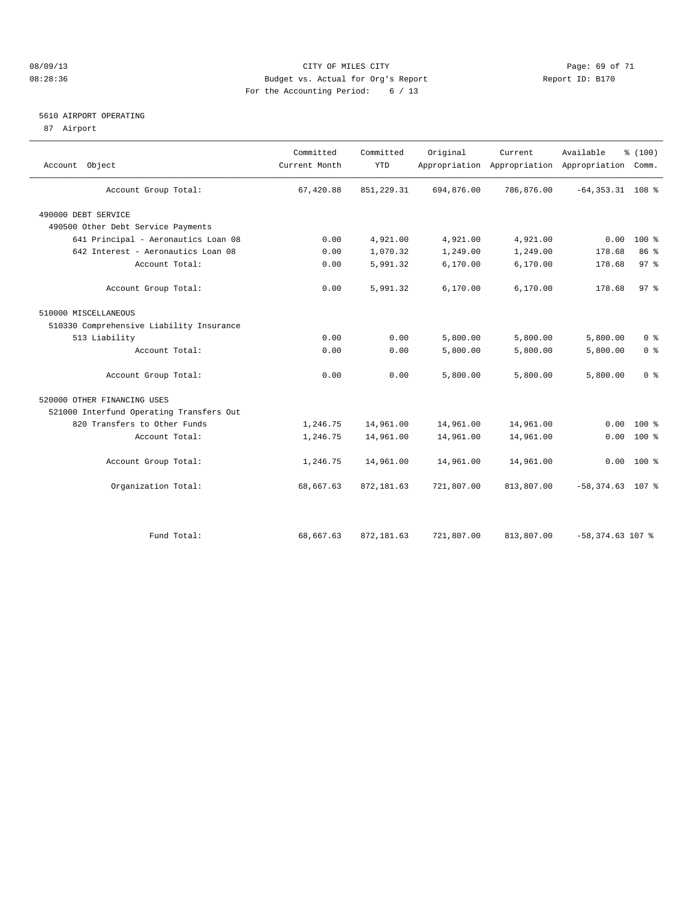#### 08/09/13 CITY OF MILES CITY Page: 69 of 71 08:28:36 Budget vs. Actual for Org's Report Changer Report ID: B170 For the Accounting Period: 6 / 13

#### 5610 AIRPORT OPERATING

87 Airport

| Account Object                           | Committed<br>Current Month | Committed<br><b>YTD</b> | Original   | Current<br>Appropriation Appropriation Appropriation | Available           | % (100)<br>Comm. |  |
|------------------------------------------|----------------------------|-------------------------|------------|------------------------------------------------------|---------------------|------------------|--|
| Account Group Total:                     | 67,420.88                  | 851, 229.31             | 694,876.00 | 786,876.00                                           | $-64, 353.31$ 108 % |                  |  |
| 490000 DEBT SERVICE                      |                            |                         |            |                                                      |                     |                  |  |
| 490500 Other Debt Service Payments       |                            |                         |            |                                                      |                     |                  |  |
| 641 Principal - Aeronautics Loan 08      | 0.00                       | 4,921.00                | 4,921.00   | 4,921.00                                             | 0.00                | $100*$           |  |
| 642 Interest - Aeronautics Loan 08       | 0.00                       | 1,070.32                | 1,249.00   | 1,249.00                                             | 178.68              | 86 %             |  |
| Account Total:                           | 0.00                       | 5,991.32                | 6,170.00   | 6, 170.00                                            | 178.68              | 97%              |  |
| Account Group Total:                     | 0.00                       | 5,991.32                | 6, 170.00  | 6,170.00                                             | 178.68              | 97%              |  |
| 510000 MISCELLANEOUS                     |                            |                         |            |                                                      |                     |                  |  |
| 510330 Comprehensive Liability Insurance |                            |                         |            |                                                      |                     |                  |  |
| 513 Liability                            | 0.00                       | 0.00                    | 5,800.00   | 5,800.00                                             | 5,800.00            | 0 <sup>8</sup>   |  |
| Account Total:                           | 0.00                       | 0.00                    | 5,800.00   | 5,800.00                                             | 5,800.00            | 0 <sup>8</sup>   |  |
| Account Group Total:                     | 0.00                       | 0.00                    | 5,800.00   | 5,800.00                                             | 5,800.00            | 0 <sup>8</sup>   |  |
| 520000 OTHER FINANCING USES              |                            |                         |            |                                                      |                     |                  |  |
| 521000 Interfund Operating Transfers Out |                            |                         |            |                                                      |                     |                  |  |
| 820 Transfers to Other Funds             | 1,246.75                   | 14,961.00               | 14,961.00  | 14,961.00                                            | 0.00                | $100*$           |  |
| Account Total:                           | 1,246.75                   | 14,961.00               | 14,961.00  | 14,961.00                                            | 0.00                | $100*$           |  |
| Account Group Total:                     | 1,246.75                   | 14,961.00               | 14,961.00  | 14,961.00                                            |                     | $0.00 100$ %     |  |
| Organization Total:                      | 68,667.63                  | 872,181.63              | 721,807.00 | 813,807.00                                           | $-58,374.63$ 107 %  |                  |  |
|                                          |                            |                         |            |                                                      |                     |                  |  |
| Fund Total:                              | 68,667.63                  | 872, 181.63             | 721,807.00 | 813,807.00                                           | $-58,374.63$ 107 %  |                  |  |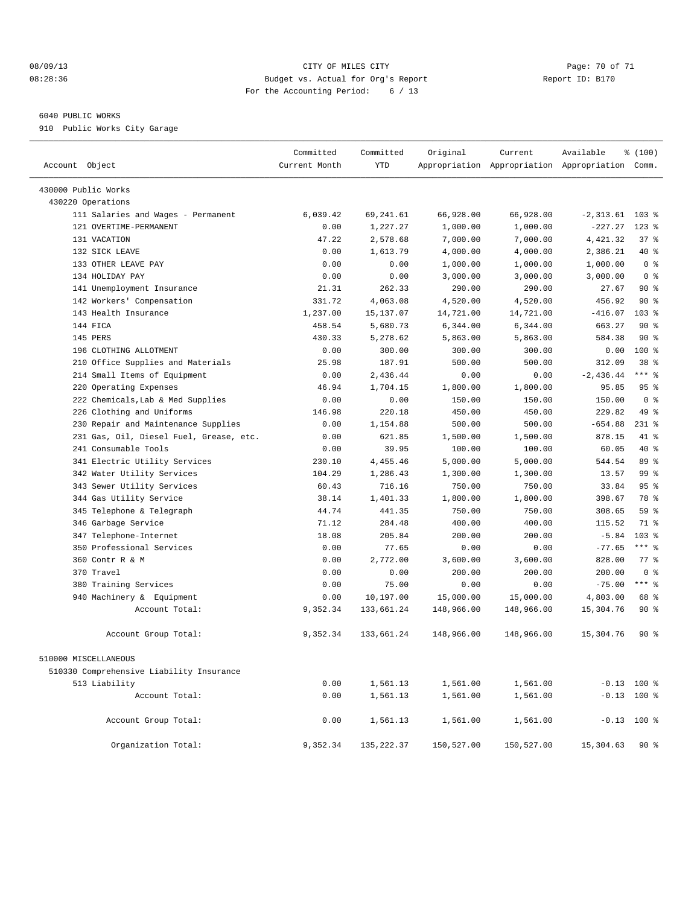#### 08/09/13 Page: 70 of 71 CITY OF MILES CITY CONTROL PAGE: 70 OF 71 08:28:36 Budget vs. Actual for Org's Report Changer Report ID: B170 For the Accounting Period: 6 / 13

#### 6040 PUBLIC WORKS

910 Public Works City Garage

| Account Object                           | Committed<br>Current Month | Committed<br><b>YTD</b> | Original   | Current    | Available<br>Appropriation Appropriation Appropriation Comm. | % (100)          |
|------------------------------------------|----------------------------|-------------------------|------------|------------|--------------------------------------------------------------|------------------|
| 430000 Public Works                      |                            |                         |            |            |                                                              |                  |
| 430220 Operations                        |                            |                         |            |            |                                                              |                  |
| 111 Salaries and Wages - Permanent       | 6.039.42                   | 69, 241.61              | 66,928.00  | 66,928.00  | $-2,313.61$ 103 %                                            |                  |
| 121 OVERTIME-PERMANENT                   | 0.00                       | 1,227.27                | 1,000.00   | 1,000.00   | $-227.27$                                                    | $123$ $%$        |
| 131 VACATION                             | 47.22                      | 2,578.68                | 7,000.00   | 7,000.00   | 4, 421.32                                                    | 37%              |
| 132 SICK LEAVE                           | 0.00                       | 1,613.79                | 4,000.00   | 4,000.00   | 2,386.21                                                     | 40 %             |
| 133 OTHER LEAVE PAY                      | 0.00                       | 0.00                    | 1,000.00   | 1,000.00   | 1,000.00                                                     | 0 <sup>8</sup>   |
| 134 HOLIDAY PAY                          | 0.00                       | 0.00                    | 3,000.00   | 3,000.00   | 3,000.00                                                     | 0 <sup>8</sup>   |
| 141 Unemployment Insurance               | 21.31                      | 262.33                  | 290.00     | 290.00     | 27.67                                                        | 90%              |
| 142 Workers' Compensation                | 331.72                     | 4,063.08                | 4,520.00   | 4,520.00   | 456.92                                                       | 90%              |
| 143 Health Insurance                     | 1,237.00                   | 15,137.07               | 14,721.00  | 14,721.00  | $-416.07$                                                    | 103 <sub>8</sub> |
| 144 FICA                                 | 458.54                     | 5,680.73                | 6,344.00   | 6,344.00   | 663.27                                                       | $90*$            |
| 145 PERS                                 | 430.33                     | 5,278.62                | 5,863.00   | 5,863.00   | 584.38                                                       | 90 <sub>8</sub>  |
| 196 CLOTHING ALLOTMENT                   | 0.00                       | 300.00                  | 300.00     | 300.00     | 0.00                                                         | 100 %            |
| Office Supplies and Materials<br>210     | 25.98                      | 187.91                  | 500.00     | 500.00     | 312.09                                                       | 38 <sup>8</sup>  |
| 214 Small Items of Equipment             | 0.00                       | 2.436.44                | 0.00       | 0.00       | $-2,436.44$                                                  | $***$ $-$        |
| 220 Operating Expenses                   | 46.94                      | 1,704.15                | 1,800.00   | 1,800.00   | 95.85                                                        | 95%              |
| 222 Chemicals, Lab & Med Supplies        | 0.00                       | 0.00                    | 150.00     | 150.00     | 150.00                                                       | 0 <sup>8</sup>   |
| 226 Clothing and Uniforms                | 146.98                     | 220.18                  | 450.00     | 450.00     | 229.82                                                       | 49 %             |
| Repair and Maintenance Supplies<br>230   | 0.00                       | 1,154.88                | 500.00     | 500.00     | $-654.88$                                                    | $231$ %          |
| 231 Gas, Oil, Diesel Fuel, Grease, etc.  | 0.00                       | 621.85                  | 1,500.00   | 1,500.00   | 878.15                                                       | 41 %             |
| 241 Consumable Tools                     | 0.00                       | 39.95                   | 100.00     | 100.00     | 60.05                                                        | 40 %             |
| 341 Electric Utility Services            | 230.10                     | 4,455.46                | 5,000.00   | 5,000.00   | 544.54                                                       | 89 %             |
| 342 Water Utility Services               | 104.29                     | 1,286.43                | 1,300.00   | 1,300.00   | 13.57                                                        | 99 <sup>°</sup>  |
| 343 Sewer Utility Services               | 60.43                      | 716.16                  | 750.00     | 750.00     | 33.84                                                        | 95 <sup>8</sup>  |
| 344 Gas Utility Service                  | 38.14                      | 1,401.33                | 1,800.00   | 1,800.00   | 398.67                                                       | 78 %             |
| 345 Telephone & Telegraph                | 44.74                      | 441.35                  | 750.00     | 750.00     | 308.65                                                       | 59 <sub>8</sub>  |
| 346 Garbage Service                      | 71.12                      | 284.48                  | 400.00     | 400.00     | 115.52                                                       | 71 %             |
| 347 Telephone-Internet                   | 18.08                      | 205.84                  | 200.00     | 200.00     | $-5.84$                                                      | 103 %            |
| 350 Professional Services                | 0.00                       | 77.65                   | 0.00       | 0.00       | $-77.65$                                                     | $***$ $-$        |
| 360 Contr R & M                          | 0.00                       | 2,772.00                | 3,600.00   | 3,600.00   | 828.00                                                       | 77.8             |
| 370 Travel                               | 0.00                       | 0.00                    | 200.00     | 200.00     | 200.00                                                       | 0 <sup>8</sup>   |
| 380 Training Services                    | 0.00                       | 75.00                   | 0.00       | 0.00       | $-75.00$                                                     | $***$ %          |
| 940 Machinery & Equipment                | 0.00                       | 10,197.00               | 15,000.00  | 15,000.00  | 4,803.00                                                     | 68 %             |
| Account Total:                           | 9,352.34                   | 133,661.24              | 148,966.00 | 148,966.00 | 15,304.76                                                    | $90*$            |
| Account Group Total:                     | 9,352.34                   | 133,661.24              | 148,966.00 | 148,966.00 | 15,304.76                                                    | $90*$            |
| 510000 MISCELLANEOUS                     |                            |                         |            |            |                                                              |                  |
| 510330 Comprehensive Liability Insurance |                            |                         |            |            |                                                              |                  |
| 513 Liability                            | 0.00                       | 1,561.13                | 1,561.00   | 1,561.00   |                                                              | $-0.13$ 100 %    |
| Account Total:                           | 0.00                       | 1,561.13                | 1,561.00   | 1,561.00   |                                                              | $-0.13$ 100 %    |
| Account Group Total:                     | 0.00                       | 1,561.13                | 1,561.00   | 1,561.00   |                                                              | $-0.13$ 100 %    |
| Organization Total:                      | 9,352.34                   | 135, 222.37             | 150,527.00 | 150,527.00 | 15,304.63                                                    | 90%              |